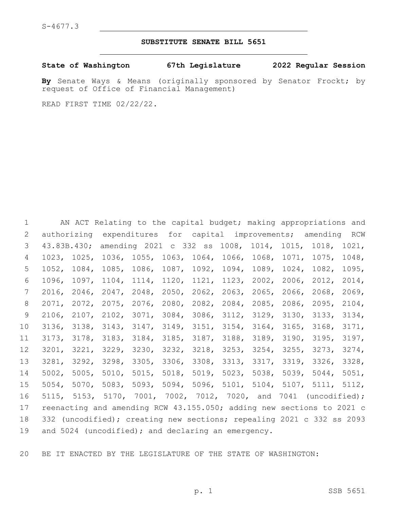## **SUBSTITUTE SENATE BILL 5651**

**State of Washington 67th Legislature 2022 Regular Session**

**By** Senate Ways & Means (originally sponsored by Senator Frockt; by request of Office of Financial Management)

READ FIRST TIME 02/22/22.

 AN ACT Relating to the capital budget; making appropriations and authorizing expenditures for capital improvements; amending RCW 43.83B.430; amending 2021 c 332 ss 1008, 1014, 1015, 1018, 1021, 1023, 1025, 1036, 1055, 1063, 1064, 1066, 1068, 1071, 1075, 1048, 1052, 1084, 1085, 1086, 1087, 1092, 1094, 1089, 1024, 1082, 1095, 1096, 1097, 1104, 1114, 1120, 1121, 1123, 2002, 2006, 2012, 2014, 2016, 2046, 2047, 2048, 2050, 2062, 2063, 2065, 2066, 2068, 2069, 2071, 2072, 2075, 2076, 2080, 2082, 2084, 2085, 2086, 2095, 2104, 2106, 2107, 2102, 3071, 3084, 3086, 3112, 3129, 3130, 3133, 3134, 3136, 3138, 3143, 3147, 3149, 3151, 3154, 3164, 3165, 3168, 3171, 3173, 3178, 3183, 3184, 3185, 3187, 3188, 3189, 3190, 3195, 3197, 3201, 3221, 3229, 3230, 3232, 3218, 3253, 3254, 3255, 3273, 3274, 3281, 3292, 3298, 3305, 3306, 3308, 3313, 3317, 3319, 3326, 3328, 5002, 5005, 5010, 5015, 5018, 5019, 5023, 5038, 5039, 5044, 5051, 5054, 5070, 5083, 5093, 5094, 5096, 5101, 5104, 5107, 5111, 5112, 5115, 5153, 5170, 7001, 7002, 7012, 7020, and 7041 (uncodified); reenacting and amending RCW 43.155.050; adding new sections to 2021 c 332 (uncodified); creating new sections; repealing 2021 c 332 ss 2093 19 and 5024 (uncodified); and declaring an emergency.

BE IT ENACTED BY THE LEGISLATURE OF THE STATE OF WASHINGTON: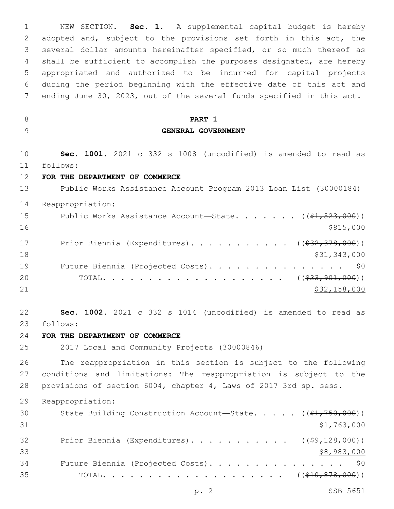NEW SECTION. **Sec. 1.** A supplemental capital budget is hereby adopted and, subject to the provisions set forth in this act, the several dollar amounts hereinafter specified, or so much thereof as shall be sufficient to accomplish the purposes designated, are hereby appropriated and authorized to be incurred for capital projects during the period beginning with the effective date of this act and ending June 30, 2023, out of the several funds specified in this act. **PART 1 GENERAL GOVERNMENT Sec. 1001.** 2021 c 332 s 1008 (uncodified) is amended to read as follows: 11 **FOR THE DEPARTMENT OF COMMERCE** Public Works Assistance Account Program 2013 Loan List (30000184) Reappropriation: 15 Public Works Assistance Account—State. . . . . . ((\$1,523,000)) \$815,000 17 Prior Biennia (Expenditures). . . . . . . . . . ((\$32,378,000))  $\frac{18}{31,343,000}$ 19 Future Biennia (Projected Costs). . . . . . . . . . . . . . \$0 20 TOTAL. . . . . . . . . . . . . . . . . . (  $(\frac{233}{1000})$  ) \$32,158,000 **Sec. 1002.** 2021 c 332 s 1014 (uncodified) is amended to read as follows: 23 **FOR THE DEPARTMENT OF COMMERCE** 2017 Local and Community Projects (30000846) The reappropriation in this section is subject to the following conditions and limitations: The reappropriation is subject to the provisions of section 6004, chapter 4, Laws of 2017 3rd sp. sess. Reappropriation: 30 State Building Construction Account—State. . . . . ((\$1,750,000)) \$1,763,000 32 Prior Biennia (Expenditures). . . . . . . . . . ((\$9,128,000)) \$8,983,000 Future Biennia (Projected Costs). . . . . . . . . . . . . . . \$0 35 TOTAL. . . . . . . . . . . . . . . . . . (  $(\frac{210}{10}, \frac{878}{100})$  )

p. 2 SSB 5651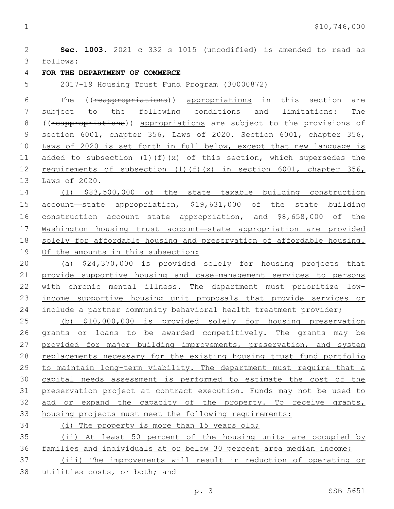**Sec. 1003.** 2021 c 332 s 1015 (uncodified) is amended to read as follows: 3 **FOR THE DEPARTMENT OF COMMERCE** 2017-19 Housing Trust Fund Program (30000872) The ((reappropriations)) appropriations in this section are subject to the following conditions and limitations: The 8 ((reappropriations)) appropriations are subject to the provisions of 9 section 6001, chapter 356, Laws of 2020. Section 6001, chapter 356, Laws of 2020 is set forth in full below, except that new language is 11 added to subsection  $(1)(f)(x)$  of this section, which supersedes the 12 requirements of subsection (1)(f)(x) in section 6001, chapter 356, Laws of 2020. (1) \$83,500,000 of the state taxable building construction account—state appropriation, \$19,631,000 of the state building 16 construction account—state appropriation, and \$8,658,000 of the Washington housing trust account—state appropriation are provided solely for affordable housing and preservation of affordable housing. Of the amounts in this subsection: (a) \$24,370,000 is provided solely for housing projects that provide supportive housing and case-management services to persons with chronic mental illness. The department must prioritize low- income supportive housing unit proposals that provide services or 24 include a partner community behavioral health treatment provider; (b) \$10,000,000 is provided solely for housing preservation grants or loans to be awarded competitively. The grants may be 27 provided for major building improvements, preservation, and system replacements necessary for the existing housing trust fund portfolio to maintain long-term viability. The department must require that a capital needs assessment is performed to estimate the cost of the preservation project at contract execution. Funds may not be used to add or expand the capacity of the property. To receive grants, housing projects must meet the following requirements: (i) The property is more than 15 years old; (ii) At least 50 percent of the housing units are occupied by families and individuals at or below 30 percent area median income; (iii) The improvements will result in reduction of operating or utilities costs, or both; and

p. 3 SSB 5651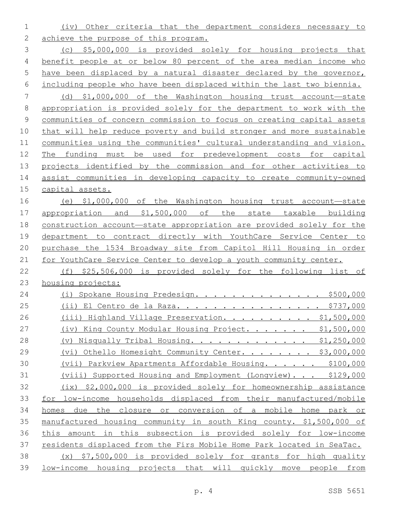(iv) Other criteria that the department considers necessary to 2 achieve the purpose of this program.

 (c) \$5,000,000 is provided solely for housing projects that benefit people at or below 80 percent of the area median income who have been displaced by a natural disaster declared by the governor, including people who have been displaced within the last two biennia.

 (d) \$1,000,000 of the Washington housing trust account—state appropriation is provided solely for the department to work with the communities of concern commission to focus on creating capital assets that will help reduce poverty and build stronger and more sustainable communities using the communities' cultural understanding and vision. The funding must be used for predevelopment costs for capital projects identified by the commission and for other activities to assist communities in developing capacity to create community-owned capital assets.

 (e) \$1,000,000 of the Washington housing trust account—state appropriation and \$1,500,000 of the state taxable building construction account—state appropriation are provided solely for the department to contract directly with YouthCare Service Center to purchase the 1534 Broadway site from Capitol Hill Housing in order for YouthCare Service Center to develop a youth community center.

 (f) \$25,506,000 is provided solely for the following list of housing projects:

| 24 | Spokane Housing Predesign. \$500,000<br>(i)                            |
|----|------------------------------------------------------------------------|
| 25 | <u> El Centro de la Raza. \$737,000</u><br>(i)                         |
| 26 | (iii) Highland Village Preservation. \$1,500,000                       |
| 27 | (iv) King County Modular Housing Project. \$1,500,000                  |
| 28 | (v) Nisqually Tribal Housing. \$1,250,000                              |
| 29 | Othello Homesight Community Center. \$3,000,000<br>$(v_1)$             |
| 30 | (vii) Parkview Apartments Affordable Housing. \$100,000                |
| 31 | (viii) Supported Housing and Employment (Longview). \$129,000          |
| 32 | \$2,000,000 is provided solely for homeownership assistance<br>(ix)    |
| 33 | for low-income households displaced from their manufactured/mobile     |
| 34 | the closure or conversion of a mobile home park or<br>due<br>homes     |
| 35 | manufactured housing community in south King county. \$1,500,000 of    |
| 36 | in this subsection is provided solely for low-income<br>this<br>amount |
| 37 | residents displaced from the Firs Mobile Home Park located in SeaTac.  |
| 38 | \$7,500,000 is provided solely for grants for high quality<br>(x)      |
| 39 | low-income housing projects that will quickly move people from         |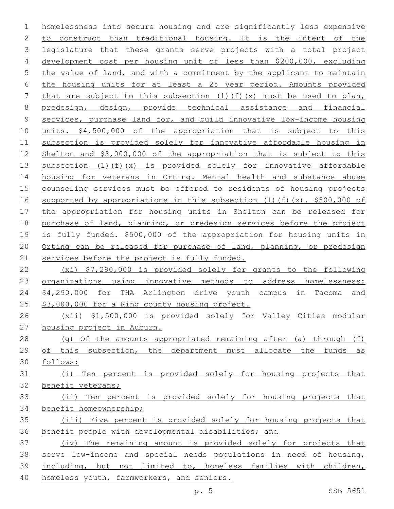homelessness into secure housing and are significantly less expensive to construct than traditional housing. It is the intent of the 3 legislature that these grants serve projects with a total project development cost per housing unit of less than \$200,000, excluding the value of land, and with a commitment by the applicant to maintain the housing units for at least a 25 year period. Amounts provided 7 that are subject to this subsection  $(1)(f)(x)$  must be used to plan, predesign, design, provide technical assistance and financial services, purchase land for, and build innovative low-income housing units. \$4,500,000 of the appropriation that is subject to this subsection is provided solely for innovative affordable housing in Shelton and \$3,000,000 of the appropriation that is subject to this subsection (1)(f)(x) is provided solely for innovative affordable housing for veterans in Orting. Mental health and substance abuse 15 counseling services must be offered to residents of housing projects supported by appropriations in this subsection (1)(f)(x). \$500,000 of the appropriation for housing units in Shelton can be released for purchase of land, planning, or predesign services before the project is fully funded. \$500,000 of the appropriation for housing units in Orting can be released for purchase of land, planning, or predesign 21 services before the project is fully funded. (xi) \$7,290,000 is provided solely for grants to the following 23 organizations using innovative methods to address homelessness: 24 \$4,290,000 for THA Arlington drive youth campus in Tacoma and \$3,000,000 for a King county housing project. (xii) \$1,500,000 is provided solely for Valley Cities modular housing project in Auburn.

- (g) Of the amounts appropriated remaining after (a) through (f) of this subsection, the department must allocate the funds as
- follows: (i) Ten percent is provided solely for housing projects that benefit veterans; (ii) Ten percent is provided solely for housing projects that
- benefit homeownership; (iii) Five percent is provided solely for housing projects that benefit people with developmental disabilities; and

 (iv) The remaining amount is provided solely for projects that serve low-income and special needs populations in need of housing, including, but not limited to, homeless families with children, homeless youth, farmworkers, and seniors.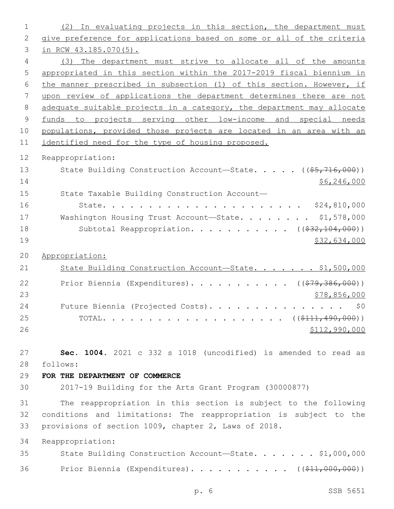| 1              | (2) In evaluating projects in this section, the department must       |
|----------------|-----------------------------------------------------------------------|
| $\mathbf{2}$   | give preference for applications based on some or all of the criteria |
| 3              | in RCW $43.185.070(5)$ .                                              |
| 4              | (3) The department must strive to allocate all of the amounts         |
| 5              | appropriated in this section within the 2017-2019 fiscal biennium in  |
| 6              | the manner prescribed in subsection (1) of this section. However, if  |
| 7              | upon review of applications the department determines there are not   |
| 8              | adequate suitable projects in a category, the department may allocate |
| $\overline{9}$ | funds to projects serving other low-income and special needs          |
| 10             | populations, provided those projects are located in an area with an   |
| 11             | identified need for the type of housing proposed.                     |
| 12             | Reappropriation:                                                      |
| 13             | State Building Construction Account-State. ((\$5,716,000))            |
| 14             | \$6, 246, 000                                                         |
| 15             | State Taxable Building Construction Account-                          |
| 16             |                                                                       |
| 17             | Washington Housing Trust Account-State. \$1,578,000                   |
| 18             | Subtotal Reappropriation. ( $(\frac{232,104,000}{2})$ )               |
| 19             | \$32,634,000                                                          |
|                |                                                                       |
| 20             | Appropriation:                                                        |
| 21             | State Building Construction Account-State. \$1,500,000                |
| 22             | Prior Biennia (Expenditures). ( $(\frac{279}{36000})$ )               |
| 23             | \$78,856,000                                                          |
| 24             | Future Biennia (Projected Costs).<br>\$0                              |
| 25             |                                                                       |
| 26             | \$112,990,000                                                         |
|                |                                                                       |
| 27             | Sec. 1004. 2021 c 332 s 1018 (uncodified) is amended to read as       |
| 28             | follows:                                                              |
| 29             | FOR THE DEPARTMENT OF COMMERCE                                        |
| 30             | 2017-19 Building for the Arts Grant Program (30000877)                |
| 31             | The reappropriation in this section is subject to the following       |
| 32             | conditions and limitations: The reappropriation is subject to the     |
| 33             | provisions of section 1009, chapter 2, Laws of 2018.                  |
| 34             | Reappropriation:                                                      |
| 35             | State Building Construction Account-State. \$1,000,000                |
|                |                                                                       |
| 36             | Prior Biennia (Expenditures). ( $(\frac{\xi}{11}, 000, 000)$ )        |
|                |                                                                       |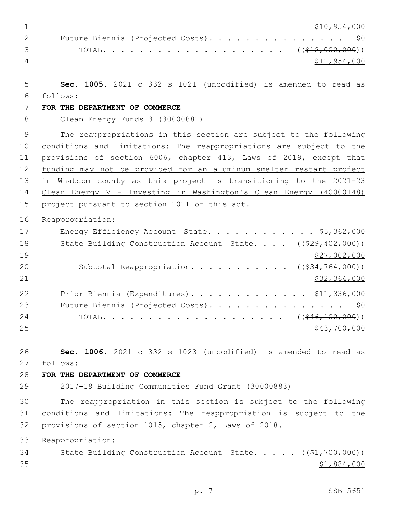\$10,954,000 2 Future Biennia (Projected Costs). . . . . . . . . . . . . . \$0 TOTAL. . . . . . . . . . . . . . . . . . . . ((\$12,000,000)) \$11,954,000 **Sec. 1005.** 2021 c 332 s 1021 (uncodified) is amended to read as follows: 6 **FOR THE DEPARTMENT OF COMMERCE** Clean Energy Funds 3 (30000881) The reappropriations in this section are subject to the following conditions and limitations: The reappropriations are subject to the provisions of section 6006, chapter 413, Laws of 2019, except that 12 funding may not be provided for an aluminum smelter restart project in Whatcom county as this project is transitioning to the 2021-23 Clean Energy V - Investing in Washington's Clean Energy (40000148) 15 project pursuant to section 1011 of this act. Reappropriation: 17 Energy Efficiency Account—State. . . . . . . . . . . \$5,362,000 18 State Building Construction Account—State. . . . ((\$29,402,000)) 19 \$27,002,000 20 Subtotal Reappropriation. . . . . . . . . . ((\$34,764,000)) \$32,364,000 Prior Biennia (Expenditures). . . . . . . . . . . . . \$11,336,000 23 Future Biennia (Projected Costs). . . . . . . . . . . . . . \$0 24 TOTAL. . . . . . . . . . . . . . . . . . ((<del>\$46,100,000</del>)) 25 \$43,700,000 **Sec. 1006.** 2021 c 332 s 1023 (uncodified) is amended to read as follows: 27 **FOR THE DEPARTMENT OF COMMERCE** 2017-19 Building Communities Fund Grant (30000883) The reappropriation in this section is subject to the following conditions and limitations: The reappropriation is subject to the provisions of section 1015, chapter 2, Laws of 2018. Reappropriation: 34 State Building Construction Account—State. . . . . ((\$1,700,000)) \$1,884,000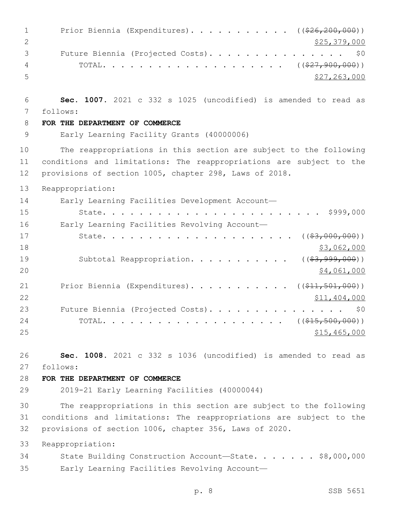| 1              | Prior Biennia (Expenditures). ((\$26,200,000))                                                                          |
|----------------|-------------------------------------------------------------------------------------------------------------------------|
| $\mathbf{2}$   | \$25,379,000                                                                                                            |
| 3              | Future Biennia (Projected Costs).<br>\$0                                                                                |
| $\overline{4}$ |                                                                                                                         |
| 5              | \$27, 263, 000                                                                                                          |
|                |                                                                                                                         |
| 6              | Sec. 1007. 2021 c 332 s 1025 (uncodified) is amended to read as                                                         |
| 7              | follows:                                                                                                                |
| 8              | FOR THE DEPARTMENT OF COMMERCE                                                                                          |
| $\mathsf 9$    | Early Learning Facility Grants (40000006)                                                                               |
| 10             | The reappropriations in this section are subject to the following                                                       |
| 11             | conditions and limitations: The reappropriations are subject to the                                                     |
| 12             | provisions of section 1005, chapter 298, Laws of 2018.                                                                  |
| 13             | Reappropriation:                                                                                                        |
| 14             | Early Learning Facilities Development Account-                                                                          |
| 15             | \$999,000                                                                                                               |
| 16             | Early Learning Facilities Revolving Account-                                                                            |
| 17             | $($ $($ $\frac{63,000,000}{2})$ $)$<br>State.                                                                           |
| 18             | \$3,062,000                                                                                                             |
| 19             | Subtotal Reappropriation.<br>$($ (\$3,999,000))                                                                         |
| 20             | \$4,061,000                                                                                                             |
| 21             | Prior Biennia (Expenditures). ( $(\frac{11}{21}, \frac{501}{100})$ )                                                    |
| 22             | \$11,404,000                                                                                                            |
| 23             | Future Biennia (Projected Costs).<br>\$0                                                                                |
| 24             | $((\$15,500,000))$<br>TOTAL.<br>$\mathbf{r}$ , $\mathbf{r}$ , $\mathbf{r}$ , $\mathbf{r}$ , $\mathbf{r}$ , $\mathbf{r}$ |
| 25             | \$15,465,000                                                                                                            |
|                |                                                                                                                         |
| 26             | Sec. 1008. 2021 c 332 s 1036 (uncodified) is amended to read as                                                         |
| 27             | follows:                                                                                                                |
| 28             | FOR THE DEPARTMENT OF COMMERCE                                                                                          |
| 29             | 2019-21 Early Learning Facilities (40000044)                                                                            |
| 30             | The reappropriations in this section are subject to the following                                                       |
| 31             | conditions and limitations: The reappropriations are subject to the                                                     |
| 32             | provisions of section 1006, chapter 356, Laws of 2020.                                                                  |
| 33             | Reappropriation:                                                                                                        |
| 34             | State Building Construction Account-State. \$8,000,000                                                                  |
| 35             | Early Learning Facilities Revolving Account-                                                                            |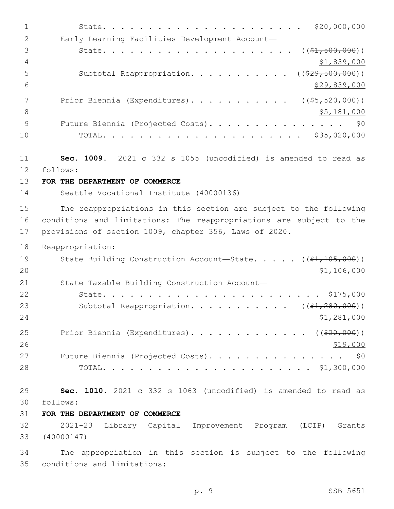| $\mathbf 1$  | \$20,000,000                                                        |
|--------------|---------------------------------------------------------------------|
| $\mathbf{2}$ | Early Learning Facilities Development Account-                      |
| 3            | $((\$1,500,000))$                                                   |
| 4            | \$1,839,000                                                         |
| 5            | Subtotal Reappropriation.<br>( ( \$29, 500, 000) )                  |
| 6            | \$29,839,000                                                        |
| 7            | Prior Biennia (Expenditures).<br>$($ $($ $$5, 520, 000)$ $)$        |
| 8            | \$5,181,000                                                         |
| $\mathsf 9$  | Future Biennia (Projected Costs).<br>\$0                            |
| 10           | \$35,020,000                                                        |
| 11           | Sec. 1009. 2021 c 332 s 1055 (uncodified) is amended to read as     |
| 12           | follows:                                                            |
| 13           | FOR THE DEPARTMENT OF COMMERCE                                      |
| 14           | Seattle Vocational Institute (40000136)                             |
| 15           | The reappropriations in this section are subject to the following   |
| 16           | conditions and limitations: The reappropriations are subject to the |
| 17           | provisions of section 1009, chapter 356, Laws of 2020.              |
|              |                                                                     |
| 18           | Reappropriation:                                                    |
| 19           | State Building Construction Account-State. $($ $($ \$1,105,000))    |
| 20           | \$1,106,000                                                         |
| 21           | State Taxable Building Construction Account-                        |
| 22           | $\cdot \cdot \cdot \cdot$ \$175,000<br>State.                       |
| 23           | Subtotal Reappropriation. ( $(\frac{1}{2}, 280, 000)$ )             |
| 24           | \$1,281,000                                                         |
| 25           | Prior Biennia (Expenditures). ( $(\frac{20}{100})$ )                |
| 26           | \$19,000                                                            |
| 27           | Future Biennia (Projected Costs). \$0                               |
| 28           |                                                                     |
|              |                                                                     |
| 29           | Sec. 1010. 2021 c 332 s 1063 (uncodified) is amended to read as     |
| 30           | follows:                                                            |
| 31           | FOR THE DEPARTMENT OF COMMERCE                                      |
| 32           | 2021-23 Library Capital Improvement Program (LCIP) Grants           |
| 33           | (40000147)                                                          |

conditions and limitations:35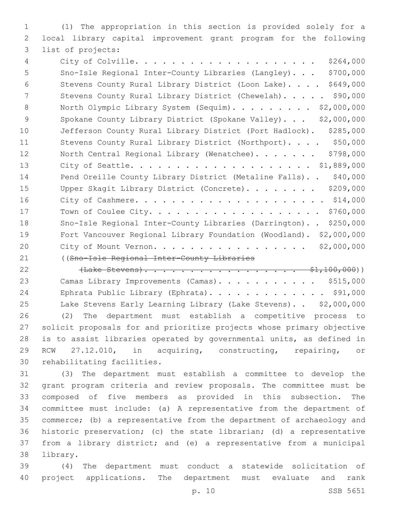(1) The appropriation in this section is provided solely for a local library capital improvement grant program for the following 3 list of projects:

 City of Colville. . . . . . . . . . . . . . . . . . . . \$264,000 Sno-Isle Regional Inter-County Libraries (Langley). . . \$700,000 Stevens County Rural Library District (Loon Lake). . . . \$649,000 7 Stevens County Rural Library District (Chewelah). . . . . \$90,000 8 North Olympic Library System (Sequim). . . . . . . . \$2,000,000 9 Spokane County Library District (Spokane Valley)... \$2,000,000 Jefferson County Rural Library District (Port Hadlock). \$285,000 11 Stevens County Rural Library District (Northport). . . . \$50,000 12 North Central Regional Library (Wenatchee)....... \$798,000 City of Seattle. . . . . . . . . . . . . . . . . . . . \$1,889,000 14 Pend Oreille County Library District (Metaline Falls).. \$40,000 15 Upper Skagit Library District (Concrete). . . . . . . \$209,000 City of Cashmere. . . . . . . . . . . . . . . . . . . . . \$14,000 Town of Coulee City. . . . . . . . . . . . . . . . . . . \$760,000 Sno-Isle Regional Inter-County Libraries (Darrington). . \$250,000 Fort Vancouver Regional Library Foundation (Woodland). \$2,000,000 City of Mount Vernon. . . . . . . . . . . . . . . . . \$2,000,000

((Sno-Isle Regional Inter-County Libraries

22 (Lake Stevens). . . . . . . . . . . . . . . . . \$1,100,000)) 23 Camas Library Improvements (Camas). . . . . . . . . . \$515,000 Ephrata Public Library (Ephrata). . . . . . . . . . . . . \$91,000 Lake Stevens Early Learning Library (Lake Stevens). . \$2,000,000 (2) The department must establish a competitive process to solicit proposals for and prioritize projects whose primary objective is to assist libraries operated by governmental units, as defined in RCW 27.12.010, in acquiring, constructing, repairing, or 30 rehabilitating facilities.

 (3) The department must establish a committee to develop the grant program criteria and review proposals. The committee must be composed of five members as provided in this subsection. The committee must include: (a) A representative from the department of commerce; (b) a representative from the department of archaeology and historic preservation; (c) the state librarian; (d) a representative from a library district; and (e) a representative from a municipal 38 library.

 (4) The department must conduct a statewide solicitation of project applications. The department must evaluate and rank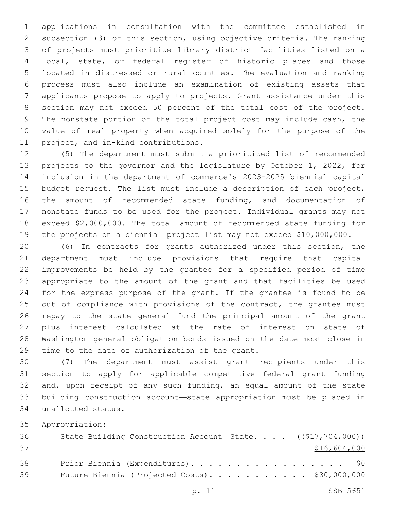applications in consultation with the committee established in subsection (3) of this section, using objective criteria. The ranking of projects must prioritize library district facilities listed on a local, state, or federal register of historic places and those located in distressed or rural counties. The evaluation and ranking process must also include an examination of existing assets that applicants propose to apply to projects. Grant assistance under this section may not exceed 50 percent of the total cost of the project. The nonstate portion of the total project cost may include cash, the value of real property when acquired solely for the purpose of the 11 project, and in-kind contributions.

 (5) The department must submit a prioritized list of recommended projects to the governor and the legislature by October 1, 2022, for inclusion in the department of commerce's 2023-2025 biennial capital budget request. The list must include a description of each project, the amount of recommended state funding, and documentation of nonstate funds to be used for the project. Individual grants may not exceed \$2,000,000. The total amount of recommended state funding for the projects on a biennial project list may not exceed \$10,000,000.

 (6) In contracts for grants authorized under this section, the department must include provisions that require that capital improvements be held by the grantee for a specified period of time appropriate to the amount of the grant and that facilities be used for the express purpose of the grant. If the grantee is found to be 25 out of compliance with provisions of the contract, the grantee must repay to the state general fund the principal amount of the grant plus interest calculated at the rate of interest on state of Washington general obligation bonds issued on the date most close in 29 time to the date of authorization of the grant.

 (7) The department must assist grant recipients under this section to apply for applicable competitive federal grant funding and, upon receipt of any such funding, an equal amount of the state building construction account—state appropriation must be placed in unallotted status.34

Appropriation:

| 36 | State Building Construction Account-State. $($ $($ \$17,704,000)) |
|----|-------------------------------------------------------------------|
| 37 | \$16,604,000                                                      |
| 38 | Prior Biennia (Expenditures). \$0                                 |
| 39 | Future Biennia (Projected Costs). \$30,000,000                    |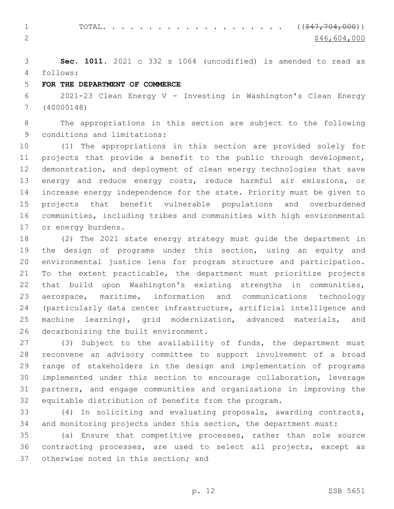1 TOTAL. . . . . . . . . . . . . . . . . . (  $(\frac{247, 704, 000}{5})$ 2  $\frac{$46,604,000}{ }$ 

 **Sec. 1011.** 2021 c 332 s 1064 (uncodified) is amended to read as follows: 4

## **FOR THE DEPARTMENT OF COMMERCE**

 2021-23 Clean Energy V - Investing in Washington's Clean Energy (40000148)

 The appropriations in this section are subject to the following 9 conditions and limitations:

 (1) The appropriations in this section are provided solely for projects that provide a benefit to the public through development, demonstration, and deployment of clean energy technologies that save energy and reduce energy costs, reduce harmful air emissions, or increase energy independence for the state. Priority must be given to projects that benefit vulnerable populations and overburdened communities, including tribes and communities with high environmental 17 or energy burdens.

 (2) The 2021 state energy strategy must guide the department in the design of programs under this section, using an equity and environmental justice lens for program structure and participation. To the extent practicable, the department must prioritize projects that build upon Washington's existing strengths in communities, aerospace, maritime, information and communications technology (particularly data center infrastructure, artificial intelligence and machine learning), grid modernization, advanced materials, and 26 decarbonizing the built environment.

 (3) Subject to the availability of funds, the department must reconvene an advisory committee to support involvement of a broad range of stakeholders in the design and implementation of programs implemented under this section to encourage collaboration, leverage partners, and engage communities and organizations in improving the equitable distribution of benefits from the program.

 (4) In soliciting and evaluating proposals, awarding contracts, and monitoring projects under this section, the department must:

 (a) Ensure that competitive processes, rather than sole source contracting processes, are used to select all projects, except as 37 otherwise noted in this section; and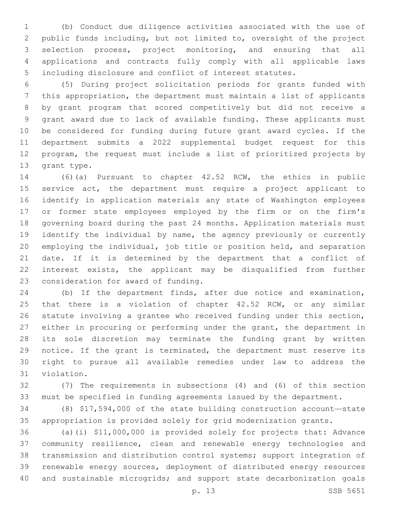(b) Conduct due diligence activities associated with the use of public funds including, but not limited to, oversight of the project selection process, project monitoring, and ensuring that all applications and contracts fully comply with all applicable laws including disclosure and conflict of interest statutes.

 (5) During project solicitation periods for grants funded with this appropriation, the department must maintain a list of applicants by grant program that scored competitively but did not receive a grant award due to lack of available funding. These applicants must be considered for funding during future grant award cycles. If the department submits a 2022 supplemental budget request for this program, the request must include a list of prioritized projects by 13 grant type.

 (6)(a) Pursuant to chapter 42.52 RCW, the ethics in public service act, the department must require a project applicant to identify in application materials any state of Washington employees or former state employees employed by the firm or on the firm's governing board during the past 24 months. Application materials must identify the individual by name, the agency previously or currently employing the individual, job title or position held, and separation date. If it is determined by the department that a conflict of interest exists, the applicant may be disqualified from further 23 consideration for award of funding.

 (b) If the department finds, after due notice and examination, 25 that there is a violation of chapter 42.52 RCW, or any similar statute involving a grantee who received funding under this section, either in procuring or performing under the grant, the department in its sole discretion may terminate the funding grant by written notice. If the grant is terminated, the department must reserve its right to pursue all available remedies under law to address the 31 violation.

 (7) The requirements in subsections (4) and (6) of this section must be specified in funding agreements issued by the department.

 (8) \$17,594,000 of the state building construction account—state appropriation is provided solely for grid modernization grants.

 (a)(i) \$11,000,000 is provided solely for projects that: Advance community resilience, clean and renewable energy technologies and transmission and distribution control systems; support integration of renewable energy sources, deployment of distributed energy resources and sustainable microgrids; and support state decarbonization goals

p. 13 SSB 5651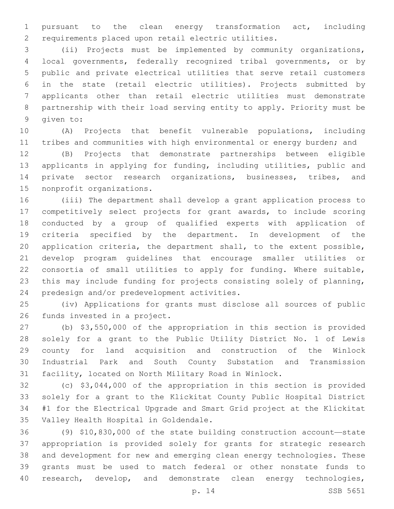pursuant to the clean energy transformation act, including requirements placed upon retail electric utilities.

 (ii) Projects must be implemented by community organizations, local governments, federally recognized tribal governments, or by public and private electrical utilities that serve retail customers in the state (retail electric utilities). Projects submitted by applicants other than retail electric utilities must demonstrate partnership with their load serving entity to apply. Priority must be 9 qiven to:

 (A) Projects that benefit vulnerable populations, including tribes and communities with high environmental or energy burden; and

 (B) Projects that demonstrate partnerships between eligible applicants in applying for funding, including utilities, public and private sector research organizations, businesses, tribes, and 15 nonprofit organizations.

 (iii) The department shall develop a grant application process to competitively select projects for grant awards, to include scoring conducted by a group of qualified experts with application of criteria specified by the department. In development of the application criteria, the department shall, to the extent possible, develop program guidelines that encourage smaller utilities or consortia of small utilities to apply for funding. Where suitable, this may include funding for projects consisting solely of planning, 24 predesign and/or predevelopment activities.

 (iv) Applications for grants must disclose all sources of public 26 funds invested in a project.

 (b) \$3,550,000 of the appropriation in this section is provided solely for a grant to the Public Utility District No. 1 of Lewis county for land acquisition and construction of the Winlock Industrial Park and South County Substation and Transmission facility, located on North Military Road in Winlock.

 (c) \$3,044,000 of the appropriation in this section is provided solely for a grant to the Klickitat County Public Hospital District #1 for the Electrical Upgrade and Smart Grid project at the Klickitat 35 Valley Health Hospital in Goldendale.

 (9) \$10,830,000 of the state building construction account—state appropriation is provided solely for grants for strategic research and development for new and emerging clean energy technologies. These grants must be used to match federal or other nonstate funds to 40 research, develop, and demonstrate clean energy technologies,

p. 14 SSB 5651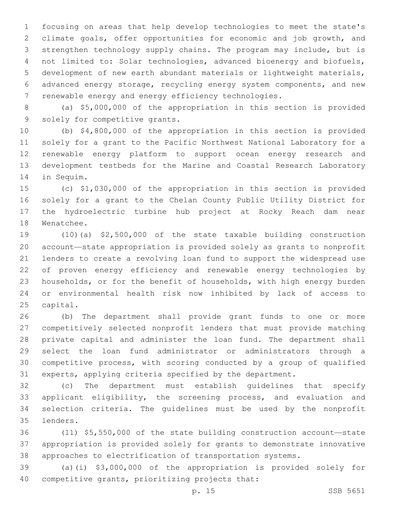focusing on areas that help develop technologies to meet the state's climate goals, offer opportunities for economic and job growth, and strengthen technology supply chains. The program may include, but is not limited to: Solar technologies, advanced bioenergy and biofuels, development of new earth abundant materials or lightweight materials, advanced energy storage, recycling energy system components, and new renewable energy and energy efficiency technologies.

 (a) \$5,000,000 of the appropriation in this section is provided 9 solely for competitive grants.

 (b) \$4,800,000 of the appropriation in this section is provided solely for a grant to the Pacific Northwest National Laboratory for a renewable energy platform to support ocean energy research and development testbeds for the Marine and Coastal Research Laboratory 14 in Sequim.

 (c) \$1,030,000 of the appropriation in this section is provided solely for a grant to the Chelan County Public Utility District for the hydroelectric turbine hub project at Rocky Reach dam near 18 Wenatchee.

 (10)(a) \$2,500,000 of the state taxable building construction account—state appropriation is provided solely as grants to nonprofit lenders to create a revolving loan fund to support the widespread use of proven energy efficiency and renewable energy technologies by households, or for the benefit of households, with high energy burden or environmental health risk now inhibited by lack of access to 25 capital.

 (b) The department shall provide grant funds to one or more competitively selected nonprofit lenders that must provide matching private capital and administer the loan fund. The department shall select the loan fund administrator or administrators through a competitive process, with scoring conducted by a group of qualified experts, applying criteria specified by the department.

 (c) The department must establish guidelines that specify applicant eligibility, the screening process, and evaluation and selection criteria. The guidelines must be used by the nonprofit lenders.35

 (11) \$5,550,000 of the state building construction account—state appropriation is provided solely for grants to demonstrate innovative approaches to electrification of transportation systems.

 (a)(i) \$3,000,000 of the appropriation is provided solely for 40 competitive grants, prioritizing projects that: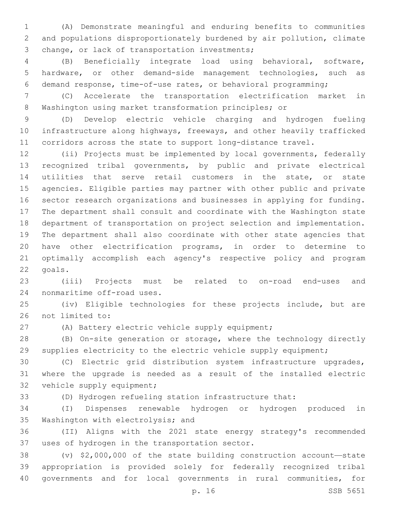(A) Demonstrate meaningful and enduring benefits to communities and populations disproportionately burdened by air pollution, climate 3 change, or lack of transportation investments;

 (B) Beneficially integrate load using behavioral, software, hardware, or other demand-side management technologies, such as demand response, time-of-use rates, or behavioral programming;

 (C) Accelerate the transportation electrification market in Washington using market transformation principles; or

 (D) Develop electric vehicle charging and hydrogen fueling infrastructure along highways, freeways, and other heavily trafficked corridors across the state to support long-distance travel.

 (ii) Projects must be implemented by local governments, federally recognized tribal governments, by public and private electrical utilities that serve retail customers in the state, or state agencies. Eligible parties may partner with other public and private sector research organizations and businesses in applying for funding. The department shall consult and coordinate with the Washington state department of transportation on project selection and implementation. The department shall also coordinate with other state agencies that have other electrification programs, in order to determine to optimally accomplish each agency's respective policy and program 22 goals.

 (iii) Projects must be related to on-road end-uses and 24 nonmaritime off-road uses.

 (iv) Eligible technologies for these projects include, but are 26 not limited to:

(A) Battery electric vehicle supply equipment;

 (B) On-site generation or storage, where the technology directly supplies electricity to the electric vehicle supply equipment;

 (C) Electric grid distribution system infrastructure upgrades, where the upgrade is needed as a result of the installed electric 32 vehicle supply equipment;

(D) Hydrogen refueling station infrastructure that:

 (I) Dispenses renewable hydrogen or hydrogen produced in 35 Washington with electrolysis; and

 (II) Aligns with the 2021 state energy strategy's recommended 37 uses of hydrogen in the transportation sector.

 (v) \$2,000,000 of the state building construction account—state appropriation is provided solely for federally recognized tribal governments and for local governments in rural communities, for

p. 16 SSB 5651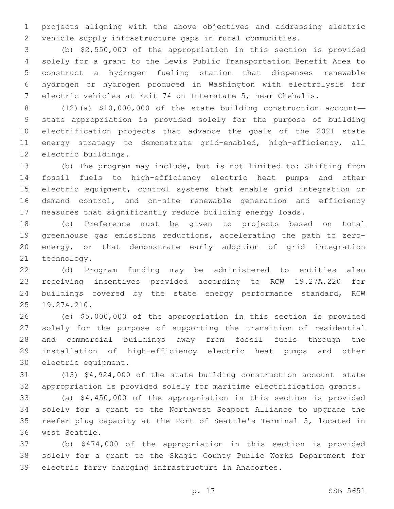projects aligning with the above objectives and addressing electric vehicle supply infrastructure gaps in rural communities.

 (b) \$2,550,000 of the appropriation in this section is provided solely for a grant to the Lewis Public Transportation Benefit Area to construct a hydrogen fueling station that dispenses renewable hydrogen or hydrogen produced in Washington with electrolysis for electric vehicles at Exit 74 on Interstate 5, near Chehalis.

 (12)(a) \$10,000,000 of the state building construction account— state appropriation is provided solely for the purpose of building electrification projects that advance the goals of the 2021 state 11 energy strategy to demonstrate grid-enabled, high-efficiency, all 12 electric buildings.

 (b) The program may include, but is not limited to: Shifting from fossil fuels to high-efficiency electric heat pumps and other electric equipment, control systems that enable grid integration or demand control, and on-site renewable generation and efficiency measures that significantly reduce building energy loads.

 (c) Preference must be given to projects based on total greenhouse gas emissions reductions, accelerating the path to zero- energy, or that demonstrate early adoption of grid integration 21 technology.

 (d) Program funding may be administered to entities also receiving incentives provided according to RCW 19.27A.220 for buildings covered by the state energy performance standard, RCW 25 19.27A.210.

 (e) \$5,000,000 of the appropriation in this section is provided solely for the purpose of supporting the transition of residential and commercial buildings away from fossil fuels through the installation of high-efficiency electric heat pumps and other 30 electric equipment.

 (13) \$4,924,000 of the state building construction account—state appropriation is provided solely for maritime electrification grants.

 (a) \$4,450,000 of the appropriation in this section is provided solely for a grant to the Northwest Seaport Alliance to upgrade the reefer plug capacity at the Port of Seattle's Terminal 5, located in 36 west Seattle.

 (b) \$474,000 of the appropriation in this section is provided solely for a grant to the Skagit County Public Works Department for electric ferry charging infrastructure in Anacortes.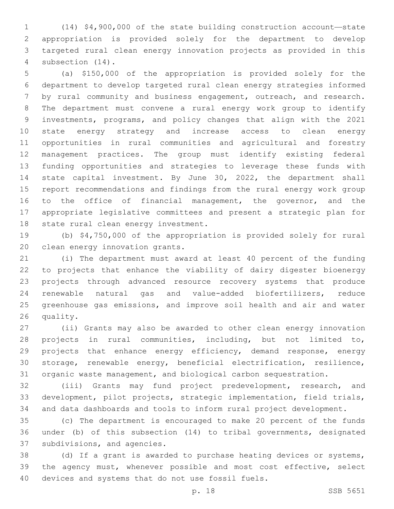(14) \$4,900,000 of the state building construction account—state appropriation is provided solely for the department to develop targeted rural clean energy innovation projects as provided in this 4 subsection  $(14)$ .

 (a) \$150,000 of the appropriation is provided solely for the department to develop targeted rural clean energy strategies informed by rural community and business engagement, outreach, and research. The department must convene a rural energy work group to identify investments, programs, and policy changes that align with the 2021 state energy strategy and increase access to clean energy opportunities in rural communities and agricultural and forestry management practices. The group must identify existing federal funding opportunities and strategies to leverage these funds with state capital investment. By June 30, 2022, the department shall report recommendations and findings from the rural energy work group 16 to the office of financial management, the governor, and the appropriate legislative committees and present a strategic plan for 18 state rural clean energy investment.

 (b) \$4,750,000 of the appropriation is provided solely for rural 20 clean energy innovation grants.

 (i) The department must award at least 40 percent of the funding to projects that enhance the viability of dairy digester bioenergy projects through advanced resource recovery systems that produce renewable natural gas and value-added biofertilizers, reduce greenhouse gas emissions, and improve soil health and air and water 26 quality.

 (ii) Grants may also be awarded to other clean energy innovation projects in rural communities, including, but not limited to, 29 projects that enhance energy efficiency, demand response, energy storage, renewable energy, beneficial electrification, resilience, organic waste management, and biological carbon sequestration.

 (iii) Grants may fund project predevelopment, research, and development, pilot projects, strategic implementation, field trials, and data dashboards and tools to inform rural project development.

 (c) The department is encouraged to make 20 percent of the funds under (b) of this subsection (14) to tribal governments, designated 37 subdivisions, and agencies.

 (d) If a grant is awarded to purchase heating devices or systems, the agency must, whenever possible and most cost effective, select 40 devices and systems that do not use fossil fuels.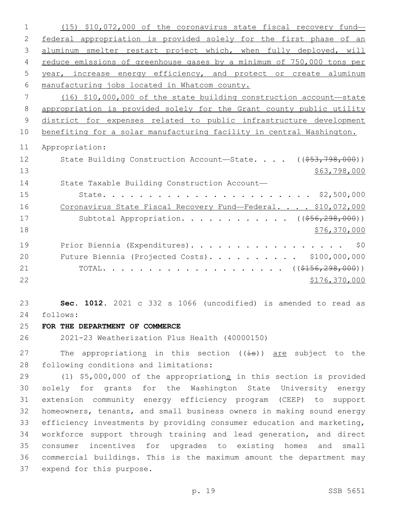(15) \$10,072,000 of the coronavirus state fiscal recovery fund— federal appropriation is provided solely for the first phase of an aluminum smelter restart project which, when fully deployed, will reduce emissions of greenhouse gases by a minimum of 750,000 tons per year, increase energy efficiency, and protect or create aluminum manufacturing jobs located in Whatcom county. (16) \$10,000,000 of the state building construction account—state appropriation is provided solely for the Grant county public utility district for expenses related to public infrastructure development benefiting for a solar manufacturing facility in central Washington. Appropriation: 12 State Building Construction Account—State. . . . ((\$53,798,000)) \$63,798,000 State Taxable Building Construction Account— State. . . . . . . . . . . . . . . . . . . . . . . \$2,500,000 16 Coronavirus State Fiscal Recovery Fund—Federal. . . . \$10,072,000 17 Subtotal Appropriation. . . . . . . . . . . ((\$56,298,000)) 18 \$76,370,000 \$76,370,000 \$76,370,000 \$76,370,000 \$76,370,000 \$76,370,000 \$76,370,000 \$76,370,000 \$76,570,000 19 Prior Biennia (Expenditures). . . . . . . . . . . . . . . . \$0 Future Biennia (Projected Costs). . . . . . . . . . \$100,000,000 21 TOTAL. . . . . . . . . . . . . . . . . . ( $(\frac{\text{156}}{156}, \frac{298}{100})$ ) \$176,370,000 **Sec. 1012.** 2021 c 332 s 1066 (uncodified) is amended to read as follows: 24 **FOR THE DEPARTMENT OF COMMERCE** 2021-23 Weatherization Plus Health (40000150) 27 The appropriations in this section  $((\frac{1}{18}))$  are subject to the 28 following conditions and limitations:

29 (1) \$5,000,000 of the appropriations in this section is provided solely for grants for the Washington State University energy extension community energy efficiency program (CEEP) to support homeowners, tenants, and small business owners in making sound energy efficiency investments by providing consumer education and marketing, workforce support through training and lead generation, and direct consumer incentives for upgrades to existing homes and small commercial buildings. This is the maximum amount the department may 37 expend for this purpose.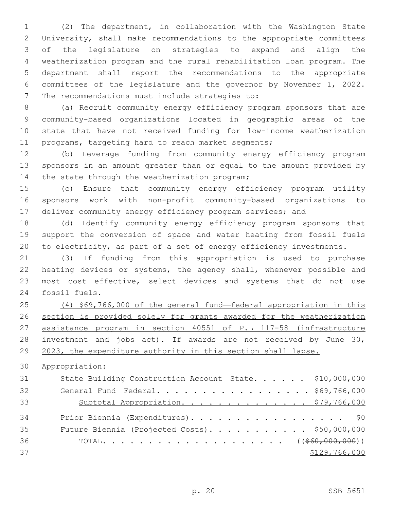(2) The department, in collaboration with the Washington State University, shall make recommendations to the appropriate committees of the legislature on strategies to expand and align the weatherization program and the rural rehabilitation loan program. The department shall report the recommendations to the appropriate committees of the legislature and the governor by November 1, 2022. 7 The recommendations must include strategies to:

 (a) Recruit community energy efficiency program sponsors that are community-based organizations located in geographic areas of the state that have not received funding for low-income weatherization programs, targeting hard to reach market segments;

 (b) Leverage funding from community energy efficiency program sponsors in an amount greater than or equal to the amount provided by 14 the state through the weatherization program;

 (c) Ensure that community energy efficiency program utility sponsors work with non-profit community-based organizations to 17 deliver community energy efficiency program services; and

 (d) Identify community energy efficiency program sponsors that support the conversion of space and water heating from fossil fuels to electricity, as part of a set of energy efficiency investments.

 (3) If funding from this appropriation is used to purchase heating devices or systems, the agency shall, whenever possible and most cost effective, select devices and systems that do not use 24 fossil fuels.

 (4) \$69,766,000 of the general fund—federal appropriation in this section is provided solely for grants awarded for the weatherization assistance program in section 40551 of P.L 117-58 (infrastructure investment and jobs act). If awards are not received by June 30, 29 2023, the expenditure authority in this section shall lapse.

Appropriation:

| 31 | State Building Construction Account-State. \$10,000,000 |
|----|---------------------------------------------------------|
| 32 | General Fund-Federal. \$69,766,000                      |
| 33 | Subtotal Appropriation. \$79,766,000                    |
| 34 | Prior Biennia (Expenditures). \$0                       |
| 35 | Future Biennia (Projected Costs). \$50,000,000          |
| 36 |                                                         |
| 37 | \$129,766,000                                           |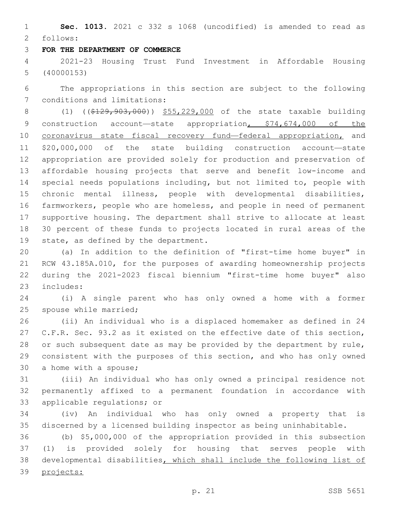**Sec. 1013.** 2021 c 332 s 1068 (uncodified) is amended to read as follows: 2

## **FOR THE DEPARTMENT OF COMMERCE**

 2021-23 Housing Trust Fund Investment in Affordable Housing (40000153)

 The appropriations in this section are subject to the following 7 conditions and limitations:

8 (1) ((\$129,903,000)) \$55,229,000 of the state taxable building 9 construction account—state appropriation, \$74,674,000 of the 10 coronavirus state fiscal recovery fund—federal appropriation, and \$20,000,000 of the state building construction account—state appropriation are provided solely for production and preservation of affordable housing projects that serve and benefit low-income and special needs populations including, but not limited to, people with chronic mental illness, people with developmental disabilities, farmworkers, people who are homeless, and people in need of permanent supportive housing. The department shall strive to allocate at least 30 percent of these funds to projects located in rural areas of the 19 state, as defined by the department.

 (a) In addition to the definition of "first-time home buyer" in RCW 43.185A.010, for the purposes of awarding homeownership projects during the 2021-2023 fiscal biennium "first-time home buyer" also 23 includes:

 (i) A single parent who has only owned a home with a former 25 spouse while married;

 (ii) An individual who is a displaced homemaker as defined in 24 C.F.R. Sec. 93.2 as it existed on the effective date of this section, or such subsequent date as may be provided by the department by rule, consistent with the purposes of this section, and who has only owned 30 a home with a spouse;

 (iii) An individual who has only owned a principal residence not permanently affixed to a permanent foundation in accordance with 33 applicable regulations; or

 (iv) An individual who has only owned a property that is discerned by a licensed building inspector as being uninhabitable.

 (b) \$5,000,000 of the appropriation provided in this subsection (1) is provided solely for housing that serves people with developmental disabilities, which shall include the following list of projects: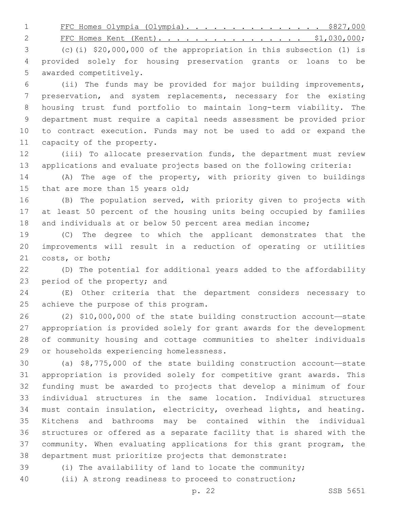1 FFC Homes Olympia (Olympia). . . . . . . . . . . . . . \$827,000

2 FFC Homes Kent (Kent). . . . . . . . . . . . . . . \$1,030,000;

 (c)(i) \$20,000,000 of the appropriation in this subsection (1) is provided solely for housing preservation grants or loans to be 5 awarded competitively.

 (ii) The funds may be provided for major building improvements, preservation, and system replacements, necessary for the existing housing trust fund portfolio to maintain long-term viability. The department must require a capital needs assessment be provided prior to contract execution. Funds may not be used to add or expand the 11 capacity of the property.

 (iii) To allocate preservation funds, the department must review applications and evaluate projects based on the following criteria:

 (A) The age of the property, with priority given to buildings 15 that are more than 15 years old;

 (B) The population served, with priority given to projects with at least 50 percent of the housing units being occupied by families 18 and individuals at or below 50 percent area median income;

 (C) The degree to which the applicant demonstrates that the improvements will result in a reduction of operating or utilities 21 costs, or both;

 (D) The potential for additional years added to the affordability 23 period of the property; and

 (E) Other criteria that the department considers necessary to 25 achieve the purpose of this program.

 (2) \$10,000,000 of the state building construction account—state appropriation is provided solely for grant awards for the development of community housing and cottage communities to shelter individuals 29 or households experiencing homelessness.

 (a) \$8,775,000 of the state building construction account—state appropriation is provided solely for competitive grant awards. This funding must be awarded to projects that develop a minimum of four individual structures in the same location. Individual structures must contain insulation, electricity, overhead lights, and heating. Kitchens and bathrooms may be contained within the individual structures or offered as a separate facility that is shared with the community. When evaluating applications for this grant program, the department must prioritize projects that demonstrate:

(i) The availability of land to locate the community;

(ii) A strong readiness to proceed to construction;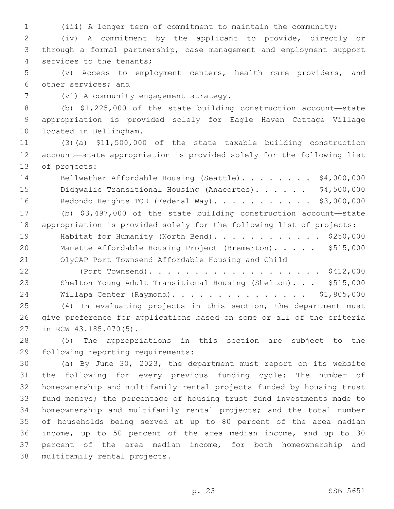(iii) A longer term of commitment to maintain the community;

 (iv) A commitment by the applicant to provide, directly or through a formal partnership, case management and employment support 4 services to the tenants;

 (v) Access to employment centers, health care providers, and 6 other services; and

7 (vi) A community engagement strategy.

 (b) \$1,225,000 of the state building construction account—state appropriation is provided solely for Eagle Haven Cottage Village 10 located in Bellingham.

 (3)(a) \$11,500,000 of the state taxable building construction account—state appropriation is provided solely for the following list 13 of projects:

14 Bellwether Affordable Housing (Seattle). . . . . . . \$4,000,000 15 Didgwalic Transitional Housing (Anacortes). . . . . . \$4,500,000 16 Redondo Heights TOD (Federal Way). . . . . . . . . . \$3,000,000

 (b) \$3,497,000 of the state building construction account—state appropriation is provided solely for the following list of projects: 19 Habitat for Humanity (North Bend). . . . . . . . . . . \$250,000 20 Manette Affordable Housing Project (Bremerton). . . . . \$515,000 OlyCAP Port Townsend Affordable Housing and Child

 (Port Townsend). . . . . . . . . . . . . . . . . . . \$412,000 Shelton Young Adult Transitional Housing (Shelton). . . \$515,000 Willapa Center (Raymond). . . . . . . . . . . . . . . \$1,805,000 (4) In evaluating projects in this section, the department must give preference for applications based on some or all of the criteria 27 in RCW 43.185.070(5).

 (5) The appropriations in this section are subject to the 29 following reporting requirements:

 (a) By June 30, 2023, the department must report on its website the following for every previous funding cycle: The number of homeownership and multifamily rental projects funded by housing trust fund moneys; the percentage of housing trust fund investments made to homeownership and multifamily rental projects; and the total number of households being served at up to 80 percent of the area median income, up to 50 percent of the area median income, and up to 30 percent of the area median income, for both homeownership and 38 multifamily rental projects.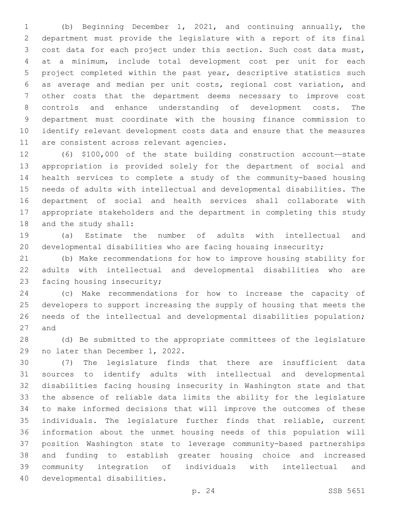(b) Beginning December 1, 2021, and continuing annually, the department must provide the legislature with a report of its final cost data for each project under this section. Such cost data must, at a minimum, include total development cost per unit for each project completed within the past year, descriptive statistics such as average and median per unit costs, regional cost variation, and other costs that the department deems necessary to improve cost controls and enhance understanding of development costs. The department must coordinate with the housing finance commission to identify relevant development costs data and ensure that the measures 11 are consistent across relevant agencies.

 (6) \$100,000 of the state building construction account—state appropriation is provided solely for the department of social and health services to complete a study of the community-based housing needs of adults with intellectual and developmental disabilities. The department of social and health services shall collaborate with appropriate stakeholders and the department in completing this study 18 and the study shall:

 (a) Estimate the number of adults with intellectual and developmental disabilities who are facing housing insecurity;

 (b) Make recommendations for how to improve housing stability for adults with intellectual and developmental disabilities who are 23 facing housing insecurity;

 (c) Make recommendations for how to increase the capacity of developers to support increasing the supply of housing that meets the needs of the intellectual and developmental disabilities population; 27 and

 (d) Be submitted to the appropriate committees of the legislature 29 no later than December 1, 2022.

 (7) The legislature finds that there are insufficient data sources to identify adults with intellectual and developmental disabilities facing housing insecurity in Washington state and that the absence of reliable data limits the ability for the legislature to make informed decisions that will improve the outcomes of these individuals. The legislature further finds that reliable, current information about the unmet housing needs of this population will position Washington state to leverage community-based partnerships and funding to establish greater housing choice and increased community integration of individuals with intellectual and 40 developmental disabilities.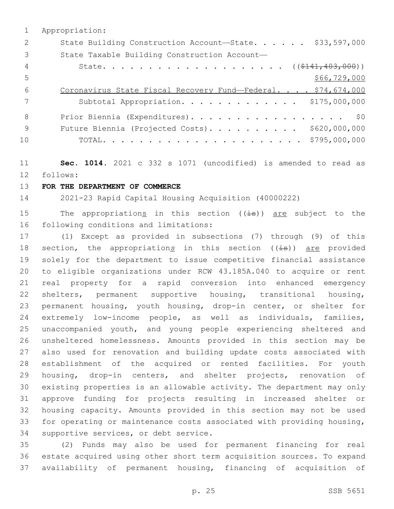|     | Appropriation:                                               |
|-----|--------------------------------------------------------------|
| 2   | State Building Construction Account-State. \$33,597,000      |
| 3   | State Taxable Building Construction Account-                 |
| 4   |                                                              |
| 5   | \$66,729,000                                                 |
| 6   | Coronavirus State Fiscal Recovery Fund-Federal. \$74,674,000 |
|     | Subtotal Appropriation. \$175,000,000                        |
| 8   | Prior Biennia (Expenditures). \$0                            |
| - 9 | Future Biennia (Projected Costs). \$620,000,000              |
| 10  |                                                              |

 **Sec. 1014.** 2021 c 332 s 1071 (uncodified) is amended to read as follows: 12

**FOR THE DEPARTMENT OF COMMERCE**

2021-23 Rapid Capital Housing Acquisition (40000222)

15 The appropriations in this section  $((\pm s))$  are subject to the 16 following conditions and limitations:

 (1) Except as provided in subsections (7) through (9) of this 18 section, the appropriations in this section ((is)) are provided solely for the department to issue competitive financial assistance to eligible organizations under RCW 43.185A.040 to acquire or rent real property for a rapid conversion into enhanced emergency shelters, permanent supportive housing, transitional housing, 23 permanent housing, youth housing, drop-in center, or shelter for extremely low-income people, as well as individuals, families, unaccompanied youth, and young people experiencing sheltered and unsheltered homelessness. Amounts provided in this section may be also used for renovation and building update costs associated with establishment of the acquired or rented facilities. For youth housing, drop-in centers, and shelter projects, renovation of existing properties is an allowable activity. The department may only approve funding for projects resulting in increased shelter or housing capacity. Amounts provided in this section may not be used for operating or maintenance costs associated with providing housing, 34 supportive services, or debt service.

 (2) Funds may also be used for permanent financing for real estate acquired using other short term acquisition sources. To expand availability of permanent housing, financing of acquisition of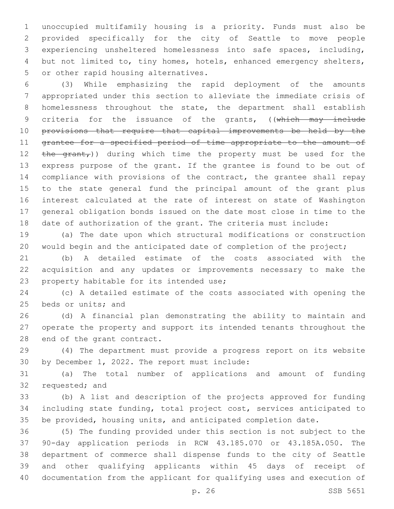unoccupied multifamily housing is a priority. Funds must also be provided specifically for the city of Seattle to move people experiencing unsheltered homelessness into safe spaces, including, but not limited to, tiny homes, hotels, enhanced emergency shelters, 5 or other rapid housing alternatives.

 (3) While emphasizing the rapid deployment of the amounts appropriated under this section to alleviate the immediate crisis of homelessness throughout the state, the department shall establish 9 criteria for the issuance of the grants, ((which may include provisions that require that capital improvements be held by the grantee for a specified period of time appropriate to the amount of 12 the grant,)) during which time the property must be used for the express purpose of the grant. If the grantee is found to be out of compliance with provisions of the contract, the grantee shall repay to the state general fund the principal amount of the grant plus interest calculated at the rate of interest on state of Washington general obligation bonds issued on the date most close in time to the date of authorization of the grant. The criteria must include:

 (a) The date upon which structural modifications or construction would begin and the anticipated date of completion of the project;

 (b) A detailed estimate of the costs associated with the acquisition and any updates or improvements necessary to make the 23 property habitable for its intended use;

 (c) A detailed estimate of the costs associated with opening the 25 beds or units; and

 (d) A financial plan demonstrating the ability to maintain and operate the property and support its intended tenants throughout the 28 end of the grant contract.

 (4) The department must provide a progress report on its website 30 by December 1, 2022. The report must include:

 (a) The total number of applications and amount of funding 32 requested; and

 (b) A list and description of the projects approved for funding including state funding, total project cost, services anticipated to be provided, housing units, and anticipated completion date.

 (5) The funding provided under this section is not subject to the 90-day application periods in RCW 43.185.070 or 43.185A.050. The department of commerce shall dispense funds to the city of Seattle and other qualifying applicants within 45 days of receipt of documentation from the applicant for qualifying uses and execution of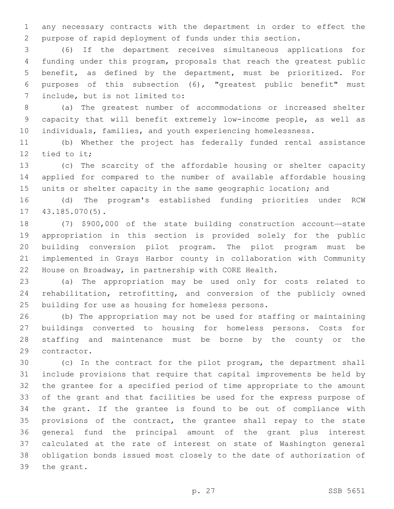any necessary contracts with the department in order to effect the purpose of rapid deployment of funds under this section.

 (6) If the department receives simultaneous applications for funding under this program, proposals that reach the greatest public benefit, as defined by the department, must be prioritized. For purposes of this subsection (6), "greatest public benefit" must 7 include, but is not limited to:

 (a) The greatest number of accommodations or increased shelter capacity that will benefit extremely low-income people, as well as individuals, families, and youth experiencing homelessness.

 (b) Whether the project has federally funded rental assistance 12 tied to it;

 (c) The scarcity of the affordable housing or shelter capacity applied for compared to the number of available affordable housing 15 units or shelter capacity in the same geographic location; and

 (d) The program's established funding priorities under RCW 17 43.185.070(5).

 (7) \$900,000 of the state building construction account—state appropriation in this section is provided solely for the public building conversion pilot program. The pilot program must be implemented in Grays Harbor county in collaboration with Community House on Broadway, in partnership with CORE Health.

 (a) The appropriation may be used only for costs related to rehabilitation, retrofitting, and conversion of the publicly owned 25 building for use as housing for homeless persons.

 (b) The appropriation may not be used for staffing or maintaining buildings converted to housing for homeless persons. Costs for staffing and maintenance must be borne by the county or the 29 contractor.

 (c) In the contract for the pilot program, the department shall include provisions that require that capital improvements be held by the grantee for a specified period of time appropriate to the amount of the grant and that facilities be used for the express purpose of the grant. If the grantee is found to be out of compliance with 35 provisions of the contract, the grantee shall repay to the state general fund the principal amount of the grant plus interest calculated at the rate of interest on state of Washington general obligation bonds issued most closely to the date of authorization of 39 the grant.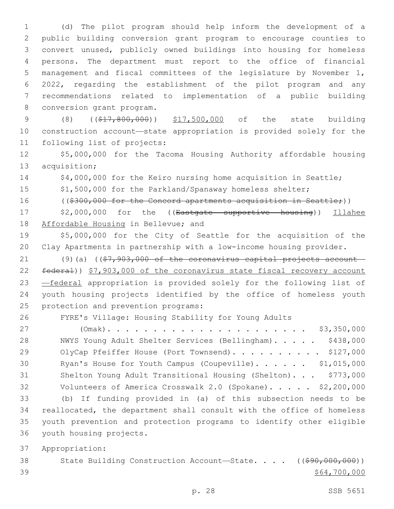(d) The pilot program should help inform the development of a public building conversion grant program to encourage counties to convert unused, publicly owned buildings into housing for homeless persons. The department must report to the office of financial management and fiscal committees of the legislature by November 1, 2022, regarding the establishment of the pilot program and any recommendations related to implementation of a public building 8 conversion grant program.

9 (8) ((\$17,800,000)) \$17,500,000 of the state building 10 construction account—state appropriation is provided solely for the 11 following list of projects:

12 \$5,000,000 for the Tacoma Housing Authority affordable housing 13 acquisition;

14 \$4,000,000 for the Keiro nursing home acquisition in Seattle;

15 \$1,500,000 for the Parkland/Spanaway homeless shelter;

16 ((\$300,000 for the Concord apartments acquisition in Seattle;))

17 \$2,000,000 for the ((Eastgate supportive housing)) Illahee 18 Affordable Housing in Bellevue; and

19 \$5,000,000 for the City of Seattle for the acquisition of the 20 Clay Apartments in partnership with a low-income housing provider.

21 (9)(a) ( $(\frac{27}{37}, \frac{903}{100})$  of the coronavirus capital projects account-22 federal)) \$7,903,000 of the coronavirus state fiscal recovery account 23 —federal appropriation is provided solely for the following list of 24 youth housing projects identified by the office of homeless youth 25 protection and prevention programs:

26 FYRE's Village: Housing Stability for Young Adults

 (Omak). . . . . . . . . . . . . . . . . . . . . . \$3,350,000 NWYS Young Adult Shelter Services (Bellingham). . . . . \$438,000 29 OlyCap Pfeiffer House (Port Townsend). . . . . . . . . \$127,000 30 Ryan's House for Youth Campus (Coupeville). . . . . . \$1,015,000 Shelton Young Adult Transitional Housing (Shelton). . . \$773,000 Volunteers of America Crosswalk 2.0 (Spokane). . . . . \$2,200,000 (b) If funding provided in (a) of this subsection needs to be reallocated, the department shall consult with the office of homeless youth prevention and protection programs to identify other eligible 36 youth housing projects.

37 Appropriation:

38 State Building Construction Account-State. . . . ((\$90,000,000))  $39$   $$64,700,000$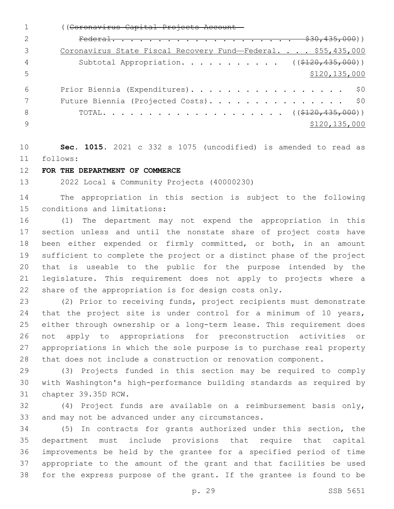((Coronavirus Capital Projects Account— Federal. . . . . . . . . . . . . . . . . . . . \$30,435,000)) 3 Coronavirus State Fiscal Recovery Fund—Federal. . . . \$55,435,000 4 Subtotal Appropriation. . . . . . . . . . ((\$120,435,000)) \$120,135,000 Prior Biennia (Expenditures). . . . . . . . . . . . . . . . . \$0 7 Future Biennia (Projected Costs). . . . . . . . . . . . . . \$0 TOTAL. . . . . . . . . . . . . . . . . . . . ((\$120,435,000))  $\frac{135}{000}$  \$120,135,000

 **Sec. 1015.** 2021 c 332 s 1075 (uncodified) is amended to read as follows: 11

## **FOR THE DEPARTMENT OF COMMERCE**

2022 Local & Community Projects (40000230)

 The appropriation in this section is subject to the following 15 conditions and limitations:

 (1) The department may not expend the appropriation in this section unless and until the nonstate share of project costs have been either expended or firmly committed, or both, in an amount sufficient to complete the project or a distinct phase of the project that is useable to the public for the purpose intended by the legislature. This requirement does not apply to projects where a share of the appropriation is for design costs only.

 (2) Prior to receiving funds, project recipients must demonstrate 24 that the project site is under control for a minimum of 10 years, either through ownership or a long-term lease. This requirement does not apply to appropriations for preconstruction activities or appropriations in which the sole purpose is to purchase real property that does not include a construction or renovation component.

 (3) Projects funded in this section may be required to comply with Washington's high-performance building standards as required by 31 chapter 39.35D RCW.

 (4) Project funds are available on a reimbursement basis only, 33 and may not be advanced under any circumstances.

 (5) In contracts for grants authorized under this section, the department must include provisions that require that capital improvements be held by the grantee for a specified period of time appropriate to the amount of the grant and that facilities be used for the express purpose of the grant. If the grantee is found to be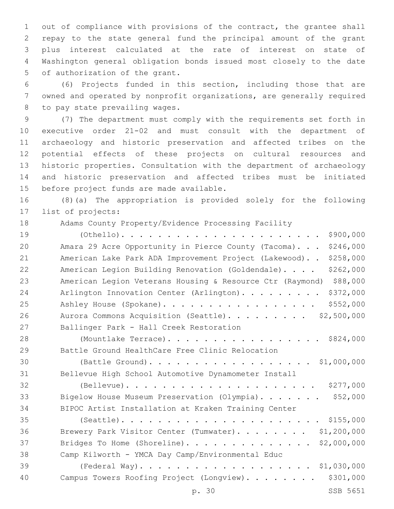out of compliance with provisions of the contract, the grantee shall repay to the state general fund the principal amount of the grant plus interest calculated at the rate of interest on state of Washington general obligation bonds issued most closely to the date 5 of authorization of the grant.

 (6) Projects funded in this section, including those that are owned and operated by nonprofit organizations, are generally required 8 to pay state prevailing wages.

 (7) The department must comply with the requirements set forth in executive order 21-02 and must consult with the department of archaeology and historic preservation and affected tribes on the potential effects of these projects on cultural resources and historic properties. Consultation with the department of archaeology and historic preservation and affected tribes must be initiated 15 before project funds are made available.

 (8)(a) The appropriation is provided solely for the following 17 list of projects:

Adams County Property/Evidence Processing Facility

| 19 | \$900,000                                                             |
|----|-----------------------------------------------------------------------|
| 20 | \$246,000<br>Amara 29 Acre Opportunity in Pierce County (Tacoma).     |
| 21 | \$258,000<br>American Lake Park ADA Improvement Project (Lakewood)    |
| 22 | \$262,000<br>American Legion Building Renovation (Goldendale).        |
| 23 | \$88,000<br>American Legion Veterans Housing & Resource Ctr (Raymond) |
| 24 | \$372,000<br>Arlington Innovation Center (Arlington).                 |
| 25 | \$552,000<br>Ashley House (Spokane).                                  |
| 26 | Aurora Commons Acquisition (Seattle). \$2,500,000                     |
| 27 | Ballinger Park - Hall Creek Restoration                               |
| 28 | (Mountlake Terrace). \$824,000                                        |
| 29 | Battle Ground HealthCare Free Clinic Relocation                       |
| 30 | (Battle Ground). \$1,000,000                                          |
| 31 | Bellevue High School Automotive Dynamometer Install                   |
| 32 | \$277,000                                                             |
| 33 | \$52,000<br>Bigelow House Museum Preservation (Olympia).              |
| 34 | BIPOC Artist Installation at Kraken Training Center                   |
| 35 |                                                                       |
| 36 | \$1,200,000<br>Brewery Park Visitor Center (Tumwater).                |
| 37 | \$2,000,000<br>Bridges To Home (Shoreline).                           |
| 38 | Camp Kilworth - YMCA Day Camp/Environmental Educ                      |
| 39 |                                                                       |
| 40 | \$301,000<br>Campus Towers Roofing Project (Longview).                |
|    | SSB 5651<br>p. 30                                                     |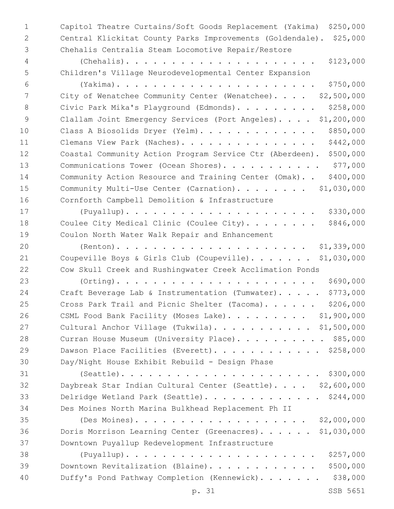1 Capitol Theatre Curtains/Soft Goods Replacement (Yakima) \$250,000 2 Central Klickitat County Parks Improvements (Goldendale). \$25,000 3 Chehalis Centralia Steam Locomotive Repair/Restore 4 (Chehalis). . . . . . . . . . . . . . . . . . . . . \$123,000 5 Children's Village Neurodevelopmental Center Expansion 6 (Yakima). . . . . . . . . . . . . . . . . . . . . . \$750,000 7 City of Wenatchee Community Center (Wenatchee).... \$2,500,000 8 Civic Park Mika's Playground (Edmonds). . . . . . . . \$258,000 9 Clallam Joint Emergency Services (Port Angeles). . . . \$1,200,000 10 Class A Biosolids Dryer (Yelm). . . . . . . . . . . . \$850,000 11 Clemans View Park (Naches). . . . . . . . . . . . . . \$442,000 12 Coastal Community Action Program Service Ctr (Aberdeen). \$500,000 13 Communications Tower (Ocean Shores). . . . . . . . . . . \$77,000 14 Community Action Resource and Training Center (Omak). . \$400,000 15 Community Multi-Use Center (Carnation) . . . . . . . \$1,030,000 16 Cornforth Campbell Demolition & Infrastructure 17 (Puyallup). . . . . . . . . . . . . . . . . . . . . \$330,000 18 Coulee City Medical Clinic (Coulee City)........ \$846,000 19 Coulon North Water Walk Repair and Enhancement 20 (Renton). . . . . . . . . . . . . . . . . . . . . \$1,339,000 21 Coupeville Boys & Girls Club (Coupeville). . . . . . \$1,030,000 22 Cow Skull Creek and Rushingwater Creek Acclimation Ponds 23 (Orting). . . . . . . . . . . . . . . . . . . . . . \$690,000 24 Craft Beverage Lab & Instrumentation (Tumwater). . . . . \$773,000 25 Cross Park Trail and Picnic Shelter (Tacoma). . . . . \$206,000 26 CSML Food Bank Facility (Moses Lake). . . . . . . . \$1,900,000 27 Cultural Anchor Village (Tukwila). . . . . . . . . . \$1,500,000 28 Curran House Museum (University Place). . . . . . . . . \$85,000 29 Dawson Place Facilities (Everett). . . . . . . . . . . \$258,000 30 Day/Night House Exhibit Rebuild - Design Phase 31 (Seattle). . . . . . . . . . . . . . . . . . . . . . \$300,000 32 Daybreak Star Indian Cultural Center (Seattle). . . . \$2,600,000 33 Delridge Wetland Park (Seattle). . . . . . . . . . . . \$244,000 34 Des Moines North Marina Bulkhead Replacement Ph II 35 (Des Moines). . . . . . . . . . . . . . . . . . . \$2,000,000 36 Doris Morrison Learning Center (Greenacres). . . . . . \$1,030,000 37 Downtown Puyallup Redevelopment Infrastructure 38 (Puyallup). . . . . . . . . . . . . . . . . . . . . \$257,000 39 Downtown Revitalization (Blaine). . . . . . . . . . . . \$500,000 40 Duffy's Pond Pathway Completion (Kennewick). . . . . . . \$38,000

p. 31 SSB 5651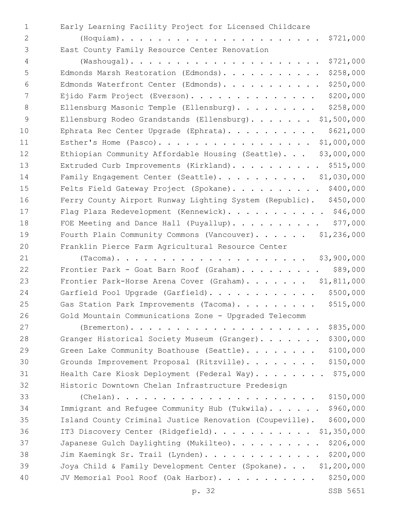1 Early Learning Facility Project for Licensed Childcare 2 (Hoquiam). . . . . . . . . . . . . . . . . . . . . . \$721,000 East County Family Resource Center Renovation3 4 (Washougal). . . . . . . . . . . . . . . . . . . . . \$721,000 5 Edmonds Marsh Restoration (Edmonds). . . . . . . . . . . \$258,000 6 Edmonds Waterfront Center (Edmonds). . . . . . . . . . . \$250,000 7 Ejido Farm Project (Everson). . . . . . . . . . . . . . \$200,000 8 Ellensburg Masonic Temple (Ellensburg). . . . . . . . \$258,000 9 Ellensburg Rodeo Grandstands (Ellensburg). . . . . . . \$1,500,000 10 Ephrata Rec Center Upgrade (Ephrata). . . . . . . . . \$621,000 11 Esther's Home (Pasco). . . . . . . . . . . . . . . . . \$1,000,000 12 Ethiopian Community Affordable Housing (Seattle)... \$3,000,000 13 Extruded Curb Improvements (Kirkland). . . . . . . . . \$515,000 14 Family Engagement Center (Seattle). . . . . . . . . \$1,030,000 15 Felts Field Gateway Project (Spokane). . . . . . . . . . \$400,000 16 Ferry County Airport Runway Lighting System (Republic). \$450,000 17 Flag Plaza Redevelopment (Kennewick). . . . . . . . . . \$46,000 18 FOE Meeting and Dance Hall (Puyallup). . . . . . . . . . \$77,000 19 Fourth Plain Community Commons (Vancouver). . . . . \$1,236,000 20 Franklin Pierce Farm Agricultural Resource Center 21 (Tacoma). . . . . . . . . . . . . . . . . . . . . \$3,900,000 22 Frontier Park - Goat Barn Roof (Graham). . . . . . . . . \$89,000 23 Frontier Park-Horse Arena Cover (Graham). . . . . . . \$1,811,000 24 Garfield Pool Upgrade (Garfield). . . . . . . . . . . \$500,000 25 Gas Station Park Improvements (Tacoma). . . . . . . . \$515,000 26 Gold Mountain Communications Zone - Upgraded Telecomm 27 (Bremerton). . . . . . . . . . . . . . . . . . . . . \$835,000 28 Granger Historical Society Museum (Granger). . . . . . \$300,000 29 Green Lake Community Boathouse (Seattle). . . . . . . \$100,000 30 Grounds Improvement Proposal (Ritzville). . . . . . . . \$150,000 31 Health Care Kiosk Deployment (Federal Way). . . . . . . \$75,000 32 Historic Downtown Chelan Infrastructure Predesign 33 (Chelan). . . . . . . . . . . . . . . . . . . . . . \$150,000 34 Immigrant and Refugee Community Hub (Tukwila). . . . . . \$960,000 35 Island County Criminal Justice Renovation (Coupeville). \$600,000 36 IT3 Discovery Center (Ridgefield). . . . . . . . . . . \$1,350,000 37 Japanese Gulch Daylighting (Mukilteo). . . . . . . . . . \$206,000 38 Jim Kaemingk Sr. Trail (Lynden). . . . . . . . . . . . . \$200,000 39 Joya Child & Family Development Center (Spokane). . . \$1,200,000 40 JV Memorial Pool Roof (Oak Harbor). . . . . . . . . . . \$250,000

p. 32 SSB 5651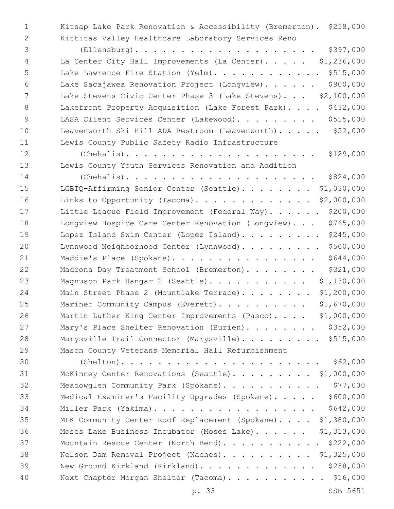1 Kitsap Lake Park Renovation & Accessibility (Bremerton). \$258,000 2 Kittitas Valley Healthcare Laboratory Services Reno

3 (Ellensburg). . . . . . . . . . . . . . . . . . . . \$397,000 4 La Center City Hall Improvements (La Center). . . . . \$1,236,000 5 Lake Lawrence Fire Station (Yelm). . . . . . . . . . . \$515,000 6 Lake Sacajawea Renovation Project (Longview). . . . . . \$900,000 7 Lake Stevens Civic Center Phase 3 (Lake Stevens). . . \$2,100,000 8 Lakefront Property Acquisition (Lake Forest Park). . . . \$432,000 9 LASA Client Services Center (Lakewood). . . . . . . . \$515,000 10 Leavenworth Ski Hill ADA Restroom (Leavenworth). . . . . \$52,000 11 Lewis County Public Safety Radio Infrastructure

12 (Chehalis). . . . . . . . . . . . . . . . . . . . . \$129,000 13 Lewis County Youth Services Renovation and Addition

14 (Chehalis). . . . . . . . . . . . . . . . . . . . . \$824,000 15 LGBTQ-Affirming Senior Center (Seattle). . . . . . . . \$1,030,000 16 Links to Opportunity (Tacoma). . . . . . . . . . . . . \$2,000,000 17 Little League Field Improvement (Federal Way). . . . . \$200,000 18 Longview Hospice Care Center Renovation (Longview). . . \$765,000 19 Lopez Island Swim Center (Lopez Island). . . . . . . . \$245,000 20 Lynnwood Neighborhood Center (Lynnwood). . . . . . . . . \$500,000 21 Maddie's Place (Spokane). . . . . . . . . . . . . . . \$644,000 22 Madrona Day Treatment School (Bremerton). . . . . . . \$321,000 23 Magnuson Park Hangar 2 (Seattle). . . . . . . . . . . \$1,130,000 24 Main Street Phase 2 (Mountlake Terrace). . . . . . . \$1,200,000 25 Mariner Community Campus (Everett). . . . . . . . . \$1,670,000 26 Martin Luther King Center Improvements (Pasco). . . . \$1,000,000 27 Mary's Place Shelter Renovation (Burien). . . . . . . \$352,000 28 Marysville Trail Connector (Marysville). . . . . . . . \$515,000 29 Mason County Veterans Memorial Hall Refurbishment

 (Shelton). . . . . . . . . . . . . . . . . . . . . . \$62,000 McKinney Center Renovations (Seattle). . . . . . . . . \$1,000,000 32 Meadowglen Community Park (Spokane). . . . . . . . . . \$77,000 Medical Examiner's Facility Upgrades (Spokane). . . . . \$600,000 Miller Park (Yakima). . . . . . . . . . . . . . . . . . \$642,000 MLK Community Center Roof Replacement (Spokane). . . . \$1,380,000 Moses Lake Business Incubator (Moses Lake). . . . . . \$1,313,000 37 Mountain Rescue Center (North Bend). . . . . . . . . . \$222,000 Nelson Dam Removal Project (Naches). . . . . . . . . . \$1,325,000 New Ground Kirkland (Kirkland). . . . . . . . . . . . . \$258,000 40 Next Chapter Morgan Shelter (Tacoma). . . . . . . . . . \$16,000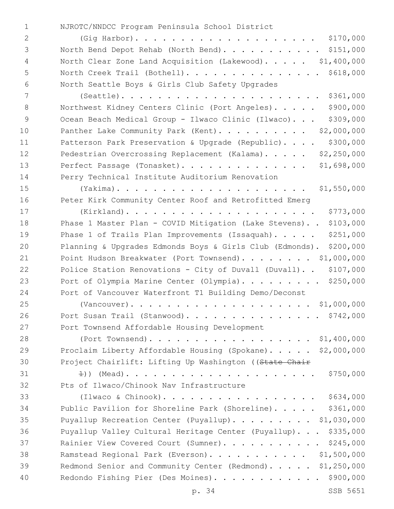NJROTC/NNDCC Program Peninsula School District1

| 2             |                                                           |
|---------------|-----------------------------------------------------------|
| $\mathcal{S}$ | North Bend Depot Rehab (North Bend). \$151,000            |
| 4             | North Clear Zone Land Acquisition (Lakewood). \$1,400,000 |
| 5             | North Creek Trail (Bothell). \$618,000                    |
| - 6           | North Seattle Boys & Girls Club Safety Upgrades           |
| 7             | $(Seattle)$ \$361,000                                     |

8 Northwest Kidney Centers Clinic (Port Angeles)...... \$900,000 9 Ocean Beach Medical Group - Ilwaco Clinic (Ilwaco)... \$309,000 10 Panther Lake Community Park (Kent). . . . . . . . . \$2,000,000 11 Patterson Park Preservation & Upgrade (Republic).... \$300,000 12 Pedestrian Overcrossing Replacement (Kalama). . . . . \$2,250,000 Perfect Passage (Tonasket). . . . . . . . . . . . . . \$1,698,000 Perry Technical Institute Auditorium Renovation

 (Yakima). . . . . . . . . . . . . . . . . . . . . \$1,550,000 Peter Kirk Community Center Roof and Retrofitted Emerg

 (Kirkland). . . . . . . . . . . . . . . . . . . . . \$773,000 Phase 1 Master Plan - COVID Mitigation (Lake Stevens). . \$103,000 19 Phase 1 of Trails Plan Improvements (Issaquah). . . . . \$251,000 Planning & Upgrades Edmonds Boys & Girls Club (Edmonds). \$200,000 21 Point Hudson Breakwater (Port Townsend). . . . . . . \$1,000,000 Police Station Renovations - City of Duvall (Duvall). . \$107,000 23 Port of Olympia Marine Center (Olympia). . . . . . . . \$250,000 Port of Vancouver Waterfront T1 Building Demo/Deconst

 (Vancouver). . . . . . . . . . . . . . . . . . . . \$1,000,000 26 Port Susan Trail (Stanwood). . . . . . . . . . . . . . \$742,000 27 Port Townsend Affordable Housing Development (Port Townsend). . . . . . . . . . . . . . . . . . \$1,400,000

 Proclaim Liberty Affordable Housing (Spokane). . . . . \$2,000,000 30 Project Chairlift: Lifting Up Washington ((State Chair

 1)) (Mead). . . . . . . . . . . . . . . . . . . . . \$750,000 32 Pts of Ilwaco/Chinook Nav Infrastructure

 (Ilwaco & Chinook). . . . . . . . . . . . . . . . . \$634,000 Public Pavilion for Shoreline Park (Shoreline). . . . . \$361,000 Puyallup Recreation Center (Puyallup). . . . . . . . . \$1,030,000 Puyallup Valley Cultural Heritage Center (Puyallup). . . \$335,000 37 Rainier View Covered Court (Sumner). . . . . . . . . . \$245,000 Ramstead Regional Park (Everson). . . . . . . . . . . \$1,500,000 39 Redmond Senior and Community Center (Redmond). . . . . \$1,250,000 Redondo Fishing Pier (Des Moines). . . . . . . . . . . . \$900,000

p. 34 SSB 5651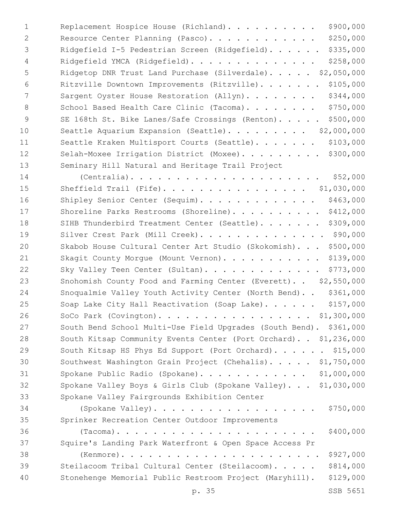| $\mathbf 1$    | \$900,000<br>Replacement Hospice House (Richland).                   |
|----------------|----------------------------------------------------------------------|
| $\overline{2}$ | \$250,000<br>Resource Center Planning (Pasco).                       |
| 3              | \$335,000<br>Ridgefield I-5 Pedestrian Screen (Ridgefield).          |
| $\overline{4}$ | \$258,000<br>Ridgefield YMCA (Ridgefield).                           |
| 5              | Ridgetop DNR Trust Land Purchase (Silverdale). \$2,050,000           |
| 6              | \$105,000<br>Ritzville Downtown Improvements (Ritzville).            |
| 7              | \$344,000<br>Sargent Oyster House Restoration (Allyn).               |
| 8              | \$750,000<br>School Based Health Care Clinic (Tacoma).               |
| 9              | \$500,000<br>SE 168th St. Bike Lanes/Safe Crossings (Renton).        |
| 10             | \$2,000,000<br>Seattle Aquarium Expansion (Seattle).                 |
| 11             | \$103,000<br>Seattle Kraken Multisport Courts (Seattle).             |
| 12             | Selah-Moxee Irrigation District (Moxee). \$300,000                   |
| 13             | Seminary Hill Natural and Heritage Trail Project                     |
| 14             | \$52,000<br>$(Centralia)$                                            |
| 15             | Sheffield Trail (Fife). \$1,030,000                                  |
| 16             | \$463,000<br>Shipley Senior Center (Sequim).                         |
| 17             | \$412,000<br>Shoreline Parks Restrooms (Shoreline).                  |
| 18             | \$309,000<br>SIHB Thunderbird Treatment Center (Seattle).            |
| 19             | Silver Crest Park (Mill Creek). \$90,000                             |
| 20             | \$500,000<br>Skabob House Cultural Center Art Studio (Skokomish).    |
| 21             | \$139,000<br>Skagit County Morgue (Mount Vernon).                    |
| 22             | \$773,000<br>Sky Valley Teen Center (Sultan).                        |
| 23             | Snohomish County Food and Farming Center (Everett). . \$2,550,000    |
| 24             | \$361,000<br>Snoqualmie Valley Youth Activity Center (North Bend)    |
| 25             | Soap Lake City Hall Reactivation (Soap Lake). \$157,000              |
| 26             | SoCo Park (Covington). \$1,300,000                                   |
| 27             | South Bend School Multi-Use Field Upgrades (South Bend). \$361,000   |
| 28             | South Kitsap Community Events Center (Port Orchard). . \$1,236,000   |
| 29             | South Kitsap HS Phys Ed Support (Port Orchard). \$15,000             |
| 30             | Southwest Washington Grain Project (Chehalis). \$1,750,000           |
| 31             | Spokane Public Radio (Spokane). \$1,000,000                          |
| 32             | Spokane Valley Boys & Girls Club (Spokane Valley). \$1,030,000       |
| 33             | Spokane Valley Fairgrounds Exhibition Center                         |
| 34             | \$750,000                                                            |
| 35             | Sprinker Recreation Center Outdoor Improvements                      |
| 36             | \$400,000                                                            |
| 37             | Squire's Landing Park Waterfront & Open Space Access Pr              |
| 38             | \$927,000                                                            |
| 39             | \$814,000<br>Steilacoom Tribal Cultural Center (Steilacoom).         |
| 40             | Stonehenge Memorial Public Restroom Project (Maryhill).<br>\$129,000 |
|                | SSB 5651<br>p. 35                                                    |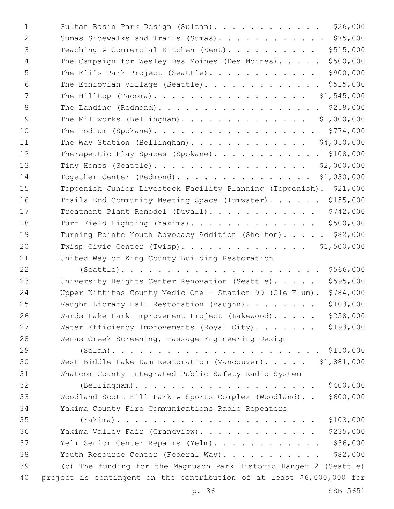| $\mathbf{1}$ | Sultan Basin Park Design (Sultan). \$26,000                           |
|--------------|-----------------------------------------------------------------------|
| 2            | Sumas Sidewalks and Trails (Sumas). \$75,000                          |
| 3            | \$515,000<br>Teaching & Commercial Kitchen (Kent).                    |
| 4            | \$500,000<br>The Campaign for Wesley Des Moines (Des Moines).         |
| 5            | \$900,000<br>The Eli's Park Project (Seattle).                        |
| 6            | The Ethiopian Village (Seattle). \$515,000                            |
| 7            | The Hilltop (Tacoma). \$1,545,000                                     |
| 8            | The Landing (Redmond). \$258,000                                      |
| 9            | The Millworks (Bellingham). \$1,000,000                               |
| 10           | \$774,000<br>The Podium (Spokane).                                    |
| 11           | The Way Station (Bellingham). \$4,050,000                             |
| 12           | Therapeutic Play Spaces (Spokane). \$108,000                          |
| 13           | Tiny Homes (Seattle).<br>\$2,000,000                                  |
| 14           | Together Center (Redmond).<br>\$1,030,000                             |
| 15           | Toppenish Junior Livestock Facility Planning (Toppenish). \$21,000    |
| 16           | Trails End Community Meeting Space (Tumwater). \$155,000              |
| 17           | \$742,000<br>Treatment Plant Remodel (Duvall).                        |
| 18           | Turf Field Lighting (Yakima).<br>\$500,000                            |
| 19           | Turning Pointe Youth Advocacy Addition (Shelton). \$82,000            |
| 20           | Twisp Civic Center (Twisp).<br>\$1,500,000                            |
| 21           | United Way of King County Building Restoration                        |
| 22           | $(Seattle)$<br>\$566,000                                              |
| 23           | \$595,000<br>University Heights Center Renovation (Seattle).          |
| 24           | \$784,000<br>Upper Kittitas County Medic One - Station 99 (Cle Elum). |
| 25           | \$103,000<br>Vaughn Library Hall Restoration (Vaughn).                |
| 26           | \$258,000<br>Wards Lake Park Improvement Project (Lakewood).          |
| 27           | \$193,000<br>Water Efficiency Improvements (Royal City).              |
| 28           | Wenas Creek Screening, Passage Engineering Design                     |
| 29           |                                                                       |
| 30           | West Biddle Lake Dam Restoration (Vancouver). \$1,881,000             |
| 31           | Whatcom County Integrated Public Safety Radio System                  |
| 32           | \$400,000<br>$(Belllingham)$                                          |
| 33           | Woodland Scott Hill Park & Sports Complex (Woodland)<br>\$600,000     |
| 34           | Yakima County Fire Communications Radio Repeaters                     |
| 35           | \$103,000                                                             |
| 36           | \$235,000<br>Yakima Valley Fair (Grandview).                          |
| 37           | \$36,000<br>Yelm Senior Center Repairs (Yelm).                        |
| 38           | \$82,000<br>Youth Resource Center (Federal Way).                      |
| 39           | (b) The funding for the Magnuson Park Historic Hanger 2 (Seattle)     |
| 40           | project is contingent on the contribution of at least \$6,000,000 for |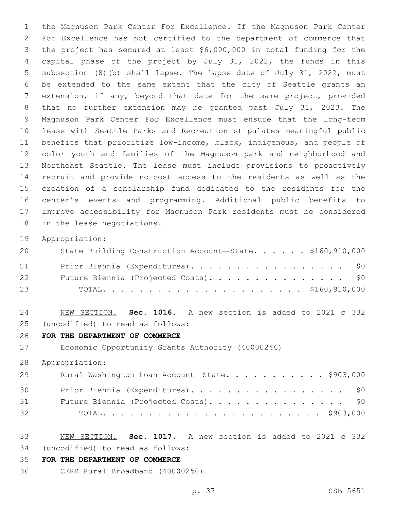the Magnuson Park Center For Excellence. If the Magnuson Park Center For Excellence has not certified to the department of commerce that the project has secured at least \$6,000,000 in total funding for the capital phase of the project by July 31, 2022, the funds in this subsection (8)(b) shall lapse. The lapse date of July 31, 2022, must be extended to the same extent that the city of Seattle grants an extension, if any, beyond that date for the same project, provided that no further extension may be granted past July 31, 2023. The Magnuson Park Center For Excellence must ensure that the long-term lease with Seattle Parks and Recreation stipulates meaningful public benefits that prioritize low-income, black, indigenous, and people of color youth and families of the Magnuson park and neighborhood and Northeast Seattle. The lease must include provisions to proactively recruit and provide no-cost access to the residents as well as the creation of a scholarship fund dedicated to the residents for the center's events and programming. Additional public benefits to improve accessibility for Magnuson Park residents must be considered 18 in the lease negotiations.

Appropriation:

| 20 | State Building Construction Account-State. \$160,910,000 |
|----|----------------------------------------------------------|
| 21 | Prior Biennia (Expenditures). \$0                        |
| 22 | Future Biennia (Projected Costs). \$0                    |
| 23 |                                                          |

 NEW SECTION. **Sec. 1016.** A new section is added to 2021 c 332 (uncodified) to read as follows: 25

**FOR THE DEPARTMENT OF COMMERCE**

Economic Opportunity Grants Authority (40000246)

Appropriation:

| 29 | Rural Washington Loan Account-State. \$903,000 |
|----|------------------------------------------------|
| 30 | Prior Biennia (Expenditures). \$0              |
| 31 | Future Biennia (Projected Costs). \$0          |
| 32 |                                                |

- NEW SECTION. **Sec. 1017.** A new section is added to 2021 c 332 (uncodified) to read as follows: 34
- **FOR THE DEPARTMENT OF COMMERCE**
- CERB Rural Broadband (40000250)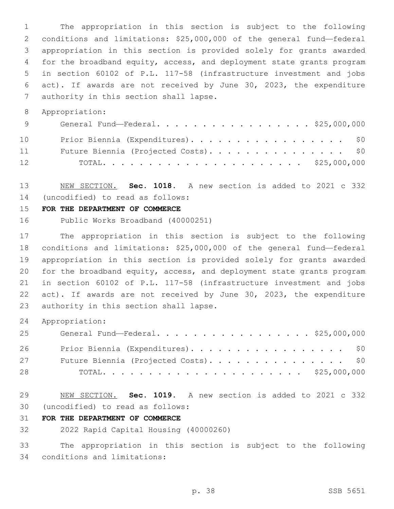The appropriation in this section is subject to the following conditions and limitations: \$25,000,000 of the general fund—federal appropriation in this section is provided solely for grants awarded for the broadband equity, access, and deployment state grants program in section 60102 of P.L. 117-58 (infrastructure investment and jobs act). If awards are not received by June 30, 2023, the expenditure 7 authority in this section shall lapse.

Appropriation:

| 9  | General Fund—Federal. \$25,000,000    |
|----|---------------------------------------|
| 10 | Prior Biennia (Expenditures). \$0     |
| 11 | Future Biennia (Projected Costs). \$0 |
| 12 |                                       |

 NEW SECTION. **Sec. 1018.** A new section is added to 2021 c 332 (uncodified) to read as follows: 14

#### **FOR THE DEPARTMENT OF COMMERCE**

Public Works Broadband (40000251)

 The appropriation in this section is subject to the following conditions and limitations: \$25,000,000 of the general fund—federal appropriation in this section is provided solely for grants awarded for the broadband equity, access, and deployment state grants program in section 60102 of P.L. 117-58 (infrastructure investment and jobs act). If awards are not received by June 30, 2023, the expenditure 23 authority in this section shall lapse.

Appropriation:

| 25 | General Fund—Federal. \$25,000,000    |
|----|---------------------------------------|
| 26 | Prior Biennia (Expenditures). \$0     |
| 27 | Future Biennia (Projected Costs). \$0 |
| 28 |                                       |

 NEW SECTION. **Sec. 1019.** A new section is added to 2021 c 332 (uncodified) to read as follows: 30

### **FOR THE DEPARTMENT OF COMMERCE**

2022 Rapid Capital Housing (40000260)

 The appropriation in this section is subject to the following 34 conditions and limitations: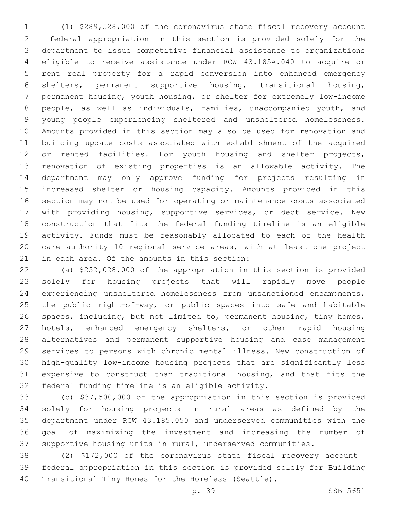(1) \$289,528,000 of the coronavirus state fiscal recovery account —federal appropriation in this section is provided solely for the department to issue competitive financial assistance to organizations eligible to receive assistance under RCW 43.185A.040 to acquire or rent real property for a rapid conversion into enhanced emergency shelters, permanent supportive housing, transitional housing, permanent housing, youth housing, or shelter for extremely low-income people, as well as individuals, families, unaccompanied youth, and young people experiencing sheltered and unsheltered homelessness. Amounts provided in this section may also be used for renovation and building update costs associated with establishment of the acquired 12 or rented facilities. For youth housing and shelter projects, renovation of existing properties is an allowable activity. The department may only approve funding for projects resulting in increased shelter or housing capacity. Amounts provided in this section may not be used for operating or maintenance costs associated with providing housing, supportive services, or debt service. New construction that fits the federal funding timeline is an eligible activity. Funds must be reasonably allocated to each of the health care authority 10 regional service areas, with at least one project 21 in each area. Of the amounts in this section:

 (a) \$252,028,000 of the appropriation in this section is provided solely for housing projects that will rapidly move people experiencing unsheltered homelessness from unsanctioned encampments, the public right-of-way, or public spaces into safe and habitable spaces, including, but not limited to, permanent housing, tiny homes, 27 hotels, enhanced emergency shelters, or other rapid housing alternatives and permanent supportive housing and case management services to persons with chronic mental illness. New construction of high-quality low-income housing projects that are significantly less expensive to construct than traditional housing, and that fits the 32 federal funding timeline is an eligible activity.

 (b) \$37,500,000 of the appropriation in this section is provided solely for housing projects in rural areas as defined by the department under RCW 43.185.050 and underserved communities with the goal of maximizing the investment and increasing the number of supportive housing units in rural, underserved communities.

 (2) \$172,000 of the coronavirus state fiscal recovery account— federal appropriation in this section is provided solely for Building Transitional Tiny Homes for the Homeless (Seattle).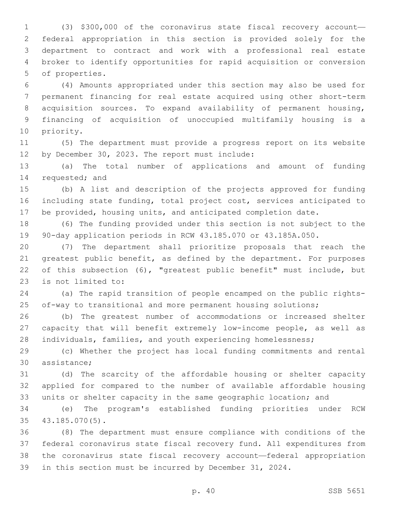(3) \$300,000 of the coronavirus state fiscal recovery account— federal appropriation in this section is provided solely for the department to contract and work with a professional real estate broker to identify opportunities for rapid acquisition or conversion 5 of properties.

 (4) Amounts appropriated under this section may also be used for permanent financing for real estate acquired using other short-term acquisition sources. To expand availability of permanent housing, financing of acquisition of unoccupied multifamily housing is a 10 priority.

 (5) The department must provide a progress report on its website 12 by December 30, 2023. The report must include:

 (a) The total number of applications and amount of funding 14 requested; and

 (b) A list and description of the projects approved for funding including state funding, total project cost, services anticipated to be provided, housing units, and anticipated completion date.

 (6) The funding provided under this section is not subject to the 90-day application periods in RCW 43.185.070 or 43.185A.050.

 (7) The department shall prioritize proposals that reach the 21 greatest public benefit, as defined by the department. For purposes of this subsection (6), "greatest public benefit" must include, but 23 is not limited to:

 (a) The rapid transition of people encamped on the public rights-of-way to transitional and more permanent housing solutions;

 (b) The greatest number of accommodations or increased shelter capacity that will benefit extremely low-income people, as well as individuals, families, and youth experiencing homelessness;

 (c) Whether the project has local funding commitments and rental 30 assistance;

 (d) The scarcity of the affordable housing or shelter capacity applied for compared to the number of available affordable housing units or shelter capacity in the same geographic location; and

 (e) The program's established funding priorities under RCW 43.185.070(5).35

 (8) The department must ensure compliance with conditions of the federal coronavirus state fiscal recovery fund. All expenditures from the coronavirus state fiscal recovery account—federal appropriation in this section must be incurred by December 31, 2024.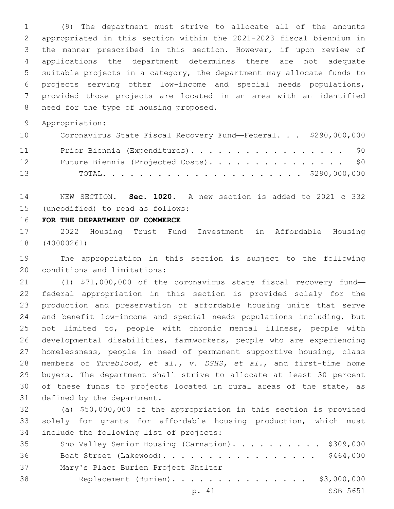(9) The department must strive to allocate all of the amounts appropriated in this section within the 2021-2023 fiscal biennium in the manner prescribed in this section. However, if upon review of applications the department determines there are not adequate suitable projects in a category, the department may allocate funds to projects serving other low-income and special needs populations, provided those projects are located in an area with an identified 8 need for the type of housing proposed.

Appropriation:

| 10              | Coronavirus State Fiscal Recovery Fund-Federal. \$290,000,000 |
|-----------------|---------------------------------------------------------------|
| 11              | Prior Biennia (Expenditures). \$0                             |
| 12 <sup>7</sup> | Future Biennia (Projected Costs). \$0                         |
| 13              |                                                               |

 NEW SECTION. **Sec. 1020.** A new section is added to 2021 c 332 (uncodified) to read as follows: 15

**FOR THE DEPARTMENT OF COMMERCE**

 2022 Housing Trust Fund Investment in Affordable Housing (40000261)

 The appropriation in this section is subject to the following 20 conditions and limitations:

 (1) \$71,000,000 of the coronavirus state fiscal recovery fund— federal appropriation in this section is provided solely for the production and preservation of affordable housing units that serve and benefit low-income and special needs populations including, but not limited to, people with chronic mental illness, people with developmental disabilities, farmworkers, people who are experiencing homelessness, people in need of permanent supportive housing, class members of *Trueblood, et al., v. DSHS, et al.*, and first-time home buyers. The department shall strive to allocate at least 30 percent of these funds to projects located in rural areas of the state, as 31 defined by the department.

 (a) \$50,000,000 of the appropriation in this section is provided solely for grants for affordable housing production, which must 34 include the following list of projects:

| 35 | Sno Valley Senior Housing (Carnation). \$309,000 |
|----|--------------------------------------------------|
| 36 | Boat Street (Lakewood). \$464,000                |
| 37 | Mary's Place Burien Project Shelter              |
| 38 | Replacement (Burien). \$3,000,000                |
|    | SSB 5651<br>p. 41                                |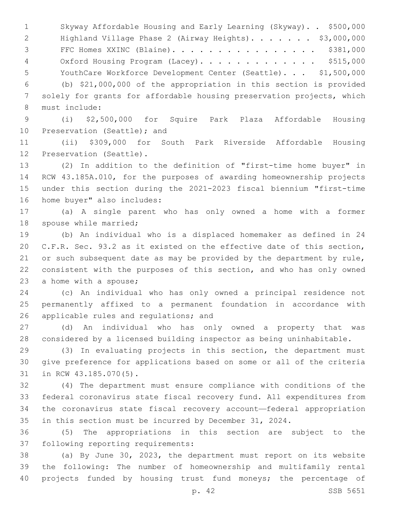Skyway Affordable Housing and Early Learning (Skyway). . \$500,000 2 Highland Village Phase 2 (Airway Heights). . . . . . \$3,000,000 FFC Homes XXINC (Blaine). . . . . . . . . . . . . . . . \$381,000 4 Oxford Housing Program (Lacey). . . . . . . . . . . . \$515,000 YouthCare Workforce Development Center (Seattle). . . \$1,500,000 (b) \$21,000,000 of the appropriation in this section is provided solely for grants for affordable housing preservation projects, which 8 must include:

 (i) \$2,500,000 for Squire Park Plaza Affordable Housing 10 Preservation (Seattle); and

 (ii) \$309,000 for South Park Riverside Affordable Housing 12 Preservation (Seattle).

 (2) In addition to the definition of "first-time home buyer" in RCW 43.185A.010, for the purposes of awarding homeownership projects under this section during the 2021-2023 fiscal biennium "first-time 16 home buyer" also includes:

 (a) A single parent who has only owned a home with a former 18 spouse while married;

 (b) An individual who is a displaced homemaker as defined in 24 C.F.R. Sec. 93.2 as it existed on the effective date of this section, 21 or such subsequent date as may be provided by the department by rule, consistent with the purposes of this section, and who has only owned 23 a home with a spouse;

 (c) An individual who has only owned a principal residence not permanently affixed to a permanent foundation in accordance with 26 applicable rules and regulations; and

 (d) An individual who has only owned a property that was considered by a licensed building inspector as being uninhabitable.

 (3) In evaluating projects in this section, the department must give preference for applications based on some or all of the criteria 31 in RCW 43.185.070(5).

 (4) The department must ensure compliance with conditions of the federal coronavirus state fiscal recovery fund. All expenditures from the coronavirus state fiscal recovery account—federal appropriation in this section must be incurred by December 31, 2024.

 (5) The appropriations in this section are subject to the 37 following reporting requirements:

 (a) By June 30, 2023, the department must report on its website the following: The number of homeownership and multifamily rental projects funded by housing trust fund moneys; the percentage of

p. 42 SSB 5651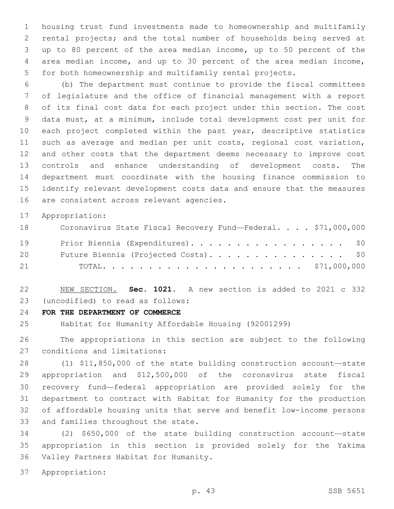housing trust fund investments made to homeownership and multifamily rental projects; and the total number of households being served at up to 80 percent of the area median income, up to 50 percent of the area median income, and up to 30 percent of the area median income, for both homeownership and multifamily rental projects.

 (b) The department must continue to provide the fiscal committees of legislature and the office of financial management with a report of its final cost data for each project under this section. The cost data must, at a minimum, include total development cost per unit for each project completed within the past year, descriptive statistics such as average and median per unit costs, regional cost variation, and other costs that the department deems necessary to improve cost controls and enhance understanding of development costs. The department must coordinate with the housing finance commission to identify relevant development costs data and ensure that the measures 16 are consistent across relevant agencies.

Appropriation:

| 18 | Coronavirus State Fiscal Recovery Fund-Federal. \$71,000,000 |
|----|--------------------------------------------------------------|
| 19 | Prior Biennia (Expenditures). \$0                            |
| 20 | Future Biennia (Projected Costs). \$0                        |
| 21 |                                                              |

 NEW SECTION. **Sec. 1021.** A new section is added to 2021 c 332 (uncodified) to read as follows: 23

**FOR THE DEPARTMENT OF COMMERCE**

Habitat for Humanity Affordable Housing (92001299)

 The appropriations in this section are subject to the following 27 conditions and limitations:

 (1) \$11,850,000 of the state building construction account—state appropriation and \$12,500,000 of the coronavirus state fiscal recovery fund—federal appropriation are provided solely for the department to contract with Habitat for Humanity for the production of affordable housing units that serve and benefit low-income persons 33 and families throughout the state.

 (2) \$650,000 of the state building construction account—state appropriation in this section is provided solely for the Yakima 36 Valley Partners Habitat for Humanity.

Appropriation: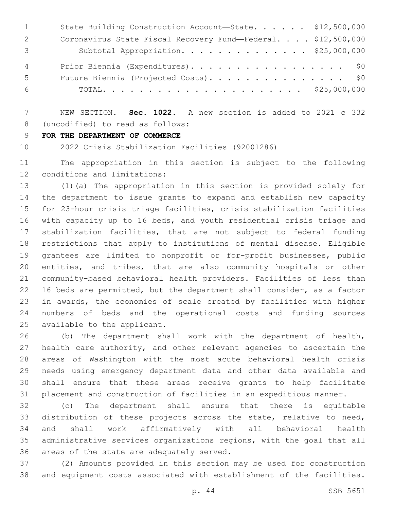| 1              | State Building Construction Account-State. \$12,500,000      |  |
|----------------|--------------------------------------------------------------|--|
| 2              | Coronavirus State Fiscal Recovery Fund-Federal. \$12,500,000 |  |
| 3              | Subtotal Appropriation. \$25,000,000                         |  |
| $\overline{4}$ | Prior Biennia (Expenditures). \$0                            |  |
| 5              | Future Biennia (Projected Costs). \$0                        |  |
| 6              |                                                              |  |

 NEW SECTION. **Sec. 1022.** A new section is added to 2021 c 332 8 (uncodified) to read as follows:

**FOR THE DEPARTMENT OF COMMERCE**

2022 Crisis Stabilization Facilities (92001286)

 The appropriation in this section is subject to the following 12 conditions and limitations:

 (1)(a) The appropriation in this section is provided solely for the department to issue grants to expand and establish new capacity for 23-hour crisis triage facilities, crisis stabilization facilities with capacity up to 16 beds, and youth residential crisis triage and stabilization facilities, that are not subject to federal funding restrictions that apply to institutions of mental disease. Eligible grantees are limited to nonprofit or for-profit businesses, public entities, and tribes, that are also community hospitals or other community-based behavioral health providers. Facilities of less than 16 beds are permitted, but the department shall consider, as a factor in awards, the economies of scale created by facilities with higher numbers of beds and the operational costs and funding sources 25 available to the applicant.

 (b) The department shall work with the department of health, health care authority, and other relevant agencies to ascertain the areas of Washington with the most acute behavioral health crisis needs using emergency department data and other data available and shall ensure that these areas receive grants to help facilitate placement and construction of facilities in an expeditious manner.

 (c) The department shall ensure that there is equitable distribution of these projects across the state, relative to need, and shall work affirmatively with all behavioral health administrative services organizations regions, with the goal that all 36 areas of the state are adequately served.

 (2) Amounts provided in this section may be used for construction and equipment costs associated with establishment of the facilities.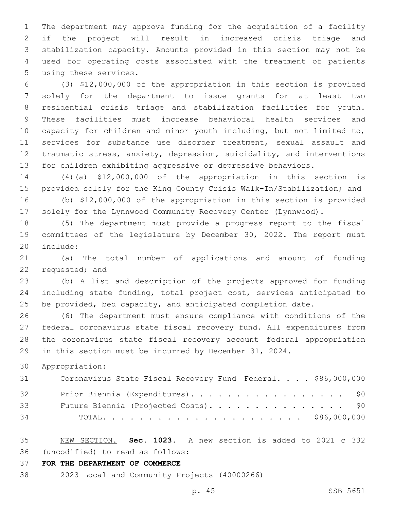The department may approve funding for the acquisition of a facility if the project will result in increased crisis triage and stabilization capacity. Amounts provided in this section may not be used for operating costs associated with the treatment of patients 5 using these services.

 (3) \$12,000,000 of the appropriation in this section is provided solely for the department to issue grants for at least two residential crisis triage and stabilization facilities for youth. These facilities must increase behavioral health services and capacity for children and minor youth including, but not limited to, services for substance use disorder treatment, sexual assault and traumatic stress, anxiety, depression, suicidality, and interventions for children exhibiting aggressive or depressive behaviors.

 (4)(a) \$12,000,000 of the appropriation in this section is provided solely for the King County Crisis Walk-In/Stabilization; and

 (b) \$12,000,000 of the appropriation in this section is provided solely for the Lynnwood Community Recovery Center (Lynnwood).

 (5) The department must provide a progress report to the fiscal committees of the legislature by December 30, 2022. The report must 20 include:

 (a) The total number of applications and amount of funding 22 requested; and

 (b) A list and description of the projects approved for funding including state funding, total project cost, services anticipated to 25 be provided, bed capacity, and anticipated completion date.

 (6) The department must ensure compliance with conditions of the federal coronavirus state fiscal recovery fund. All expenditures from the coronavirus state fiscal recovery account—federal appropriation in this section must be incurred by December 31, 2024.

Appropriation:

| 31 | Coronavirus State Fiscal Recovery Fund-Federal. \$86,000,000 |
|----|--------------------------------------------------------------|
| 32 | Prior Biennia (Expenditures). \$0                            |
| 33 | Future Biennia (Projected Costs). \$0                        |
| 34 |                                                              |

 NEW SECTION. **Sec. 1023.** A new section is added to 2021 c 332 (uncodified) to read as follows: 36

**FOR THE DEPARTMENT OF COMMERCE**

2023 Local and Community Projects (40000266)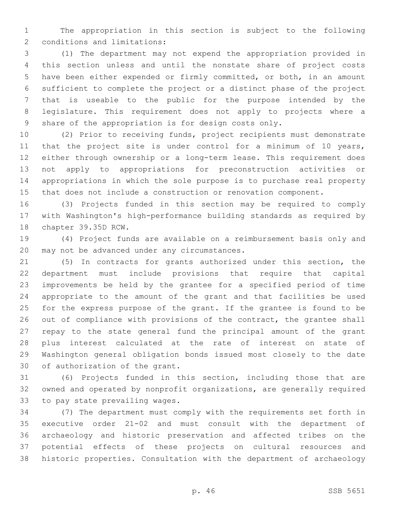The appropriation in this section is subject to the following 2 conditions and limitations:

 (1) The department may not expend the appropriation provided in this section unless and until the nonstate share of project costs have been either expended or firmly committed, or both, in an amount sufficient to complete the project or a distinct phase of the project that is useable to the public for the purpose intended by the legislature. This requirement does not apply to projects where a share of the appropriation is for design costs only.

 (2) Prior to receiving funds, project recipients must demonstrate 11 that the project site is under control for a minimum of 10 years, either through ownership or a long-term lease. This requirement does not apply to appropriations for preconstruction activities or appropriations in which the sole purpose is to purchase real property that does not include a construction or renovation component.

 (3) Projects funded in this section may be required to comply with Washington's high-performance building standards as required by 18 chapter 39.35D RCW.

 (4) Project funds are available on a reimbursement basis only and 20 may not be advanced under any circumstances.

 (5) In contracts for grants authorized under this section, the department must include provisions that require that capital improvements be held by the grantee for a specified period of time appropriate to the amount of the grant and that facilities be used for the express purpose of the grant. If the grantee is found to be 26 out of compliance with provisions of the contract, the grantee shall repay to the state general fund the principal amount of the grant plus interest calculated at the rate of interest on state of Washington general obligation bonds issued most closely to the date 30 of authorization of the grant.

 (6) Projects funded in this section, including those that are owned and operated by nonprofit organizations, are generally required 33 to pay state prevailing wages.

 (7) The department must comply with the requirements set forth in executive order 21-02 and must consult with the department of archaeology and historic preservation and affected tribes on the potential effects of these projects on cultural resources and historic properties. Consultation with the department of archaeology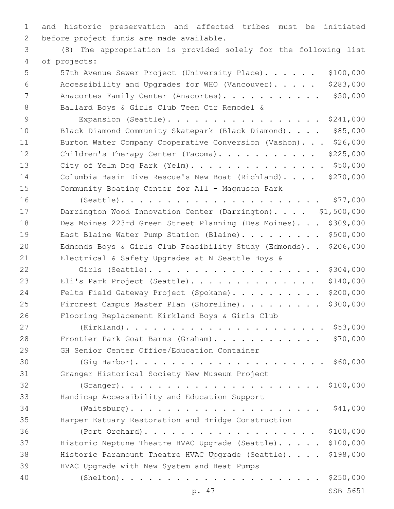1 and historic preservation and affected tribes must be initiated 2 before project funds are made available.

3 (8) The appropriation is provided solely for the following list of projects:4

- 5 57th Avenue Sewer Project (University Place). . . . . . \$100,000 6 Accessibility and Upgrades for WHO (Vancouver). . . . . \$283,000 7 Anacortes Family Center (Anacortes). . . . . . . . . . \$50,000 8 Ballard Boys & Girls Club Teen Ctr Remodel &
- 9 Expansion (Seattle). . . . . . . . . . . . . . . . . \$241,000 10 Black Diamond Community Skatepark (Black Diamond). . . . \$85,000 11 Burton Water Company Cooperative Conversion (Vashon). . . \$26,000 12 Children's Therapy Center (Tacoma). . . . . . . . . . \$225,000 13 City of Yelm Dog Park (Yelm). . . . . . . . . . . . . . . \$50,000 14 Columbia Basin Dive Rescue's New Boat (Richland). . . . \$270,000 15 Community Boating Center for All - Magnuson Park
- 16 (Seattle). . . . . . . . . . . . . . . . . . . . . . \$77,000 17 Darrington Wood Innovation Center (Darrington).... \$1,500,000 18 Des Moines 223rd Green Street Planning (Des Moines). . . \$309,000 19 East Blaine Water Pump Station (Blaine). . . . . . . . \$500,000 20 Edmonds Boys & Girls Club Feasibility Study (Edmonds). . \$206,000 21 Electrical & Safety Upgrades at N Seattle Boys & 22 Girls (Seattle). . . . . . . . . . . . . . . . . . . \$304,000 23 Eli's Park Project (Seattle). . . . . . . . . . . . . \$140,000
- 24 Felts Field Gateway Project (Spokane). . . . . . . . . \$200,000 25 Fircrest Campus Master Plan (Shoreline). . . . . . . . \$300,000 26 Flooring Replacement Kirkland Boys & Girls Club 27 (Kirkland). . . . . . . . . . . . . . . . . . . . . . \$53,000 28 Frontier Park Goat Barns (Graham). . . . . . . . . . . \$70,000 29 GH Senior Center Office/Education Container 30 (Gig Harbor). . . . . . . . . . . . . . . . . . . . . \$60,000
- 31 Granger Historical Society New Museum Project 32 (Granger). . . . . . . . . . . . . . . . . . . . . . \$100,000 33 Handicap Accessibility and Education Support 34 (Waitsburg). . . . . . . . . . . . . . . . . . . . . \$41,000 35 Harper Estuary Restoration and Bridge Construction 36 (Port Orchard). . . . . . . . . . . . . . . . . . . \$100,000 37 Historic Neptune Theatre HVAC Upgrade (Seattle). . . . . \$100,000
- 38 Historic Paramount Theatre HVAC Upgrade (Seattle). . . . \$198,000 39 HVAC Upgrade with New System and Heat Pumps
- 40 (Shelton). . . . . . . . . . . . . . . . . . . . . . \$250,000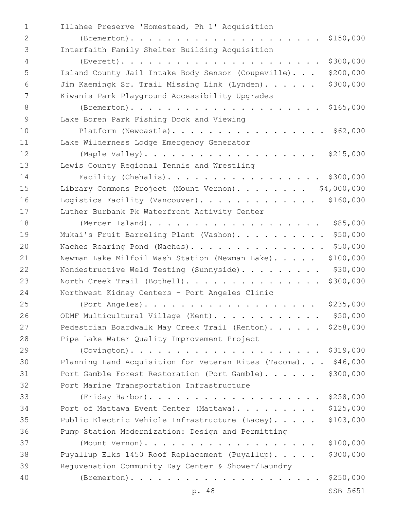| $\mathbf{1}$   | Illahee Preserve 'Homestead, Ph 1' Acquisition                    |
|----------------|-------------------------------------------------------------------|
| $\mathbf{2}$   |                                                                   |
| 3              | Interfaith Family Shelter Building Acquisition                    |
| $\overline{4}$ | \$300,000                                                         |
| 5              | \$200,000<br>Island County Jail Intake Body Sensor (Coupeville).  |
| 6              | \$300,000<br>Jim Kaemingk Sr. Trail Missing Link (Lynden).        |
| 7              | Kiwanis Park Playground Accessibility Upgrades                    |
| 8              |                                                                   |
| $\mathsf 9$    | Lake Boren Park Fishing Dock and Viewing                          |
| 10             | Platform (Newcastle). \$62,000                                    |
| 11             | Lake Wilderness Lodge Emergency Generator                         |
| 12             |                                                                   |
| 13             | Lewis County Regional Tennis and Wrestling                        |
| 14             | Facility (Chehalis).<br>\$300,000                                 |
| 15             | Library Commons Project (Mount Vernon). \$4,000,000               |
| 16             | \$160,000<br>Logistics Facility (Vancouver).                      |
| 17             | Luther Burbank Pk Waterfront Activity Center                      |
| 18             | \$85,000<br>(Mercer Island).                                      |
| 19             | \$50,000<br>Mukai's Fruit Barreling Plant (Vashon).               |
| 20             | \$50,000<br>Naches Rearing Pond (Naches).                         |
| 21             | \$100,000<br>Newman Lake Milfoil Wash Station (Newman Lake)       |
| 22             | \$30,000<br>Nondestructive Weld Testing (Sunnyside).              |
| 23             | \$300,000<br>North Creek Trail (Bothell).                         |
| 24             | Northwest Kidney Centers - Port Angeles Clinic                    |
| 25             | \$235,000<br>(Port Angeles).                                      |
| 26             | \$50,000<br>ODMF Multicultural Village (Kent).                    |
| 27             | Pedestrian Boardwalk May Creek Trail (Renton). \$258,000          |
| 28             | Pipe Lake Water Quality Improvement Project                       |
| 29             |                                                                   |
| 30             | \$46,000<br>Planning Land Acquisition for Veteran Rites (Tacoma). |
| 31             | Port Gamble Forest Restoration (Port Gamble). \$300,000           |
| 32             | Port Marine Transportation Infrastructure                         |
| 33             | \$258,000<br>(Friday Harbor).                                     |
| 34             | \$125,000<br>Port of Mattawa Event Center (Mattawa).              |
| 35             | \$103,000<br>Public Electric Vehicle Infrastructure (Lacey).      |
| 36             | Pump Station Modernization: Design and Permitting                 |
| 37             | \$100,000<br>(Mount Vernon).                                      |
| 38             | Puyallup Elks 1450 Roof Replacement (Puyallup).<br>\$300,000      |
| 39             | Rejuvenation Community Day Center & Shower/Laundry                |
| 40             | \$250,000                                                         |
|                | SSB 5651<br>p. 48                                                 |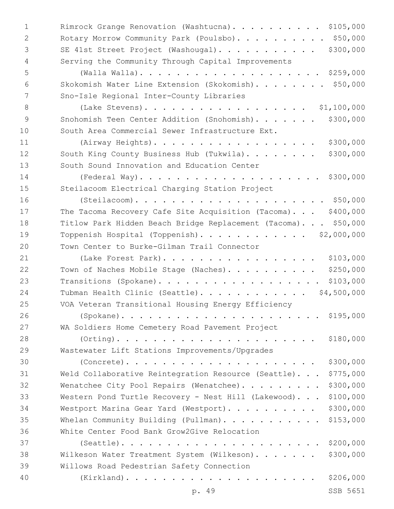| $\mathbf{1}$ | Rimrock Grange Renovation (Washtucna). \$105,000                  |
|--------------|-------------------------------------------------------------------|
| 2            | Rotary Morrow Community Park (Poulsbo). \$50,000                  |
| 3            | \$300,000<br>SE 41st Street Project (Washougal).                  |
| 4            | Serving the Community Through Capital Improvements                |
| 5            |                                                                   |
| 6            | Skokomish Water Line Extension (Skokomish). \$50,000              |
| 7            | Sno-Isle Regional Inter-County Libraries                          |
| 8            | (Lake Stevens).<br>\$1,100,000                                    |
| 9            | \$300,000<br>Snohomish Teen Center Addition (Snohomish).          |
| 10           | South Area Commercial Sewer Infrastructure Ext.                   |
| 11           | \$300,000<br>(Airway Heights).                                    |
| 12           | South King County Business Hub (Tukwila).<br>\$300,000            |
| 13           | South Sound Innovation and Education Center                       |
| 14           | \$300,000                                                         |
| 15           | Steilacoom Electrical Charging Station Project                    |
| 16           | $(Steilacoom)$                                                    |
| 17           | The Tacoma Recovery Cafe Site Acquisition (Tacoma). \$400,000     |
| 18           | Titlow Park Hidden Beach Bridge Replacement (Tacoma). \$50,000    |
| 19           | Toppenish Hospital (Toppenish). \$2,000,000                       |
| 20           | Town Center to Burke-Gilman Trail Connector                       |
| 21           | \$103,000<br>(Lake Forest Park).                                  |
| 22           | \$250,000<br>Town of Naches Mobile Stage (Naches).                |
| 23           | \$103,000<br>Transitions (Spokane).                               |
| 24           | Tubman Health Clinic (Seattle).<br>\$4,500,000                    |
| 25           | VOA Veteran Transitional Housing Energy Efficiency                |
| 26           | \$195,000                                                         |
| 27           | WA Soldiers Home Cemetery Road Pavement Project                   |
| 28           | $(Orting)$<br>\$180,000                                           |
| 29           | Wastewater Lift Stations Improvements/Upgrades                    |
| 30           | \$300,000<br>$(Concrete)$                                         |
| 31           | \$775,000<br>Weld Collaborative Reintegration Resource (Seattle). |
| 32           | \$300,000<br>Wenatchee City Pool Repairs (Wenatchee).             |
| 33           | \$100,000<br>Western Pond Turtle Recovery - Nest Hill (Lakewood). |
| 34           | \$300,000<br>Westport Marina Gear Yard (Westport).                |
| 35           | \$153,000<br>Whelan Community Building (Pullman).                 |
| 36           | White Center Food Bank Grow2Give Relocation                       |
| 37           | $(Seattle)$<br>\$200,000                                          |
| 38           | \$300,000<br>Wilkeson Water Treatment System (Wilkeson).          |
| 39           | Willows Road Pedestrian Safety Connection                         |
| 40           | \$206,000                                                         |
|              | SSB 5651<br>p. 49                                                 |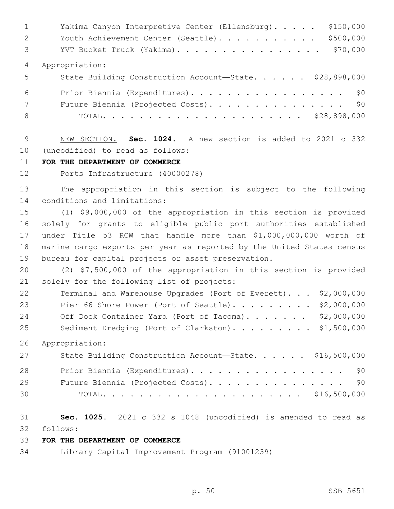|                 | \$150,000<br>Yakima Canyon Interpretive Center (Ellensburg). |
|-----------------|--------------------------------------------------------------|
| 2               | \$500,000<br>Youth Achievement Center (Seattle).             |
| $\mathcal{S}$   | \$70,000<br>YVT Bucket Truck (Yakima).                       |
| $\overline{4}$  | Appropriation:                                               |
| 5 <sup>5</sup>  | State Building Construction Account-State. \$28,898,000      |
| 6               | Prior Biennia (Expenditures). \$0                            |
| $7\overline{ }$ | Future Biennia (Projected Costs). \$0                        |
| 8               |                                                              |

 NEW SECTION. **Sec. 1024.** A new section is added to 2021 c 332 10 (uncodified) to read as follows:

#### **FOR THE DEPARTMENT OF COMMERCE**

Ports Infrastructure (40000278)

 The appropriation in this section is subject to the following 14 conditions and limitations:

 (1) \$9,000,000 of the appropriation in this section is provided solely for grants to eligible public port authorities established under Title 53 RCW that handle more than \$1,000,000,000 worth of marine cargo exports per year as reported by the United States census bureau for capital projects or asset preservation.

 (2) \$7,500,000 of the appropriation in this section is provided 21 solely for the following list of projects:

| 22 | Terminal and Warehouse Upgrades (Port of Everett). \$2,000,000 |  |
|----|----------------------------------------------------------------|--|
| 23 | Pier 66 Shore Power (Port of Seattle) $92,000,000$             |  |
| 24 | Off Dock Container Yard (Port of Tacoma) $92,000,000$          |  |
| 25 | Sediment Dredging (Port of Clarkston). \$1,500,000             |  |

Appropriation:

| 27 | State Building Construction Account-State. \$16,500,000 |
|----|---------------------------------------------------------|
| 28 | Prior Biennia (Expenditures). \$0                       |
| 29 | Future Biennia (Projected Costs). \$0                   |
| 30 |                                                         |

 **Sec. 1025.** 2021 c 332 s 1048 (uncodified) is amended to read as follows: 32

#### **FOR THE DEPARTMENT OF COMMERCE**

Library Capital Improvement Program (91001239)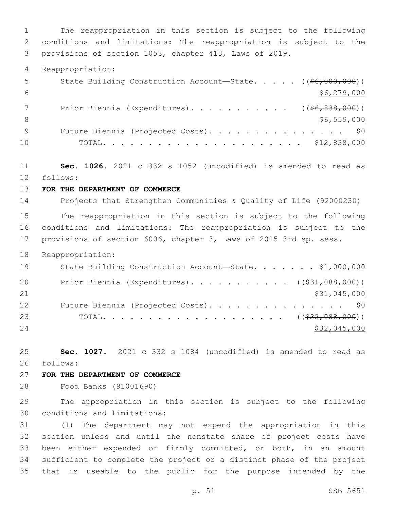The reappropriation in this section is subject to the following conditions and limitations: The reappropriation is subject to the provisions of section 1053, chapter 413, Laws of 2019. Reappropriation: 5 State Building Construction Account—State. . . . . ((\$6,000,000))  $$6,279,000$ 7 Prior Biennia (Expenditures). . . . . . . . . . ((\$6,838,000))  $\frac{1}{56,559,000}$ 9 Future Biennia (Projected Costs). . . . . . . . . . . . . . \$0 TOTAL. . . . . . . . . . . . . . . . . . . . . . \$12,838,000 **Sec. 1026.** 2021 c 332 s 1052 (uncodified) is amended to read as follows: 12 **FOR THE DEPARTMENT OF COMMERCE** Projects that Strengthen Communities & Quality of Life (92000230) The reappropriation in this section is subject to the following conditions and limitations: The reappropriation is subject to the provisions of section 6006, chapter 3, Laws of 2015 3rd sp. sess. Reappropriation: 19 State Building Construction Account-State. . . . . . \$1,000,000 20 Prior Biennia (Expenditures). . . . . . . . . . ((\$31,088,000)) 21 \$31,045,000 22 Future Biennia (Projected Costs). . . . . . . . . . . . . . \$0 TOTAL. . . . . . . . . . . . . . . . . . . . ((\$32,088,000)) 24 \$32,045,000 **Sec. 1027.** 2021 c 332 s 1084 (uncodified) is amended to read as follows: 26 **FOR THE DEPARTMENT OF COMMERCE** Food Banks (91001690) The appropriation in this section is subject to the following 30 conditions and limitations: (1) The department may not expend the appropriation in this section unless and until the nonstate share of project costs have been either expended or firmly committed, or both, in an amount sufficient to complete the project or a distinct phase of the project that is useable to the public for the purpose intended by the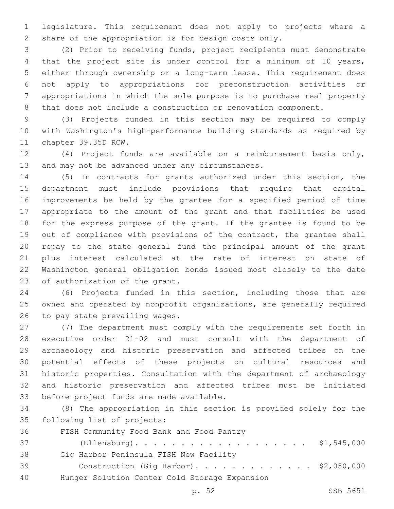legislature. This requirement does not apply to projects where a share of the appropriation is for design costs only.

 (2) Prior to receiving funds, project recipients must demonstrate that the project site is under control for a minimum of 10 years, either through ownership or a long-term lease. This requirement does not apply to appropriations for preconstruction activities or appropriations in which the sole purpose is to purchase real property that does not include a construction or renovation component.

 (3) Projects funded in this section may be required to comply with Washington's high-performance building standards as required by 11 chapter 39.35D RCW.

 (4) Project funds are available on a reimbursement basis only, 13 and may not be advanced under any circumstances.

 (5) In contracts for grants authorized under this section, the department must include provisions that require that capital improvements be held by the grantee for a specified period of time appropriate to the amount of the grant and that facilities be used for the express purpose of the grant. If the grantee is found to be out of compliance with provisions of the contract, the grantee shall repay to the state general fund the principal amount of the grant plus interest calculated at the rate of interest on state of Washington general obligation bonds issued most closely to the date 23 of authorization of the grant.

 (6) Projects funded in this section, including those that are owned and operated by nonprofit organizations, are generally required 26 to pay state prevailing wages.

 (7) The department must comply with the requirements set forth in executive order 21-02 and must consult with the department of archaeology and historic preservation and affected tribes on the potential effects of these projects on cultural resources and historic properties. Consultation with the department of archaeology and historic preservation and affected tribes must be initiated 33 before project funds are made available.

 (8) The appropriation in this section is provided solely for the 35 following list of projects:

36 FISH Community Food Bank and Food Pantry

 (Ellensburg). . . . . . . . . . . . . . . . . . . \$1,545,000 38 Gig Harbor Peninsula FISH New Facility Construction (Gig Harbor). . . . . . . . . . . . . \$2,050,000 Hunger Solution Center Cold Storage Expansion40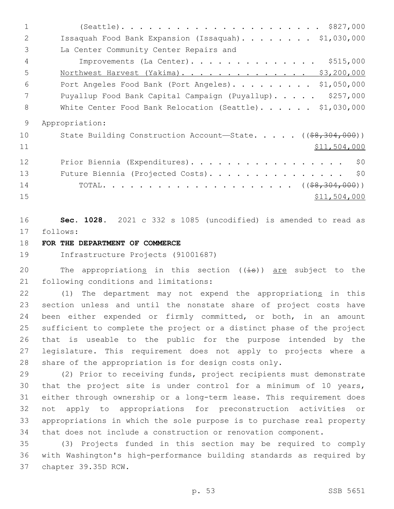(Seattle). . . . . . . . . . . . . . . . . . . . . . \$827,000 Issaquah Food Bank Expansion (Issaquah). . . . . . . . \$1,030,000 3 La Center Community Center Repairs and Improvements (La Center). . . . . . . . . . . . . . \$515,000 5 Northwest Harvest (Yakima). . . . . . . . . . . . . . \$3,200,000 Port Angeles Food Bank (Port Angeles). . . . . . . . . \$1,050,000 7 Puyallup Food Bank Capital Campaign (Puyallup)..... \$257,000 8 White Center Food Bank Relocation (Seattle). . . . . \$1,030,000 Appropriation: 10 State Building Construction Account—State. . . . . ((\$8,304,000)) \$11,504,000 12 Prior Biennia (Expenditures). . . . . . . . . . . . . . . . \$0 13 Future Biennia (Projected Costs). . . . . . . . . . . . . . \$0 TOTAL. . . . . . . . . . . . . . . . . . . . . ((\$8,304,000))  $\frac{$11,504,000}{ }$ 

 **Sec. 1028.** 2021 c 332 s 1085 (uncodified) is amended to read as follows: 17

# **FOR THE DEPARTMENT OF COMMERCE**

Infrastructure Projects (91001687)

20 The appropriations in this section  $((\pm s))$  are subject to the 21 following conditions and limitations:

22 (1) The department may not expend the appropriations in this section unless and until the nonstate share of project costs have been either expended or firmly committed, or both, in an amount sufficient to complete the project or a distinct phase of the project that is useable to the public for the purpose intended by the legislature. This requirement does not apply to projects where a share of the appropriation is for design costs only.

 (2) Prior to receiving funds, project recipients must demonstrate that the project site is under control for a minimum of 10 years, either through ownership or a long-term lease. This requirement does not apply to appropriations for preconstruction activities or appropriations in which the sole purpose is to purchase real property that does not include a construction or renovation component.

 (3) Projects funded in this section may be required to comply with Washington's high-performance building standards as required by 37 chapter 39.35D RCW.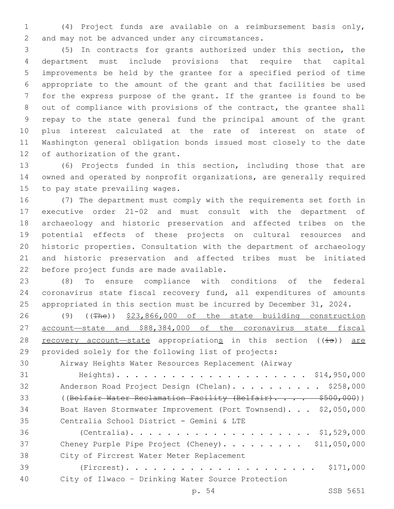(4) Project funds are available on a reimbursement basis only, 2 and may not be advanced under any circumstances.

 (5) In contracts for grants authorized under this section, the department must include provisions that require that capital improvements be held by the grantee for a specified period of time appropriate to the amount of the grant and that facilities be used for the express purpose of the grant. If the grantee is found to be out of compliance with provisions of the contract, the grantee shall repay to the state general fund the principal amount of the grant plus interest calculated at the rate of interest on state of Washington general obligation bonds issued most closely to the date 12 of authorization of the grant.

 (6) Projects funded in this section, including those that are owned and operated by nonprofit organizations, are generally required 15 to pay state prevailing wages.

 (7) The department must comply with the requirements set forth in executive order 21-02 and must consult with the department of archaeology and historic preservation and affected tribes on the potential effects of these projects on cultural resources and historic properties. Consultation with the department of archaeology and historic preservation and affected tribes must be initiated 22 before project funds are made available.

 (8) To ensure compliance with conditions of the federal coronavirus state fiscal recovery fund, all expenditures of amounts appropriated in this section must be incurred by December 31, 2024.

 (9) ((The)) \$23,866,000 of the state building construction account—state and \$88,384,000 of the coronavirus state fiscal 28 recovery account—state appropriations in this section  $((\frac{1}{15}))$  are provided solely for the following list of projects:

Airway Heights Water Resources Replacement (Airway

 Heights). . . . . . . . . . . . . . . . . . . . . \$14,950,000 32 Anderson Road Project Design (Chelan). . . . . . . . . \$258,000 33 ((Belfair Water Reclamation Facility (Belfair).... \$500,000)) Boat Haven Stormwater Improvement (Port Townsend). . . \$2,050,000 35 Centralia School District - Gemini & LTE (Centralia). . . . . . . . . . . . . . . . . . . . \$1,529,000 37 Cheney Purple Pipe Project (Cheney). . . . . . . . \$11,050,000 38 City of Fircrest Water Meter Replacement (Fircrest). . . . . . . . . . . . . . . . . . . . . \$171,000 City of Ilwaco – Drinking Water Source Protection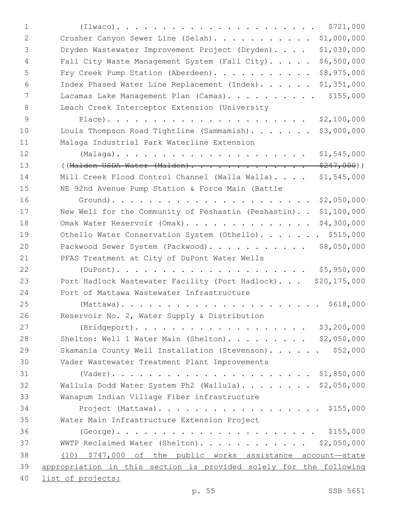| 1  | \$721,000<br>$(Ilwaco)$                                            |
|----|--------------------------------------------------------------------|
| 2  | \$1,000,000<br>Crusher Canyon Sewer Line (Selah).                  |
| 3  | \$1,030,000<br>Dryden Wastewater Improvement Project (Dryden).     |
| 4  | \$6,500,000<br>Fall City Waste Management System (Fall City).      |
| 5  | \$8,975,000<br>Fry Creek Pump Station (Aberdeen).                  |
| 6  | \$1,351,000<br>Index Phased Water Line Replacement (Index).        |
| 7  | \$155,000<br>Lacamas Lake Management Plan (Camas).                 |
| 8  | Leach Creek Interceptor Extension (University                      |
| 9  | \$2,100,000                                                        |
| 10 | Louis Thompson Road Tightline (Sammamish).<br>\$3,000,000          |
| 11 | Malaga Industrial Park Waterline Extension                         |
| 12 | \$1,545,000                                                        |
| 13 | $$247,000)$ )<br>((Malden USDA Water (Malden).                     |
| 14 | Mill Creek Flood Control Channel (Walla Walla)<br>\$1,545,000      |
| 15 | NE 92nd Avenue Pump Station & Force Main (Battle                   |
| 16 | \$2,050,000                                                        |
| 17 | New Well for the Community of Peshastin (Peshastin)<br>\$1,100,000 |
| 18 | \$4,300,000<br>Omak Water Reservoir (Omak).                        |
| 19 | Othello Water Conservation System (Othello). \$515,000             |
| 20 | \$8,050,000<br>Packwood Sewer System (Packwood).                   |
| 21 | PFAS Treatment at City of DuPont Water Wells                       |
| 22 | \$5,950,000                                                        |
| 23 | Port Hadlock Wastewater Facility (Port Hadlock) \$20,175,000       |
| 24 | Port of Mattawa Wastewater Infrastructure                          |
| 25 |                                                                    |
| 26 | Reservoir No. 2, Water Supply & Distribution                       |
| 27 |                                                                    |
| 28 | Shelton: Well 1 Water Main (Shelton). \$2,050,000                  |
| 29 | Skamania County Well Installation (Stevenson). \$52,000            |
| 30 | Vader Wastewater Treatment Plant Improvements                      |
| 31 |                                                                    |
| 32 | Wallula Dodd Water System Ph2 (Wallula). \$2,050,000               |
| 33 | Wanapum Indian Village Fiber infrastructure                        |
| 34 | Project (Mattawa). \$155,000                                       |
| 35 | Water Main Infrastructure Extension Project                        |
| 36 |                                                                    |
| 37 | WWTP Reclaimed Water (Shelton). \$2,050,000                        |
| 38 | (10) \$747,000 of the public works assistance account-state        |
| 39 | appropriation in this section is provided solely for the following |
| 40 | list of projects:                                                  |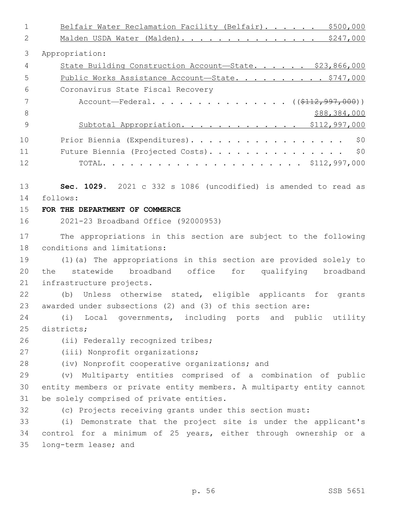1 Belfair Water Reclamation Facility (Belfair). . . . . . \$500,000 2 Malden USDA Water (Malden). . . . . . . . . . . . . . \$247,000 3 Appropriation: 4 State Building Construction Account—State. . . . . \$23,866,000 5 Public Works Assistance Account—State. . . . . . . . . \$747,000 Coronavirus State Fiscal Recovery6 7 Account—Federal. . . . . . . . . . . . . . ((\$112,997,000)) 8 \$88,384,000 9 Subtotal Appropriation. . . . . . . . . . . . \$112,997,000 10 Prior Biennia (Expenditures). . . . . . . . . . . . . . . . . \$0 11 Future Biennia (Projected Costs). . . . . . . . . . . . . . \$0 12 TOTAL. . . . . . . . . . . . . . . . . . . . . . \$112,997,000 13 **Sec. 1029.** 2021 c 332 s 1086 (uncodified) is amended to read as follows: 14 15 **FOR THE DEPARTMENT OF COMMERCE** 16 2021-23 Broadband Office (92000953) 17 The appropriations in this section are subject to the following 18 conditions and limitations: 19 (1)(a) The appropriations in this section are provided solely to 20 the statewide broadband office for qualifying broadband 21 infrastructure projects. 22 (b) Unless otherwise stated, eligible applicants for grants 23 awarded under subsections (2) and (3) of this section are: 24 (i) Local governments, including ports and public utility 25 districts: 26 (ii) Federally recognized tribes; 27 (iii) Nonprofit organizations; 28 (iv) Nonprofit cooperative organizations; and 29 (v) Multiparty entities comprised of a combination of public 30 entity members or private entity members. A multiparty entity cannot 31 be solely comprised of private entities. 32 (c) Projects receiving grants under this section must: 33 (i) Demonstrate that the project site is under the applicant's 34 control for a minimum of 25 years, either through ownership or a 35 long-term lease; and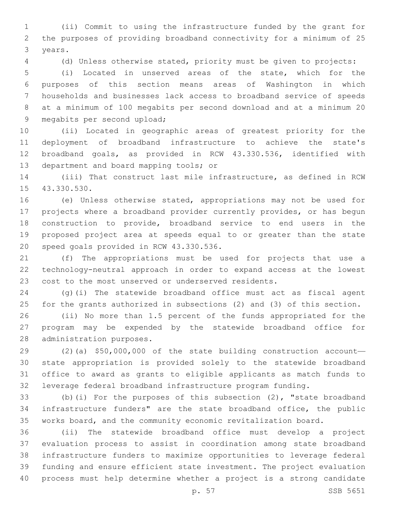(ii) Commit to using the infrastructure funded by the grant for the purposes of providing broadband connectivity for a minimum of 25 3 years.

(d) Unless otherwise stated, priority must be given to projects:

 (i) Located in unserved areas of the state, which for the purposes of this section means areas of Washington in which households and businesses lack access to broadband service of speeds at a minimum of 100 megabits per second download and at a minimum 20 9 megabits per second upload;

 (ii) Located in geographic areas of greatest priority for the deployment of broadband infrastructure to achieve the state's broadband goals, as provided in RCW 43.330.536, identified with 13 department and board mapping tools; or

 (iii) That construct last mile infrastructure, as defined in RCW 15 43.330.530.

 (e) Unless otherwise stated, appropriations may not be used for projects where a broadband provider currently provides, or has begun construction to provide, broadband service to end users in the proposed project area at speeds equal to or greater than the state 20 speed goals provided in RCW 43.330.536.

 (f) The appropriations must be used for projects that use a technology-neutral approach in order to expand access at the lowest cost to the most unserved or underserved residents.

 (g)(i) The statewide broadband office must act as fiscal agent for the grants authorized in subsections (2) and (3) of this section.

 (ii) No more than 1.5 percent of the funds appropriated for the program may be expended by the statewide broadband office for 28 administration purposes.

 (2)(a) \$50,000,000 of the state building construction account— state appropriation is provided solely to the statewide broadband office to award as grants to eligible applicants as match funds to leverage federal broadband infrastructure program funding.

 (b)(i) For the purposes of this subsection (2), "state broadband infrastructure funders" are the state broadband office, the public works board, and the community economic revitalization board.

 (ii) The statewide broadband office must develop a project evaluation process to assist in coordination among state broadband infrastructure funders to maximize opportunities to leverage federal funding and ensure efficient state investment. The project evaluation process must help determine whether a project is a strong candidate

p. 57 SSB 5651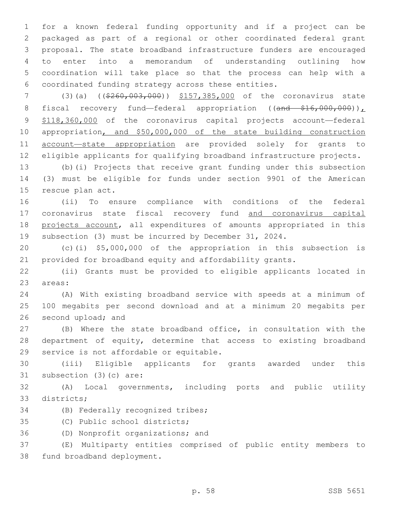for a known federal funding opportunity and if a project can be packaged as part of a regional or other coordinated federal grant proposal. The state broadband infrastructure funders are encouraged to enter into a memorandum of understanding outlining how coordination will take place so that the process can help with a coordinated funding strategy across these entities.

7 (3)(a) ((\$260,003,000)) \$157,385,000 of the coronavirus state 8 fiscal recovery fund—federal appropriation ((and \$16,000,000)), \$118,360,000 of the coronavirus capital projects account—federal appropriation, and \$50,000,000 of the state building construction account—state appropriation are provided solely for grants to eligible applicants for qualifying broadband infrastructure projects.

 (b)(i) Projects that receive grant funding under this subsection (3) must be eligible for funds under section 9901 of the American 15 rescue plan act.

 (ii) To ensure compliance with conditions of the federal 17 coronavirus state fiscal recovery fund and coronavirus capital projects account, all expenditures of amounts appropriated in this subsection (3) must be incurred by December 31, 2024.

 (c)(i) \$5,000,000 of the appropriation in this subsection is provided for broadband equity and affordability grants.

 (ii) Grants must be provided to eligible applicants located in 23 areas:

 (A) With existing broadband service with speeds at a minimum of 100 megabits per second download and at a minimum 20 megabits per 26 second upload; and

 (B) Where the state broadband office, in consultation with the department of equity, determine that access to existing broadband 29 service is not affordable or equitable.

 (iii) Eligible applicants for grants awarded under this 31 subsection (3)(c) are:

 (A) Local governments, including ports and public utility 33 districts;

34 (B) Federally recognized tribes;

35 (C) Public school districts;

36 (D) Nonprofit organizations; and

 (E) Multiparty entities comprised of public entity members to 38 fund broadband deployment.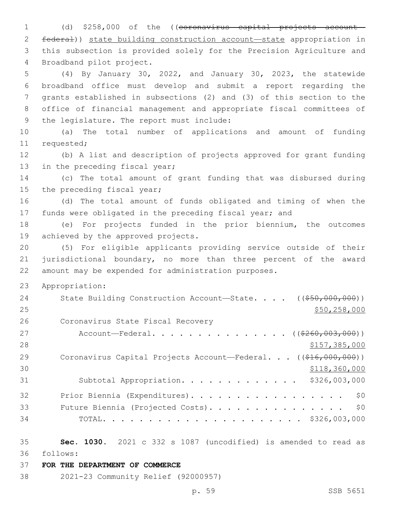1 (d) \$258,000 of the ((coronavirus capital projects account 2 federal)) state building construction account—state appropriation in 3 this subsection is provided solely for the Precision Agriculture and 4 Broadband pilot project.

 (4) By January 30, 2022, and January 30, 2023, the statewide broadband office must develop and submit a report regarding the grants established in subsections (2) and (3) of this section to the office of financial management and appropriate fiscal committees of 9 the legislature. The report must include:

10 (a) The total number of applications and amount of funding 11 requested;

12 (b) A list and description of projects approved for grant funding 13 in the preceding fiscal year;

14 (c) The total amount of grant funding that was disbursed during 15 the preceding fiscal year;

16 (d) The total amount of funds obligated and timing of when the 17 funds were obligated in the preceding fiscal year; and

18 (e) For projects funded in the prior biennium, the outcomes 19 achieved by the approved projects.

20 (5) For eligible applicants providing service outside of their 21 jurisdictional boundary, no more than three percent of the award 22 amount may be expended for administration purposes.

23 Appropriation:

| 24 | State Building Construction Account-State. $($ $($ $\frac{650}{600}, 000)$ $)$ |
|----|--------------------------------------------------------------------------------|
| 25 | \$50,258,000                                                                   |
| 26 | Coronavirus State Fiscal Recovery                                              |
| 27 | Account—Federal. ( $(\frac{2260,003,000)}{200,000,000}$ )                      |
| 28 | \$157,385,000                                                                  |
| 29 | Coronavirus Capital Projects Account—Federal. $((\frac{216}{616}, 000, 000))$  |
| 30 | \$118,360,000                                                                  |
| 31 | Subtotal Appropriation. \$326,003,000                                          |
| 32 | \$0<br>Prior Biennia (Expenditures).                                           |
| 33 | \$0<br>Future Biennia (Projected Costs).                                       |
| 34 |                                                                                |

35 **Sec. 1030.** 2021 c 332 s 1087 (uncodified) is amended to read as follows: 36

37 **FOR THE DEPARTMENT OF COMMERCE**

38 2021-23 Community Relief (92000957)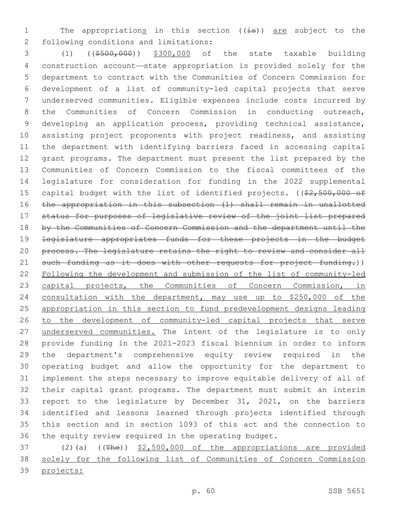1 The appropriations in this section ((is)) are subject to the 2 following conditions and limitations:

 (1) ((\$500,000)) \$300,000 of the state taxable building construction account—state appropriation is provided solely for the department to contract with the Communities of Concern Commission for development of a list of community-led capital projects that serve underserved communities. Eligible expenses include costs incurred by the Communities of Concern Commission in conducting outreach, developing an application process, providing technical assistance, assisting project proponents with project readiness, and assisting the department with identifying barriers faced in accessing capital grant programs. The department must present the list prepared by the Communities of Concern Commission to the fiscal committees of the legislature for consideration for funding in the 2022 supplemental 15 capital budget with the list of identified projects. ((\$2,500,000 of the appropriation in this subsection (1) shall remain in unallotted status for purposes of legislative review of the joint list prepared 18 by the Communities of Concern Commission and the department until the legislature appropriates funds for these projects in the budget 20 process. The legislature retains the right to review and consider all 21 such funding as it does with other requests for project funding.)) Following the development and submission of the list of community-led 23 capital projects, the Communities of Concern Commission, in consultation with the department, may use up to \$250,000 of the appropriation in this section to fund predevelopment designs leading to the development of community-led capital projects that serve 27 underserved communities. The intent of the legislature is to only provide funding in the 2021-2023 fiscal biennium in order to inform the department's comprehensive equity review required in the operating budget and allow the opportunity for the department to implement the steps necessary to improve equitable delivery of all of their capital grant programs. The department must submit an interim report to the legislature by December 31, 2021, on the barriers identified and lessons learned through projects identified through this section and in section 1093 of this act and the connection to the equity review required in the operating budget.

37 (2)(a) ((The)) \$2,500,000 of the appropriations are provided solely for the following list of Communities of Concern Commission projects: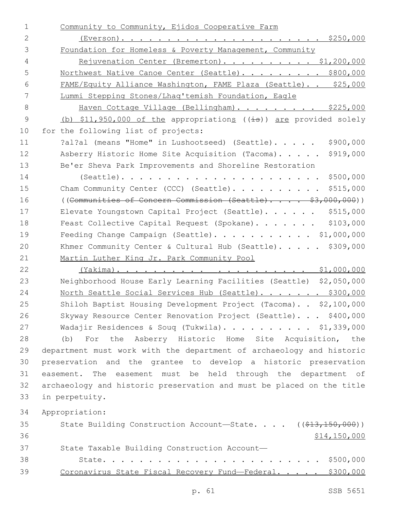| $\mathbf 1$    | Community to Community, Ejidos Cooperative Farm                       |
|----------------|-----------------------------------------------------------------------|
| $\mathbf{2}$   |                                                                       |
| 3              | Foundation for Homeless & Poverty Management, Community               |
| $\overline{4}$ | Rejuvenation Center (Bremerton). \$1,200,000                          |
| 5              | Northwest Native Canoe Center (Seattle). \$800,000                    |
| 6              | FAME/Equity Alliance Washington, FAME Plaza (Seattle). . \$25,000     |
| 7              | Lummi Stepping Stones/Lhaq'temish Foundation, Eagle                   |
| 8              | Haven Cottage Village (Bellingham). \$225,000                         |
| $\mathsf 9$    | (b) \$11,950,000 of the appropriations ((is)) are provided solely     |
| 10             | for the following list of projects:                                   |
| 11             | \$900,000<br>?al?al (means "Home" in Lushootseed) (Seattle).          |
| 12             | Asberry Historic Home Site Acquisition (Tacoma).<br>\$919,000         |
| 13             | Be'er Sheva Park Improvements and Shoreline Restoration               |
| 14             | $(Seattle)$<br>\$500,000                                              |
| 15             | \$515,000<br>Cham Community Center (CCC) (Seattle).                   |
| 16             | ((Communities of Concern Commission (Seattle) \$3,000,000))           |
| 17             | \$515,000<br>Elevate Youngstown Capital Project (Seattle).            |
| 18             | \$103,000<br>Feast Collective Capital Request (Spokane).              |
| 19             | Feeding Change Campaign (Seattle). \$1,000,000                        |
| 20             | Khmer Community Center & Cultural Hub (Seattle). \$309,000            |
| 21             | Martin Luther King Jr. Park Community Pool                            |
| 22             |                                                                       |
| 23             | Neighborhood House Early Learning Facilities (Seattle) \$2,050,000    |
| 24             | North Seattle Social Services Hub (Seattle). \$300,000                |
| 25             | Shiloh Baptist Housing Development Project (Tacoma). . \$2,100,000    |
| 26             | Skyway Resource Center Renovation Project (Seattle). \$400,000        |
| 27             | Wadajir Residences & Soug (Tukwila). \$1,339,000                      |
| 28             | (b) For the Asberry Historic Home Site Acquisition, the               |
| 29             | department must work with the department of archaeology and historic  |
| 30             | preservation and the grantee to develop a historic preservation       |
| 31             | easement. The easement must be held through the department of         |
| 32             | archaeology and historic preservation and must be placed on the title |
| 33             | in perpetuity.                                                        |
| 34             | Appropriation:                                                        |
| 35             | State Building Construction Account-State. ((\$13,150,000))           |
| 36             | \$14,150,000                                                          |
| 37             | State Taxable Building Construction Account-                          |
| 38             |                                                                       |
| 39             | Coronavirus State Fiscal Recovery Fund-Federal. \$300,000             |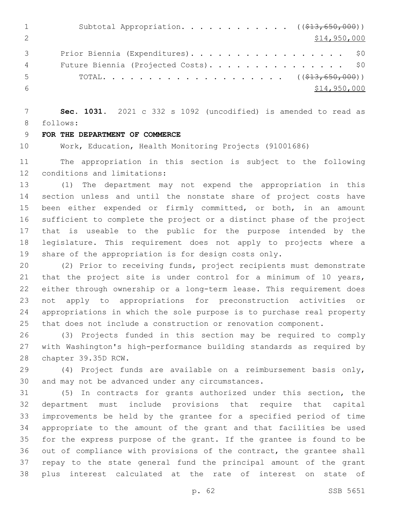|    | Subtotal Appropriation. ( $(\frac{13}{613}, 650, 000)$ ) |
|----|----------------------------------------------------------|
|    | \$14,950,000                                             |
|    | Prior Biennia (Expenditures). \$0                        |
| 4  | Future Biennia (Projected Costs). \$0                    |
| h. |                                                          |
|    | \$14,950,000                                             |

 **Sec. 1031.** 2021 c 332 s 1092 (uncodified) is amended to read as 8 follows:

## **FOR THE DEPARTMENT OF COMMERCE**

Work, Education, Health Monitoring Projects (91001686)

 The appropriation in this section is subject to the following 12 conditions and limitations:

 (1) The department may not expend the appropriation in this section unless and until the nonstate share of project costs have been either expended or firmly committed, or both, in an amount sufficient to complete the project or a distinct phase of the project that is useable to the public for the purpose intended by the legislature. This requirement does not apply to projects where a share of the appropriation is for design costs only.

 (2) Prior to receiving funds, project recipients must demonstrate 21 that the project site is under control for a minimum of 10 years, either through ownership or a long-term lease. This requirement does not apply to appropriations for preconstruction activities or appropriations in which the sole purpose is to purchase real property that does not include a construction or renovation component.

 (3) Projects funded in this section may be required to comply with Washington's high-performance building standards as required by 28 chapter 39.35D RCW.

 (4) Project funds are available on a reimbursement basis only, 30 and may not be advanced under any circumstances.

 (5) In contracts for grants authorized under this section, the department must include provisions that require that capital improvements be held by the grantee for a specified period of time appropriate to the amount of the grant and that facilities be used for the express purpose of the grant. If the grantee is found to be out of compliance with provisions of the contract, the grantee shall repay to the state general fund the principal amount of the grant plus interest calculated at the rate of interest on state of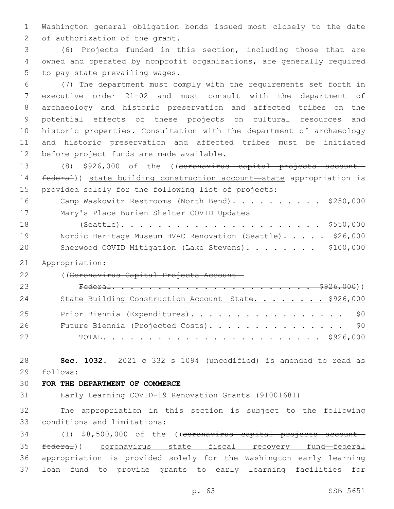Washington general obligation bonds issued most closely to the date 2 of authorization of the grant.

 (6) Projects funded in this section, including those that are owned and operated by nonprofit organizations, are generally required 5 to pay state prevailing wages.

 (7) The department must comply with the requirements set forth in executive order 21-02 and must consult with the department of archaeology and historic preservation and affected tribes on the potential effects of these projects on cultural resources and historic properties. Consultation with the department of archaeology and historic preservation and affected tribes must be initiated 12 before project funds are made available.

 (8) \$926,000 of the ((coronavirus capital projects account— federal)) state building construction account—state appropriation is provided solely for the following list of projects: 16 Camp Waskowitz Restrooms (North Bend). . . . . . . . . \$250,000

17 Mary's Place Burien Shelter COVID Updates (Seattle). . . . . . . . . . . . . . . . . . . . . . \$550,000 19 Nordic Heritage Museum HVAC Renovation (Seattle)..... \$26,000 20 Sherwood COVID Mitigation (Lake Stevens). . . . . . . \$100,000

Appropriation:

((Coronavirus Capital Projects Account—

| 23 |                                                      |  |
|----|------------------------------------------------------|--|
| 24 | State Building Construction Account-State. \$926,000 |  |
| 25 | Prior Biennia (Expenditures). \$0                    |  |
| 26 | Future Biennia (Projected Costs). \$0                |  |
| 27 |                                                      |  |

 **Sec. 1032.** 2021 c 332 s 1094 (uncodified) is amended to read as 29 follows:

#### **FOR THE DEPARTMENT OF COMMERCE**

Early Learning COVID-19 Renovation Grants (91001681)

 The appropriation in this section is subject to the following 33 conditions and limitations:

34 (1) \$8,500,000 of the ((coronavirus capital projects account- federal)) coronavirus state fiscal recovery fund—federal appropriation is provided solely for the Washington early learning loan fund to provide grants to early learning facilities for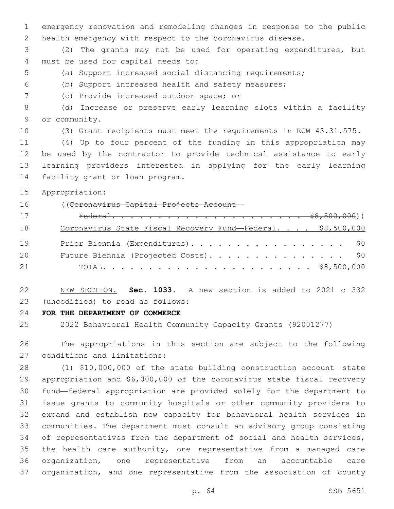emergency renovation and remodeling changes in response to the public health emergency with respect to the coronavirus disease.

 (2) The grants may not be used for operating expenditures, but 4 must be used for capital needs to:

- (a) Support increased social distancing requirements;
- (b) Support increased health and safety measures;
- (c) Provide increased outdoor space; or7

 (d) Increase or preserve early learning slots within a facility 9 or community.

(3) Grant recipients must meet the requirements in RCW 43.31.575.

 (4) Up to four percent of the funding in this appropriation may be used by the contractor to provide technical assistance to early learning providers interested in applying for the early learning 14 facility grant or loan program.

Appropriation:

((Coronavirus Capital Projects Account—

| 17 |                                                             |  |  |
|----|-------------------------------------------------------------|--|--|
| 18 | Coronavirus State Fiscal Recovery Fund-Federal. \$8,500,000 |  |  |
| 19 | Prior Biennia (Expenditures). \$0                           |  |  |
| 20 | Future Biennia (Projected Costs). \$0                       |  |  |
| 21 |                                                             |  |  |

 NEW SECTION. **Sec. 1033.** A new section is added to 2021 c 332 (uncodified) to read as follows: 23

**FOR THE DEPARTMENT OF COMMERCE**

2022 Behavioral Health Community Capacity Grants (92001277)

 The appropriations in this section are subject to the following 27 conditions and limitations:

 (1) \$10,000,000 of the state building construction account—state appropriation and \$6,000,000 of the coronavirus state fiscal recovery fund—federal appropriation are provided solely for the department to issue grants to community hospitals or other community providers to expand and establish new capacity for behavioral health services in communities. The department must consult an advisory group consisting 34 of representatives from the department of social and health services, the health care authority, one representative from a managed care organization, one representative from an accountable care organization, and one representative from the association of county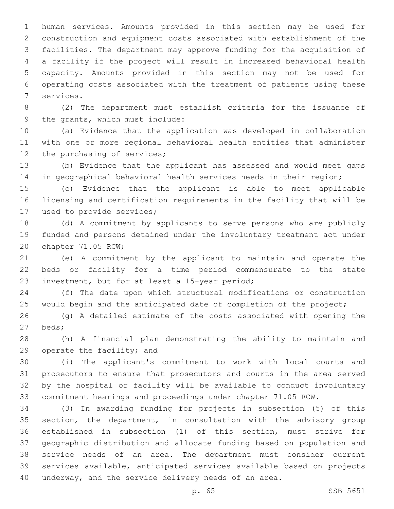human services. Amounts provided in this section may be used for construction and equipment costs associated with establishment of the facilities. The department may approve funding for the acquisition of a facility if the project will result in increased behavioral health capacity. Amounts provided in this section may not be used for operating costs associated with the treatment of patients using these 7 services.

 (2) The department must establish criteria for the issuance of 9 the grants, which must include:

 (a) Evidence that the application was developed in collaboration with one or more regional behavioral health entities that administer 12 the purchasing of services;

 (b) Evidence that the applicant has assessed and would meet gaps in geographical behavioral health services needs in their region;

 (c) Evidence that the applicant is able to meet applicable licensing and certification requirements in the facility that will be 17 used to provide services;

 (d) A commitment by applicants to serve persons who are publicly funded and persons detained under the involuntary treatment act under 20 chapter 71.05 RCW;

 (e) A commitment by the applicant to maintain and operate the beds or facility for a time period commensurate to the state 23 investment, but for at least a 15-year period;

 (f) The date upon which structural modifications or construction 25 would begin and the anticipated date of completion of the project;

 (g) A detailed estimate of the costs associated with opening the beds;27

 (h) A financial plan demonstrating the ability to maintain and 29 operate the facility; and

 (i) The applicant's commitment to work with local courts and prosecutors to ensure that prosecutors and courts in the area served by the hospital or facility will be available to conduct involuntary commitment hearings and proceedings under chapter 71.05 RCW.

 (3) In awarding funding for projects in subsection (5) of this section, the department, in consultation with the advisory group established in subsection (1) of this section, must strive for geographic distribution and allocate funding based on population and service needs of an area. The department must consider current services available, anticipated services available based on projects underway, and the service delivery needs of an area.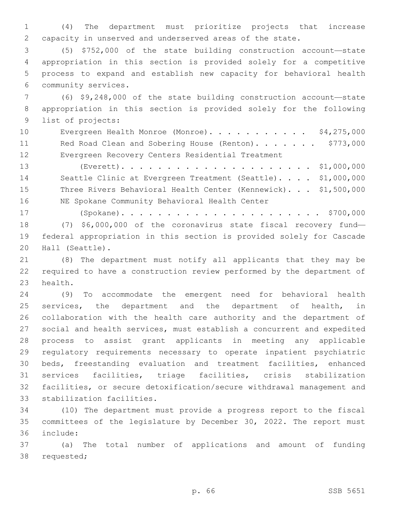(4) The department must prioritize projects that increase capacity in unserved and underserved areas of the state.

 (5) \$752,000 of the state building construction account—state appropriation in this section is provided solely for a competitive process to expand and establish new capacity for behavioral health community services.6

 (6) \$9,248,000 of the state building construction account—state appropriation in this section is provided solely for the following 9 list of projects:

10 Evergreen Health Monroe (Monroe). . . . . . . . . . \$4,275,000 11 Red Road Clean and Sobering House (Renton). . . . . . \$773,000 Evergreen Recovery Centers Residential Treatment

 (Everett). . . . . . . . . . . . . . . . . . . . . \$1,000,000 Seattle Clinic at Evergreen Treatment (Seattle). . . . \$1,000,000 Three Rivers Behavioral Health Center (Kennewick). . . \$1,500,000 16 NE Spokane Community Behavioral Health Center

 (Spokane). . . . . . . . . . . . . . . . . . . . . . \$700,000 (7) \$6,000,000 of the coronavirus state fiscal recovery fund— federal appropriation in this section is provided solely for Cascade 20 Hall (Seattle).

 (8) The department must notify all applicants that they may be required to have a construction review performed by the department of 23 health.

 (9) To accommodate the emergent need for behavioral health 25 services, the department and the department of health, in collaboration with the health care authority and the department of social and health services, must establish a concurrent and expedited process to assist grant applicants in meeting any applicable regulatory requirements necessary to operate inpatient psychiatric beds, freestanding evaluation and treatment facilities, enhanced services facilities, triage facilities, crisis stabilization facilities, or secure detoxification/secure withdrawal management and 33 stabilization facilities.

 (10) The department must provide a progress report to the fiscal committees of the legislature by December 30, 2022. The report must include:36

 (a) The total number of applications and amount of funding 38 requested;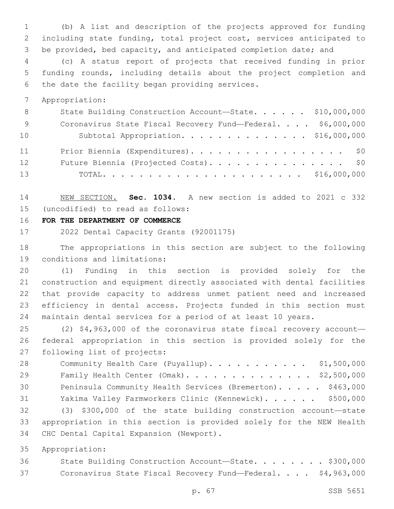(b) A list and description of the projects approved for funding including state funding, total project cost, services anticipated to be provided, bed capacity, and anticipated completion date; and

 (c) A status report of projects that received funding in prior funding rounds, including details about the project completion and 6 the date the facility began providing services.

Appropriation:

| 8 <sup>8</sup> | State Building Construction Account-State. \$10,000,000     |  |
|----------------|-------------------------------------------------------------|--|
| - 9            | Coronavirus State Fiscal Recovery Fund-Federal. \$6,000,000 |  |
| 10             | Subtotal Appropriation. \$16,000,000                        |  |
| 11             | Prior Biennia (Expenditures). \$0                           |  |
| 12             | Future Biennia (Projected Costs). \$0                       |  |
| 13             |                                                             |  |

 NEW SECTION. **Sec. 1034.** A new section is added to 2021 c 332 (uncodified) to read as follows: 15

**FOR THE DEPARTMENT OF COMMERCE**

2022 Dental Capacity Grants (92001175)

 The appropriations in this section are subject to the following 19 conditions and limitations:

 (1) Funding in this section is provided solely for the construction and equipment directly associated with dental facilities that provide capacity to address unmet patient need and increased efficiency in dental access. Projects funded in this section must maintain dental services for a period of at least 10 years.

 (2) \$4,963,000 of the coronavirus state fiscal recovery account— federal appropriation in this section is provided solely for the 27 following list of projects:

28 Community Health Care (Puyallup). . . . . . . . . . \$1,500,000 Family Health Center (Omak). . . . . . . . . . . . . . \$2,500,000 30 Peninsula Community Health Services (Bremerton). . . . . \$463,000 Yakima Valley Farmworkers Clinic (Kennewick). . . . . . \$500,000 (3) \$300,000 of the state building construction account—state appropriation in this section is provided solely for the NEW Health

34 CHC Dental Capital Expansion (Newport).

Appropriation:

 State Building Construction Account—State. . . . . . . . \$300,000 Coronavirus State Fiscal Recovery Fund—Federal. . . . \$4,963,000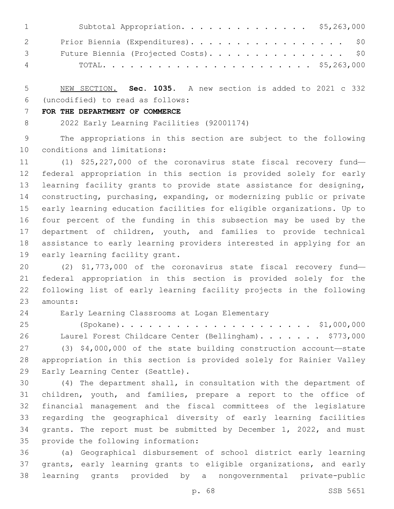| $\mathbf{1}$ and $\mathbf{1}$ and $\mathbf{1}$ | Subtotal Appropriation. \$5,263,000   |
|------------------------------------------------|---------------------------------------|
| $\overline{2}$                                 | Prior Biennia (Expenditures). \$0     |
| $\mathcal{S}$ and $\mathcal{S}$                | Future Biennia (Projected Costs). \$0 |
|                                                | $4\,$                                 |

 NEW SECTION. **Sec. 1035.** A new section is added to 2021 c 332 (uncodified) to read as follows: 6

#### **FOR THE DEPARTMENT OF COMMERCE**

2022 Early Learning Facilities (92001174)

 The appropriations in this section are subject to the following 10 conditions and limitations:

 (1) \$25,227,000 of the coronavirus state fiscal recovery fund— federal appropriation in this section is provided solely for early learning facility grants to provide state assistance for designing, constructing, purchasing, expanding, or modernizing public or private early learning education facilities for eligible organizations. Up to four percent of the funding in this subsection may be used by the department of children, youth, and families to provide technical assistance to early learning providers interested in applying for an 19 early learning facility grant.

 (2) \$1,773,000 of the coronavirus state fiscal recovery fund— federal appropriation in this section is provided solely for the following list of early learning facility projects in the following 23 amounts:

Early Learning Classrooms at Logan Elementary24

 (Spokane). . . . . . . . . . . . . . . . . . . . . \$1,000,000 26 Laurel Forest Childcare Center (Bellingham). . . . . . \$773,000 (3) \$4,000,000 of the state building construction account—state appropriation in this section is provided solely for Rainier Valley 29 Early Learning Center (Seattle).

 (4) The department shall, in consultation with the department of children, youth, and families, prepare a report to the office of financial management and the fiscal committees of the legislature regarding the geographical diversity of early learning facilities grants. The report must be submitted by December 1, 2022, and must 35 provide the following information:

 (a) Geographical disbursement of school district early learning grants, early learning grants to eligible organizations, and early learning grants provided by a nongovernmental private-public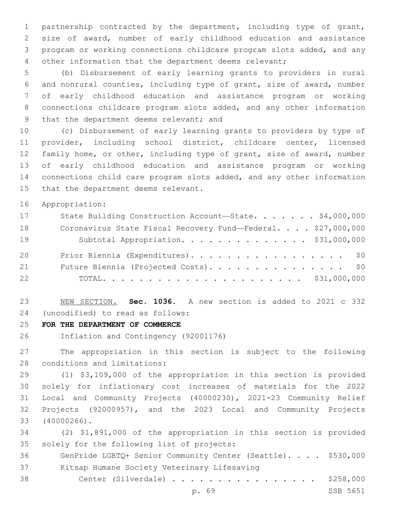partnership contracted by the department, including type of grant, size of award, number of early childhood education and assistance program or working connections childcare program slots added, and any other information that the department deems relevant;

 (b) Disbursement of early learning grants to providers in rural and nonrural counties, including type of grant, size of award, number of early childhood education and assistance program or working connections childcare program slots added, and any other information 9 that the department deems relevant; and

 (c) Disbursement of early learning grants to providers by type of provider, including school district, childcare center, licensed family home, or other, including type of grant, size of award, number of early childhood education and assistance program or working connections child care program slots added, and any other information 15 that the department deems relevant.

Appropriation:

| 17 | State Building Construction Account-State. \$4,000,000       |
|----|--------------------------------------------------------------|
| 18 | Coronavirus State Fiscal Recovery Fund-Federal. \$27,000,000 |
| 19 | Subtotal Appropriation. \$31,000,000                         |
| 20 | Prior Biennia (Expenditures). \$0                            |
| 21 | Future Biennia (Projected Costs). \$0                        |
| 22 |                                                              |

 NEW SECTION. **Sec. 1036.** A new section is added to 2021 c 332 (uncodified) to read as follows: 24

**FOR THE DEPARTMENT OF COMMERCE**

Inflation and Contingency (92001176)

 The appropriation in this section is subject to the following 28 conditions and limitations:

 (1) \$3,109,000 of the appropriation in this section is provided solely for inflationary cost increases of materials for the 2022 Local and Community Projects (40000230), 2021-23 Community Relief Projects (92000957), and the 2023 Local and Community Projects (40000266).33

 (2) \$1,891,000 of the appropriation in this section is provided 35 solely for the following list of projects:

 GenPride LGBTQ+ Senior Community Center (Seattle). . . . \$530,000 37 Kitsap Humane Society Veterinary Lifesaving

Center (Silverdale) . . . . . . . . . . . . . . . . \$258,000

p. 69 SSB 5651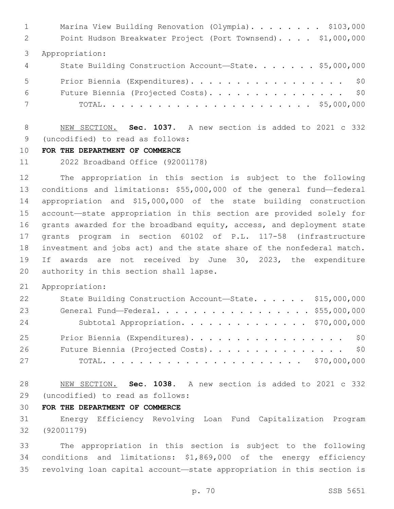1 Marina View Building Renovation (Olympia). . . . . . . \$103,000 Point Hudson Breakwater Project (Port Townsend). . . . \$1,000,000 Appropriation: 4 State Building Construction Account-State. . . . . . \$5,000,000 5 Prior Biennia (Expenditures). . . . . . . . . . . . . . . . \$0 Future Biennia (Projected Costs). . . . . . . . . . . . . . . \$0 TOTAL. . . . . . . . . . . . . . . . . . . . . . . \$5,000,000

 NEW SECTION. **Sec. 1037.** A new section is added to 2021 c 332 9 (uncodified) to read as follows:

#### **FOR THE DEPARTMENT OF COMMERCE**

2022 Broadband Office (92001178)

 The appropriation in this section is subject to the following conditions and limitations: \$55,000,000 of the general fund—federal appropriation and \$15,000,000 of the state building construction account—state appropriation in this section are provided solely for grants awarded for the broadband equity, access, and deployment state grants program in section 60102 of P.L. 117-58 (infrastructure investment and jobs act) and the state share of the nonfederal match. If awards are not received by June 30, 2023, the expenditure 20 authority in this section shall lapse.

Appropriation:

| 22 | State Building Construction Account-State. \$15,000,000 |  |
|----|---------------------------------------------------------|--|
| 23 | General Fund-Federal. \$55,000,000                      |  |
| 24 | Subtotal Appropriation. \$70,000,000                    |  |
| 25 | Prior Biennia (Expenditures). \$0                       |  |
| 26 | Future Biennia (Projected Costs). \$0                   |  |
| 27 |                                                         |  |

 NEW SECTION. **Sec. 1038.** A new section is added to 2021 c 332 (uncodified) to read as follows: 29

## **FOR THE DEPARTMENT OF COMMERCE**

 Energy Efficiency Revolving Loan Fund Capitalization Program (92001179)

 The appropriation in this section is subject to the following conditions and limitations: \$1,869,000 of the energy efficiency revolving loan capital account—state appropriation in this section is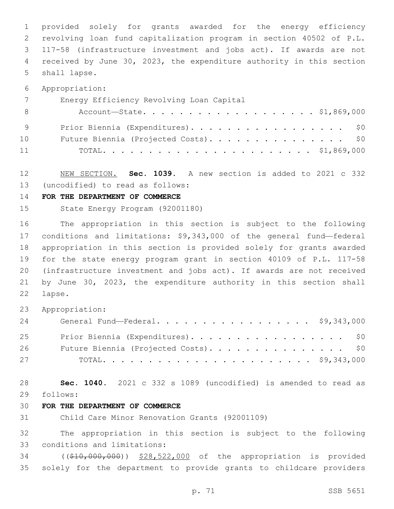provided solely for grants awarded for the energy efficiency revolving loan fund capitalization program in section 40502 of P.L. 117-58 (infrastructure investment and jobs act). If awards are not received by June 30, 2023, the expenditure authority in this section 5 shall lapse.

Appropriation:

| $7\overline{ }$ | Energy Efficiency Revolving Loan Capital |
|-----------------|------------------------------------------|
| - 8             | Account—State. \$1,869,000               |
| - 9             | Prior Biennia (Expenditures). \$0        |
| 10              | Future Biennia (Projected Costs). \$0    |
| 11              |                                          |

 NEW SECTION. **Sec. 1039.** A new section is added to 2021 c 332 (uncodified) to read as follows: 13

#### **FOR THE DEPARTMENT OF COMMERCE**

State Energy Program (92001180)

 The appropriation in this section is subject to the following conditions and limitations: \$9,343,000 of the general fund—federal appropriation in this section is provided solely for grants awarded for the state energy program grant in section 40109 of P.L. 117-58 (infrastructure investment and jobs act). If awards are not received by June 30, 2023, the expenditure authority in this section shall 22 lapse.

Appropriation:

| 24 | General Fund—Federal. \$9,343,000     |  |
|----|---------------------------------------|--|
| 25 | Prior Biennia (Expenditures). \$0     |  |
| 26 | Future Biennia (Projected Costs). \$0 |  |
| 27 |                                       |  |

 **Sec. 1040.** 2021 c 332 s 1089 (uncodified) is amended to read as follows: 29

## **FOR THE DEPARTMENT OF COMMERCE**

Child Care Minor Renovation Grants (92001109)

 The appropriation in this section is subject to the following 33 conditions and limitations:

 ((\$10,000,000)) \$28,522,000 of the appropriation is provided solely for the department to provide grants to childcare providers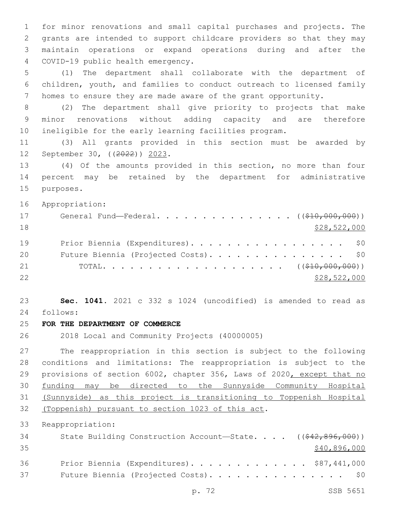for minor renovations and small capital purchases and projects. The grants are intended to support childcare providers so that they may maintain operations or expand operations during and after the COVID-19 public health emergency.4

 (1) The department shall collaborate with the department of children, youth, and families to conduct outreach to licensed family homes to ensure they are made aware of the grant opportunity.

 (2) The department shall give priority to projects that make minor renovations without adding capacity and are therefore ineligible for the early learning facilities program.

 (3) All grants provided in this section must be awarded by 12 September 30, ((2022)) 2023.

 (4) Of the amounts provided in this section, no more than four percent may be retained by the department for administrative 15 purposes.

Appropriation:

| 17 | General Fund—Federal. ( $(\frac{210}{100}, 000, 000)$ ) |
|----|---------------------------------------------------------|
| 18 | \$28,522,000                                            |
| 19 | Prior Biennia (Expenditures). \$0                       |
| 20 | Future Biennia (Projected Costs). \$0                   |
| 21 |                                                         |
| 22 | \$28,522,000                                            |

 **Sec. 1041.** 2021 c 332 s 1024 (uncodified) is amended to read as follows: 24

**FOR THE DEPARTMENT OF COMMERCE**

2018 Local and Community Projects (40000005)

 The reappropriation in this section is subject to the following conditions and limitations: The reappropriation is subject to the provisions of section 6002, chapter 356, Laws of 2020, except that no funding may be directed to the Sunnyside Community Hospital (Sunnyside) as this project is transitioning to Toppenish Hospital 32 (Toppenish) pursuant to section 1023 of this act.

Reappropriation:

| 34 | State Building Construction Account-State. $($ $($ $\frac{642}{62}$ , $896$ , 000)) |
|----|-------------------------------------------------------------------------------------|
| 35 | \$40,896,000                                                                        |
| 36 | Prior Biennia (Expenditures). \$87,441,000                                          |
| 37 | Future Biennia (Projected Costs). \$0                                               |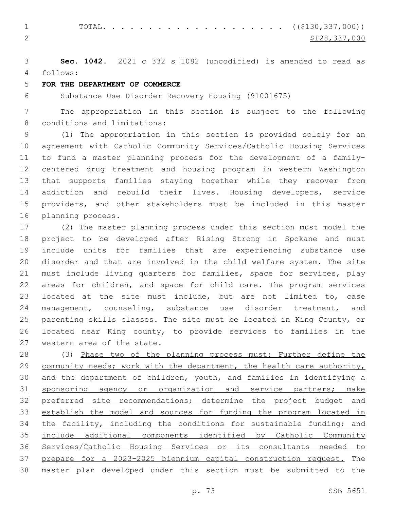1 TOTAL. . . . . . . . . . . . . . . . . . (  $(\frac{2130,337,000}{s})$ 2  $\frac{$128,337,000}{2}$ 

 **Sec. 1042.** 2021 c 332 s 1082 (uncodified) is amended to read as follows: 4

# **FOR THE DEPARTMENT OF COMMERCE**

Substance Use Disorder Recovery Housing (91001675)

 The appropriation in this section is subject to the following 8 conditions and limitations:

 (1) The appropriation in this section is provided solely for an agreement with Catholic Community Services/Catholic Housing Services to fund a master planning process for the development of a family- centered drug treatment and housing program in western Washington that supports families staying together while they recover from addiction and rebuild their lives. Housing developers, service providers, and other stakeholders must be included in this master 16 planning process.

 (2) The master planning process under this section must model the project to be developed after Rising Strong in Spokane and must include units for families that are experiencing substance use disorder and that are involved in the child welfare system. The site must include living quarters for families, space for services, play areas for children, and space for child care. The program services located at the site must include, but are not limited to, case management, counseling, substance use disorder treatment, and parenting skills classes. The site must be located in King County, or located near King county, to provide services to families in the 27 western area of the state.

 (3) Phase two of the planning process must: Further define the 29 community needs; work with the department, the health care authority, and the department of children, youth, and families in identifying a 31 sponsoring agency or organization and service partners; make preferred site recommendations; determine the project budget and establish the model and sources for funding the program located in 34 the facility, including the conditions for sustainable funding; and include additional components identified by Catholic Community Services/Catholic Housing Services or its consultants needed to prepare for a 2023-2025 biennium capital construction request. The master plan developed under this section must be submitted to the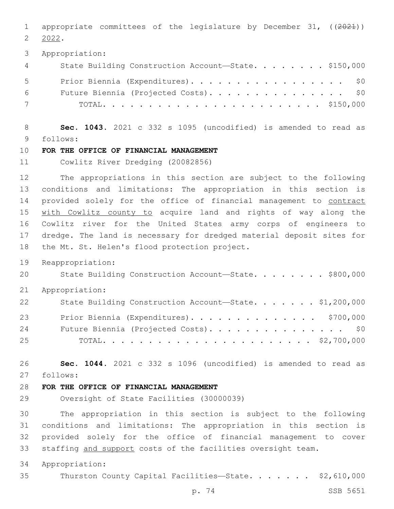1 appropriate committees of the legislature by December 31, ((2021)) 2022.

Appropriation:

| $4\degree$  | State Building Construction Account-State. \$150,000 |
|-------------|------------------------------------------------------|
| $5 - 5$     | Prior Biennia (Expenditures). \$0                    |
| 6 — 1       | Future Biennia (Projected Costs). \$0                |
| $7$ and $7$ |                                                      |

 **Sec. 1043.** 2021 c 332 s 1095 (uncodified) is amended to read as follows: 9

# **FOR THE OFFICE OF FINANCIAL MANAGEMENT**

Cowlitz River Dredging (20082856)

 The appropriations in this section are subject to the following conditions and limitations: The appropriation in this section is 14 provided solely for the office of financial management to contract with Cowlitz county to acquire land and rights of way along the Cowlitz river for the United States army corps of engineers to dredge. The land is necessary for dredged material deposit sites for 18 the Mt. St. Helen's flood protection project.

Reappropriation:

20 State Building Construction Account-State. . . . . . . \$800,000

Appropriation:

| 22 | State Building Construction Account-State. \$1,200,000 |
|----|--------------------------------------------------------|
| 23 | Prior Biennia (Expenditures). \$700,000                |
| 24 | Future Biennia (Projected Costs). \$0                  |
| 25 |                                                        |

 **Sec. 1044.** 2021 c 332 s 1096 (uncodified) is amended to read as follows: 27

# **FOR THE OFFICE OF FINANCIAL MANAGEMENT**

Oversight of State Facilities (30000039)

 The appropriation in this section is subject to the following conditions and limitations: The appropriation in this section is provided solely for the office of financial management to cover staffing and support costs of the facilities oversight team.

Appropriation:

35 Thurston County Capital Facilities-State. . . . . . \$2,610,000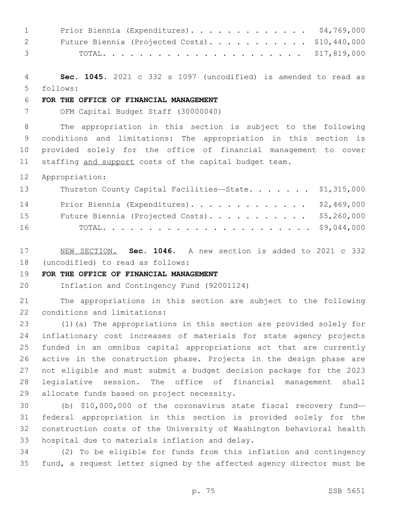| $1 \quad \blacksquare$ | Prior Biennia (Expenditures). \$4,769,000      |  |
|------------------------|------------------------------------------------|--|
| $2 \qquad \qquad$      | Future Biennia (Projected Costs). \$10,440,000 |  |
| $3 \sim$               |                                                |  |

 **Sec. 1045.** 2021 c 332 s 1097 (uncodified) is amended to read as follows: 5

# **FOR THE OFFICE OF FINANCIAL MANAGEMENT**

OFM Capital Budget Staff (30000040)

 The appropriation in this section is subject to the following conditions and limitations: The appropriation in this section is provided solely for the office of financial management to cover 11 staffing and support costs of the capital budget team.

Appropriation:

| 13 | Thurston County Capital Facilities-State. \$1,315,000 |  |
|----|-------------------------------------------------------|--|
| 14 | Prior Biennia (Expenditures). \$2,469,000             |  |
| 15 | Future Biennia (Projected Costs). \$5,260,000         |  |
| 16 |                                                       |  |

 NEW SECTION. **Sec. 1046.** A new section is added to 2021 c 332 18 (uncodified) to read as follows:

# **FOR THE OFFICE OF FINANCIAL MANAGEMENT**

Inflation and Contingency Fund (92001124)

 The appropriations in this section are subject to the following 22 conditions and limitations:

 (1)(a) The appropriations in this section are provided solely for inflationary cost increases of materials for state agency projects funded in an omnibus capital appropriations act that are currently active in the construction phase. Projects in the design phase are not eligible and must submit a budget decision package for the 2023 legislative session. The office of financial management shall 29 allocate funds based on project necessity.

 (b) \$10,000,000 of the coronavirus state fiscal recovery fund— federal appropriation in this section is provided solely for the construction costs of the University of Washington behavioral health 33 hospital due to materials inflation and delay.

 (2) To be eligible for funds from this inflation and contingency fund, a request letter signed by the affected agency director must be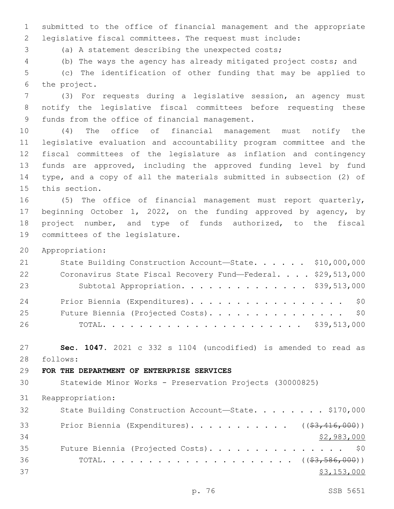submitted to the office of financial management and the appropriate legislative fiscal committees. The request must include:

(a) A statement describing the unexpected costs;

(b) The ways the agency has already mitigated project costs; and

 (c) The identification of other funding that may be applied to 6 the project.

 (3) For requests during a legislative session, an agency must notify the legislative fiscal committees before requesting these 9 funds from the office of financial management.

 (4) The office of financial management must notify the legislative evaluation and accountability program committee and the fiscal committees of the legislature as inflation and contingency funds are approved, including the approved funding level by fund type, and a copy of all the materials submitted in subsection (2) of 15 this section.

 (5) The office of financial management must report quarterly, beginning October 1, 2022, on the funding approved by agency, by project number, and type of funds authorized, to the fiscal 19 committees of the legislature.

Appropriation:

| 21 | State Building Construction Account-State. \$10,000,000      |  |
|----|--------------------------------------------------------------|--|
| 22 | Coronavirus State Fiscal Recovery Fund-Federal. \$29,513,000 |  |
| 23 | Subtotal Appropriation. \$39,513,000                         |  |
| 24 | Prior Biennia (Expenditures). \$0                            |  |
| 25 | Future Biennia (Projected Costs). \$0                        |  |
| 26 |                                                              |  |

 **Sec. 1047.** 2021 c 332 s 1104 (uncodified) is amended to read as 28 follows:

# **FOR THE DEPARTMENT OF ENTERPRISE SERVICES**

Statewide Minor Works - Preservation Projects (30000825)

Reappropriation:

| 32 | State Building Construction Account-State. \$170,000                |
|----|---------------------------------------------------------------------|
| 33 | Prior Biennia (Expenditures). ( $(\frac{27}{3}, \frac{416}{000})$ ) |
| 34 | \$2,983,000                                                         |
| 35 | Future Biennia (Projected Costs). \$0                               |
| 36 |                                                                     |
| 37 | \$3,153,000                                                         |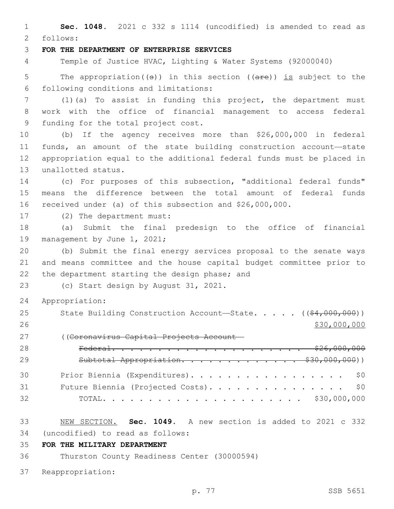**Sec. 1048.** 2021 c 332 s 1114 (uncodified) is amended to read as follows: 2 **FOR THE DEPARTMENT OF ENTERPRISE SERVICES** Temple of Justice HVAC, Lighting & Water Systems (92000040) 5 The appropriation( $(\theta)$ ) in this section ( $(\theta + \epsilon)$ ) is subject to the following conditions and limitations:6 (1)(a) To assist in funding this project, the department must work with the office of financial management to access federal 9 funding for the total project cost. (b) If the agency receives more than \$26,000,000 in federal funds, an amount of the state building construction account—state appropriation equal to the additional federal funds must be placed in 13 unallotted status. (c) For purposes of this subsection, "additional federal funds" means the difference between the total amount of federal funds

received under (a) of this subsection and \$26,000,000.

17 (2) The department must:

 (a) Submit the final predesign to the office of financial 19 management by June 1, 2021;

 (b) Submit the final energy services proposal to the senate ways and means committee and the house capital budget committee prior to 22 the department starting the design phase; and

23 (c) Start design by August 31, 2021.

- Appropriation:
- 25 State Building Construction Account—State. . . . . ((\$4,000,000)) 26 \$30,000,000 \$30,000,000 \$30,000 \$30,000 \$30,000 \$30,000 \$30,000 \$30,000 \$30,000 \$30,000 \$30,000 \$ ((Coronavirus Capital Projects Account—
- Federal. . . . . . . . . . . . . . . . . . . . . \$26,000,000 29 Subtotal Appropriation. . . . . . . . . . . . \$30,000,000)) 30 Prior Biennia (Expenditures). . . . . . . . . . . . . . . . \$0 Future Biennia (Projected Costs). . . . . . . . . . . . . . . \$0 TOTAL. . . . . . . . . . . . . . . . . . . . . . \$30,000,000
- NEW SECTION. **Sec. 1049.** A new section is added to 2021 c 332 (uncodified) to read as follows: 34
- **FOR THE MILITARY DEPARTMENT**

Thurston County Readiness Center (30000594)

Reappropriation: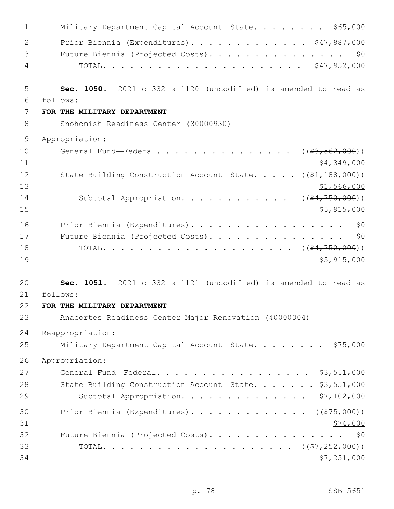| $\mathbf 1$    | Military Department Capital Account-State. \$65,000                  |
|----------------|----------------------------------------------------------------------|
| $\overline{2}$ | Prior Biennia (Expenditures). \$47,887,000                           |
| 3              | Future Biennia (Projected Costs).<br>\$0                             |
| 4              |                                                                      |
| 5              | Sec. 1050. 2021 c 332 s 1120 (uncodified) is amended to read as      |
| 6              | follows:                                                             |
| 7<br>8         | FOR THE MILITARY DEPARTMENT<br>Snohomish Readiness Center (30000930) |
|                |                                                                      |
| 9              | Appropriation:                                                       |
| 10             | General Fund—Federal. ( $(\frac{2}{57}, \frac{562}{500})$ )          |
| 11             | \$4,349,000                                                          |
| 12<br>13       | State Building Construction Account-State. $($ $($ \$1,188,000) $)$  |
| 14             | \$1,566,000<br>Subtotal Appropriation. ( $(\frac{64,750,000}{2})$ )  |
| 15             | \$5,915,000                                                          |
| 16             | Prior Biennia (Expenditures).<br>\$0                                 |
| 17             | Future Biennia (Projected Costs).<br>\$0                             |
| 18             |                                                                      |
| 19             | \$5,915,000                                                          |
| 20             | Sec. 1051. 2021 c 332 s 1121 (uncodified) is amended to read as      |
| 21             | follows:                                                             |
| 22             | FOR THE MILITARY DEPARTMENT                                          |
| 23             | Anacortes Readiness Center Major Renovation (40000004)               |
| 24             | Reappropriation:                                                     |
| 25             | Military Department Capital Account-State. \$75,000                  |
| 26             | Appropriation:                                                       |
| 27             | General Fund-Federal. \$3,551,000                                    |
| 28             | State Building Construction Account-State. \$3,551,000               |
| 29             | Subtotal Appropriation. \$7,102,000                                  |
| 30             | Prior Biennia (Expenditures). ( $(\frac{275,000}{1})$                |
| 31             | \$74,000                                                             |
| 32             | Future Biennia (Projected Costs). \$0                                |
| 33             |                                                                      |
| 34             | \$7,251,000                                                          |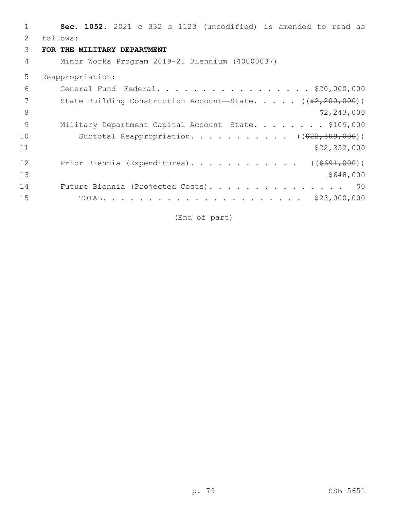| 1  | Sec. 1052. 2021 c 332 s 1123 (uncodified) is amended to read as    |
|----|--------------------------------------------------------------------|
| 2  | follows:                                                           |
| 3  | FOR THE MILITARY DEPARTMENT                                        |
| 4  | Minor Works Program 2019-21 Biennium (40000037)                    |
| 5  | Reappropriation:                                                   |
| 6  | General Fund-Federal. \$20,000,000                                 |
| 7  | State Building Construction Account-State. $($ $(*2, 200, 000))$   |
| 8  | \$2,243,000                                                        |
| 9  | Military Department Capital Account-State. \$109,000               |
| 10 | Subtotal Reappropriation. ( $(\frac{22}{7}\cdot\frac{309}{100})$ ) |
| 11 | \$22,352,000                                                       |
| 12 | Prior Biennia (Expenditures). ( $(\frac{\$691,000}{\$})$ )         |
| 13 | \$648,000                                                          |
| 14 | Future Biennia (Projected Costs). \$0                              |
| 15 |                                                                    |

(End of part)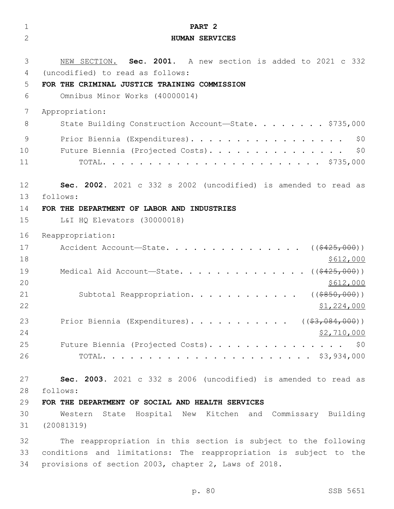| $\mathbf 1$    | PART <sub>2</sub>                                                 |
|----------------|-------------------------------------------------------------------|
| $\overline{2}$ | <b>HUMAN SERVICES</b>                                             |
| 3              | NEW SECTION. Sec. 2001. A new section is added to 2021 c 332      |
| 4              | (uncodified) to read as follows:                                  |
| 5              | FOR THE CRIMINAL JUSTICE TRAINING COMMISSION                      |
| 6              | Omnibus Minor Works (40000014)                                    |
| 7              | Appropriation:                                                    |
| 8              | State Building Construction Account-State. \$735,000              |
| 9              | Prior Biennia (Expenditures).<br>\$0                              |
| 10             | \$0<br>Future Biennia (Projected Costs).                          |
| 11             |                                                                   |
| 12             | Sec. 2002. 2021 c 332 s 2002 (uncodified) is amended to read as   |
| 13             | follows:                                                          |
| 14             | FOR THE DEPARTMENT OF LABOR AND INDUSTRIES                        |
| 15             | L&I HQ Elevators (30000018)                                       |
| 16             | Reappropriation:                                                  |
| 17             | Accident Account-State. ( $(\frac{2425,000}{1})$                  |
| 18             | \$612,000                                                         |
| 19             | Medical Aid Account-State. ( $(\frac{2425,000}{1})$               |
| 20             | \$612,000                                                         |
| 21             | Subtotal Reappropriation.<br>( ( \$850,000) )                     |
| 22             | \$1,224,000                                                       |
| 23             | Prior Biennia (Expenditures). ( $(\frac{27.084}{100})$ )          |
| 24             | <u>\$2,710,000</u>                                                |
| 25             | Future Biennia (Projected Costs).<br>\$0                          |
| 26             |                                                                   |
| 27             | Sec. 2003. 2021 c 332 s 2006 (uncodified) is amended to read as   |
| 28             | follows:                                                          |
| 29             | FOR THE DEPARTMENT OF SOCIAL AND HEALTH SERVICES                  |
| 30             | Western State Hospital New Kitchen and Commissary Building        |
| 31             | (20081319)                                                        |
| 32             | The reappropriation in this section is subject to the following   |
| 33             | conditions and limitations: The reappropriation is subject to the |
| 34             | provisions of section 2003, chapter 2, Laws of 2018.              |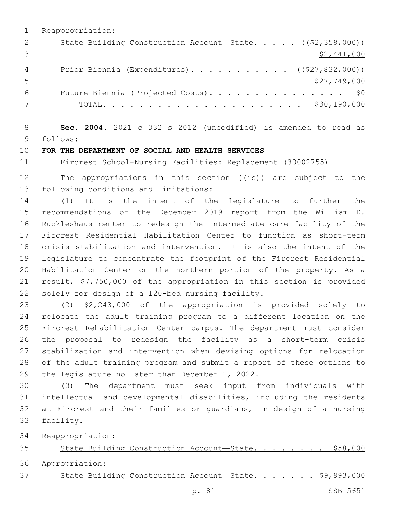|    | Reappropriation:                                                                   |
|----|------------------------------------------------------------------------------------|
|    | State Building Construction Account-State. $($ $($ $\frac{2}{2}, \frac{358}{200})$ |
|    | \$2,441,000                                                                        |
|    | Prior Biennia (Expenditures). ( $(\frac{27}{627}, \frac{832}{600})$ )              |
| .5 | \$27,749,000                                                                       |
| 6  | Future Biennia (Projected Costs). \$0                                              |
|    |                                                                                    |

 **Sec. 2004.** 2021 c 332 s 2012 (uncodified) is amended to read as follows: 9

#### **FOR THE DEPARTMENT OF SOCIAL AND HEALTH SERVICES**

Fircrest School-Nursing Facilities: Replacement (30002755)

12 The appropriations in this section  $((\pm s))$  are subject to the 13 following conditions and limitations:

 (1) It is the intent of the legislature to further the recommendations of the December 2019 report from the William D. Ruckleshaus center to redesign the intermediate care facility of the Fircrest Residential Habilitation Center to function as short-term crisis stabilization and intervention. It is also the intent of the legislature to concentrate the footprint of the Fircrest Residential Habilitation Center on the northern portion of the property. As a result, \$7,750,000 of the appropriation in this section is provided 22 solely for design of a 120-bed nursing facility.

 (2) \$2,243,000 of the appropriation is provided solely to relocate the adult training program to a different location on the Fircrest Rehabilitation Center campus. The department must consider the proposal to redesign the facility as a short-term crisis stabilization and intervention when devising options for relocation of the adult training program and submit a report of these options to 29 the legislature no later than December 1, 2022.

 (3) The department must seek input from individuals with intellectual and developmental disabilities, including the residents at Fircrest and their families or guardians, in design of a nursing 33 facility.

Reappropriation:

State Building Construction Account—State. . . . . . . . \$58,000

Appropriation:

State Building Construction Account—State. . . . . . . \$9,993,000

p. 81 SSB 5651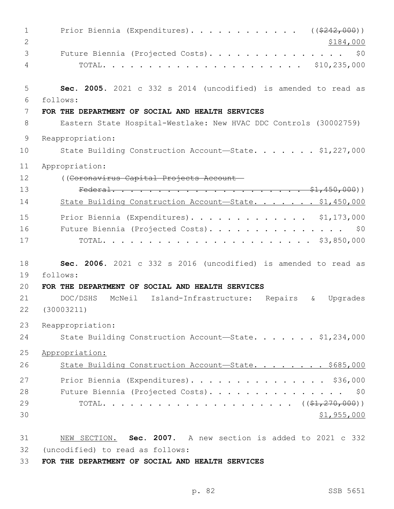| $\mathbf 1$    | Prior Biennia (Expenditures). ( $(\frac{242}{000})$ )                        |
|----------------|------------------------------------------------------------------------------|
| 2              | \$184,000                                                                    |
| 3              | Future Biennia (Projected Costs).<br>\$0                                     |
| 4              |                                                                              |
| 5              | Sec. 2005. 2021 c 332 s 2014 (uncodified) is amended to read as              |
| 6              | follows:                                                                     |
| 7              | FOR THE DEPARTMENT OF SOCIAL AND HEALTH SERVICES                             |
| 8              | Eastern State Hospital-Westlake: New HVAC DDC Controls (30002759)            |
| $\overline{9}$ | Reappropriation:                                                             |
| 10             | State Building Construction Account-State. \$1,227,000                       |
| 11             | Appropriation:                                                               |
| 12             | ((Coronavirus Capital Projects Account-                                      |
| 13             |                                                                              |
| 14             | State Building Construction Account-State. \$1,450,000                       |
| 15             | Prior Biennia (Expenditures). \$1,173,000                                    |
| 16             | Future Biennia (Projected Costs). \$0                                        |
| 17             |                                                                              |
| 18             | Sec. 2006. 2021 c 332 s 2016 (uncodified) is amended to read as              |
| 19             | follows:                                                                     |
| 20             | FOR THE DEPARTMENT OF SOCIAL AND HEALTH SERVICES                             |
| 21             | DOC/DSHS<br>McNeil Island-Infrastructure:<br>Repairs<br>Upgrades<br>$\delta$ |
| 22             | (30003211)                                                                   |
| 23             | Reappropriation:                                                             |
| 24             | State Building Construction Account-State. \$1,234,000                       |
| 25             | Appropriation:                                                               |
| 26             | State Building Construction Account-State. \$685,000                         |
| 27             | Prior Biennia (Expenditures). \$36,000                                       |
| 28             | Future Biennia (Projected Costs). \$0                                        |
| 29             |                                                                              |
| 30             | \$1,955,000                                                                  |
| 31             | NEW SECTION. Sec. 2007. A new section is added to 2021 c 332                 |
| 32             | (uncodified) to read as follows:                                             |

**FOR THE DEPARTMENT OF SOCIAL AND HEALTH SERVICES**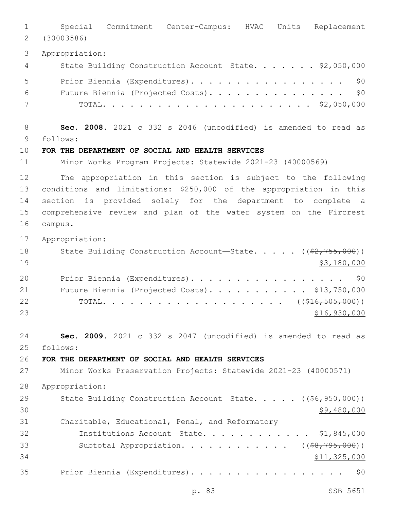Special Commitment Center-Campus: HVAC Units Replacement (30003586) Appropriation: 4 State Building Construction Account—State. . . . . . \$2,050,000 5 Prior Biennia (Expenditures). . . . . . . . . . . . . . . . \$0 Future Biennia (Projected Costs). . . . . . . . . . . . . . . \$0 TOTAL. . . . . . . . . . . . . . . . . . . . . . . \$2,050,000 **Sec. 2008.** 2021 c 332 s 2046 (uncodified) is amended to read as follows: 9 **FOR THE DEPARTMENT OF SOCIAL AND HEALTH SERVICES** Minor Works Program Projects: Statewide 2021-23 (40000569) The appropriation in this section is subject to the following conditions and limitations: \$250,000 of the appropriation in this section is provided solely for the department to complete a comprehensive review and plan of the water system on the Fircrest 16 campus. Appropriation: 18 State Building Construction Account—State. . . . . ((\$2,755,000)) \$3,180,000 20 Prior Biennia (Expenditures). . . . . . . . . . . . . . . . \$0 21 Future Biennia (Projected Costs). . . . . . . . . . \$13,750,000 22 TOTAL. . . . . . . . . . . . . . . . . . ((<del>\$16,505,000</del>)) \$16,930,000 **Sec. 2009.** 2021 c 332 s 2047 (uncodified) is amended to read as follows: 25 **FOR THE DEPARTMENT OF SOCIAL AND HEALTH SERVICES** Minor Works Preservation Projects: Statewide 2021-23 (40000571) Appropriation: 29 State Building Construction Account—State. . . . . ((<del>\$6,950,000</del>))  $30 \times 9,480,000$  Charitable, Educational, Penal, and Reformatory Institutions Account—State. . . . . . . . . . . . \$1,845,000 33 Subtotal Appropriation. . . . . . . . . . . ((\$8,795,000))  $$11,325,000$ Prior Biennia (Expenditures). . . . . . . . . . . . . . . . . \$0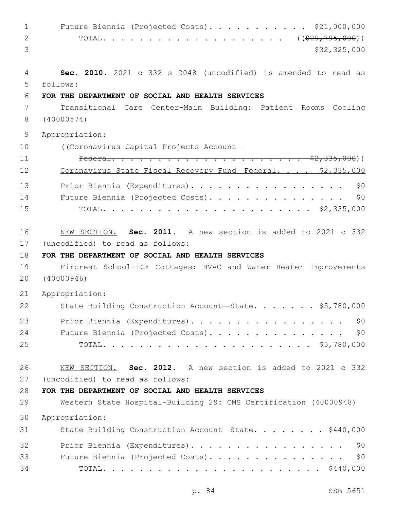1 Future Biennia (Projected Costs). . . . . . . . . . \$21,000,000 2 TOTAL. . . . . . . . . . . . . . . . . . ((<del>\$29,795,000</del>)) \$32,325,000 **Sec. 2010.** 2021 c 332 s 2048 (uncodified) is amended to read as follows: 5 **FOR THE DEPARTMENT OF SOCIAL AND HEALTH SERVICES** Transitional Care Center-Main Building: Patient Rooms Cooling (40000574) Appropriation: ((Coronavirus Capital Projects Account— Federal. . . . . . . . . . . . . . . . . . . . . \$2,335,000)) 12 Coronavirus State Fiscal Recovery Fund-Federal. . . . \$2,335,000 13 Prior Biennia (Expenditures). . . . . . . . . . . . . . . . \$0 Future Biennia (Projected Costs). . . . . . . . . . . . . . . \$0 TOTAL. . . . . . . . . . . . . . . . . . . . . . . \$2,335,000 NEW SECTION. **Sec. 2011.** A new section is added to 2021 c 332 17 (uncodified) to read as follows: **FOR THE DEPARTMENT OF SOCIAL AND HEALTH SERVICES** Fircrest School-ICF Cottages: HVAC and Water Heater Improvements (40000946) Appropriation: 22 State Building Construction Account-State. . . . . . \$5,780,000 23 Prior Biennia (Expenditures). . . . . . . . . . . . . . . . \$0 24 Future Biennia (Projected Costs). . . . . . . . . . . . . . \$0 TOTAL. . . . . . . . . . . . . . . . . . . . . . . \$5,780,000 NEW SECTION. **Sec. 2012.** A new section is added to 2021 c 332 27 (uncodified) to read as follows: **FOR THE DEPARTMENT OF SOCIAL AND HEALTH SERVICES** Western State Hospital-Building 29: CMS Certification (40000948) Appropriation: 31 State Building Construction Account—State. . . . . . . \$440,000 32 Prior Biennia (Expenditures). . . . . . . . . . . . . . . . \$0 33 Future Biennia (Projected Costs). . . . . . . . . . . . . . \$0 TOTAL. . . . . . . . . . . . . . . . . . . . . . . . \$440,000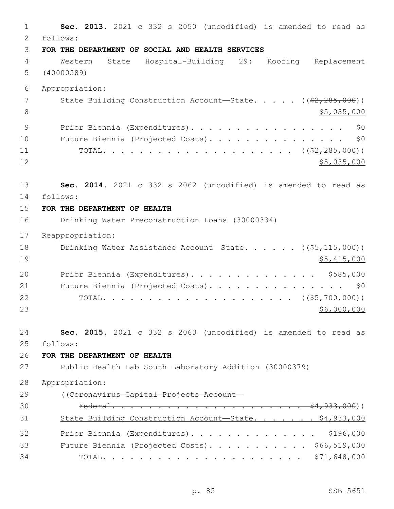**Sec. 2013.** 2021 c 332 s 2050 (uncodified) is amended to read as follows: 2 **FOR THE DEPARTMENT OF SOCIAL AND HEALTH SERVICES** Western State Hospital-Building 29: Roofing Replacement (40000589) Appropriation: 7 State Building Construction Account—State. . . . . ((\$2,285,000))  $\frac{1}{5}$ ,035,000 9 Prior Biennia (Expenditures). . . . . . . . . . . . . . . . \$0 10 Future Biennia (Projected Costs). . . . . . . . . . . . . . \$0 TOTAL. . . . . . . . . . . . . . . . . . . . . ((\$2,285,000)) \$5,035,000 **Sec. 2014.** 2021 c 332 s 2062 (uncodified) is amended to read as follows: 14 **FOR THE DEPARTMENT OF HEALTH** Drinking Water Preconstruction Loans (30000334) Reappropriation: 18 Drinking Water Assistance Account—State. . . . . ((\$5,115,000)) \$5,415,000 20 Prior Biennia (Expenditures). . . . . . . . . . . . . \$585,000 21 Future Biennia (Projected Costs). . . . . . . . . . . . . . \$0 TOTAL. . . . . . . . . . . . . . . . . . . . . ((\$5,700,000)) \$6,000,000 **Sec. 2015.** 2021 c 332 s 2063 (uncodified) is amended to read as follows: 25 **FOR THE DEPARTMENT OF HEALTH** Public Health Lab South Laboratory Addition (30000379) Appropriation: ((Coronavirus Capital Projects Account— Federal. . . . . . . . . . . . . . . . . . . . . \$4,933,000)) 31 State Building Construction Account—State. . . . . . \$4,933,000 Prior Biennia (Expenditures). . . . . . . . . . . . . . \$196,000 33 Future Biennia (Projected Costs). . . . . . . . . . \$66,519,000 TOTAL. . . . . . . . . . . . . . . . . . . . . . \$71,648,000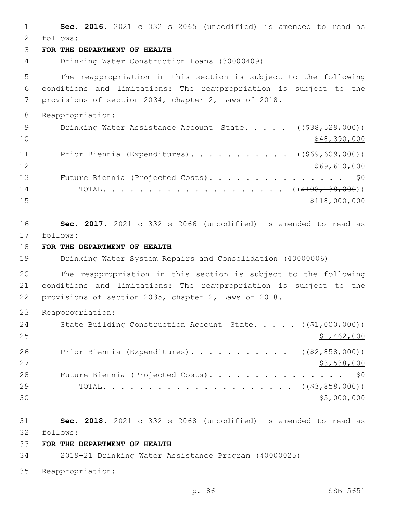**Sec. 2016.** 2021 c 332 s 2065 (uncodified) is amended to read as follows: 2 **FOR THE DEPARTMENT OF HEALTH** Drinking Water Construction Loans (30000409) The reappropriation in this section is subject to the following conditions and limitations: The reappropriation is subject to the provisions of section 2034, chapter 2, Laws of 2018. Reappropriation: 9 Drinking Water Assistance Account—State. . . . ((\$38,529,000))  $\frac{10}{248,390,000}$ 11 Prior Biennia (Expenditures)........... ((\$69,609,000)) 12 \$69,610,000 13 Future Biennia (Projected Costs). . . . . . . . . . . . . . \$0 TOTAL. . . . . . . . . . . . . . . . . . . . ((\$108,138,000))  $$118,000,000$  **Sec. 2017.** 2021 c 332 s 2066 (uncodified) is amended to read as follows: 17 **FOR THE DEPARTMENT OF HEALTH** Drinking Water System Repairs and Consolidation (40000006) The reappropriation in this section is subject to the following conditions and limitations: The reappropriation is subject to the provisions of section 2035, chapter 2, Laws of 2018. Reappropriation: 24 State Building Construction Account—State. . . . . ((\$1,000,000)) \$1,462,000 26 Prior Biennia (Expenditures). . . . . . . . . . ((\$2,858,000)) \$3,538,000 28 Future Biennia (Projected Costs). . . . . . . . . . . . . . \$0 TOTAL. . . . . . . . . . . . . . . . . . . . . ((\$3,858,000)) \$5,000,000 **Sec. 2018.** 2021 c 332 s 2068 (uncodified) is amended to read as follows: 32 **FOR THE DEPARTMENT OF HEALTH** 2019-21 Drinking Water Assistance Program (40000025) Reappropriation: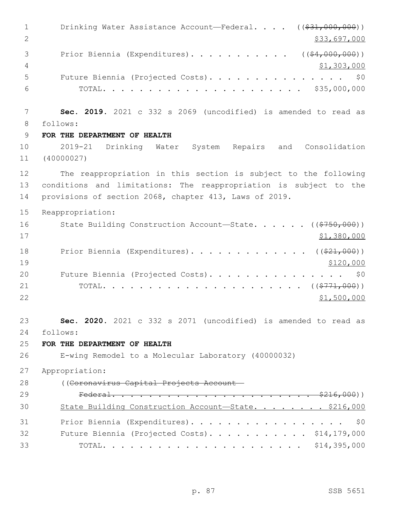1 Drinking Water Assistance Account—Federal. . . . ((\$31,000,000)) 2 \$33,697,000 3 Prior Biennia (Expenditures). . . . . . . . . . . ((\$4,000,000))  $\frac{4}{71,303,000}$  Future Biennia (Projected Costs). . . . . . . . . . . . . . . \$0 TOTAL. . . . . . . . . . . . . . . . . . . . . . \$35,000,000 **Sec. 2019.** 2021 c 332 s 2069 (uncodified) is amended to read as follows: 8 **FOR THE DEPARTMENT OF HEALTH** 2019-21 Drinking Water System Repairs and Consolidation (40000027) The reappropriation in this section is subject to the following conditions and limitations: The reappropriation is subject to the provisions of section 2068, chapter 413, Laws of 2019. Reappropriation: 16 State Building Construction Account—State. . . . . . ((\$750,000)) \$1,380,000 18 Prior Biennia (Expenditures). . . . . . . . . . . . ((\$21,000)) 19 \$120,000 20 Future Biennia (Projected Costs). . . . . . . . . . . . . . \$0 TOTAL. . . . . . . . . . . . . . . . . . . . . . ((\$771,000))  $$1,500,000$  **Sec. 2020.** 2021 c 332 s 2071 (uncodified) is amended to read as follows: 24 **FOR THE DEPARTMENT OF HEALTH** E-wing Remodel to a Molecular Laboratory (40000032) Appropriation: ((Coronavirus Capital Projects Account— Federal. . . . . . . . . . . . . . . . . . . . . . \$216,000)) State Building Construction Account—State. . . . . . . . \$216,000 Prior Biennia (Expenditures). . . . . . . . . . . . . . . . . \$0 32 Future Biennia (Projected Costs). . . . . . . . . . \$14,179,000 TOTAL. . . . . . . . . . . . . . . . . . . . . . \$14,395,000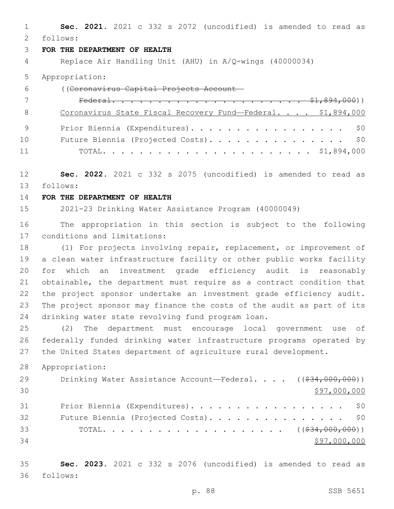**Sec. 2021.** 2021 c 332 s 2072 (uncodified) is amended to read as follows: 2

## **FOR THE DEPARTMENT OF HEALTH**

Replace Air Handling Unit (AHU) in A/Q-wings (40000034)

### Appropriation:

| 6  | ((Coronavirus Capital Projects Account-                     |
|----|-------------------------------------------------------------|
|    |                                                             |
| -8 | Coronavirus State Fiscal Recovery Fund-Federal. \$1,894,000 |
|    | Prior Biennia (Expenditures). \$0                           |
| 10 | Future Biennia (Projected Costs). \$0                       |
| 11 |                                                             |

 **Sec. 2022.** 2021 c 332 s 2075 (uncodified) is amended to read as follows: 13

### **FOR THE DEPARTMENT OF HEALTH**

2021-23 Drinking Water Assistance Program (40000049)

 The appropriation in this section is subject to the following 17 conditions and limitations:

 (1) For projects involving repair, replacement, or improvement of a clean water infrastructure facility or other public works facility for which an investment grade efficiency audit is reasonably obtainable, the department must require as a contract condition that the project sponsor undertake an investment grade efficiency audit. The project sponsor may finance the costs of the audit as part of its 24 drinking water state revolving fund program loan.

 (2) The department must encourage local government use of federally funded drinking water infrastructure programs operated by the United States department of agriculture rural development.

Appropriation:

| 29 | Drinking Water Assistance Account—Federal. $($ $($ $\frac{24}{634}$ , 000, 000)) |
|----|----------------------------------------------------------------------------------|
| 30 | \$97,000,000                                                                     |
| 31 | Prior Biennia (Expenditures). \$0                                                |
| 32 | Future Biennia (Projected Costs). \$0                                            |
| 33 |                                                                                  |
| 34 | \$97,000,000                                                                     |

 **Sec. 2023.** 2021 c 332 s 2076 (uncodified) is amended to read as follows: 36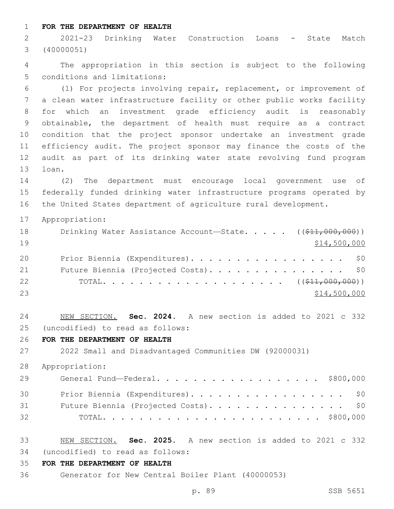**FOR THE DEPARTMENT OF HEALTH**

 2021-23 Drinking Water Construction Loans - State Match (40000051)

 The appropriation in this section is subject to the following 5 conditions and limitations:

 (1) For projects involving repair, replacement, or improvement of a clean water infrastructure facility or other public works facility for which an investment grade efficiency audit is reasonably obtainable, the department of health must require as a contract condition that the project sponsor undertake an investment grade efficiency audit. The project sponsor may finance the costs of the audit as part of its drinking water state revolving fund program 13 loan.

 (2) The department must encourage local government use of federally funded drinking water infrastructure programs operated by the United States department of agriculture rural development.

Appropriation:

| 18 | Drinking Water Assistance Account-State. $($ $($ \$11,000,000)) |
|----|-----------------------------------------------------------------|
| 19 | \$14,500,000                                                    |
| 20 | Prior Biennia (Expenditures). \$0                               |
| 21 | Future Biennia (Projected Costs). \$0                           |
| 22 |                                                                 |
| 23 | \$14,500,000                                                    |

 NEW SECTION. **Sec. 2024.** A new section is added to 2021 c 332 (uncodified) to read as follows: 25

**FOR THE DEPARTMENT OF HEALTH**

2022 Small and Disadvantaged Communities DW (92000031)

Appropriation:

| 29 | General Fund—Federal. \$800,000       |
|----|---------------------------------------|
| 30 | Prior Biennia (Expenditures). \$0     |
| 31 | Future Biennia (Projected Costs). \$0 |
| 32 |                                       |

- NEW SECTION. **Sec. 2025.** A new section is added to 2021 c 332 (uncodified) to read as follows: 34
- **FOR THE DEPARTMENT OF HEALTH**
- Generator for New Central Boiler Plant (40000053)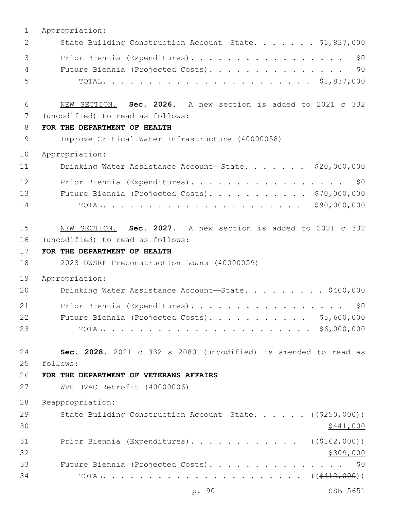| $\mathbf 1$  | Appropriation:                                                        |
|--------------|-----------------------------------------------------------------------|
| $\mathbf{2}$ | State Building Construction Account-State. \$1,837,000                |
| 3            | Prior Biennia (Expenditures).<br>\$0                                  |
| 4            | \$0<br>Future Biennia (Projected Costs).                              |
| 5            |                                                                       |
| 6            | NEW SECTION. Sec. 2026. A new section is added to 2021 c 332          |
| 7            | (uncodified) to read as follows:                                      |
| 8            | FOR THE DEPARTMENT OF HEALTH                                          |
| $\mathsf 9$  | Improve Critical Water Infrastructure (40000058)                      |
| 10           | Appropriation:                                                        |
| 11           | Drinking Water Assistance Account-State. \$20,000,000                 |
| 12           | Prior Biennia (Expenditures).<br>\$0                                  |
| 13           | Future Biennia (Projected Costs). \$70,000,000                        |
| 14           |                                                                       |
| 15           | NEW SECTION. Sec. 2027. A new section is added to 2021 c 332          |
| 16           | (uncodified) to read as follows:                                      |
| 17           | FOR THE DEPARTMENT OF HEALTH                                          |
| 18           | 2023 DWSRF Preconstruction Loans (40000059)                           |
| 19           | Appropriation:                                                        |
| 20           | Drinking Water Assistance Account-State. \$400,000                    |
| 21           | Prior Biennia (Expenditures).<br>\$0                                  |
| 22           | \$5,600,000<br>Future Biennia (Projected Costs).                      |
| 23           |                                                                       |
| 24           | Sec. 2028. 2021 c 332 s 2080 (uncodified) is amended to read as       |
| 25           | follows:                                                              |
| 26           | FOR THE DEPARTMENT OF VETERANS AFFAIRS                                |
| 27           | WVH HVAC Retrofit (40000006)                                          |
| 28           | Reappropriation:                                                      |
| 29           | State Building Construction Account-State. $($ $($ $\frac{250}{100})$ |
| 30           | \$441,000                                                             |
| 31           | Prior Biennia (Expenditures). ( $(\frac{2162}{100})$ )                |
| 32           | \$309,000                                                             |
| 33           | Future Biennia (Projected Costs). \$0                                 |
| 34           |                                                                       |

p. 90 SSB 5651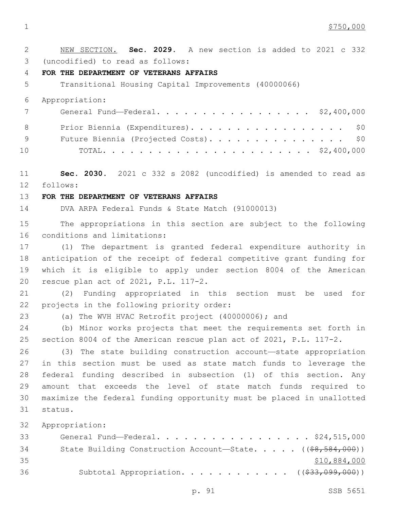1 \$750,000

 NEW SECTION. **Sec. 2029.** A new section is added to 2021 c 332 3 (uncodified) to read as follows: **FOR THE DEPARTMENT OF VETERANS AFFAIRS** Transitional Housing Capital Improvements (40000066) Appropriation: General Fund—Federal. . . . . . . . . . . . . . . . . \$2,400,000 8 Prior Biennia (Expenditures). . . . . . . . . . . . . . . . \$0 9 Future Biennia (Projected Costs). . . . . . . . . . . . . . \$0 TOTAL. . . . . . . . . . . . . . . . . . . . . . . \$2,400,000 **Sec. 2030.** 2021 c 332 s 2082 (uncodified) is amended to read as follows: 12 **FOR THE DEPARTMENT OF VETERANS AFFAIRS** DVA ARPA Federal Funds & State Match (91000013) The appropriations in this section are subject to the following 16 conditions and limitations: (1) The department is granted federal expenditure authority in anticipation of the receipt of federal competitive grant funding for which it is eligible to apply under section 8004 of the American 20 rescue plan act of 2021, P.L. 117-2. (2) Funding appropriated in this section must be used for 22 projects in the following priority order: (a) The WVH HVAC Retrofit project (40000006); and (b) Minor works projects that meet the requirements set forth in section 8004 of the American rescue plan act of 2021, P.L. 117-2. (3) The state building construction account—state appropriation in this section must be used as state match funds to leverage the federal funding described in subsection (1) of this section. Any amount that exceeds the level of state match funds required to maximize the federal funding opportunity must be placed in unallotted status.31 Appropriation: General Fund—Federal. . . . . . . . . . . . . . . . . \$24,515,000 34 State Building Construction Account—State. . . . . ((\$8,584,000)) \$10,884,000 Subtotal Appropriation. . . . . . . . . . . . ((\$33,099,000))

p. 91 SSB 5651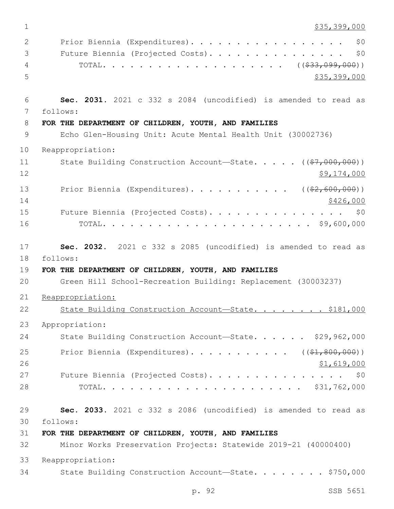1 \$35,399,000

| 2<br>3<br>4<br>5     | Prior Biennia (Expenditures).<br>\$0<br>\$0<br>Future Biennia (Projected Costs).<br>\$35,399,000                                                                                                    |
|----------------------|-----------------------------------------------------------------------------------------------------------------------------------------------------------------------------------------------------|
| 6<br>7               | Sec. 2031. 2021 c 332 s 2084 (uncodified) is amended to read as<br>follows:                                                                                                                         |
| 8                    | FOR THE DEPARTMENT OF CHILDREN, YOUTH, AND FAMILIES                                                                                                                                                 |
| 9                    | Echo Glen-Housing Unit: Acute Mental Health Unit (30002736)                                                                                                                                         |
| 10                   | Reappropriation:                                                                                                                                                                                    |
| 11<br>12             | State Building Construction Account-State. $($ $(*7, 000, 000) )$<br>\$9,174,000                                                                                                                    |
| 13<br>14             | Prior Biennia (Expenditures). ( $(\frac{2}{62,600,000})$ )<br>\$426,000                                                                                                                             |
| 15<br>16             | Future Biennia (Projected Costs).<br>\$0                                                                                                                                                            |
| 17<br>18<br>19<br>20 | Sec. 2032. 2021 c 332 s 2085 (uncodified) is amended to read as<br>follows:<br>FOR THE DEPARTMENT OF CHILDREN, YOUTH, AND FAMILIES<br>Green Hill School-Recreation Building: Replacement (30003237) |
| 21                   | Reappropriation:                                                                                                                                                                                    |
| 22                   | State Building Construction Account-State. \$181,000                                                                                                                                                |
| 23                   | Appropriation:                                                                                                                                                                                      |
| 24                   | State Building Construction Account-State. \$29,962,000                                                                                                                                             |
| 25<br>26             | Prior Biennia (Expenditures). ( $(\frac{1}{21}, 800, 000)$ )<br>\$1,619,000                                                                                                                         |
| 27<br>28             | Future Biennia (Projected Costs). \$0                                                                                                                                                               |
| 29<br>30             | Sec. 2033. 2021 c 332 s 2086 (uncodified) is amended to read as<br>follows:                                                                                                                         |
| 31                   | FOR THE DEPARTMENT OF CHILDREN, YOUTH, AND FAMILIES                                                                                                                                                 |
| 32                   | Minor Works Preservation Projects: Statewide 2019-21 (40000400)                                                                                                                                     |
| 33                   | Reappropriation:                                                                                                                                                                                    |
| 34                   | State Building Construction Account-State. \$750,000                                                                                                                                                |

p. 92 SSB 5651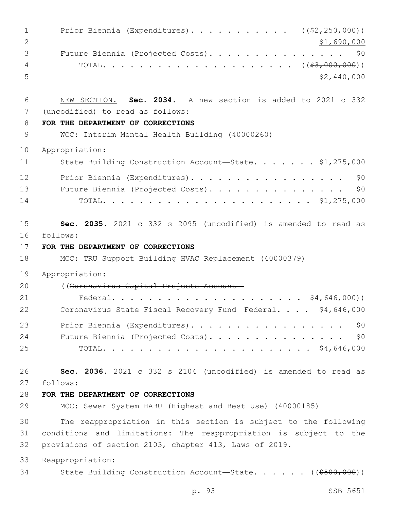| $\mathbf{1}$<br>$\mathbf{2}$ | Prior Biennia (Expenditures). ( $(\frac{2}{2}, 250, 000)$ )<br>\$1,690,000                 |
|------------------------------|--------------------------------------------------------------------------------------------|
| 3<br>4<br>5                  | Future Biennia (Projected Costs).<br>\$0<br>\$2,440,000                                    |
| 6                            | NEW SECTION. Sec. 2034. A new section is added to 2021 c 332                               |
| 7                            | (uncodified) to read as follows:                                                           |
| 8                            | FOR THE DEPARTMENT OF CORRECTIONS                                                          |
| 9                            | WCC: Interim Mental Health Building (40000260)                                             |
| 10                           | Appropriation:                                                                             |
| 11                           | State Building Construction Account-State. \$1,275,000                                     |
| 12                           | Prior Biennia (Expenditures).<br>\$0                                                       |
| 13                           | \$0<br>Future Biennia (Projected Costs).                                                   |
| 14                           |                                                                                            |
| 15                           | Sec. 2035. 2021 c 332 s 2095 (uncodified) is amended to read as                            |
| 16                           | follows:                                                                                   |
| 17<br>18                     | FOR THE DEPARTMENT OF CORRECTIONS<br>MCC: TRU Support Building HVAC Replacement (40000379) |
| 19                           | Appropriation:                                                                             |
| 20                           | ((Coronavirus Capital Projects Account-                                                    |
| 21                           | <del>\$4,646,000</del> ))                                                                  |
| 22                           | Coronavirus State Fiscal Recovery Fund-Federal<br><u>\$4,646,000</u>                       |
| 23                           | \$0<br>Prior Biennia (Expenditures).                                                       |
| 24                           | Future Biennia (Projected Costs).<br>\$0                                                   |
| 25                           |                                                                                            |
| 26                           | Sec. 2036. 2021 c 332 s 2104 (uncodified) is amended to read as                            |
| 27                           | follows:                                                                                   |
| 28                           | FOR THE DEPARTMENT OF CORRECTIONS                                                          |
| 29                           | MCC: Sewer System HABU (Highest and Best Use) (40000185)                                   |
| 30                           | The reappropriation in this section is subject to the following                            |
| 31                           | conditions and limitations: The reappropriation is subject to the                          |
| 32                           | provisions of section 2103, chapter 413, Laws of 2019.                                     |
| 33                           |                                                                                            |
|                              | Reappropriation:                                                                           |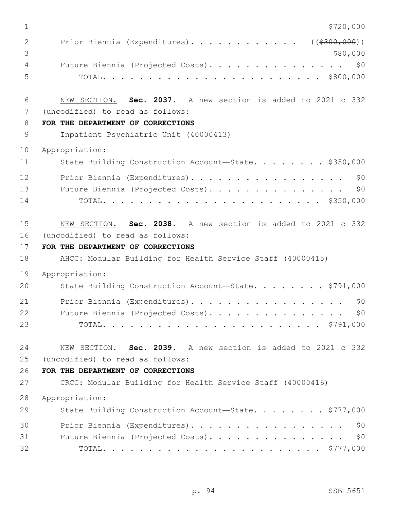| $\mathbf 1$         | \$720,000                                                                                        |
|---------------------|--------------------------------------------------------------------------------------------------|
| 2<br>3              | Prior Biennia (Expenditures). ((\$300,000))<br>\$80,000                                          |
| $\overline{4}$<br>5 | Future Biennia (Projected Costs). \$0                                                            |
| 6<br>7              | NEW SECTION. Sec. 2037. A new section is added to 2021 c 332<br>(uncodified) to read as follows: |
| 8                   | FOR THE DEPARTMENT OF CORRECTIONS                                                                |
| $\mathsf 9$         | Inpatient Psychiatric Unit (40000413)                                                            |
| 10                  | Appropriation:                                                                                   |
| 11                  | State Building Construction Account-State. \$350,000                                             |
| 12<br>13<br>14      | Prior Biennia (Expenditures).<br>\$0<br>Future Biennia (Projected Costs).<br>\$0                 |
| 15<br>16            | NEW SECTION. Sec. 2038. A new section is added to 2021 c 332<br>(uncodified) to read as follows: |
| 17                  | FOR THE DEPARTMENT OF CORRECTIONS                                                                |
| 18                  | AHCC: Modular Building for Health Service Staff (40000415)                                       |
| 19                  | Appropriation:                                                                                   |
| 20                  | State Building Construction Account-State. \$791,000                                             |
| 21<br>22<br>23      | Prior Biennia (Expenditures).<br>\$0<br>Future Biennia (Projected Costs).<br>\$0\$               |
| 24                  | NEW SECTION. Sec. 2039. A new section is added to 2021 c 332                                     |
| 25                  | (uncodified) to read as follows:                                                                 |
| 26                  | FOR THE DEPARTMENT OF CORRECTIONS                                                                |
| 27                  | CRCC: Modular Building for Health Service Staff (40000416)                                       |
| 28                  | Appropriation:                                                                                   |
| 29                  | State Building Construction Account-State. \$777,000                                             |
| 30                  | Prior Biennia (Expenditures).<br>\$0                                                             |
| 31                  | \$0<br>Future Biennia (Projected Costs).                                                         |
| 32                  |                                                                                                  |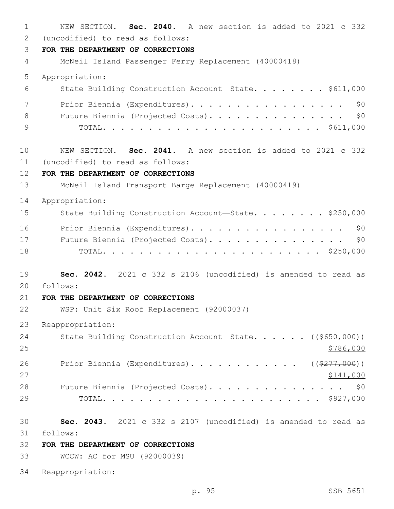NEW SECTION. **Sec. 2040.** A new section is added to 2021 c 332 (uncodified) to read as follows: 2 **FOR THE DEPARTMENT OF CORRECTIONS** McNeil Island Passenger Ferry Replacement (40000418) Appropriation: State Building Construction Account—State. . . . . . . . \$611,000 7 Prior Biennia (Expenditures). . . . . . . . . . . . . . . . \$0 8 Future Biennia (Projected Costs). . . . . . . . . . . . . . \$0 TOTAL. . . . . . . . . . . . . . . . . . . . . . . . \$611,000 NEW SECTION. **Sec. 2041.** A new section is added to 2021 c 332 (uncodified) to read as follows: 11 **FOR THE DEPARTMENT OF CORRECTIONS** McNeil Island Transport Barge Replacement (40000419) Appropriation: 15 State Building Construction Account-State. . . . . . . \$250,000 16 Prior Biennia (Expenditures). . . . . . . . . . . . . . . . \$0 Future Biennia (Projected Costs). . . . . . . . . . . . . . . \$0 TOTAL. . . . . . . . . . . . . . . . . . . . . . . . \$250,000 **Sec. 2042.** 2021 c 332 s 2106 (uncodified) is amended to read as follows: 20 **FOR THE DEPARTMENT OF CORRECTIONS** WSP: Unit Six Roof Replacement (92000037) Reappropriation: 24 State Building Construction Account—State. . . . . ((\$650,000)) 26 Prior Biennia (Expenditures). . . . . . . . . . . ((\$277,000))  $\frac{$141,000}{}$ 28 Future Biennia (Projected Costs). . . . . . . . . . . . . . \$0 TOTAL. . . . . . . . . . . . . . . . . . . . . . . . \$927,000 **Sec. 2043.** 2021 c 332 s 2107 (uncodified) is amended to read as follows: 31 **FOR THE DEPARTMENT OF CORRECTIONS** WCCW: AC for MSU (92000039) Reappropriation: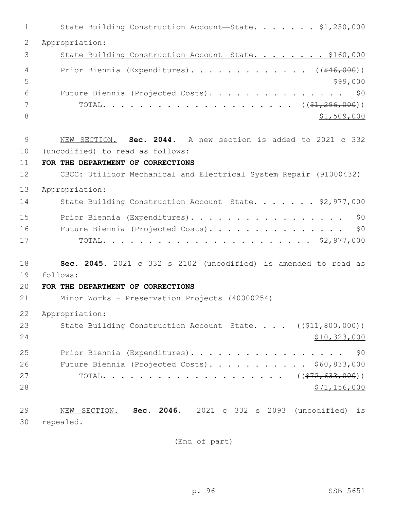| 1            | State Building Construction Account-State. \$1,250,000            |
|--------------|-------------------------------------------------------------------|
| $\mathbf{2}$ | Appropriation:                                                    |
| 3            | State Building Construction Account-State. \$160,000              |
| 4            | Prior Biennia (Expenditures). ( $(\frac{646,000}{9})$ )           |
| 5            | \$99,000                                                          |
| 6            | Future Biennia (Projected Costs). \$0                             |
| 7            |                                                                   |
| 8            | \$1,509,000                                                       |
| 9            | NEW SECTION. Sec. 2044. A new section is added to 2021 c 332      |
| 10           | (uncodified) to read as follows:                                  |
| 11           | FOR THE DEPARTMENT OF CORRECTIONS                                 |
| 12           | CBCC: Utilidor Mechanical and Electrical System Repair (91000432) |
| 13           | Appropriation:                                                    |
| 14           | State Building Construction Account-State. \$2,977,000            |
| 15           | Prior Biennia (Expenditures).<br>\$0                              |
| 16           | Future Biennia (Projected Costs).<br>\$0                          |
| 17           |                                                                   |
| 18           | Sec. 2045. 2021 c 332 s 2102 (uncodified) is amended to read as   |
| 19           | follows:                                                          |
| 20           | FOR THE DEPARTMENT OF CORRECTIONS                                 |
| 21           | Minor Works - Preservation Projects (40000254)                    |
| 22           | Appropriation:                                                    |
| 23           | State Building Construction Account-State. ((\$11,800,000))       |
| 24           | \$10,323,000                                                      |
| 25           | Prior Biennia (Expenditures). \$0                                 |
| 26           | Future Biennia (Projected Costs). \$60,833,000                    |
| 27           |                                                                   |
| 28           | <u>\$71,156,000</u>                                               |
| 29           | NEW SECTION. Sec. 2046. 2021 c 332 s 2093 (uncodified) is         |
| 30           | repealed.                                                         |

(End of part)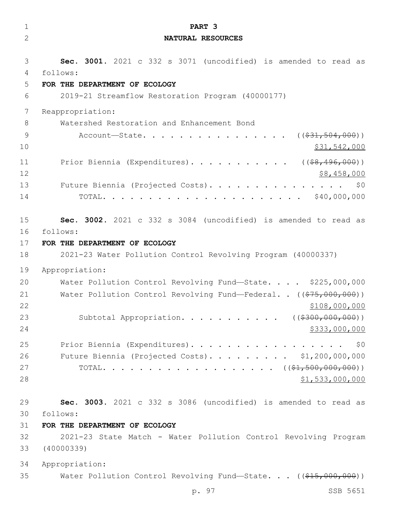| $\mathbf 1$          | PART 3                                                                                                                                                       |
|----------------------|--------------------------------------------------------------------------------------------------------------------------------------------------------------|
| $\overline{2}$       | NATURAL RESOURCES                                                                                                                                            |
| 3                    | Sec. 3001. 2021 c 332 s 3071 (uncodified) is amended to read as                                                                                              |
| 4                    | follows:                                                                                                                                                     |
| 5                    | FOR THE DEPARTMENT OF ECOLOGY                                                                                                                                |
| 6                    | 2019-21 Streamflow Restoration Program (40000177)                                                                                                            |
| 7                    | Reappropriation:                                                                                                                                             |
| 8                    | Watershed Restoration and Enhancement Bond                                                                                                                   |
| 9                    | Account—State. ( $(\frac{231}{504}, \frac{504}{600})$ )                                                                                                      |
| 10                   | \$31,542,000                                                                                                                                                 |
| 11<br>12<br>13<br>14 | Prior Biennia (Expenditures). ( $(\frac{28}{196}, 496, 000)$ )<br>\$8,458,000<br>Future Biennia (Projected Costs).<br>\$0<br>$\cdots$ \$40,000,000<br>TOTAL. |
| 15                   | Sec. 3002. 2021 c 332 s 3084 (uncodified) is amended to read as                                                                                              |
| 16                   | follows:                                                                                                                                                     |
| 17                   | FOR THE DEPARTMENT OF ECOLOGY                                                                                                                                |
| 18                   | 2021-23 Water Pollution Control Revolving Program (40000337)                                                                                                 |
| 19                   | Appropriation:                                                                                                                                               |
| 20                   | Water Pollution Control Revolving Fund-State. \$225,000,000                                                                                                  |
| 21                   | Water Pollution Control Revolving Fund-Federal. . ((\$75,000,000))                                                                                           |
| 22                   | \$108,000,000                                                                                                                                                |
| 23                   | Subtotal Appropriation. ( $(\frac{2300,000,000}{100,000}))$                                                                                                  |
| 24                   | \$333,000,000                                                                                                                                                |
| 25                   | Prior Biennia (Expenditures). \$0                                                                                                                            |
| 26                   | Future Biennia (Projected Costs). \$1,200,000,000                                                                                                            |
| 27                   |                                                                                                                                                              |
| 28                   | \$1,533,000,000                                                                                                                                              |
| 29                   | Sec. 3003. 2021 c 332 s 3086 (uncodified) is amended to read as                                                                                              |
| 30                   | follows:                                                                                                                                                     |
| 31                   | FOR THE DEPARTMENT OF ECOLOGY                                                                                                                                |
| 32                   | 2021-23 State Match - Water Pollution Control Revolving Program                                                                                              |
| 33                   | (40000339)                                                                                                                                                   |
| 34                   | Appropriation:                                                                                                                                               |
| 35                   | Water Pollution Control Revolving Fund-State. $($ $($ $$15,000,000)$ $)$<br>p. 97<br>SSB 5651                                                                |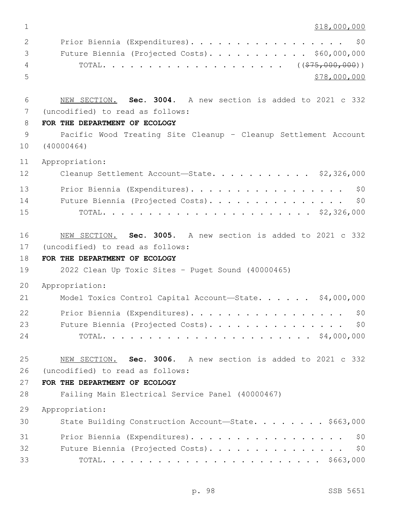\$18,000,000  $\,$ 

| 2             | Prior Biennia (Expenditures). \$0              |
|---------------|------------------------------------------------|
| $\mathcal{S}$ | Future Biennia (Projected Costs). \$60,000,000 |
| 4             |                                                |
| - 5 -         | \$78,000,000                                   |

 NEW SECTION. **Sec. 3004.** A new section is added to 2021 c 332 (uncodified) to read as follows: 7

## **FOR THE DEPARTMENT OF ECOLOGY**

 Pacific Wood Treating Site Cleanup – Cleanup Settlement Account (40000464)

Appropriation:

| 12 | Cleanup Settlement Account-State. \$2,326,000 |
|----|-----------------------------------------------|
| 13 | Prior Biennia (Expenditures). \$0             |
| 14 | Future Biennia (Projected Costs). \$0         |
| 15 |                                               |

 NEW SECTION. **Sec. 3005.** A new section is added to 2021 c 332 17 (uncodified) to read as follows:

# **FOR THE DEPARTMENT OF ECOLOGY**

2022 Clean Up Toxic Sites – Puget Sound (40000465)

Appropriation:

| 21 | Model Toxics Control Capital Account-State. \$4,000,000 |  |
|----|---------------------------------------------------------|--|
| 22 | Prior Biennia (Expenditures). \$0                       |  |
| 23 | Future Biennia (Projected Costs). \$0                   |  |
| 24 |                                                         |  |

 NEW SECTION. **Sec. 3006.** A new section is added to 2021 c 332 (uncodified) to read as follows: 26

## **FOR THE DEPARTMENT OF ECOLOGY**

Failing Main Electrical Service Panel (40000467)

Appropriation:

| 30 | State Building Construction Account-State. \$663,000 |
|----|------------------------------------------------------|
| 31 | Prior Biennia (Expenditures). \$0                    |
| 32 | Future Biennia (Projected Costs). \$0                |
| 33 |                                                      |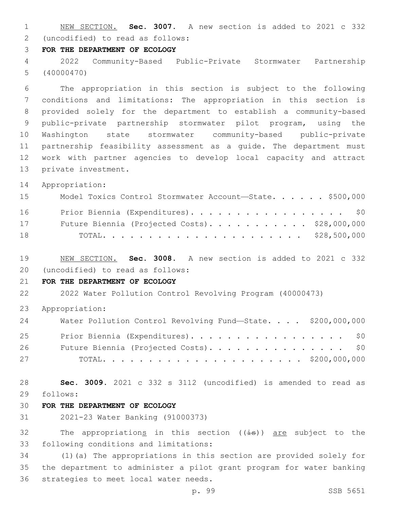NEW SECTION. **Sec. 3007.** A new section is added to 2021 c 332 (uncodified) to read as follows: 2

## **FOR THE DEPARTMENT OF ECOLOGY**

 2022 Community-Based Public-Private Stormwater Partnership (40000470)

 The appropriation in this section is subject to the following conditions and limitations: The appropriation in this section is provided solely for the department to establish a community-based public-private partnership stormwater pilot program, using the Washington state stormwater community-based public-private partnership feasibility assessment as a guide. The department must work with partner agencies to develop local capacity and attract 13 private investment.

Appropriation:

| 15 | Model Toxics Control Stormwater Account-State. \$500,000 |  |  |
|----|----------------------------------------------------------|--|--|
| 16 | Prior Biennia (Expenditures). \$0                        |  |  |
| 17 | Future Biennia (Projected Costs). \$28,000,000           |  |  |
| 18 |                                                          |  |  |

 NEW SECTION. **Sec. 3008.** A new section is added to 2021 c 332 (uncodified) to read as follows: 20

# **FOR THE DEPARTMENT OF ECOLOGY**

2022 Water Pollution Control Revolving Program (40000473)

Appropriation:

| 24 | Water Pollution Control Revolving Fund-State. \$200,000,000 |  |
|----|-------------------------------------------------------------|--|
| 25 | Prior Biennia (Expenditures). \$0                           |  |
| 26 | Future Biennia (Projected Costs). \$0                       |  |
| 27 |                                                             |  |

 **Sec. 3009.** 2021 c 332 s 3112 (uncodified) is amended to read as follows: 29

# **FOR THE DEPARTMENT OF ECOLOGY**

2021-23 Water Banking (91000373)

32 The appropriations in this section  $((\frac{1}{18}))$  are subject to the 33 following conditions and limitations:

 (1)(a) The appropriations in this section are provided solely for the department to administer a pilot grant program for water banking 36 strategies to meet local water needs.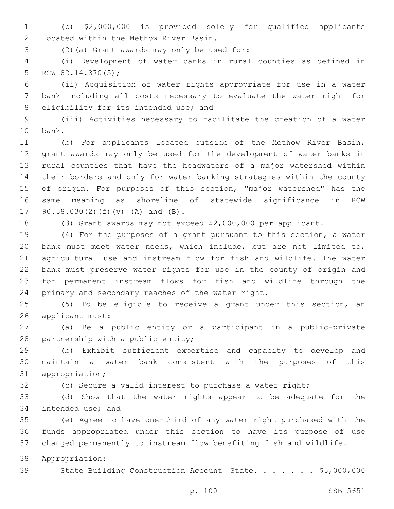(b) \$2,000,000 is provided solely for qualified applicants located within the Methow River Basin.2

(2)(a) Grant awards may only be used for:3

 (i) Development of water banks in rural counties as defined in 5 RCW  $82.14.370(5)$ ;

 (ii) Acquisition of water rights appropriate for use in a water bank including all costs necessary to evaluate the water right for 8 eligibility for its intended use; and

 (iii) Activities necessary to facilitate the creation of a water 10 bank.

 (b) For applicants located outside of the Methow River Basin, grant awards may only be used for the development of water banks in rural counties that have the headwaters of a major watershed within their borders and only for water banking strategies within the county of origin. For purposes of this section, "major watershed" has the same meaning as shoreline of statewide significance in RCW 17 90.58.030(2)(f)(v) (A) and (B).

(3) Grant awards may not exceed \$2,000,000 per applicant.

 (4) For the purposes of a grant pursuant to this section, a water bank must meet water needs, which include, but are not limited to, agricultural use and instream flow for fish and wildlife. The water bank must preserve water rights for use in the county of origin and for permanent instream flows for fish and wildlife through the 24 primary and secondary reaches of the water right.

 (5) To be eligible to receive a grant under this section, an 26 applicant must:

 (a) Be a public entity or a participant in a public-private 28 partnership with a public entity;

 (b) Exhibit sufficient expertise and capacity to develop and maintain a water bank consistent with the purposes of this 31 appropriation;

(c) Secure a valid interest to purchase a water right;

 (d) Show that the water rights appear to be adequate for the 34 intended use; and

 (e) Agree to have one-third of any water right purchased with the funds appropriated under this section to have its purpose of use changed permanently to instream flow benefiting fish and wildlife.

Appropriation:

39 State Building Construction Account-State. . . . . . \$5,000,000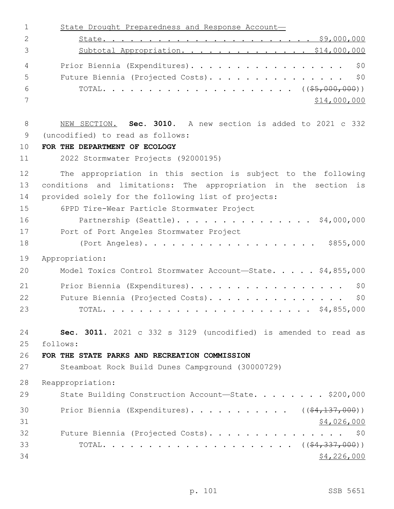| $\mathbf 1$  | State Drought Preparedness and Response Account-                |
|--------------|-----------------------------------------------------------------|
| $\mathbf{2}$ |                                                                 |
| 3            | Subtotal Appropriation. \$14,000,000                            |
| 4            | \$0<br>Prior Biennia (Expenditures).                            |
| 5            | \$0<br>Future Biennia (Projected Costs).                        |
| 6            |                                                                 |
| 7            | \$14,000,000                                                    |
| 8            | NEW SECTION. Sec. 3010. A new section is added to 2021 c 332    |
| 9            | (uncodified) to read as follows:                                |
| 10           | FOR THE DEPARTMENT OF ECOLOGY                                   |
| 11           | 2022 Stormwater Projects (92000195)                             |
| 12           | The appropriation in this section is subject to the following   |
| 13           | conditions and limitations: The appropriation in the section is |
| 14           | provided solely for the following list of projects:             |
| 15           | 6PPD Tire-Wear Particle Stormwater Project                      |
| 16           | Partnership (Seattle). \$4,000,000                              |
| 17           | Port of Port Angeles Stormwater Project                         |
| 18           |                                                                 |
| 19           | Appropriation:                                                  |
| 20           | Model Toxics Control Stormwater Account-State. \$4,855,000      |
| 21           | Prior Biennia (Expenditures).<br>\$0                            |
| 22           | Future Biennia (Projected Costs).<br>\$0                        |
| 23           | \$4,855,000<br>TOTAL.                                           |
| 24           | Sec. 3011. 2021 c 332 s 3129 (uncodified) is amended to read as |
| 25           | follows:                                                        |
| 26           | FOR THE STATE PARKS AND RECREATION COMMISSION                   |
| 27           | Steamboat Rock Build Dunes Campground (30000729)                |
| 28           | Reappropriation:                                                |
| 29           | State Building Construction Account-State. \$200,000            |
| 30           | Prior Biennia (Expenditures). ( $(\frac{24,137,000}{2})$        |
| 31           | \$4,026,000                                                     |
| 32           | Future Biennia (Projected Costs). \$0                           |
| 33           |                                                                 |
| 34           | \$4,226,000                                                     |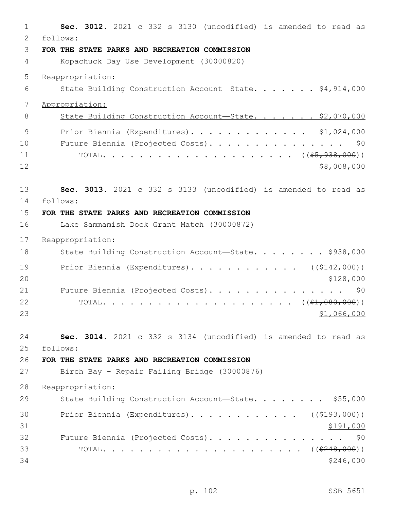| $\mathbf 1$ | Sec. 3012. 2021 c 332 s 3130 (uncodified) is amended to read as |
|-------------|-----------------------------------------------------------------|
| 2           | follows:                                                        |
| 3           | FOR THE STATE PARKS AND RECREATION COMMISSION                   |
| 4           | Kopachuck Day Use Development (30000820)                        |
| 5           | Reappropriation:                                                |
| 6           | State Building Construction Account-State. \$4,914,000          |
| 7           | Appropriation:                                                  |
| 8           | State Building Construction Account-State. \$2,070,000          |
| 9           | Prior Biennia (Expenditures). \$1,024,000                       |
| 10          | Future Biennia (Projected Costs).<br>\$0                        |
| 11          |                                                                 |
| 12          | \$8,008,000                                                     |
| 13          | Sec. 3013. 2021 c 332 s 3133 (uncodified) is amended to read as |
| 14          | follows:                                                        |
| 15          | FOR THE STATE PARKS AND RECREATION COMMISSION                   |
| 16          | Lake Sammamish Dock Grant Match (30000872)                      |
| 17          | Reappropriation:                                                |
| 18          | State Building Construction Account-State. \$938,000            |
| 19          | Prior Biennia (Expenditures). ( $(\frac{2142,000}{1})$          |
| 20          | \$128,000                                                       |
| 21          | Future Biennia (Projected Costs).<br>\$0                        |
| 22          |                                                                 |
| 23          | \$1,066,000                                                     |
| 24          | Sec. 3014. 2021 c 332 s 3134 (uncodified) is amended to read as |
| 25          | follows:                                                        |
| 26          | FOR THE STATE PARKS AND RECREATION COMMISSION                   |
| 27          | Birch Bay - Repair Failing Bridge (30000876)                    |
| 28          | Reappropriation:                                                |
| 29          | State Building Construction Account-State. \$55,000             |
| 30          | Prior Biennia (Expenditures). ( $(\frac{2193}{100})$ )          |
| 31          | \$191,000                                                       |
| 32          | Future Biennia (Projected Costs). \$0                           |
| 33          |                                                                 |
| 34          | \$246,000                                                       |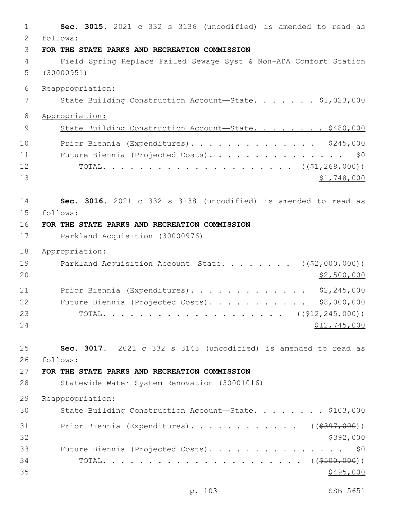**Sec. 3015.** 2021 c 332 s 3136 (uncodified) is amended to read as follows: 2 **FOR THE STATE PARKS AND RECREATION COMMISSION** Field Spring Replace Failed Sewage Syst & Non-ADA Comfort Station (30000951) Reappropriation: 7 State Building Construction Account—State. . . . . . \$1,023,000 Appropriation: 9 State Building Construction Account-State. . . . . . . \$480,000 Prior Biennia (Expenditures). . . . . . . . . . . . . . \$245,000 Future Biennia (Projected Costs). . . . . . . . . . . . . . . \$0 TOTAL. . . . . . . . . . . . . . . . . . . . . ((\$1,268,000)) \$1,748,000 **Sec. 3016.** 2021 c 332 s 3138 (uncodified) is amended to read as follows: 15 **FOR THE STATE PARKS AND RECREATION COMMISSION** Parkland Acquisition (30000976) Appropriation: 19 Parkland Acquisition Account—State. . . . . . . ((\$2,000,000)) \$2,500,000 21 Prior Biennia (Expenditures). . . . . . . . . . . . \$2,245,000 22 Future Biennia (Projected Costs). . . . . . . . . . \$8,000,000 23 TOTAL. . . . . . . . . . . . . . . . . . ((<del>\$12,245,000</del>)) \$12,745,000 **Sec. 3017.** 2021 c 332 s 3143 (uncodified) is amended to read as follows: 26 **FOR THE STATE PARKS AND RECREATION COMMISSION** Statewide Water System Renovation (30001016) Reappropriation: 30 State Building Construction Account-State. . . . . . . \$103,000 31 Prior Biennia (Expenditures). . . . . . . . . . . ((\$397,000))  $\frac{$392,000}{9}$  Future Biennia (Projected Costs). . . . . . . . . . . . . . . \$0 TOTAL. . . . . . . . . . . . . . . . . . . . . . ((\$500,000))  $\frac{$495,000}{900}$ 

p. 103 SSB 5651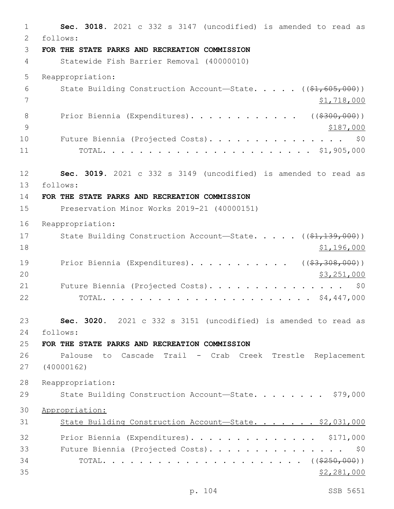1 **Sec. 3018.** 2021 c 332 s 3147 (uncodified) is amended to read as follows: 2 3 **FOR THE STATE PARKS AND RECREATION COMMISSION** 4 Statewide Fish Barrier Removal (40000010) 5 Reappropriation: 6 State Building Construction Account—State. . . . . ((\$1,605,000))  $7 \frac{\text{S1,718,000}}{1}$ 8 Prior Biennia (Expenditures). . . . . . . . . . . ((\$300,000)) 9 \$187,000 10 Future Biennia (Projected Costs). . . . . . . . . . . . . . \$0 11 TOTAL. . . . . . . . . . . . . . . . . . . . . . . \$1,905,000 12 **Sec. 3019.** 2021 c 332 s 3149 (uncodified) is amended to read as follows: 13 14 **FOR THE STATE PARKS AND RECREATION COMMISSION** 15 Preservation Minor Works 2019-21 (40000151) 16 Reappropriation: 17 State Building Construction Account—State. . . . . ((\$1,139,000)) 18 \$1,196,000 19 Prior Biennia (Expenditures). . . . . . . . . . ((\$3,308,000)) 20 \$3,251,000 21 Future Biennia (Projected Costs). . . . . . . . . . . . . . \$0 22 TOTAL. . . . . . . . . . . . . . . . . . . . . . . \$4,447,000 23 **Sec. 3020.** 2021 c 332 s 3151 (uncodified) is amended to read as follows: 24 25 **FOR THE STATE PARKS AND RECREATION COMMISSION** 26 Palouse to Cascade Trail - Crab Creek Trestle Replacement 27 (40000162) 28 Reappropriation: 29 State Building Construction Account-State. . . . . . . \$79,000 30 Appropriation: 31 State Building Construction Account-State. . . . . . \$2,031,000 32 Prior Biennia (Expenditures). . . . . . . . . . . . . \$171,000 33 Future Biennia (Projected Costs). . . . . . . . . . . . . . . \$0 34 TOTAL. . . . . . . . . . . . . . . . . . . . . . ((\$250,000))  $\frac{1}{2}$  35  $\frac{1}{2}$  281,000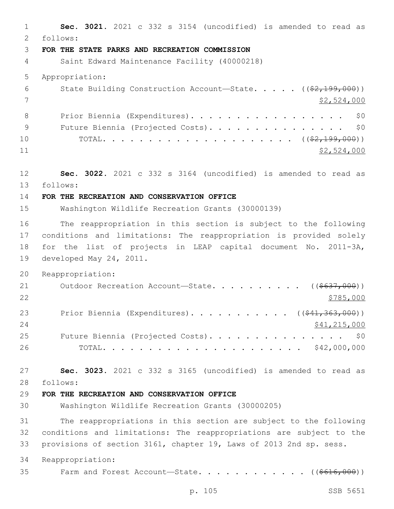**Sec. 3021.** 2021 c 332 s 3154 (uncodified) is amended to read as follows: 2 **FOR THE STATE PARKS AND RECREATION COMMISSION** Saint Edward Maintenance Facility (40000218) Appropriation: 6 State Building Construction Account—State. . . . . ((\$2,199,000)) \$2,524,000 8 Prior Biennia (Expenditures). . . . . . . . . . . . . . . . \$0 9 Future Biennia (Projected Costs). . . . . . . . . . . . . . \$0 TOTAL. . . . . . . . . . . . . . . . . . . . . ((\$2,199,000)) \$2,524,000 **Sec. 3022.** 2021 c 332 s 3164 (uncodified) is amended to read as follows: 13 **FOR THE RECREATION AND CONSERVATION OFFICE** Washington Wildlife Recreation Grants (30000139) The reappropriation in this section is subject to the following conditions and limitations: The reappropriation is provided solely for the list of projects in LEAP capital document No. 2011-3A, 19 developed May 24, 2011. Reappropriation: 21 Outdoor Recreation Account—State. . . . . . . . . ((\$637,000)) 23 Prior Biennia (Expenditures). . . . . . . . . . ((\$41,363,000)) 24 \$41,215,000 25 Future Biennia (Projected Costs). . . . . . . . . . . . . . \$0 TOTAL. . . . . . . . . . . . . . . . . . . . . . \$42,000,000 **Sec. 3023.** 2021 c 332 s 3165 (uncodified) is amended to read as follows: 28 **FOR THE RECREATION AND CONSERVATION OFFICE** Washington Wildlife Recreation Grants (30000205) The reappropriations in this section are subject to the following conditions and limitations: The reappropriations are subject to the provisions of section 3161, chapter 19, Laws of 2013 2nd sp. sess. Reappropriation: 35 Farm and Forest Account—State. . . . . . . . . . . ((\$616,000))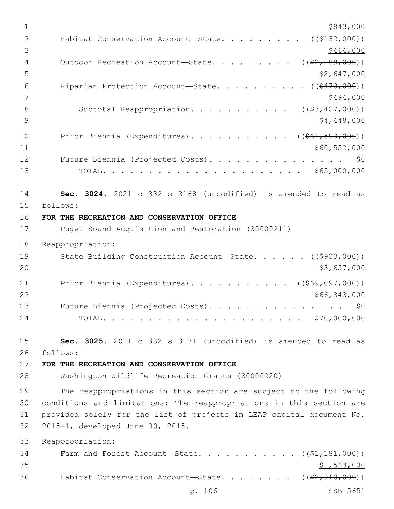| $1\,$          | \$843,000                                                               |
|----------------|-------------------------------------------------------------------------|
| $\overline{2}$ | ( ( \$132, 000) )<br>Habitat Conservation Account-State.                |
| 3              | \$464,000                                                               |
| 4              | ( ( \$2, 189, 000) )<br>Outdoor Recreation Account-State.               |
| 5              | <u>\$2,647,000</u>                                                      |
| 6              | ( ( \$470,000) )<br>Riparian Protection Account-State.                  |
| 7              | \$494,000                                                               |
| $8\,$          | Subtotal Reappropriation.<br>$($ $($ $$3, 407, 000)$ $)$                |
| 9              | \$4,448,000                                                             |
| 10             | Prior Biennia (Expenditures). ( $(\frac{\$61,593,000}{\$})$             |
| 11             | \$60,552,000                                                            |
| 12             | Future Biennia (Projected Costs).<br>\$0                                |
| 13             |                                                                         |
|                |                                                                         |
| 14             | Sec. 3024. 2021 c 332 s 3168 (uncodified) is amended to read as         |
| 15             | follows:                                                                |
| 16             | FOR THE RECREATION AND CONSERVATION OFFICE                              |
| 17             | Puget Sound Acquisition and Restoration (30000211)                      |
| 18             | Reappropriation:                                                        |
| 19             | State Building Construction Account-State.<br>( ( \$903,000) )          |
| 20             | \$3,657,000                                                             |
| 21             | Prior Biennia (Expenditures). ( $(\frac{269}{1000})$ )                  |
| 22             | \$66,343,000                                                            |
| 23             | Future Biennia (Projected Costs).<br>\$0                                |
| 24             | \$70,000,000<br>TOTAL.                                                  |
|                |                                                                         |
| 25             | Sec. 3025. 2021 c 332 s 3171 (uncodified) is amended to read as         |
| 26             | follows:                                                                |
| 27             | FOR THE RECREATION AND CONSERVATION OFFICE                              |
| 28             | Washington Wildlife Recreation Grants (30000220)                        |
| 29             | The reappropriations in this section are subject to the following       |
| 30             | conditions and limitations: The reappropriations in this section are    |
| 31             | provided solely for the list of projects in LEAP capital document No.   |
| 32             | 2015-1, developed June 30, 2015.                                        |
| 33             | Reappropriation:                                                        |
| 34             | Farm and Forest Account-State.<br>$\ldots$ (( <del>\$1,181,000</del> )) |
| 35             | \$1,563,000                                                             |
| 36             | Habitat Conservation Account-State. ( $(\frac{2}{7}, 910, 000)$ )       |
|                | p. 106<br>SSB 5651                                                      |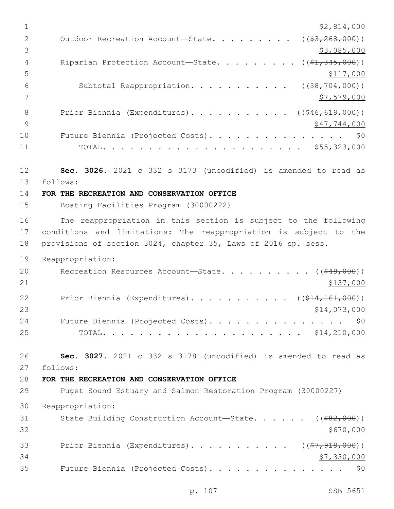$1 \quad$  \$2,814,000 2 Outdoor Recreation Account—State. . . . . . . . ((\$3,268,000))  $\frac{1}{3}$ ,085,000 4 Riparian Protection Account—State. . . . . . . . ((\$1,345,000))  $5 - 5$ 6 Subtotal Reappropriation. . . . . . . . . . ((\$8,704,000))  $7 \frac{\text{S}}{7}$ ,579,000 8 Prior Biennia (Expenditures). . . . . . . . . . ((\$46,619,000))  $\frac{1}{2}$   $\frac{9}{17}$ ,  $\frac{744}{1000}$ 10 Future Biennia (Projected Costs). . . . . . . . . . . . . . \$0 11 TOTAL. . . . . . . . . . . . . . . . . . . . . . \$55,323,000 12 **Sec. 3026.** 2021 c 332 s 3173 (uncodified) is amended to read as follows: 13 14 **FOR THE RECREATION AND CONSERVATION OFFICE** 15 Boating Facilities Program (30000222) 16 The reappropriation in this section is subject to the following 17 conditions and limitations: The reappropriation is subject to the 18 provisions of section 3024, chapter 35, Laws of 2016 sp. sess. 19 Reappropriation: 20 Recreation Resources Account—State. . . . . . . . . ((<del>\$49,000</del>))  $21$   $\frac{$137,000}{}$ 22 Prior Biennia (Expenditures). . . . . . . . . . ((\$14,161,000))  $23$  \$14,073,000 24 Future Biennia (Projected Costs). . . . . . . . . . . . . . \$0 25 TOTAL. . . . . . . . . . . . . . . . . . . . . . \$14,210,000 26 **Sec. 3027.** 2021 c 332 s 3178 (uncodified) is amended to read as follows: 27 28 **FOR THE RECREATION AND CONSERVATION OFFICE** 29 Puget Sound Estuary and Salmon Restoration Program (30000227) 30 Reappropriation: 31 State Building Construction Account—State. . . . . ((\$82,000))  $32 \div 5670,000$ 33 Prior Biennia (Expenditures). . . . . . . . . . ((\$7,918,000))  $34$   $$7,330,000$ 35 Future Biennia (Projected Costs). . . . . . . . . . . . . . . \$0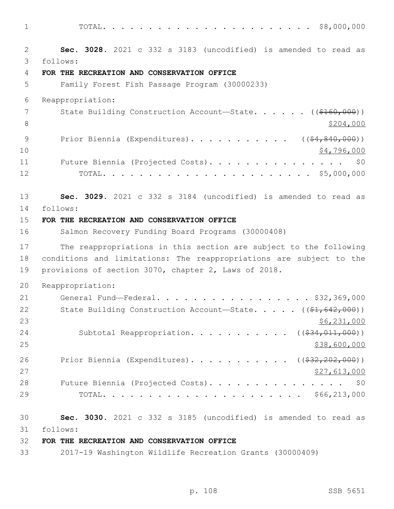1 TOTAL. . . . . . . . . . . . . . . . . . . . . . . \$8,000,000

2 **Sec. 3028.** 2021 c 332 s 3183 (uncodified) is amended to read as follows: 3 4 **FOR THE RECREATION AND CONSERVATION OFFICE** 5 Family Forest Fish Passage Program (30000233) 6 Reappropriation: 7 State Building Construction Account—State. . . . . . ((\$160,000)) 8 \$204,000 9 Prior Biennia (Expenditures). . . . . . . . . . ((\$4,840,000))  $10 \hspace{2.5cm}$  \$4,796,000 11 Future Biennia (Projected Costs). . . . . . . . . . . . . . \$0 12 TOTAL. . . . . . . . . . . . . . . . . . . . . . . \$5,000,000 13 **Sec. 3029.** 2021 c 332 s 3184 (uncodified) is amended to read as 14 follows: 15 **FOR THE RECREATION AND CONSERVATION OFFICE** 16 Salmon Recovery Funding Board Programs (30000408) 17 The reappropriations in this section are subject to the following 18 conditions and limitations: The reappropriations are subject to the 19 provisions of section 3070, chapter 2, Laws of 2018. 20 Reappropriation: 21 General Fund—Federal. . . . . . . . . . . . . . . . . \$32,369,000 22 State Building Construction Account—State. . . . . ((\$1,642,000))  $23$  \$6,231,000 24 Subtotal Reappropriation. . . . . . . . . . ((\$34,011,000))  $25$  \$38,600,000 26 Prior Biennia (Expenditures). . . . . . . . . . ((\$32,202,000)) 27,613,000 28 Future Biennia (Projected Costs). . . . . . . . . . . . . . \$0 29 TOTAL. . . . . . . . . . . . . . . . . . . . . . \$66,213,000 30 **Sec. 3030.** 2021 c 332 s 3185 (uncodified) is amended to read as follows: 31

# 32 **FOR THE RECREATION AND CONSERVATION OFFICE**

33 2017-19 Washington Wildlife Recreation Grants (30000409)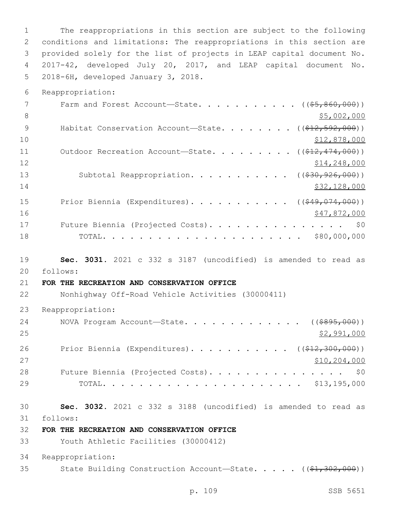The reappropriations in this section are subject to the following conditions and limitations: The reappropriations in this section are provided solely for the list of projects in LEAP capital document No. 2017-42, developed July 20, 2017, and LEAP capital document No. 5 2018-6H, developed January 3, 2018.

Reappropriation:

|    | Farm and Forest Account-State. ( $(\frac{55}{60000})$ )                               |
|----|---------------------------------------------------------------------------------------|
| 8  | \$5,002,000                                                                           |
| 9  | Habitat Conservation Account-State. ( $(\frac{\xi+2}{\xi+2}, \frac{592}{\xi}, 000)$ ) |
| 10 | \$12,878,000                                                                          |
| 11 | Outdoor Recreation Account-State. ( $(\frac{212}{7474}, 000)$ )                       |
| 12 | \$14,248,000                                                                          |
| 13 | Subtotal Reappropriation. ( $(\frac{230}{726}, \frac{926}{60})$ )                     |
| 14 | \$32,128,000                                                                          |
| 15 | Prior Biennia (Expenditures). ( $(\frac{249}{1000})$ )                                |
| 16 | \$47,872,000                                                                          |
| 17 | Future Biennia (Projected Costs). \$0                                                 |
| 18 |                                                                                       |

 **Sec. 3031.** 2021 c 332 s 3187 (uncodified) is amended to read as follows: 20

## **FOR THE RECREATION AND CONSERVATION OFFICE**

Nonhighway Off-Road Vehicle Activities (30000411)

Reappropriation:

| 24 | NOVA Program Account—State. $($ $($ $\frac{2995,000}{9})$               |
|----|-------------------------------------------------------------------------|
| 25 | \$2,991,000                                                             |
| 26 | Prior Biennia (Expenditures). ( $(\frac{\$12,300,000}{\$12,300,000})$ ) |
| 27 | \$10, 204, 000                                                          |
| 28 | Future Biennia (Projected Costs). \$0                                   |
| 29 |                                                                         |

 **Sec. 3032.** 2021 c 332 s 3188 (uncodified) is amended to read as follows: 31

**FOR THE RECREATION AND CONSERVATION OFFICE**

Youth Athletic Facilities (30000412)

Reappropriation:

35 State Building Construction Account—State. . . . . ((\$1,302,000))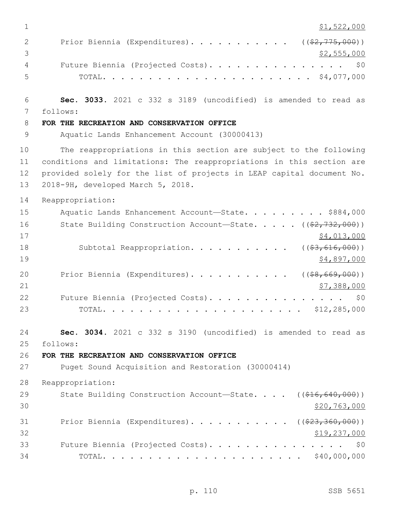| 1              | \$1,522,000                                                                         |
|----------------|-------------------------------------------------------------------------------------|
| 2              | Prior Biennia (Expenditures). ( $(\frac{2}{775,000})$ )                             |
| 3              | \$2,555,000                                                                         |
| 4              | Future Biennia (Projected Costs).<br>\$0                                            |
| 5              |                                                                                     |
|                |                                                                                     |
| 6              | Sec. 3033. 2021 c 332 s 3189 (uncodified) is amended to read as                     |
| 7              | follows:                                                                            |
| 8              | FOR THE RECREATION AND CONSERVATION OFFICE                                          |
| $\overline{9}$ | Aquatic Lands Enhancement Account (30000413)                                        |
| 10             | The reappropriations in this section are subject to the following                   |
| 11             | conditions and limitations: The reappropriations in this section are                |
| 12             | provided solely for the list of projects in LEAP capital document No.               |
| 13             | 2018-9H, developed March 5, 2018.                                                   |
| 14             | Reappropriation:                                                                    |
| 15             | Aquatic Lands Enhancement Account-State. \$884,000                                  |
| 16             | State Building Construction Account-State. $($ $($ $\frac{2}{7}$ , $732$ , $000)$ ) |
| 17             | \$4,013,000                                                                         |
| 18             | Subtotal Reappropriation.<br>( ( \$3, 616, 000) )                                   |
| 19             | \$4,897,000                                                                         |
| 20             | Prior Biennia (Expenditures).<br>( ( \$8, 669, 000) )                               |
| 21             | \$7,388,000                                                                         |
| 22             | Future Biennia (Projected Costs).<br>\$0                                            |
| 23             |                                                                                     |
|                |                                                                                     |
| 24             | Sec. 3034. 2021 c 332 s 3190 (uncodified) is amended to read as                     |
| 25             | follows:                                                                            |
| 26             | FOR THE RECREATION AND CONSERVATION OFFICE                                          |
| 27             | Puget Sound Acquisition and Restoration (30000414)                                  |
| 28             | Reappropriation:                                                                    |
| 29             | State Building Construction Account-State. $($ $($ $$16, 640, 000)$ $)$             |
| 30             | \$20,763,000                                                                        |
| 31             | Prior Biennia (Expenditures). ( $(\frac{223}{23}, \frac{360}{200})$ )               |
| 32             | <u>\$19,237,000</u>                                                                 |
| 33             | Future Biennia (Projected Costs).<br>\$0                                            |
| 34             | $\cdot$ \$40,000,000<br>TOTAL.                                                      |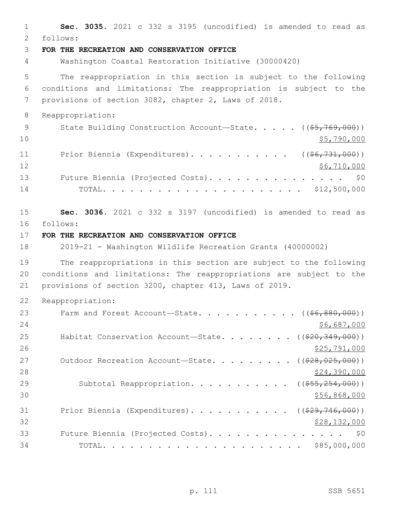1 **Sec. 3035.** 2021 c 332 s 3195 (uncodified) is amended to read as follows: 2 3 **FOR THE RECREATION AND CONSERVATION OFFICE** 4 Washington Coastal Restoration Initiative (30000420) 5 The reappropriation in this section is subject to the following 6 conditions and limitations: The reappropriation is subject to the 7 provisions of section 3082, chapter 2, Laws of 2018. 8 Reappropriation: 9 State Building Construction Account—State. . . . . ((\$5,769,000))  $\frac{10}{5,790,000}$ 11 Prior Biennia (Expenditures). . . . . . . . . . ((\$6,731,000)) 12 \$6,710,000 13 Future Biennia (Projected Costs). . . . . . . . . . . . . . \$0 14 TOTAL. . . . . . . . . . . . . . . . . . . . . . \$12,500,000 15 **Sec. 3036.** 2021 c 332 s 3197 (uncodified) is amended to read as follows: 16 17 **FOR THE RECREATION AND CONSERVATION OFFICE** 18 2019-21 - Washington Wildlife Recreation Grants (40000002) 19 The reappropriations in this section are subject to the following 20 conditions and limitations: The reappropriations are subject to the 21 provisions of section 3200, chapter 413, Laws of 2019. 22 Reappropriation: 23 Farm and Forest Account—State. . . . . . . . . .  $($   $($  $66, 880, 000)$  $)$  $24$  \$6,687,000 25 Habitat Conservation Account—State. . . . . . . ((\$20,349,000))  $26$   $$25,791,000$ 27 Outdoor Recreation Account—State. . . . . . . . ((\$28,025,000)) 28 \$24,390,000 29 Subtotal Reappropriation. . . . . . . . . . ((\$55,254,000))  $30 \frac{\text{556,868,000}}{9000}$ 31 Prior Biennia (Expenditures). . . . . . . . . . ((\$29,746,000))  $32$  \$28,132,000 33 Future Biennia (Projected Costs). . . . . . . . . . . . . . . \$0 34 TOTAL. . . . . . . . . . . . . . . . . . . . . . \$85,000,000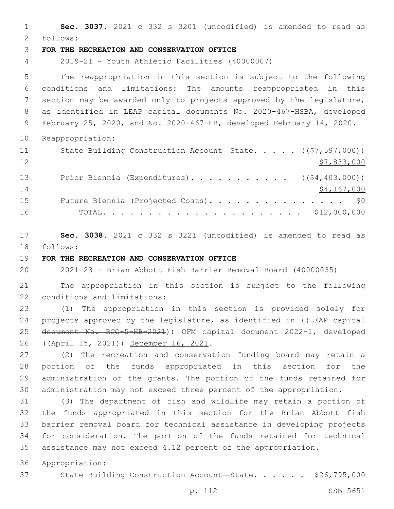**Sec. 3037.** 2021 c 332 s 3201 (uncodified) is amended to read as follows: 2 **FOR THE RECREATION AND CONSERVATION OFFICE** 2019-21 - Youth Athletic Facilities (40000007) The reappropriation in this section is subject to the following conditions and limitations: The amounts reappropriated in this section may be awarded only to projects approved by the legislature, as identified in LEAP capital documents No. 2020-467-HSBA, developed February 25, 2020, and No. 2020-467-HB, developed February 14, 2020. Reappropriation: 11 State Building Construction Account—State. . . . ((\$7,597,000)) \$7,833,000 13 Prior Biennia (Expenditures). . . . . . . . . . ((\$4,403,000)) 14 \$4,167,000 15 Future Biennia (Projected Costs). . . . . . . . . . . . . . \$0 TOTAL. . . . . . . . . . . . . . . . . . . . . . \$12,000,000 **Sec. 3038.** 2021 c 332 s 3221 (uncodified) is amended to read as 18 follows:

**FOR THE RECREATION AND CONSERVATION OFFICE**

2021-23 - Brian Abbott Fish Barrier Removal Board (40000035)

 The appropriation in this section is subject to the following 22 conditions and limitations:

 (1) The appropriation in this section is provided solely for 24 projects approved by the legislature, as identified in ((LEAP capital document No. RCO-5-HB-2021)) OFM capital document 2022-1, developed 26 ((April 15, 2021)) December 16, 2021.

 (2) The recreation and conservation funding board may retain a portion of the funds appropriated in this section for the administration of the grants. The portion of the funds retained for administration may not exceed three percent of the appropriation.

 (3) The department of fish and wildlife may retain a portion of the funds appropriated in this section for the Brian Abbott fish barrier removal board for technical assistance in developing projects for consideration. The portion of the funds retained for technical assistance may not exceed 4.12 percent of the appropriation.

Appropriation:

37 State Building Construction Account-State. . . . . \$26,795,000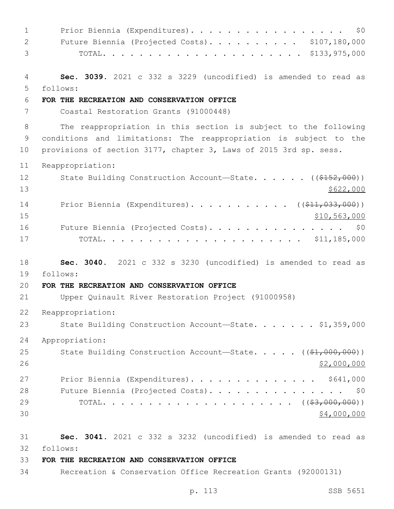1 Prior Biennia (Expenditures). . . . . . . . . . . . . . . . \$0 Future Biennia (Projected Costs). . . . . . . . . . \$107,180,000 TOTAL. . . . . . . . . . . . . . . . . . . . . . \$133,975,000 **Sec. 3039.** 2021 c 332 s 3229 (uncodified) is amended to read as follows: 5 **FOR THE RECREATION AND CONSERVATION OFFICE** Coastal Restoration Grants (91000448) The reappropriation in this section is subject to the following conditions and limitations: The reappropriation is subject to the provisions of section 3177, chapter 3, Laws of 2015 3rd sp. sess. Reappropriation: 12 State Building Construction Account—State. . . . . ((\$152,000))  $13 \frac{\$622,000}{}$ 14 Prior Biennia (Expenditures)........... ((\$11,033,000)) \$10,563,000 16 Future Biennia (Projected Costs). . . . . . . . . . . . . . \$0 TOTAL. . . . . . . . . . . . . . . . . . . . . . \$11,185,000 **Sec. 3040.** 2021 c 332 s 3230 (uncodified) is amended to read as follows: 19 **FOR THE RECREATION AND CONSERVATION OFFICE** Upper Quinault River Restoration Project (91000958) Reappropriation: 23 State Building Construction Account—State. . . . . . \$1,359,000 Appropriation: 25 State Building Construction Account—State. . . . . ((\$1,000,000))  $$2,000,000$ 27 Prior Biennia (Expenditures). . . . . . . . . . . . . \$641,000 28 Future Biennia (Projected Costs). . . . . . . . . . . . . . \$0 TOTAL. . . . . . . . . . . . . . . . . . . . . ((\$3,000,000))  $30 \times 4,000,000$  **Sec. 3041.** 2021 c 332 s 3232 (uncodified) is amended to read as follows: 32 **FOR THE RECREATION AND CONSERVATION OFFICE** Recreation & Conservation Office Recreation Grants (92000131)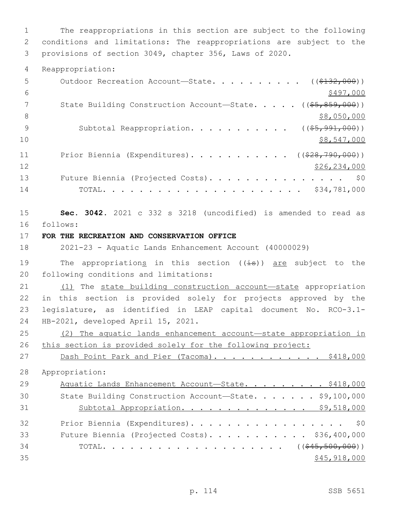1 The reappropriations in this section are subject to the following 2 conditions and limitations: The reappropriations are subject to the 3 provisions of section 3049, chapter 356, Laws of 2020.

4 Reappropriation:

| 5  | Outdoor Recreation Account-State. ( $(\frac{2132}{132}, 000)$ )                      |
|----|--------------------------------------------------------------------------------------|
| 6  | \$497,000                                                                            |
| 7  | State Building Construction Account-State. $($ $($ $\frac{65}{67}, \frac{859}{600})$ |
| 8  | \$8,050,000                                                                          |
| 9  | Subtotal Reappropriation. ( $(\frac{25,991,000}{5})$ )                               |
| 10 | \$8,547,000                                                                          |
| 11 | Prior Biennia (Expenditures). ( $(\frac{228}{790}, \frac{790}{000})$ )               |
| 12 | \$26,234,000                                                                         |
| 13 | Future Biennia (Projected Costs). \$0                                                |
| 14 |                                                                                      |

15 **Sec. 3042.** 2021 c 332 s 3218 (uncodified) is amended to read as follows: 16

17 **FOR THE RECREATION AND CONSERVATION OFFICE**

18 2021-23 - Aquatic Lands Enhancement Account (40000029)

19 The appropriations in this section  $((\frac{1}{18}))$  are subject to the 20 following conditions and limitations:

 (1) The state building construction account—state appropriation in this section is provided solely for projects approved by the legislature, as identified in LEAP capital document No. RCO-3.1- 24 HB-2021, developed April 15, 2021.

25 (2) The aquatic lands enhancement account—state appropriation in 26 this section is provided solely for the following project:

27 Dash Point Park and Pier (Tacoma). . . . . . . . . . . \$418,000 28 Appropriation: 29 Aquatic Lands Enhancement Account—State. . . . . . . . \$418,000 30 State Building Construction Account—State. . . . . . . \$9,100,000 31 Subtotal Appropriation. . . . . . . . . . . . . \$9,518,000 32 Prior Biennia (Expenditures). . . . . . . . . . . . . . . . \$0 33 Future Biennia (Projected Costs). . . . . . . . . . . \$36,400,000 34 TOTAL. . . . . . . . . . . . . . . . . . (  $(\frac{645 - 500}{600})$  )  $35$  \$45,918,000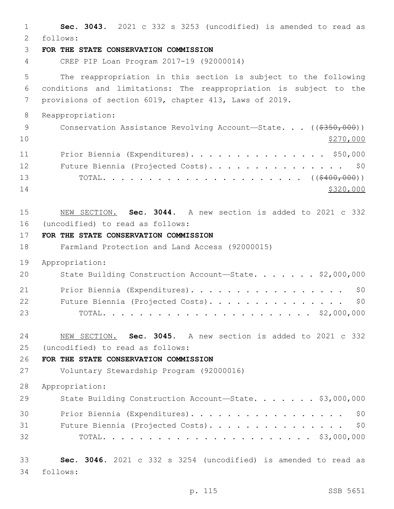| $\mathbf{1}$<br>2    | Sec. 3043. 2021 c 332 s 3253 (uncodified) is amended to read as<br>follows:                                                                                                                    |
|----------------------|------------------------------------------------------------------------------------------------------------------------------------------------------------------------------------------------|
| 3                    | FOR THE STATE CONSERVATION COMMISSION                                                                                                                                                          |
| 4                    | CREP PIP Loan Program 2017-19 (92000014)                                                                                                                                                       |
| 5<br>6<br>7          | The reappropriation in this section is subject to the following<br>conditions and limitations: The reappropriation is subject to the<br>provisions of section 6019, chapter 413, Laws of 2019. |
| 8                    | Reappropriation:                                                                                                                                                                               |
| 9<br>10              | Conservation Assistance Revolving Account-State. ((\$350,000))<br>\$270,000                                                                                                                    |
| 11<br>12<br>13<br>14 | Prior Biennia (Expenditures). \$50,000<br>Future Biennia (Projected Costs).<br>\$0<br>\$320,000                                                                                                |
| 15<br>16<br>17       | NEW SECTION. Sec. 3044. A new section is added to 2021 c 332<br>(uncodified) to read as follows:<br>FOR THE STATE CONSERVATION COMMISSION                                                      |
| 18                   | Farmland Protection and Land Access (92000015)                                                                                                                                                 |
| 19                   | Appropriation:                                                                                                                                                                                 |
| 20                   | State Building Construction Account-State. \$2,000,000                                                                                                                                         |
| 21<br>22<br>23       | Prior Biennia (Expenditures).<br>\$0<br>Future Biennia (Projected Costs).<br>\$0<br>. \$2,000,000<br>TOTAL.                                                                                    |
| 24                   | Sec. 3045. A new section is added to 2021 c 332<br>NEW SECTION.                                                                                                                                |
| 25                   | (uncodified) to read as follows:                                                                                                                                                               |
| 26<br>27             | FOR THE STATE CONSERVATION COMMISSION<br>Voluntary Stewardship Program (92000016)                                                                                                              |
| 28                   | Appropriation:                                                                                                                                                                                 |
| 29                   | State Building Construction Account-State. \$3,000,000                                                                                                                                         |
| 30<br>31<br>32       | Prior Biennia (Expenditures).<br>\$0<br>Future Biennia (Projected Costs). \$0                                                                                                                  |
| 33<br>34             | Sec. 3046. 2021 c 332 s 3254 (uncodified) is amended to read as<br>follows:                                                                                                                    |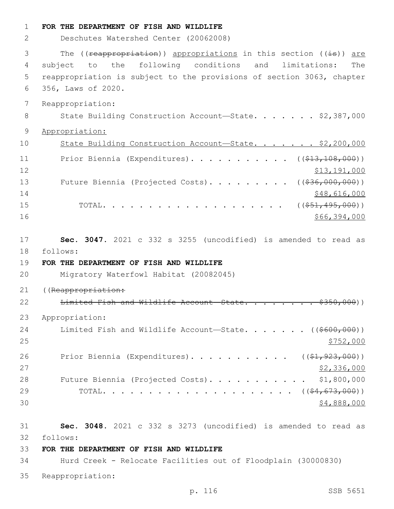| $\mathbf 1$    | FOR THE DEPARTMENT OF FISH AND WILDLIFE                                                                                                                                                                                                                                                                                                                |
|----------------|--------------------------------------------------------------------------------------------------------------------------------------------------------------------------------------------------------------------------------------------------------------------------------------------------------------------------------------------------------|
| 2              | Deschutes Watershed Center (20062008)                                                                                                                                                                                                                                                                                                                  |
| 3<br>4         | The ((reappropriation)) appropriations in this section ((is)) are<br>subject to the following conditions and<br>limitations:<br>The                                                                                                                                                                                                                    |
| 5              | reappropriation is subject to the provisions of section 3063, chapter                                                                                                                                                                                                                                                                                  |
| 6              | 356, Laws of 2020.                                                                                                                                                                                                                                                                                                                                     |
| 7              | Reappropriation:                                                                                                                                                                                                                                                                                                                                       |
| 8              | State Building Construction Account-State. \$2,387,000                                                                                                                                                                                                                                                                                                 |
| $\mathcal{G}$  | Appropriation:                                                                                                                                                                                                                                                                                                                                         |
| 10             | State Building Construction Account-State. \$2,200,000                                                                                                                                                                                                                                                                                                 |
|                |                                                                                                                                                                                                                                                                                                                                                        |
| 11<br>12       | Prior Biennia (Expenditures). ( $(\frac{213}{100}, \frac{108}{100})$ )<br>\$13,191,000                                                                                                                                                                                                                                                                 |
| 13             | Future Biennia (Projected Costs). ( $(\frac{236}{100}, 000, 000)$ )                                                                                                                                                                                                                                                                                    |
| 14             | \$48,616,000                                                                                                                                                                                                                                                                                                                                           |
| 15             | $\cdots$ $\cdots$ $\cdots$ $\cdots$ $\cdots$ $\cdots$ $\cdots$ $\cdots$ $\cdots$ $\cdots$ $\cdots$ $\cdots$ $\cdots$ $\cdots$ $\cdots$ $\cdots$ $\cdots$ $\cdots$ $\cdots$ $\cdots$ $\cdots$ $\cdots$ $\cdots$ $\cdots$ $\cdots$ $\cdots$ $\cdots$ $\cdots$ $\cdots$ $\cdots$ $\cdots$ $\cdots$ $\cdots$ $\cdots$ $\cdots$ $\cdots$ $\cdots$<br>TOTAL. |
| 16             | \$66,394,000                                                                                                                                                                                                                                                                                                                                           |
| 17<br>18<br>19 | Sec. 3047. 2021 c 332 s 3255 (uncodified) is amended to read as<br>follows:<br>FOR THE DEPARTMENT OF FISH AND WILDLIFE                                                                                                                                                                                                                                 |
| 20             | Migratory Waterfowl Habitat (20082045)                                                                                                                                                                                                                                                                                                                 |
| 21             | ((Reappropriation:                                                                                                                                                                                                                                                                                                                                     |
| 22             | Limited Fish and Wildlife Account State.<br>$\leftrightarrow$ ))                                                                                                                                                                                                                                                                                       |
| 23             | Appropriation:                                                                                                                                                                                                                                                                                                                                         |
| 24<br>25       | Limited Fish and Wildlife Account-State. ( $(\frac{\$600,000}{\$})$ )<br>\$752,000                                                                                                                                                                                                                                                                     |
| 26<br>27       | Prior Biennia (Expenditures). ( $(\frac{1}{2}, 923, 000)$ )<br>\$2,336,000                                                                                                                                                                                                                                                                             |
| 28             | Future Biennia (Projected Costs). \$1,800,000                                                                                                                                                                                                                                                                                                          |
| 29             |                                                                                                                                                                                                                                                                                                                                                        |
| 30             | \$4,888,000                                                                                                                                                                                                                                                                                                                                            |
| 31             | Sec. 3048. 2021 c 332 s 3273 (uncodified) is amended to read as                                                                                                                                                                                                                                                                                        |
| 32             | follows:                                                                                                                                                                                                                                                                                                                                               |
| 33             | FOR THE DEPARTMENT OF FISH AND WILDLIFE                                                                                                                                                                                                                                                                                                                |
| 34             | Hurd Creek - Relocate Facilities out of Floodplain (30000830)                                                                                                                                                                                                                                                                                          |
| 35             | Reappropriation:                                                                                                                                                                                                                                                                                                                                       |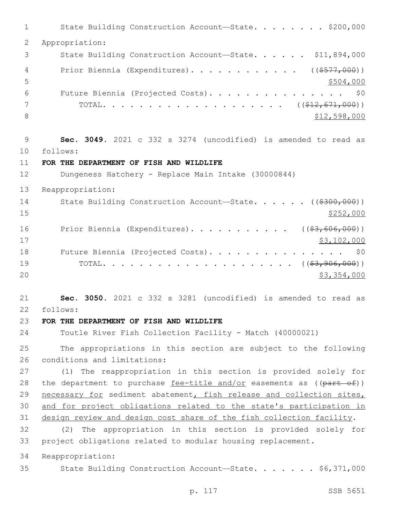1 State Building Construction Account—State. . . . . . . \$200,000 Appropriation: 3 State Building Construction Account—State. . . . . \$11,894,000 4 Prior Biennia (Expenditures)............. ((\$577,000))  $5 - 5$  Future Biennia (Projected Costs). . . . . . . . . . . . . . . \$0 TOTAL. . . . . . . . . . . . . . . . . . . . ((\$12,671,000))  $$12,598,000$  **Sec. 3049.** 2021 c 332 s 3274 (uncodified) is amended to read as follows: 10 **FOR THE DEPARTMENT OF FISH AND WILDLIFE** Dungeness Hatchery - Replace Main Intake (30000844) Reappropriation: 14 State Building Construction Account—State. . . . . ((\$300,000))  $\frac{$252,000}{}$ 16 Prior Biennia (Expenditures). . . . . . . . . . ((\$3,606,000)) \$3,102,000 18 Future Biennia (Projected Costs). . . . . . . . . . . . . . \$0 TOTAL. . . . . . . . . . . . . . . . . . . . . ((\$3,906,000))  $20 \hspace{1.5cm}$  \$3,354,000 **Sec. 3050.** 2021 c 332 s 3281 (uncodified) is amended to read as follows: 22 **FOR THE DEPARTMENT OF FISH AND WILDLIFE** Toutle River Fish Collection Facility - Match (40000021) The appropriations in this section are subject to the following 26 conditions and limitations: (1) The reappropriation in this section is provided solely for 28 the department to purchase fee-title and/or easements as  $((part of))$  necessary for sediment abatement, fish release and collection sites, and for project obligations related to the state's participation in design review and design cost share of the fish collection facility. (2) The appropriation in this section is provided solely for project obligations related to modular housing replacement. Reappropriation: State Building Construction Account—State. . . . . . . \$6,371,000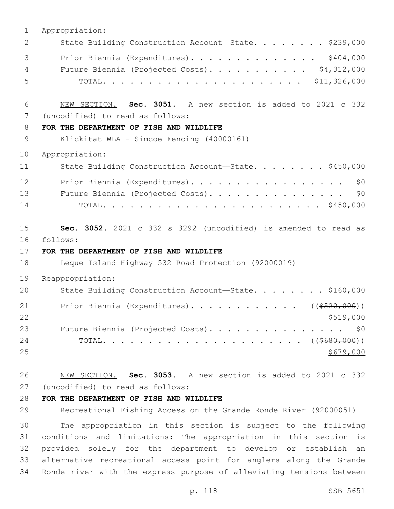| $\mathbf 1$    | Appropriation:                                                  |
|----------------|-----------------------------------------------------------------|
| 2              | State Building Construction Account-State. \$239,000            |
| 3              | Prior Biennia (Expenditures). \$404,000                         |
| $\overline{4}$ | Future Biennia (Projected Costs). \$4,312,000                   |
| 5              |                                                                 |
|                |                                                                 |
| 6              | NEW SECTION. Sec. 3051. A new section is added to 2021 c 332    |
| 7              | (uncodified) to read as follows:                                |
| 8              | FOR THE DEPARTMENT OF FISH AND WILDLIFE                         |
| 9              | Klickitat WLA - Simcoe Fencing (40000161)                       |
| 10             | Appropriation:                                                  |
| 11             | State Building Construction Account-State. \$450,000            |
| 12             | Prior Biennia (Expenditures).<br>\$0                            |
| 13             | \$0<br>Future Biennia (Projected Costs).                        |
| 14             |                                                                 |
|                |                                                                 |
| 15             | Sec. 3052. 2021 c 332 s 3292 (uncodified) is amended to read as |
| 16             | follows:                                                        |
| 17             | FOR THE DEPARTMENT OF FISH AND WILDLIFE                         |
| 18             | Leque Island Highway 532 Road Protection (92000019)             |
| 19             | Reappropriation:                                                |
| 20             | State Building Construction Account-State. \$160,000            |
| 21             | Prior Biennia (Expenditures). ( $(\frac{5520,000}{5520,000})$ ) |
| 22             | <u>\$519,000</u>                                                |
| 23             | Future Biennia (Projected Costs).<br>\$0                        |
| 24             |                                                                 |
| 25             | <u>\$679,000</u>                                                |
| 26             | NEW SECTION. Sec. 3053. A new section is added to 2021 c 332    |
| 27             | (uncodified) to read as follows:                                |
| 28             | FOR THE DEPARTMENT OF FISH AND WILDLIFE                         |
|                |                                                                 |

29 Recreational Fishing Access on the Grande Ronde River (92000051)

 The appropriation in this section is subject to the following conditions and limitations: The appropriation in this section is provided solely for the department to develop or establish an alternative recreational access point for anglers along the Grande Ronde river with the express purpose of alleviating tensions between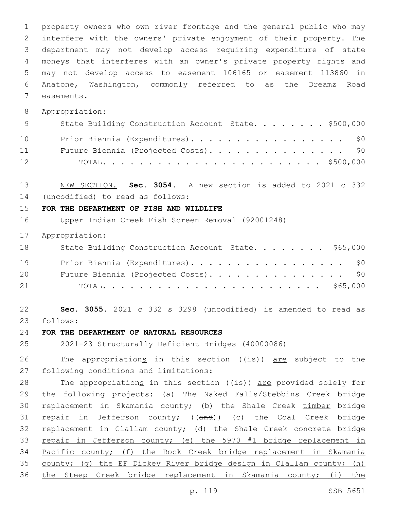property owners who own river frontage and the general public who may interfere with the owners' private enjoyment of their property. The department may not develop access requiring expenditure of state moneys that interferes with an owner's private property rights and may not develop access to easement 106165 or easement 113860 in Anatone, Washington, commonly referred to as the Dreamz Road 7 easements.

Appropriation:

| 9  | State Building Construction Account-State. \$500,000 |
|----|------------------------------------------------------|
| 10 | Prior Biennia (Expenditures). \$0                    |
| 11 | Future Biennia (Projected Costs). \$0                |
| 12 |                                                      |

 NEW SECTION. **Sec. 3054.** A new section is added to 2021 c 332 (uncodified) to read as follows: 14

#### **FOR THE DEPARTMENT OF FISH AND WILDLIFE**

Upper Indian Creek Fish Screen Removal (92001248)

Appropriation:

| 18 | State Building Construction Account-State. \$65,000 |
|----|-----------------------------------------------------|
| 19 | Prior Biennia (Expenditures). \$0                   |
| 20 | Future Biennia (Projected Costs). \$0               |
| 21 |                                                     |

 **Sec. 3055.** 2021 c 332 s 3298 (uncodified) is amended to read as follows: 23

### **FOR THE DEPARTMENT OF NATURAL RESOURCES**

2021-23 Structurally Deficient Bridges (40000086)

26 The appropriations in this section  $((\frac{1}{18}))$  are subject to the 27 following conditions and limitations:

28 The appropriations in this section  $((\frac{1}{18}))$  are provided solely for the following projects: (a) The Naked Falls/Stebbins Creek bridge replacement in Skamania county; (b) the Shale Creek timber bridge 31 repair in Jefferson county; ((and)) (c) the Coal Creek bridge replacement in Clallam county; (d) the Shale Creek concrete bridge repair in Jefferson county; (e) the 5970 #1 bridge replacement in Pacific county; (f) the Rock Creek bridge replacement in Skamania county; (g) the EF Dickey River bridge design in Clallam county; (h) the Steep Creek bridge replacement in Skamania county; (i) the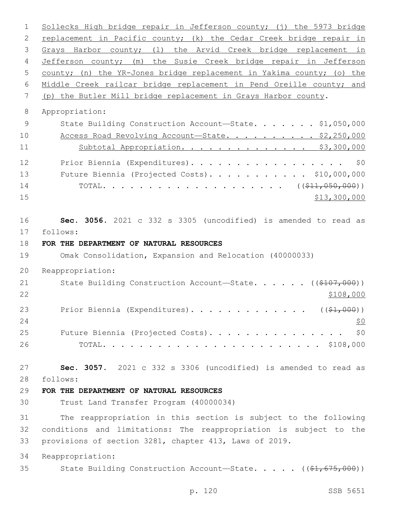Sollecks High bridge repair in Jefferson county; (j) the 5973 bridge 2 replacement in Pacific county; (k) the Cedar Creek bridge repair in Grays Harbor county; (l) the Arvid Creek bridge replacement in Jefferson county; (m) the Susie Creek bridge repair in Jefferson county; (n) the YR-Jones bridge replacement in Yakima county; (o) the Middle Creek railcar bridge replacement in Pend Oreille county; and (p) the Butler Mill bridge replacement in Grays Harbor county. Appropriation: 9 State Building Construction Account-State. . . . . . \$1,050,000 10 Access Road Revolving Account—State. . . . . . . . . \$2,250,000 Subtotal Appropriation. . . . . . . . . . . . . . \$3,300,000 12 Prior Biennia (Expenditures). . . . . . . . . . . . . . . . \$0 Future Biennia (Projected Costs). . . . . . . . . . . \$10,000,000 TOTAL. . . . . . . . . . . . . . . . . . . . ((\$11,050,000)) \$13,300,000 **Sec. 3056.** 2021 c 332 s 3305 (uncodified) is amended to read as follows: 17 **FOR THE DEPARTMENT OF NATURAL RESOURCES** Omak Consolidation, Expansion and Relocation (40000033) Reappropriation: 21 State Building Construction Account—State. . . . . ((\$107,000))  $22 \frac{\$108,000}{}$ 23 Prior Biennia (Expenditures). . . . . . . . . . . . ((\$1,000)) 25 Future Biennia (Projected Costs). . . . . . . . . . . . . . \$0 TOTAL. . . . . . . . . . . . . . . . . . . . . . . . \$108,000 **Sec. 3057.** 2021 c 332 s 3306 (uncodified) is amended to read as follows: 28 **FOR THE DEPARTMENT OF NATURAL RESOURCES** Trust Land Transfer Program (40000034) The reappropriation in this section is subject to the following conditions and limitations: The reappropriation is subject to the provisions of section 3281, chapter 413, Laws of 2019. Reappropriation: 35 State Building Construction Account—State. . . . . ((\$1,675,000))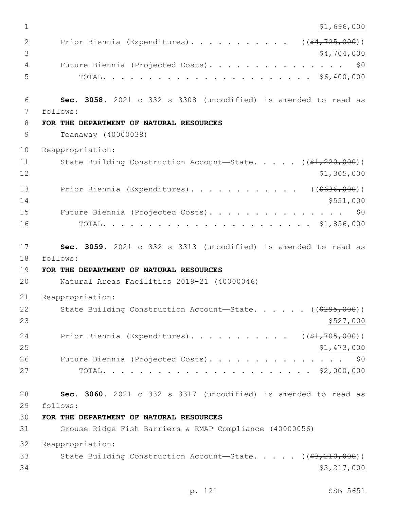$1 \quad$  \$1,696,000 2 Prior Biennia (Expenditures). . . . . . . . . . ((\$4,725,000))  $3 \times 4,704,000$ 4 Future Biennia (Projected Costs). . . . . . . . . . . . . . . \$0 5 TOTAL. . . . . . . . . . . . . . . . . . . . . . . \$6,400,000 6 **Sec. 3058.** 2021 c 332 s 3308 (uncodified) is amended to read as follows: 7 8 **FOR THE DEPARTMENT OF NATURAL RESOURCES** 9 Teanaway (40000038) 10 Reappropriation: 11 State Building Construction Account—State. . . . ((\$1,220,000))  $12$  \$1,305,000 13 Prior Biennia (Expenditures). . . . . . . . . . . ((\$636,000))  $14$  \$551,000 15 Future Biennia (Projected Costs). . . . . . . . . . . . . . \$0 16 TOTAL. . . . . . . . . . . . . . . . . . . . . . . \$1,856,000 17 **Sec. 3059.** 2021 c 332 s 3313 (uncodified) is amended to read as 18 follows: 19 **FOR THE DEPARTMENT OF NATURAL RESOURCES** 20 Natural Areas Facilities 2019-21 (40000046) 21 Reappropriation: 22 State Building Construction Account—State. . . . . ((\$295,000))  $23$   $\frac{$527,000}{2}$ 24 Prior Biennia (Expenditures). . . . . . . . . . ((\$1,705,000))  $25$  \$1,473,000 26 Future Biennia (Projected Costs). . . . . . . . . . . . . . \$0 27 TOTAL. . . . . . . . . . . . . . . . . . . . . . . \$2,000,000 28 **Sec. 3060.** 2021 c 332 s 3317 (uncodified) is amended to read as follows: 29 30 **FOR THE DEPARTMENT OF NATURAL RESOURCES** 31 Grouse Ridge Fish Barriers & RMAP Compliance (40000056) 32 Reappropriation: 33 State Building Construction Account—State. . . . . ((\$3,210,000)) 34 \$3,217,000

p. 121 SSB 5651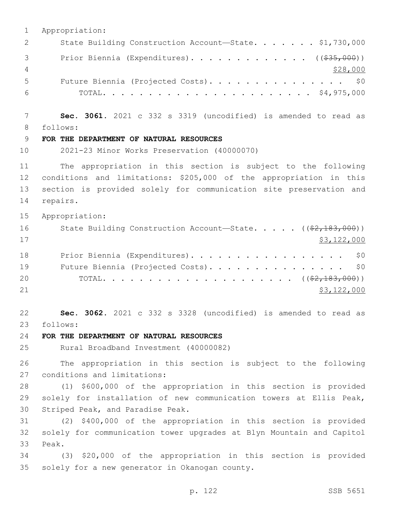1 Appropriation: 2 State Building Construction Account-State. . . . . . \$1,730,000 3 Prior Biennia (Expenditures). . . . . . . . . . . . ((<del>\$35,000</del>)) 4 \$28,000 5 Future Biennia (Projected Costs). . . . . . . . . . . . . . \$0 6 TOTAL. . . . . . . . . . . . . . . . . . . . . . . \$4,975,000 7 **Sec. 3061.** 2021 c 332 s 3319 (uncodified) is amended to read as follows: 8 9 **FOR THE DEPARTMENT OF NATURAL RESOURCES** 10 2021-23 Minor Works Preservation (40000070) 11 The appropriation in this section is subject to the following 12 conditions and limitations: \$205,000 of the appropriation in this 13 section is provided solely for communication site preservation and 14 repairs. 15 Appropriation: 16 State Building Construction Account—State. . . . . ((\$2,183,000))  $17$  \$3,122,000 18 Prior Biennia (Expenditures). . . . . . . . . . . . . . . . . \$0 19 Future Biennia (Projected Costs). . . . . . . . . . . . . . \$0 20 TOTAL. . . . . . . . . . . . . . . . . . . . . ((\$2,183,000)) 21 \$3,122,000 22 **Sec. 3062.** 2021 c 332 s 3328 (uncodified) is amended to read as follows: 23 24 **FOR THE DEPARTMENT OF NATURAL RESOURCES** 25 Rural Broadband Investment (40000082) 26 The appropriation in this section is subject to the following 27 conditions and limitations: 28 (1) \$600,000 of the appropriation in this section is provided 29 solely for installation of new communication towers at Ellis Peak, 30 Striped Peak, and Paradise Peak. 31 (2) \$400,000 of the appropriation in this section is provided 32 solely for communication tower upgrades at Blyn Mountain and Capitol 33 Peak. 34 (3) \$20,000 of the appropriation in this section is provided 35 solely for a new generator in Okanogan county.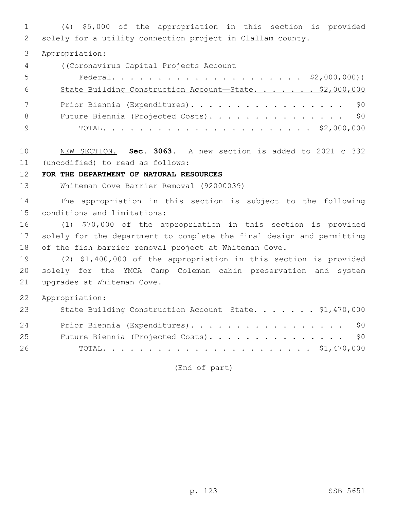(4) \$5,000 of the appropriation in this section is provided solely for a utility connection project in Clallam county.

Appropriation:

((Coronavirus Capital Projects Account—

| -5  |                                                        |
|-----|--------------------------------------------------------|
| - 6 | State Building Construction Account-State. \$2,000,000 |
|     | Prior Biennia (Expenditures). \$0                      |
| - 8 | Future Biennia (Projected Costs). \$0                  |
|     |                                                        |

 NEW SECTION. **Sec. 3063.** A new section is added to 2021 c 332 (uncodified) to read as follows: 11

#### **FOR THE DEPARTMENT OF NATURAL RESOURCES**

Whiteman Cove Barrier Removal (92000039)

 The appropriation in this section is subject to the following 15 conditions and limitations:

 (1) \$70,000 of the appropriation in this section is provided solely for the department to complete the final design and permitting of the fish barrier removal project at Whiteman Cove.

 (2) \$1,400,000 of the appropriation in this section is provided solely for the YMCA Camp Coleman cabin preservation and system 21 upgrades at Whiteman Cove.

Appropriation:

| 23 | State Building Construction Account-State. \$1,470,000 |
|----|--------------------------------------------------------|
| 24 | Prior Biennia (Expenditures). \$0                      |
| 25 | Future Biennia (Projected Costs). \$0                  |
| 26 |                                                        |

(End of part)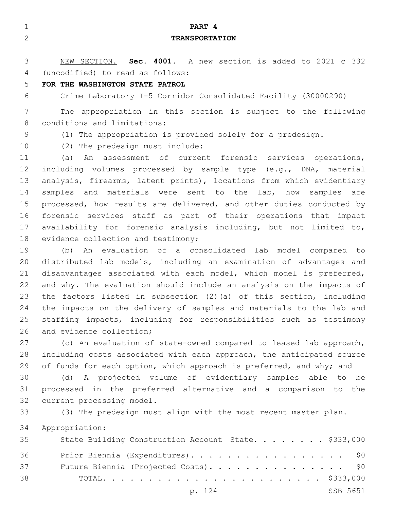| $\mathbf{1}$   | PART 4                                                                |
|----------------|-----------------------------------------------------------------------|
| $\overline{2}$ | <b>TRANSPORTATION</b>                                                 |
|                |                                                                       |
| 3              | NEW SECTION. Sec. 4001. A new section is added to 2021 c 332          |
| 4              | (uncodified) to read as follows:                                      |
| 5              | FOR THE WASHINGTON STATE PATROL                                       |
| 6              | Crime Laboratory I-5 Corridor Consolidated Facility (30000290)        |
| 7              | The appropriation in this section is subject to the following         |
| 8              | conditions and limitations:                                           |
| 9              | (1) The appropriation is provided solely for a predesign.             |
| 10             | (2) The predesign must include:                                       |
| 11             | An assessment of current forensic services operations,<br>(a)         |
| 12             | including volumes processed by sample type (e.g., DNA, material       |
| 13             | analysis, firearms, latent prints), locations from which evidentiary  |
| 14             | samples and materials were sent to the lab, how samples are           |
| 15             | processed, how results are delivered, and other duties conducted by   |
| 16             | forensic services staff as part of their operations that impact       |
| 17             | availability for forensic analysis including, but not limited to,     |
| 18             | evidence collection and testimony;                                    |
| 19             | An evaluation of a consolidated lab model compared to<br>(b)          |
| 20             | distributed lab models, including an examination of advantages and    |
| 21             | disadvantages associated with each model, which model is preferred,   |
| 22             | and why. The evaluation should include an analysis on the impacts of  |
| 23             | the factors listed in subsection (2) (a) of this section, including   |
| 24             | the impacts on the delivery of samples and materials to the lab and   |
| 25             | staffing impacts, including for responsibilities such as testimony    |
| 26             | and evidence collection;                                              |
| 27             | (c) An evaluation of state-owned compared to leased lab approach,     |
| 28             | including costs associated with each approach, the anticipated source |
| 29             | of funds for each option, which approach is preferred, and why; and   |
| 30             | (d) A projected volume of evidentiary samples able to be              |
| 31             | processed in the preferred alternative and a comparison to the        |
| 32             | current processing model.                                             |
| 33             | (3) The predesign must align with the most recent master plan.        |
| 34             | Appropriation:                                                        |
| 35             | State Building Construction Account-State. \$333,000                  |

| 36 | Prior Biennia (Expenditures). \$0     |          |
|----|---------------------------------------|----------|
| 37 | Future Biennia (Projected Costs). \$0 |          |
| 38 |                                       |          |
|    | p. 124                                | SSB 5651 |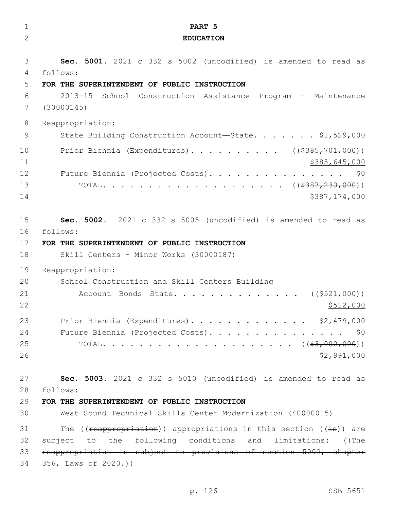| $\mathbf 1$    | PART <sub>5</sub>                                                   |
|----------------|---------------------------------------------------------------------|
| $\overline{2}$ | <b>EDUCATION</b>                                                    |
|                |                                                                     |
| 3              | Sec. 5001. 2021 c 332 s 5002 (uncodified) is amended to read as     |
| 4              | follows:                                                            |
| 5              | FOR THE SUPERINTENDENT OF PUBLIC INSTRUCTION                        |
| 6              | $2013 - 15$<br>School Construction Assistance Program - Maintenance |
| 7              | (30000145)                                                          |
| 8              | Reappropriation:                                                    |
| 9              | State Building Construction Account-State. \$1,529,000              |
| 10             | Prior Biennia (Expenditures). ( $(\frac{2385}{701},000)$ )          |
| 11             | \$385,645,000                                                       |
| 12             | Future Biennia (Projected Costs).<br>\$0                            |
| 13             |                                                                     |
| 14             | \$387,174,000                                                       |
|                |                                                                     |
| 15             | Sec. 5002. 2021 c 332 s 5005 (uncodified) is amended to read as     |
| 16             | follows:                                                            |
| 17             | FOR THE SUPERINTENDENT OF PUBLIC INSTRUCTION                        |
| 18             | Skill Centers - Minor Works (30000187)                              |
| 19             | Reappropriation:                                                    |
| 20             | School Construction and Skill Centers Building                      |
| 21             | Account-Bonds-State<br>( ( \$521,000) )                             |
| 22             | \$512,000                                                           |
| 23             | Prior Biennia (Expenditures). \$2,479,000                           |
| 24             | Future Biennia (Projected Costs). \$0                               |
| 25             |                                                                     |
| 26             | \$2,991,000                                                         |
| 27             | Sec. 5003. 2021 c 332 s 5010 (uncodified) is amended to read as     |
| 28             | follows:                                                            |
| 29             | FOR THE SUPERINTENDENT OF PUBLIC INSTRUCTION                        |
| 30             | West Sound Technical Skills Center Modernization (40000015)         |
| 31             | The ((reappropriation)) appropriations in this section ((is)) are   |
| 32             | subject to the following conditions and limitations: ((The          |
| 33             | reappropriation is subject to provisions of section 5002, chapter   |
| 34             | $356,$ Laws of $2020.$ ))                                           |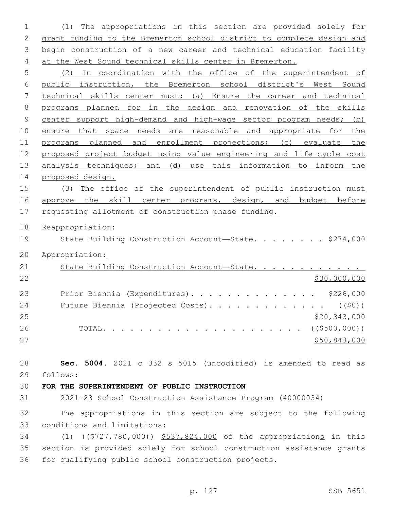(1) The appropriations in this section are provided solely for grant funding to the Bremerton school district to complete design and 3 begin construction of a new career and technical education facility at the West Sound technical skills center in Bremerton.

 (2) In coordination with the office of the superintendent of public instruction, the Bremerton school district's West Sound technical skills center must: (a) Ensure the career and technical programs planned for in the design and renovation of the skills 9 center support high-demand and high-wage sector program needs; (b) ensure that space needs are reasonable and appropriate for the programs planned and enrollment projections; (c) evaluate the proposed project budget using value engineering and life-cycle cost 13 analysis techniques; and (d) use this information to inform the proposed design.

 (3) The office of the superintendent of public instruction must 16 approve the skill center programs, design, and budget before 17 requesting allotment of construction phase funding.

Reappropriation:

19 State Building Construction Account—State. . . . . . . \$274,000

Appropriation:

| 21 | State Building Construction Account-State.                  |              |
|----|-------------------------------------------------------------|--------------|
| 22 |                                                             | \$30,000,000 |
| 23 | Prior Biennia (Expenditures). \$226,000                     |              |
| 24 | Future Biennia (Projected Costs). ( $(\frac{1}{2}\theta)$ ) |              |
| 25 |                                                             | \$20,343,000 |
| 26 |                                                             |              |
| 27 |                                                             | \$50,843,000 |

 **Sec. 5004.** 2021 c 332 s 5015 (uncodified) is amended to read as follows: 29

**FOR THE SUPERINTENDENT OF PUBLIC INSTRUCTION**

2021-23 School Construction Assistance Program (40000034)

 The appropriations in this section are subject to the following 33 conditions and limitations:

 (1) ((\$727,780,000)) \$537,824,000 of the appropriations in this section is provided solely for school construction assistance grants for qualifying public school construction projects.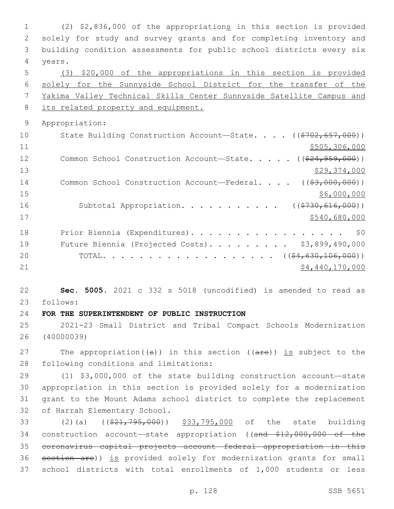(2) \$2,836,000 of the appropriations in this section is provided solely for study and survey grants and for completing inventory and building condition assessments for public school districts every six 4 years. (3) \$20,000 of the appropriations in this section is provided solely for the Sunnyside School District for the transfer of the Yakima Valley Technical Skills Center Sunnyside Satellite Campus and 8 its related property and equipment. Appropriation: 10 State Building Construction Account—State. . . . ((\$702,657,000)) \$505,306,000 12 Common School Construction Account—State. . . . . ((\$24,959,000)) \$29,374,000 14 Common School Construction Account—Federal. . . . ((\$3,000,000)) \$6,000,000 \$6,000,000 \$6,000,000 \$6,000,000 \$6,000,000 \$6,000 \$6,000 \$6,000 \$6,000 \$6,000 \$6,000 \$6,000 \$6,000 \$6,000 \$6,000 \$6,000 \$6,000 \$6,000 \$6,000 \$6,000 \$6,000 \$6,000 \$6,000 \$6,000 \$6,000 \$6,000 \$6,000 \$6,000 16 Subtotal Appropriation. . . . . . . . . . ((\$730,616,000)) \$540,680,000 18 Prior Biennia (Expenditures). . . . . . . . . . . . . . . . \$0 Future Biennia (Projected Costs). . . . . . . . . \$3,899,490,000 20 TOTAL. . . . . . . . . . . . . . . . . . ((\$4,630,106,000))  $54,440,170,000$  **Sec. 5005.** 2021 c 332 s 5018 (uncodified) is amended to read as follows: 23 **FOR THE SUPERINTENDENT OF PUBLIC INSTRUCTION** 2021-23 Small District and Tribal Compact Schools Modernization (40000039) 27 The appropriation( $(\theta)$ ) in this section ( $(\theta + \epsilon)$ ) is subject to the 28 following conditions and limitations:

 (1) \$3,000,000 of the state building construction account—state appropriation in this section is provided solely for a modernization grant to the Mount Adams school district to complete the replacement 32 of Harrah Elementary School.

33 (2)(a) ((\$21,795,000)) \$33,795,000 of the state building 34 construction account—state appropriation ((and \$12,000,000 of the 35 coronavirus capital projects account—federal appropriation in this 36 section are)) is provided solely for modernization grants for small 37 school districts with total enrollments of 1,000 students or less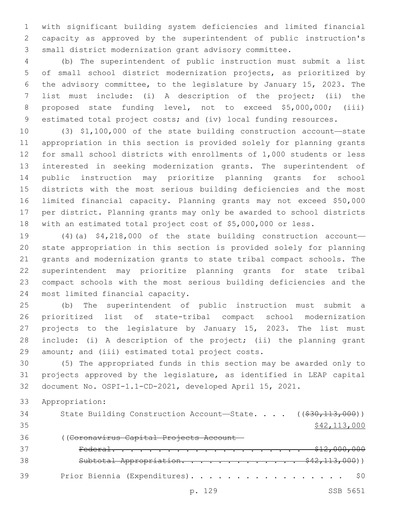with significant building system deficiencies and limited financial capacity as approved by the superintendent of public instruction's small district modernization grant advisory committee.

 (b) The superintendent of public instruction must submit a list of small school district modernization projects, as prioritized by the advisory committee, to the legislature by January 15, 2023. The list must include: (i) A description of the project; (ii) the proposed state funding level, not to exceed \$5,000,000; (iii) estimated total project costs; and (iv) local funding resources.

 (3) \$1,100,000 of the state building construction account—state appropriation in this section is provided solely for planning grants for small school districts with enrollments of 1,000 students or less interested in seeking modernization grants. The superintendent of public instruction may prioritize planning grants for school districts with the most serious building deficiencies and the most limited financial capacity. Planning grants may not exceed \$50,000 per district. Planning grants may only be awarded to school districts with an estimated total project cost of \$5,000,000 or less.

 (4)(a) \$4,218,000 of the state building construction account— state appropriation in this section is provided solely for planning grants and modernization grants to state tribal compact schools. The superintendent may prioritize planning grants for state tribal compact schools with the most serious building deficiencies and the 24 most limited financial capacity.

 (b) The superintendent of public instruction must submit a prioritized list of state-tribal compact school modernization projects to the legislature by January 15, 2023. The list must include: (i) A description of the project; (ii) the planning grant 29 amount; and (iii) estimated total project costs.

 (5) The appropriated funds in this section may be awarded only to projects approved by the legislature, as identified in LEAP capital document No. OSPI-1.1-CD-2021, developed April 15, 2021.

Appropriation:

34 State Building Construction Account—State. . . . ((\$30,113,000)) \$42,113,000 ((Coronavirus Capital Projects Account— Federal. . . . . . . . . . . . . . . . . . . . . \$12,000,000 Subtotal Appropriation. . . . . . . . . . . . . \$42,113,000)) 39 Prior Biennia (Expenditures). . . . . . . . . . . . . . . . \$0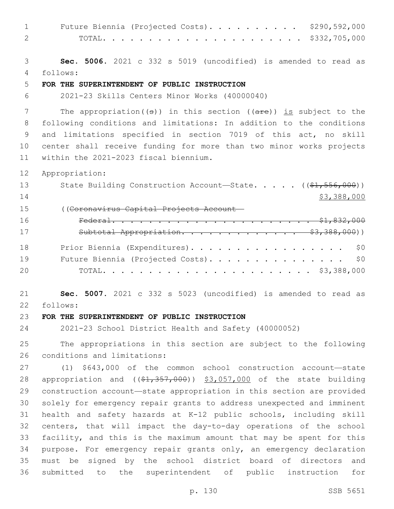| $\mathbf{1}$ | \$290,592,000<br>Future Biennia (Projected Costs).                                   |
|--------------|--------------------------------------------------------------------------------------|
| $\mathbf{2}$ | \$332,705,000                                                                        |
|              |                                                                                      |
| 3            | Sec. 5006. 2021 c 332 s 5019 (uncodified) is amended to read as                      |
| 4            | follows:                                                                             |
| 5            | FOR THE SUPERINTENDENT OF PUBLIC INSTRUCTION                                         |
| 6            | 2021-23 Skills Centers Minor Works (40000040)                                        |
| 7            | The appropriation( $(\theta)$ ) in this section ( $(\text{are})$ ) is subject to the |
| 8            | following conditions and limitations: In addition to the conditions                  |
| 9            | and limitations specified in section 7019 of this act, no skill                      |
| 10           | center shall receive funding for more than two minor works projects                  |
| 11           | within the 2021-2023 fiscal biennium.                                                |
| 12           | Appropriation:                                                                       |
| 13           | State Building Construction Account-State. ((\$1,556,000))                           |
| 14           | \$3,388,000                                                                          |
| 15           | ((Coronavirus Capital Projects Account-                                              |
| 16           |                                                                                      |
| 17           | Subtotal Appropriation. \$3,388,000))                                                |
|              |                                                                                      |
| 18           | Prior Biennia (Expenditures).<br>\$0                                                 |
| 19           | Future Biennia (Projected Costs).<br>\$0                                             |
| 20           |                                                                                      |
|              |                                                                                      |
| 21           | Sec. 5007. 2021 c 332 s 5023 (uncodified) is amended to read as                      |
| 22           | follows:                                                                             |
| 23           | FOR THE SUPERINTENDENT OF PUBLIC INSTRUCTION                                         |
| 24           | 2021-23 School District Health and Safety (40000052)                                 |
| 25           | The appropriations in this section are subject to the following                      |
| 26           | conditions and limitations:                                                          |
| 27           | (1) \$643,000 of the common school construction account-state                        |
| 28           | appropriation and $($ $(*1, 357, 000)$ ) $*3,057,000$ of the state building          |
| 29           | construction account-state appropriation in this section are provided                |
| 30           | solely for emergency repair grants to address unexpected and imminent                |
| 31           | health and safety hazards at K-12 public schools, including skill                    |
| 32           | centers, that will impact the day-to-day operations of the school                    |
| 33           | facility, and this is the maximum amount that may be spent for this                  |
| 34           | purpose. For emergency repair grants only, an emergency declaration                  |
| 35           | must be signed by the school district board of directors and                         |
| 36           | submitted to<br>the superintendent of public instruction<br>for                      |

p. 130 SSB 5651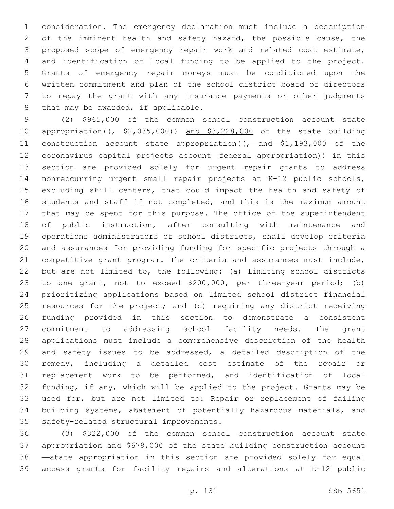consideration. The emergency declaration must include a description of the imminent health and safety hazard, the possible cause, the proposed scope of emergency repair work and related cost estimate, and identification of local funding to be applied to the project. Grants of emergency repair moneys must be conditioned upon the written commitment and plan of the school district board of directors to repay the grant with any insurance payments or other judgments 8 that may be awarded, if applicable.

 (2) \$965,000 of the common school construction account—state 10 appropriation( $\left(\frac{2}{5}, \frac{2}{5}, 0.00\right)$ ) and \$3,228,000 of the state building 11 construction account—state appropriation((, and \$1,193,000 of the coronavirus capital projects account—federal appropriation)) in this section are provided solely for urgent repair grants to address nonreccurring urgent small repair projects at K-12 public schools, excluding skill centers, that could impact the health and safety of students and staff if not completed, and this is the maximum amount that may be spent for this purpose. The office of the superintendent of public instruction, after consulting with maintenance and operations administrators of school districts, shall develop criteria and assurances for providing funding for specific projects through a competitive grant program. The criteria and assurances must include, but are not limited to, the following: (a) Limiting school districts to one grant, not to exceed \$200,000, per three-year period; (b) prioritizing applications based on limited school district financial resources for the project; and (c) requiring any district receiving funding provided in this section to demonstrate a consistent commitment to addressing school facility needs. The grant applications must include a comprehensive description of the health and safety issues to be addressed, a detailed description of the remedy, including a detailed cost estimate of the repair or replacement work to be performed, and identification of local funding, if any, which will be applied to the project. Grants may be used for, but are not limited to: Repair or replacement of failing building systems, abatement of potentially hazardous materials, and 35 safety-related structural improvements.

 (3) \$322,000 of the common school construction account—state appropriation and \$678,000 of the state building construction account —state appropriation in this section are provided solely for equal access grants for facility repairs and alterations at K-12 public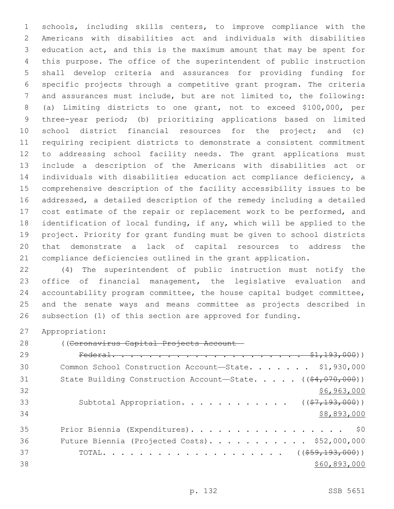schools, including skills centers, to improve compliance with the Americans with disabilities act and individuals with disabilities education act, and this is the maximum amount that may be spent for this purpose. The office of the superintendent of public instruction shall develop criteria and assurances for providing funding for specific projects through a competitive grant program. The criteria and assurances must include, but are not limited to, the following: (a) Limiting districts to one grant, not to exceed \$100,000, per three-year period; (b) prioritizing applications based on limited school district financial resources for the project; and (c) requiring recipient districts to demonstrate a consistent commitment to addressing school facility needs. The grant applications must include a description of the Americans with disabilities act or individuals with disabilities education act compliance deficiency, a comprehensive description of the facility accessibility issues to be addressed, a detailed description of the remedy including a detailed 17 cost estimate of the repair or replacement work to be performed, and identification of local funding, if any, which will be applied to the project. Priority for grant funding must be given to school districts that demonstrate a lack of capital resources to address the compliance deficiencies outlined in the grant application.

 (4) The superintendent of public instruction must notify the office of financial management, the legislative evaluation and accountability program committee, the house capital budget committee, and the senate ways and means committee as projects described in subsection (1) of this section are approved for funding.

Appropriation:

((Coronavirus Capital Projects Account—

| 29 |                                                                              |
|----|------------------------------------------------------------------------------|
| 30 | Common School Construction Account-State. \$1,930,000                        |
| 31 | State Building Construction Account-State. $($ $($ $\frac{64}{7070}$ , 000)) |
| 32 | \$6,963,000                                                                  |
| 33 | Subtotal Appropriation. ( $(\frac{27}{193}, 000)$ )                          |
| 34 | \$8,893,000                                                                  |
| 35 | Prior Biennia (Expenditures). \$0                                            |
| 36 | Future Biennia (Projected Costs). \$52,000,000                               |
| 37 |                                                                              |
| 38 | \$60,893,000                                                                 |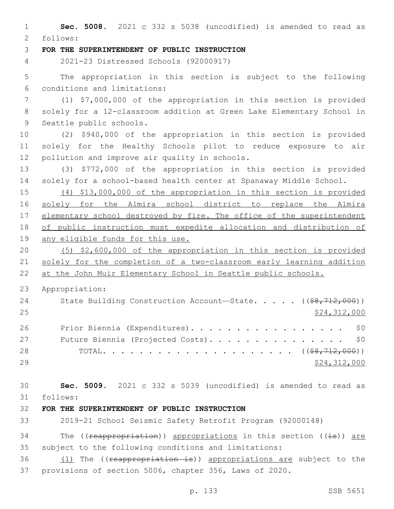**Sec. 5008.** 2021 c 332 s 5038 (uncodified) is amended to read as follows: 2 **FOR THE SUPERINTENDENT OF PUBLIC INSTRUCTION** 2021-23 Distressed Schools (92000917) The appropriation in this section is subject to the following conditions and limitations:6 (1) \$7,000,000 of the appropriation in this section is provided solely for a 12-classroom addition at Green Lake Elementary School in 9 Seattle public schools. (2) \$940,000 of the appropriation in this section is provided solely for the Healthy Schools pilot to reduce exposure to air 12 pollution and improve air quality in schools. (3) \$772,000 of the appropriation in this section is provided solely for a school-based health center at Spanaway Middle School. (4) \$13,000,000 of the appropriation in this section is provided solely for the Almira school district to replace the Almira 17 elementary school destroyed by fire. The office of the superintendent of public instruction must expedite allocation and distribution of any eligible funds for this use. (5) \$2,600,000 of the appropriation in this section is provided solely for the completion of a two-classroom early learning addition at the John Muir Elementary School in Seattle public schools. Appropriation: 24 State Building Construction Account—State. . . . . ((<del>\$8,712,000</del>)) \$24,312,000 26 Prior Biennia (Expenditures). . . . . . . . . . . . . . . . \$0 27 Future Biennia (Projected Costs). . . . . . . . . . . . . . \$0 TOTAL. . . . . . . . . . . . . . . . . . . . . ((\$8,712,000)) \$24,312,000 **Sec. 5009.** 2021 c 332 s 5039 (uncodified) is amended to read as follows: 31 **FOR THE SUPERINTENDENT OF PUBLIC INSTRUCTION** 2019-21 School Seismic Safety Retrofit Program (92000148) 34 The (( $r$ eappropriation)) appropriations in this section ( $(i\texttt{s})$ ) are subject to the following conditions and limitations: 36 (1) The ((reappropriation is)) appropriations are subject to the provisions of section 5006, chapter 356, Laws of 2020.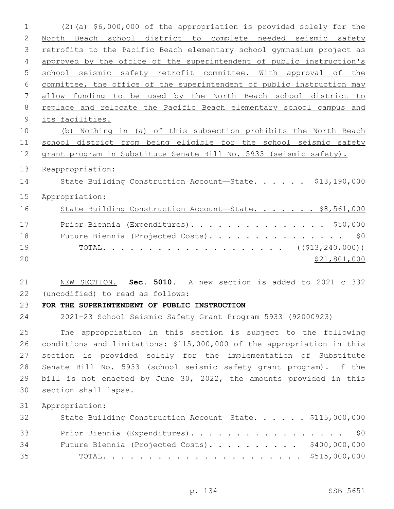| $\mathbf 1$  | (2) (a) \$6,000,000 of the appropriation is provided solely for the    |
|--------------|------------------------------------------------------------------------|
| $\mathbf{2}$ | North Beach school district to complete needed seismic safety          |
| 3            | retrofits to the Pacific Beach elementary school gymnasium project as  |
| 4            | approved by the office of the superintendent of public instruction's   |
| 5            | school seismic safety retrofit committee. With approval of the         |
| 6            | committee, the office of the superintendent of public instruction may  |
| 7            | allow funding to be used by the North Beach school district to         |
| 8            | replace and relocate the Pacific Beach elementary school campus and    |
| 9            | its facilities.                                                        |
| 10           | (b) Nothing in (a) of this subsection prohibits the North Beach        |
| 11           | school district from being eligible for the school seismic safety      |
| 12           | grant program in Substitute Senate Bill No. 5933 (seismic safety).     |
| 13           | Reappropriation:                                                       |
| 14           | State Building Construction Account-State. \$13,190,000                |
| 15           | Appropriation:                                                         |
|              |                                                                        |
| 16           | State Building Construction Account-State. \$8,561,000                 |
| 17           | Prior Biennia (Expenditures). \$50,000                                 |
| 18           | Future Biennia (Projected Costs).<br>\$0                               |
| 19           |                                                                        |
| 20           | \$21,801,000                                                           |
|              |                                                                        |
| 21           | NEW SECTION. Sec. 5010. A new section is added to 2021 c 332           |
| 22           | (uncodified) to read as follows:                                       |
| 23           | FOR THE SUPERINTENDENT OF PUBLIC INSTRUCTION                           |
| 24           | 2021-23 School Seismic Safety Grant Program 5933 (92000923)            |
| 25           | The appropriation in this section is subject to the following          |
| 26           | conditions and limitations: \$115,000,000 of the appropriation in this |
| 27           | section is provided solely for the implementation of Substitute        |
| 28           | Senate Bill No. 5933 (school seismic safety grant program). If the     |
| 29           | bill is not enacted by June 30, 2022, the amounts provided in this     |
| 30           | section shall lapse.                                                   |
| 31           | Appropriation:                                                         |
| 32           | State Building Construction Account-State. \$115,000,000               |
|              |                                                                        |
|              |                                                                        |
| 33           | Prior Biennia (Expenditures). \$0                                      |
| 34<br>35     | Future Biennia (Projected Costs). \$400,000,000                        |

p. 134 SSB 5651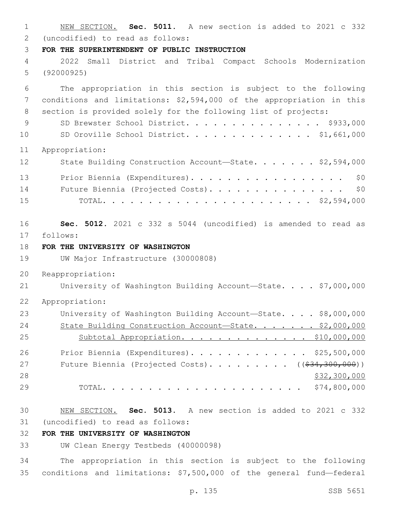NEW SECTION. **Sec. 5011.** A new section is added to 2021 c 332 (uncodified) to read as follows: 2 **FOR THE SUPERINTENDENT OF PUBLIC INSTRUCTION** 2022 Small District and Tribal Compact Schools Modernization (92000925) The appropriation in this section is subject to the following conditions and limitations: \$2,594,000 of the appropriation in this section is provided solely for the following list of projects: 9 SD Brewster School District. . . . . . . . . . . . . \$933,000 SD Oroville School District. . . . . . . . . . . . . . \$1,661,000 Appropriation: 12 State Building Construction Account—State. . . . . . \$2,594,000 13 Prior Biennia (Expenditures). . . . . . . . . . . . . . . . \$0 14 Future Biennia (Projected Costs). . . . . . . . . . . . . . \$0 TOTAL. . . . . . . . . . . . . . . . . . . . . . . \$2,594,000 **Sec. 5012.** 2021 c 332 s 5044 (uncodified) is amended to read as 17 follows: **FOR THE UNIVERSITY OF WASHINGTON** UW Major Infrastructure (30000808) Reappropriation: 21 University of Washington Building Account-State. . . . \$7,000,000 Appropriation: University of Washington Building Account—State. . . . \$8,000,000 24 State Building Construction Account-State. . . . . . \$2,000,000 25 Subtotal Appropriation. . . . . . . . . . . . . \$10,000,000 Prior Biennia (Expenditures). . . . . . . . . . . . . \$25,500,000 27 Future Biennia (Projected Costs). . . . . . . . ((\$34,300,000)) \$32,300,000 TOTAL. . . . . . . . . . . . . . . . . . . . . . \$74,800,000 NEW SECTION. **Sec. 5013.** A new section is added to 2021 c 332 (uncodified) to read as follows: 31 **FOR THE UNIVERSITY OF WASHINGTON** UW Clean Energy Testbeds (40000098)

 The appropriation in this section is subject to the following conditions and limitations: \$7,500,000 of the general fund—federal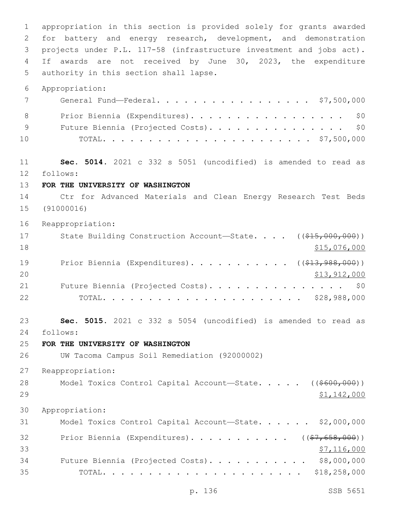appropriation in this section is provided solely for grants awarded for battery and energy research, development, and demonstration projects under P.L. 117-58 (infrastructure investment and jobs act). If awards are not received by June 30, 2023, the expenditure 5 authority in this section shall lapse. Appropriation: General Fund—Federal. . . . . . . . . . . . . . . . . \$7,500,000 8 Prior Biennia (Expenditures). . . . . . . . . . . . . . . . \$0 9 Future Biennia (Projected Costs). . . . . . . . . . . . . . \$0 TOTAL. . . . . . . . . . . . . . . . . . . . . . . \$7,500,000 **Sec. 5014.** 2021 c 332 s 5051 (uncodified) is amended to read as 12 follows: **FOR THE UNIVERSITY OF WASHINGTON** Ctr for Advanced Materials and Clean Energy Research Test Beds (91000016) Reappropriation: 17 State Building Construction Account—State. . . . ((\$15,000,000))  $\frac{15,076,000}{ }$ 19 Prior Biennia (Expenditures). . . . . . . . . . ( (\$13,988,000)) 20 \$13,912,000 21 Future Biennia (Projected Costs). . . . . . . . . . . . . . \$0 TOTAL. . . . . . . . . . . . . . . . . . . . . . \$28,988,000 **Sec. 5015.** 2021 c 332 s 5054 (uncodified) is amended to read as follows: 24 **FOR THE UNIVERSITY OF WASHINGTON** UW Tacoma Campus Soil Remediation (92000002) Reappropriation: 28 Model Toxics Control Capital Account—State. . . . ((\$600,000)) \$1,142,000 Appropriation: Model Toxics Control Capital Account—State. . . . . . \$2,000,000 32 Prior Biennia (Expenditures)............. ((\$7,658,000))  $\frac{1}{57}$ , 116,000 Future Biennia (Projected Costs). . . . . . . . . . . \$8,000,000 TOTAL. . . . . . . . . . . . . . . . . . . . . . \$18,258,000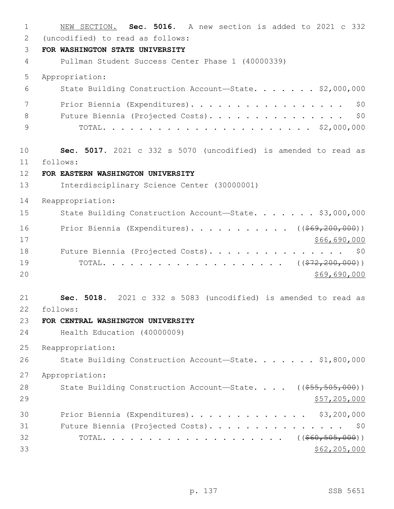| $\mathbf{1}$ | NEW SECTION. Sec. 5016. A new section is added to 2021 c 332           |
|--------------|------------------------------------------------------------------------|
| 2            | (uncodified) to read as follows:                                       |
| 3            | FOR WASHINGTON STATE UNIVERSITY                                        |
| 4            | Pullman Student Success Center Phase 1 (40000339)                      |
| 5            | Appropriation:                                                         |
| 6            | State Building Construction Account-State. \$2,000,000                 |
| 7            | Prior Biennia (Expenditures).<br>\$0                                   |
| 8            | Future Biennia (Projected Costs).<br>\$0                               |
| 9            |                                                                        |
| 10           | Sec. 5017. 2021 c 332 s 5070 (uncodified) is amended to read as        |
| 11           | follows:                                                               |
| 12           | FOR EASTERN WASHINGTON UNIVERSITY                                      |
| 13           | Interdisciplinary Science Center (30000001)                            |
| 14           | Reappropriation:                                                       |
| 15           | State Building Construction Account-State. \$3,000,000                 |
| 16           | Prior Biennia (Expenditures). ( $(\frac{269}{200}, \frac{200}{000})$ ) |
| 17           | \$66,690,000                                                           |
| 18           | Future Biennia (Projected Costs). \$0                                  |
| 19           |                                                                        |
| 20           | \$69,690,000                                                           |
| 21           | Sec. 5018. 2021 c 332 s 5083 (uncodified) is amended to read as        |
| 22           | follows:                                                               |
| 23           | FOR CENTRAL WASHINGTON UNIVERSITY                                      |
| 24           | Health Education (40000009)                                            |
| 25           | Reappropriation:                                                       |
| 26           | State Building Construction Account-State. \$1,800,000                 |
| 27           | Appropriation:                                                         |
| 28           | State Building Construction Account-State. $($ $($ \$55, 505, 000) $)$ |
| 29           | \$57,205,000                                                           |
| 30           | Prior Biennia (Expenditures). \$3,200,000                              |
| 31           | Future Biennia (Projected Costs). \$0                                  |
| 32           |                                                                        |
| 33           | \$62, 205, 000                                                         |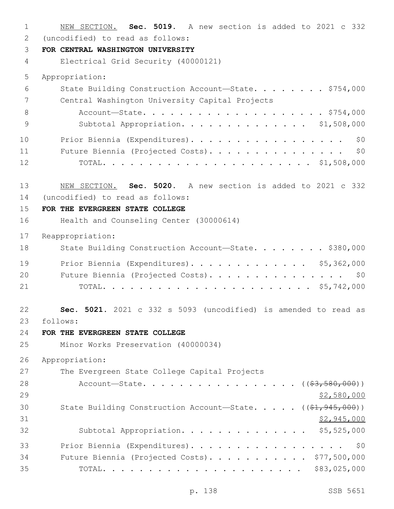NEW SECTION. **Sec. 5019.** A new section is added to 2021 c 332 (uncodified) to read as follows: 2 **FOR CENTRAL WASHINGTON UNIVERSITY** Electrical Grid Security (40000121) Appropriation: State Building Construction Account—State. . . . . . . . \$754,000 7 Central Washington University Capital Projects 8 Account-State. . . . . . . . . . . . . . . . . . \$754,000 Subtotal Appropriation. . . . . . . . . . . . . . \$1,508,000 10 Prior Biennia (Expenditures). . . . . . . . . . . . . . . . \$0 Future Biennia (Projected Costs). . . . . . . . . . . . . . . \$0 TOTAL. . . . . . . . . . . . . . . . . . . . . . . \$1,508,000 NEW SECTION. **Sec. 5020.** A new section is added to 2021 c 332 (uncodified) to read as follows: 14 **FOR THE EVERGREEN STATE COLLEGE** Health and Counseling Center (30000614) Reappropriation: 18 State Building Construction Account—State. . . . . . . \$380,000 Prior Biennia (Expenditures). . . . . . . . . . . . . \$5,362,000 20 Future Biennia (Projected Costs). . . . . . . . . . . . . . \$0 TOTAL. . . . . . . . . . . . . . . . . . . . . . . \$5,742,000 **Sec. 5021.** 2021 c 332 s 5093 (uncodified) is amended to read as follows: 23 **FOR THE EVERGREEN STATE COLLEGE** Minor Works Preservation (40000034) Appropriation: 27 The Evergreen State College Capital Projects 28 Account—State. . . . . . . . . . . . . . . (  $(\frac{2}{7}, \frac{580}{100})$  )  $\frac{$2,580,000}{2}$ 30 State Building Construction Account—State. . . . . ((\$1,945,000)) \$2,945,000 Subtotal Appropriation. . . . . . . . . . . . . . \$5,525,000 Prior Biennia (Expenditures). . . . . . . . . . . . . . . . . \$0 Future Biennia (Projected Costs). . . . . . . . . . . \$77,500,000 TOTAL. . . . . . . . . . . . . . . . . . . . . . \$83,025,000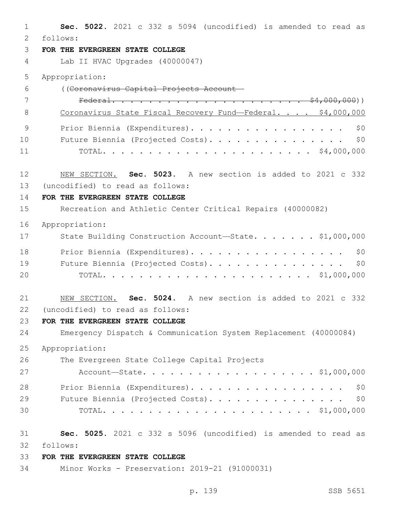**Sec. 5022.** 2021 c 332 s 5094 (uncodified) is amended to read as follows: 2 **FOR THE EVERGREEN STATE COLLEGE** Lab II HVAC Upgrades (40000047) Appropriation: ((Coronavirus Capital Projects Account— Federal. . . . . . . . . . . . . . . . . . . . . \$4,000,000)) 8 Coronavirus State Fiscal Recovery Fund—Federal. . . . \$4,000,000 9 Prior Biennia (Expenditures). . . . . . . . . . . . . . . . \$0 Future Biennia (Projected Costs). . . . . . . . . . . . . . . \$0 TOTAL. . . . . . . . . . . . . . . . . . . . . . . \$4,000,000 NEW SECTION. **Sec. 5023.** A new section is added to 2021 c 332 13 (uncodified) to read as follows: **FOR THE EVERGREEN STATE COLLEGE** Recreation and Athletic Center Critical Repairs (40000082) Appropriation: 17 State Building Construction Account-State. . . . . . \$1,000,000 18 Prior Biennia (Expenditures). . . . . . . . . . . . . . . . \$0 19 Future Biennia (Projected Costs). . . . . . . . . . . . . . \$0 TOTAL. . . . . . . . . . . . . . . . . . . . . . . \$1,000,000 NEW SECTION. **Sec. 5024.** A new section is added to 2021 c 332 22 (uncodified) to read as follows: **FOR THE EVERGREEN STATE COLLEGE** Emergency Dispatch & Communication System Replacement (40000084) Appropriation: 26 The Evergreen State College Capital Projects Account—State. . . . . . . . . . . . . . . . . . . \$1,000,000 Prior Biennia (Expenditures). . . . . . . . . . . . . . . . . \$0 29 Future Biennia (Projected Costs). . . . . . . . . . . . . . \$0 TOTAL. . . . . . . . . . . . . . . . . . . . . . . \$1,000,000 **Sec. 5025.** 2021 c 332 s 5096 (uncodified) is amended to read as follows: 32 **FOR THE EVERGREEN STATE COLLEGE**

Minor Works - Preservation: 2019-21 (91000031)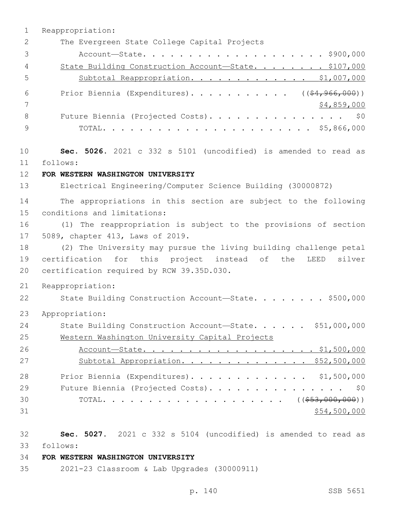1 Reappropriation: 2 The Evergreen State College Capital Projects 3 Account—State. . . . . . . . . . . . . . . . . . . . \$900,000 4 State Building Construction Account-State. . . . . . . \$107,000 5 Subtotal Reappropriation. . . . . . . . . . . . . \$1,007,000 6 Prior Biennia (Expenditures)............ ((\$4,966,000)) 7 \$4,859,000 8 Future Biennia (Projected Costs). . . . . . . . . . . . . . \$0 9 TOTAL. . . . . . . . . . . . . . . . . . . . . . . \$5,866,000 10 **Sec. 5026.** 2021 c 332 s 5101 (uncodified) is amended to read as follows: 11 12 **FOR WESTERN WASHINGTON UNIVERSITY** 13 Electrical Engineering/Computer Science Building (30000872) 14 The appropriations in this section are subject to the following 15 conditions and limitations: 16 (1) The reappropriation is subject to the provisions of section 17 5089, chapter 413, Laws of 2019. 18 (2) The University may pursue the living building challenge petal 19 certification for this project instead of the LEED silver 20 certification required by RCW 39.35D.030. 21 Reappropriation: 22 State Building Construction Account-State. . . . . . . \$500,000 23 Appropriation: 24 State Building Construction Account-State. . . . . \$51,000,000 25 Western Washington University Capital Projects 26 Account-State. . . . . . . . . . . . . . . . . \$1,500,000 27 Subtotal Appropriation. . . . . . . . . . . . . \$52,500,000 28 Prior Biennia (Expenditures). . . . . . . . . . . . . \$1,500,000 29 Future Biennia (Projected Costs). . . . . . . . . . . . . . \$0 30 TOTAL. . . . . . . . . . . . . . . . . . . . ((\$53,000,000))  $31$  \$54,500,000

32 **Sec. 5027.** 2021 c 332 s 5104 (uncodified) is amended to read as

follows: 33

# 34 **FOR WESTERN WASHINGTON UNIVERSITY**

35 2021-23 Classroom & Lab Upgrades (30000911)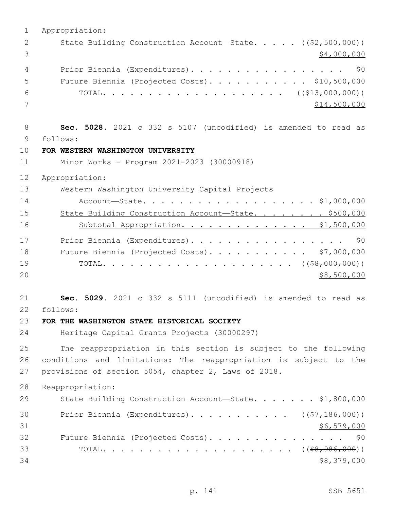| State Building Construction Account-State. ((\$2,500,000))<br>2<br>3<br>\$4,000,000<br>Prior Biennia (Expenditures).<br>\$0<br>4<br>Future Biennia (Projected Costs). \$10,500,000<br>5<br>6<br>7<br>\$14,500,000<br>8<br>Sec. 5028. 2021 c 332 s 5107 (uncodified) is amended to read as<br>9<br>follows:<br>10<br>FOR WESTERN WASHINGTON UNIVERSITY<br>11<br>Minor Works - Program 2021-2023 (30000918)<br>12<br>Appropriation:<br>13<br>Western Washington University Capital Projects<br>14<br>Account-State. \$1,000,000<br>15<br>State Building Construction Account-State. \$500,000<br>16<br>Subtotal Appropriation. \$1,500,000<br>17<br>Prior Biennia (Expenditures).<br>\$0<br>18<br>Future Biennia (Projected Costs). \$7,000,000<br>19<br>20<br>\$8,500,000<br>21<br>Sec. 5029. 2021 c 332 s 5111 (uncodified) is amended to read as<br>22<br>follows:<br>23<br>FOR THE WASHINGTON STATE HISTORICAL SOCIETY<br>24<br>Heritage Capital Grants Projects (30000297)<br>25<br>The reappropriation in this section is subject to the following<br>26<br>conditions and limitations: The reappropriation is subject to the<br>27<br>provisions of section 5054, chapter 2, Laws of 2018.<br>28<br>Reappropriation:<br>29<br>State Building Construction Account-State. \$1,800,000<br>Prior Biennia (Expenditures). ( $(\frac{27}{186},000)$ )<br>30<br>31<br>\$6,579,000<br>32<br>Future Biennia (Projected Costs). \$0<br>33 | $\mathbf{1}$ | Appropriation: |
|---------------------------------------------------------------------------------------------------------------------------------------------------------------------------------------------------------------------------------------------------------------------------------------------------------------------------------------------------------------------------------------------------------------------------------------------------------------------------------------------------------------------------------------------------------------------------------------------------------------------------------------------------------------------------------------------------------------------------------------------------------------------------------------------------------------------------------------------------------------------------------------------------------------------------------------------------------------------------------------------------------------------------------------------------------------------------------------------------------------------------------------------------------------------------------------------------------------------------------------------------------------------------------------------------------------------------------------------------------------------------------------------------------------------------------------|--------------|----------------|
|                                                                                                                                                                                                                                                                                                                                                                                                                                                                                                                                                                                                                                                                                                                                                                                                                                                                                                                                                                                                                                                                                                                                                                                                                                                                                                                                                                                                                                       |              |                |
|                                                                                                                                                                                                                                                                                                                                                                                                                                                                                                                                                                                                                                                                                                                                                                                                                                                                                                                                                                                                                                                                                                                                                                                                                                                                                                                                                                                                                                       |              |                |
|                                                                                                                                                                                                                                                                                                                                                                                                                                                                                                                                                                                                                                                                                                                                                                                                                                                                                                                                                                                                                                                                                                                                                                                                                                                                                                                                                                                                                                       |              |                |
|                                                                                                                                                                                                                                                                                                                                                                                                                                                                                                                                                                                                                                                                                                                                                                                                                                                                                                                                                                                                                                                                                                                                                                                                                                                                                                                                                                                                                                       |              |                |
|                                                                                                                                                                                                                                                                                                                                                                                                                                                                                                                                                                                                                                                                                                                                                                                                                                                                                                                                                                                                                                                                                                                                                                                                                                                                                                                                                                                                                                       |              |                |
|                                                                                                                                                                                                                                                                                                                                                                                                                                                                                                                                                                                                                                                                                                                                                                                                                                                                                                                                                                                                                                                                                                                                                                                                                                                                                                                                                                                                                                       |              |                |
|                                                                                                                                                                                                                                                                                                                                                                                                                                                                                                                                                                                                                                                                                                                                                                                                                                                                                                                                                                                                                                                                                                                                                                                                                                                                                                                                                                                                                                       |              |                |
|                                                                                                                                                                                                                                                                                                                                                                                                                                                                                                                                                                                                                                                                                                                                                                                                                                                                                                                                                                                                                                                                                                                                                                                                                                                                                                                                                                                                                                       |              |                |
|                                                                                                                                                                                                                                                                                                                                                                                                                                                                                                                                                                                                                                                                                                                                                                                                                                                                                                                                                                                                                                                                                                                                                                                                                                                                                                                                                                                                                                       |              |                |
|                                                                                                                                                                                                                                                                                                                                                                                                                                                                                                                                                                                                                                                                                                                                                                                                                                                                                                                                                                                                                                                                                                                                                                                                                                                                                                                                                                                                                                       |              |                |
|                                                                                                                                                                                                                                                                                                                                                                                                                                                                                                                                                                                                                                                                                                                                                                                                                                                                                                                                                                                                                                                                                                                                                                                                                                                                                                                                                                                                                                       |              |                |
|                                                                                                                                                                                                                                                                                                                                                                                                                                                                                                                                                                                                                                                                                                                                                                                                                                                                                                                                                                                                                                                                                                                                                                                                                                                                                                                                                                                                                                       |              |                |
|                                                                                                                                                                                                                                                                                                                                                                                                                                                                                                                                                                                                                                                                                                                                                                                                                                                                                                                                                                                                                                                                                                                                                                                                                                                                                                                                                                                                                                       |              |                |
|                                                                                                                                                                                                                                                                                                                                                                                                                                                                                                                                                                                                                                                                                                                                                                                                                                                                                                                                                                                                                                                                                                                                                                                                                                                                                                                                                                                                                                       |              |                |
|                                                                                                                                                                                                                                                                                                                                                                                                                                                                                                                                                                                                                                                                                                                                                                                                                                                                                                                                                                                                                                                                                                                                                                                                                                                                                                                                                                                                                                       |              |                |
|                                                                                                                                                                                                                                                                                                                                                                                                                                                                                                                                                                                                                                                                                                                                                                                                                                                                                                                                                                                                                                                                                                                                                                                                                                                                                                                                                                                                                                       |              |                |
|                                                                                                                                                                                                                                                                                                                                                                                                                                                                                                                                                                                                                                                                                                                                                                                                                                                                                                                                                                                                                                                                                                                                                                                                                                                                                                                                                                                                                                       |              |                |
|                                                                                                                                                                                                                                                                                                                                                                                                                                                                                                                                                                                                                                                                                                                                                                                                                                                                                                                                                                                                                                                                                                                                                                                                                                                                                                                                                                                                                                       |              |                |
|                                                                                                                                                                                                                                                                                                                                                                                                                                                                                                                                                                                                                                                                                                                                                                                                                                                                                                                                                                                                                                                                                                                                                                                                                                                                                                                                                                                                                                       |              |                |
|                                                                                                                                                                                                                                                                                                                                                                                                                                                                                                                                                                                                                                                                                                                                                                                                                                                                                                                                                                                                                                                                                                                                                                                                                                                                                                                                                                                                                                       |              |                |
|                                                                                                                                                                                                                                                                                                                                                                                                                                                                                                                                                                                                                                                                                                                                                                                                                                                                                                                                                                                                                                                                                                                                                                                                                                                                                                                                                                                                                                       |              |                |
|                                                                                                                                                                                                                                                                                                                                                                                                                                                                                                                                                                                                                                                                                                                                                                                                                                                                                                                                                                                                                                                                                                                                                                                                                                                                                                                                                                                                                                       |              |                |
|                                                                                                                                                                                                                                                                                                                                                                                                                                                                                                                                                                                                                                                                                                                                                                                                                                                                                                                                                                                                                                                                                                                                                                                                                                                                                                                                                                                                                                       |              |                |
|                                                                                                                                                                                                                                                                                                                                                                                                                                                                                                                                                                                                                                                                                                                                                                                                                                                                                                                                                                                                                                                                                                                                                                                                                                                                                                                                                                                                                                       |              |                |
|                                                                                                                                                                                                                                                                                                                                                                                                                                                                                                                                                                                                                                                                                                                                                                                                                                                                                                                                                                                                                                                                                                                                                                                                                                                                                                                                                                                                                                       |              |                |
|                                                                                                                                                                                                                                                                                                                                                                                                                                                                                                                                                                                                                                                                                                                                                                                                                                                                                                                                                                                                                                                                                                                                                                                                                                                                                                                                                                                                                                       |              |                |
|                                                                                                                                                                                                                                                                                                                                                                                                                                                                                                                                                                                                                                                                                                                                                                                                                                                                                                                                                                                                                                                                                                                                                                                                                                                                                                                                                                                                                                       |              |                |
|                                                                                                                                                                                                                                                                                                                                                                                                                                                                                                                                                                                                                                                                                                                                                                                                                                                                                                                                                                                                                                                                                                                                                                                                                                                                                                                                                                                                                                       |              |                |
|                                                                                                                                                                                                                                                                                                                                                                                                                                                                                                                                                                                                                                                                                                                                                                                                                                                                                                                                                                                                                                                                                                                                                                                                                                                                                                                                                                                                                                       |              |                |
|                                                                                                                                                                                                                                                                                                                                                                                                                                                                                                                                                                                                                                                                                                                                                                                                                                                                                                                                                                                                                                                                                                                                                                                                                                                                                                                                                                                                                                       |              |                |
|                                                                                                                                                                                                                                                                                                                                                                                                                                                                                                                                                                                                                                                                                                                                                                                                                                                                                                                                                                                                                                                                                                                                                                                                                                                                                                                                                                                                                                       |              |                |
|                                                                                                                                                                                                                                                                                                                                                                                                                                                                                                                                                                                                                                                                                                                                                                                                                                                                                                                                                                                                                                                                                                                                                                                                                                                                                                                                                                                                                                       |              |                |
|                                                                                                                                                                                                                                                                                                                                                                                                                                                                                                                                                                                                                                                                                                                                                                                                                                                                                                                                                                                                                                                                                                                                                                                                                                                                                                                                                                                                                                       |              |                |
|                                                                                                                                                                                                                                                                                                                                                                                                                                                                                                                                                                                                                                                                                                                                                                                                                                                                                                                                                                                                                                                                                                                                                                                                                                                                                                                                                                                                                                       |              |                |
|                                                                                                                                                                                                                                                                                                                                                                                                                                                                                                                                                                                                                                                                                                                                                                                                                                                                                                                                                                                                                                                                                                                                                                                                                                                                                                                                                                                                                                       | 34           | \$8,379,000    |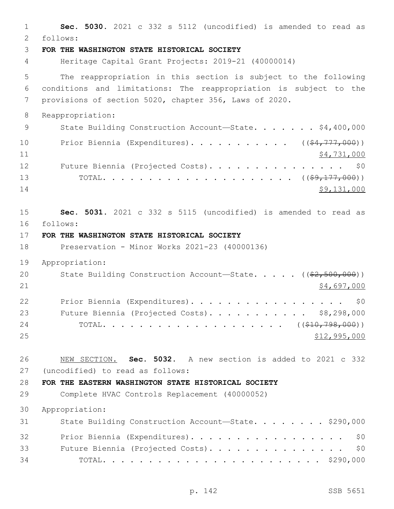1 **Sec. 5030.** 2021 c 332 s 5112 (uncodified) is amended to read as follows: 2 3 **FOR THE WASHINGTON STATE HISTORICAL SOCIETY** 4 Heritage Capital Grant Projects: 2019-21 (40000014) 5 The reappropriation in this section is subject to the following 6 conditions and limitations: The reappropriation is subject to the 7 provisions of section 5020, chapter 356, Laws of 2020. 8 Reappropriation: 9 State Building Construction Account-State. . . . . . \$4,400,000 10 Prior Biennia (Expenditures). . . . . . . . . . ((\$4,777,000))  $11$   $\frac{1}{2}$   $\frac{1}{2}$   $\frac{1}{2}$   $\frac{1}{2}$   $\frac{1}{2}$   $\frac{1}{2}$   $\frac{1}{2}$   $\frac{1}{2}$   $\frac{1}{2}$   $\frac{1}{2}$   $\frac{1}{2}$   $\frac{1}{2}$   $\frac{1}{2}$   $\frac{1}{2}$   $\frac{1}{2}$   $\frac{1}{2}$   $\frac{1}{2}$   $\frac{1}{2}$   $\frac{1}{2}$   $\frac{1}{2}$   $\frac{1}{2}$   $\frac{1}{$ 12 Future Biennia (Projected Costs). . . . . . . . . . . . . . \$0 13 TOTAL. . . . . . . . . . . . . . . . . . . . . ((\$9,177,000)) 14 \$9,131,000 15 **Sec. 5031.** 2021 c 332 s 5115 (uncodified) is amended to read as follows: 16 17 **FOR THE WASHINGTON STATE HISTORICAL SOCIETY** 18 Preservation - Minor Works 2021-23 (40000136) 19 Appropriation: 20 State Building Construction Account—State. . . . . ((\$2,500,000)) 21 \$4,697,000 22 Prior Biennia (Expenditures). . . . . . . . . . . . . . . . \$0 23 Future Biennia (Projected Costs). . . . . . . . . . \$8,298,000 24 TOTAL......................((\$10,798,000)) 25 \$12,995,000 26 NEW SECTION. **Sec. 5032.** A new section is added to 2021 c 332 (uncodified) to read as follows:27 28 **FOR THE EASTERN WASHINGTON STATE HISTORICAL SOCIETY** 29 Complete HVAC Controls Replacement (40000052) 30 Appropriation: 31 State Building Construction Account-State. . . . . . . \$290,000 32 Prior Biennia (Expenditures). . . . . . . . . . . . . . . . \$0 33 Future Biennia (Projected Costs). . . . . . . . . . . . . . . \$0 34 TOTAL. . . . . . . . . . . . . . . . . . . . . . . . \$290,000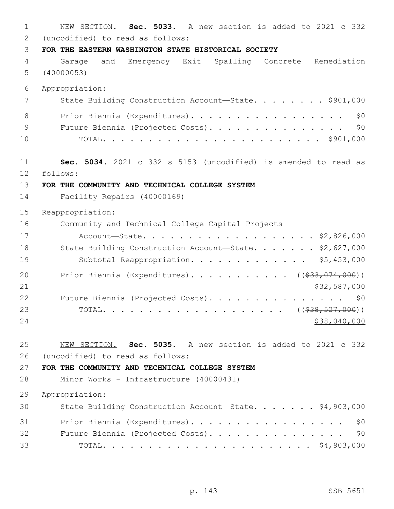1 NEW SECTION. **Sec. 5033.** A new section is added to 2021 c 332 (uncodified) to read as follows:2 3 **FOR THE EASTERN WASHINGTON STATE HISTORICAL SOCIETY** 4 Garage and Emergency Exit Spalling Concrete Remediation 5 (40000053) 6 Appropriation: 7 State Building Construction Account—State. . . . . . . \$901,000 8 Prior Biennia (Expenditures). . . . . . . . . . . . . . . . \$0 9 Future Biennia (Projected Costs). . . . . . . . . . . . . . \$0 10 TOTAL. . . . . . . . . . . . . . . . . . . . . . . . \$901,000 11 **Sec. 5034.** 2021 c 332 s 5153 (uncodified) is amended to read as follows: 12 13 **FOR THE COMMUNITY AND TECHNICAL COLLEGE SYSTEM** 14 Facility Repairs (40000169) 15 Reappropriation: 16 Community and Technical College Capital Projects 17 Account—State. . . . . . . . . . . . . . . . . . . \$2,826,000 18 State Building Construction Account-State. . . . . . \$2,627,000 19 Subtotal Reappropriation. . . . . . . . . . . . \$5,453,000 20 Prior Biennia (Expenditures). . . . . . . . . . ((\$33,074,000)) 21 \$32,587,000 22 Future Biennia (Projected Costs). . . . . . . . . . . . . . \$0 23 TOTAL. . . . . . . . . . . . . . . . . . . . ((\$38,527,000)) 24 \$38,040,000 25 NEW SECTION. **Sec. 5035.** A new section is added to 2021 c 332 (uncodified) to read as follows:26 27 **FOR THE COMMUNITY AND TECHNICAL COLLEGE SYSTEM** 28 Minor Works - Infrastructure (40000431) 29 Appropriation: 30 State Building Construction Account—State. . . . . . . \$4,903,000 31 Prior Biennia (Expenditures). . . . . . . . . . . . . . . . \$0 32 Future Biennia (Projected Costs). . . . . . . . . . . . . . \$0 33 TOTAL. . . . . . . . . . . . . . . . . . . . . . . \$4,903,000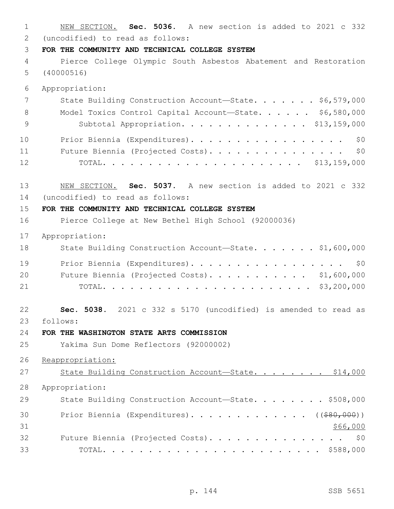NEW SECTION. **Sec. 5036.** A new section is added to 2021 c 332 (uncodified) to read as follows: 2 **FOR THE COMMUNITY AND TECHNICAL COLLEGE SYSTEM** Pierce College Olympic South Asbestos Abatement and Restoration (40000516) Appropriation: 7 State Building Construction Account—State. . . . . . \$6,579,000 Model Toxics Control Capital Account—State. . . . . . \$6,580,000 Subtotal Appropriation. . . . . . . . . . . . . . \$13,159,000 10 Prior Biennia (Expenditures). . . . . . . . . . . . . . . . \$0 Future Biennia (Projected Costs). . . . . . . . . . . . . . . \$0 TOTAL. . . . . . . . . . . . . . . . . . . . . . \$13,159,000 NEW SECTION. **Sec. 5037.** A new section is added to 2021 c 332 14 (uncodified) to read as follows: **FOR THE COMMUNITY AND TECHNICAL COLLEGE SYSTEM** Pierce College at New Bethel High School (92000036) Appropriation: 18 State Building Construction Account-State. . . . . . \$1,600,000 19 Prior Biennia (Expenditures). . . . . . . . . . . . . . . . \$0 Future Biennia (Projected Costs). . . . . . . . . . . \$1,600,000 TOTAL. . . . . . . . . . . . . . . . . . . . . . . \$3,200,000 **Sec. 5038.** 2021 c 332 s 5170 (uncodified) is amended to read as follows: 23 **FOR THE WASHINGTON STATE ARTS COMMISSION** Yakima Sun Dome Reflectors (92000002) Reappropriation: 27 State Building Construction Account-State. . . . . . . \$14,000 Appropriation: 29 State Building Construction Account-State. . . . . . . \$508,000 30 Prior Biennia (Expenditures). . . . . . . . . . . . ((\$80,000)) \$66,000 32 Future Biennia (Projected Costs). . . . . . . . . . . . . . \$0 TOTAL. . . . . . . . . . . . . . . . . . . . . . . . \$588,000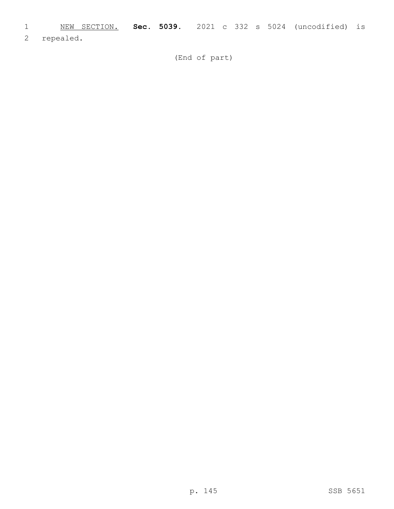- 1 NEW SECTION. **Sec. 5039.** 2021 c 332 s 5024 (uncodified) is
- 2 repealed.

(End of part)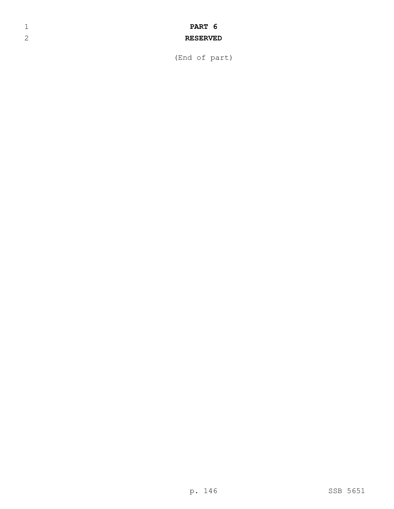## 1 **PART 6**

## 2 **RESERVED**

(End of part)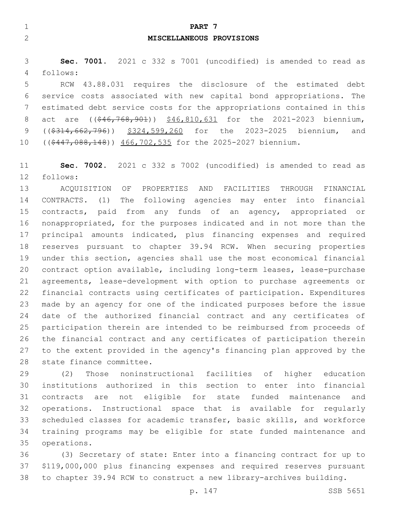| ⊣<br>PART 7<br><b>__</b>                       |  |
|------------------------------------------------|--|
| $\mathcal{D}$<br>MISCELLANEOUS PROVISIONS<br>↩ |  |
|                                                |  |

 **Sec. 7001.** 2021 c 332 s 7001 (uncodified) is amended to read as follows:4

 RCW 43.88.031 requires the disclosure of the estimated debt service costs associated with new capital bond appropriations. The estimated debt service costs for the appropriations contained in this 8 act are ((\$46,768,901)) \$46,810,631 for the 2021-2023 biennium, 9 ((\$314,662,796)) \$324,599,260 for the 2023-2025 biennium, and 10 ((\$447,088,148)) 466,702,535 for the 2025-2027 biennium.

 **Sec. 7002.** 2021 c 332 s 7002 (uncodified) is amended to read as 12 follows:

 ACQUISITION OF PROPERTIES AND FACILITIES THROUGH FINANCIAL CONTRACTS. (1) The following agencies may enter into financial contracts, paid from any funds of an agency, appropriated or nonappropriated, for the purposes indicated and in not more than the principal amounts indicated, plus financing expenses and required reserves pursuant to chapter 39.94 RCW. When securing properties under this section, agencies shall use the most economical financial contract option available, including long-term leases, lease-purchase agreements, lease-development with option to purchase agreements or financial contracts using certificates of participation. Expenditures made by an agency for one of the indicated purposes before the issue date of the authorized financial contract and any certificates of participation therein are intended to be reimbursed from proceeds of the financial contract and any certificates of participation therein to the extent provided in the agency's financing plan approved by the 28 state finance committee.

 (2) Those noninstructional facilities of higher education institutions authorized in this section to enter into financial contracts are not eligible for state funded maintenance and operations. Instructional space that is available for regularly scheduled classes for academic transfer, basic skills, and workforce training programs may be eligible for state funded maintenance and 35 operations.

 (3) Secretary of state: Enter into a financing contract for up to \$119,000,000 plus financing expenses and required reserves pursuant to chapter 39.94 RCW to construct a new library-archives building.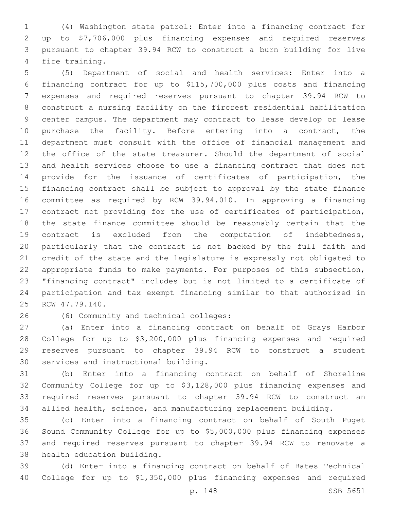(4) Washington state patrol: Enter into a financing contract for up to \$7,706,000 plus financing expenses and required reserves pursuant to chapter 39.94 RCW to construct a burn building for live 4 fire training.

 (5) Department of social and health services: Enter into a financing contract for up to \$115,700,000 plus costs and financing expenses and required reserves pursuant to chapter 39.94 RCW to construct a nursing facility on the fircrest residential habilitation center campus. The department may contract to lease develop or lease 10 purchase the facility. Before entering into a contract, the department must consult with the office of financial management and the office of the state treasurer. Should the department of social and health services choose to use a financing contract that does not provide for the issuance of certificates of participation, the financing contract shall be subject to approval by the state finance committee as required by RCW 39.94.010. In approving a financing contract not providing for the use of certificates of participation, the state finance committee should be reasonably certain that the contract is excluded from the computation of indebtedness, particularly that the contract is not backed by the full faith and credit of the state and the legislature is expressly not obligated to appropriate funds to make payments. For purposes of this subsection, "financing contract" includes but is not limited to a certificate of participation and tax exempt financing similar to that authorized in 25 RCW 47.79.140.

(6) Community and technical colleges:26

 (a) Enter into a financing contract on behalf of Grays Harbor College for up to \$3,200,000 plus financing expenses and required reserves pursuant to chapter 39.94 RCW to construct a student 30 services and instructional building.

 (b) Enter into a financing contract on behalf of Shoreline Community College for up to \$3,128,000 plus financing expenses and required reserves pursuant to chapter 39.94 RCW to construct an allied health, science, and manufacturing replacement building.

 (c) Enter into a financing contract on behalf of South Puget Sound Community College for up to \$5,000,000 plus financing expenses and required reserves pursuant to chapter 39.94 RCW to renovate a 38 health education building.

 (d) Enter into a financing contract on behalf of Bates Technical College for up to \$1,350,000 plus financing expenses and required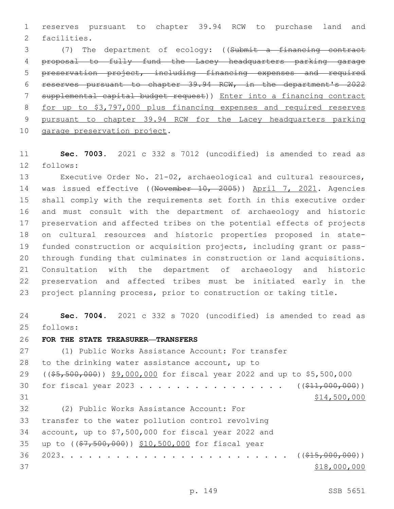reserves pursuant to chapter 39.94 RCW to purchase land and 2 facilities.

 (7) The department of ecology: ((Submit a financing contract proposal to fully fund the Lacey headquarters parking garage preservation project, including financing expenses and required reserves pursuant to chapter 39.94 RCW, in the department's 2022 supplemental capital budget request)) Enter into a financing contract for up to \$3,797,000 plus financing expenses and required reserves pursuant to chapter 39.94 RCW for the Lacey headquarters parking 10 garage preservation project.

 **Sec. 7003.** 2021 c 332 s 7012 (uncodified) is amended to read as follows:12

 Executive Order No. 21-02, archaeological and cultural resources, 14 was issued effective ((November 10, 2005)) April 7, 2021. Agencies shall comply with the requirements set forth in this executive order and must consult with the department of archaeology and historic preservation and affected tribes on the potential effects of projects on cultural resources and historic properties proposed in state- funded construction or acquisition projects, including grant or pass- through funding that culminates in construction or land acquisitions. Consultation with the department of archaeology and historic preservation and affected tribes must be initiated early in the project planning process, prior to construction or taking title.

 **Sec. 7004.** 2021 c 332 s 7020 (uncodified) is amended to read as 25 follows:

**FOR THE STATE TREASURER—TRANSFERS**

 (1) Public Works Assistance Account: For transfer 28 to the drinking water assistance account, up to ((\$5,500,000)) \$9,000,000 for fiscal year 2022 and up to \$5,500,000 30 for fiscal year 2023 . . . . . . . . . . . . . . . ((\$11,000,000)) \$14,500,000 (2) Public Works Assistance Account: For32 33 transfer to the water pollution control revolving account, up to \$7,500,000 for fiscal year 2022 and 35 up to ((\$7,500,000)) \$10,500,000 for fiscal year 2023. . . . . . . . . . . . . . . . . . . . . . . . . ((\$15,000,000)) 37 \$18,000,000 \$18,000,000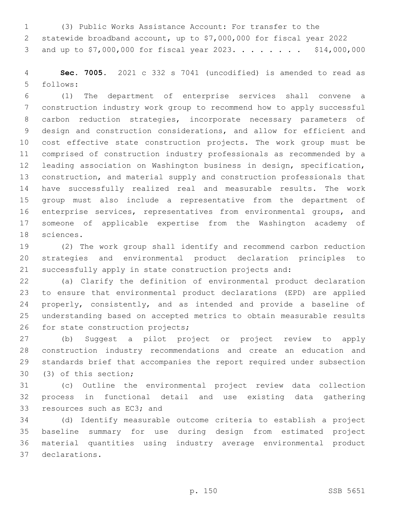(3) Public Works Assistance Account: For transfer to the statewide broadband account, up to \$7,000,000 for fiscal year 2022 3 and up to \$7,000,000 for fiscal year 2023. . . . . . . . \$14,000,000

 **Sec. 7005.** 2021 c 332 s 7041 (uncodified) is amended to read as follows:5

 (1) The department of enterprise services shall convene a construction industry work group to recommend how to apply successful carbon reduction strategies, incorporate necessary parameters of design and construction considerations, and allow for efficient and cost effective state construction projects. The work group must be comprised of construction industry professionals as recommended by a leading association on Washington business in design, specification, construction, and material supply and construction professionals that have successfully realized real and measurable results. The work group must also include a representative from the department of enterprise services, representatives from environmental groups, and someone of applicable expertise from the Washington academy of 18 sciences.

 (2) The work group shall identify and recommend carbon reduction strategies and environmental product declaration principles to successfully apply in state construction projects and:

 (a) Clarify the definition of environmental product declaration to ensure that environmental product declarations (EPD) are applied 24 properly, consistently, and as intended and provide a baseline of understanding based on accepted metrics to obtain measurable results 26 for state construction projects;

 (b) Suggest a pilot project or project review to apply construction industry recommendations and create an education and standards brief that accompanies the report required under subsection 30 (3) of this section;

 (c) Outline the environmental project review data collection process in functional detail and use existing data gathering 33 resources such as EC3; and

 (d) Identify measurable outcome criteria to establish a project baseline summary for use during design from estimated project material quantities using industry average environmental product declarations.37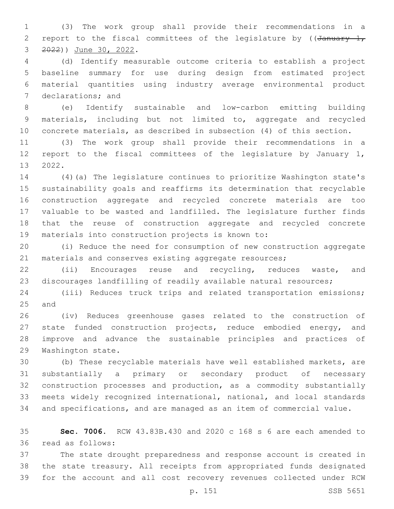(3) The work group shall provide their recommendations in a 2 report to the fiscal committees of the legislature by ( $\sqrt{4}$ anuary 1, 3 ) June 30, 2022.

 (d) Identify measurable outcome criteria to establish a project baseline summary for use during design from estimated project material quantities using industry average environmental product 7 declarations; and

 (e) Identify sustainable and low-carbon emitting building materials, including but not limited to, aggregate and recycled concrete materials, as described in subsection (4) of this section.

 (3) The work group shall provide their recommendations in a report to the fiscal committees of the legislature by January 1, 13 2022.

 (4)(a) The legislature continues to prioritize Washington state's sustainability goals and reaffirms its determination that recyclable construction aggregate and recycled concrete materials are too valuable to be wasted and landfilled. The legislature further finds that the reuse of construction aggregate and recycled concrete 19 materials into construction projects is known to:

 (i) Reduce the need for consumption of new construction aggregate 21 materials and conserves existing aggregate resources;

 (ii) Encourages reuse and recycling, reduces waste, and discourages landfilling of readily available natural resources;

 (iii) Reduces truck trips and related transportation emissions; 25 and

 (iv) Reduces greenhouse gases related to the construction of state funded construction projects, reduce embodied energy, and improve and advance the sustainable principles and practices of 29 Washington state.

 (b) These recyclable materials have well established markets, are substantially a primary or secondary product of necessary construction processes and production, as a commodity substantially meets widely recognized international, national, and local standards and specifications, and are managed as an item of commercial value.

 **Sec. 7006.** RCW 43.83B.430 and 2020 c 168 s 6 are each amended to read as follows:36

 The state drought preparedness and response account is created in the state treasury. All receipts from appropriated funds designated for the account and all cost recovery revenues collected under RCW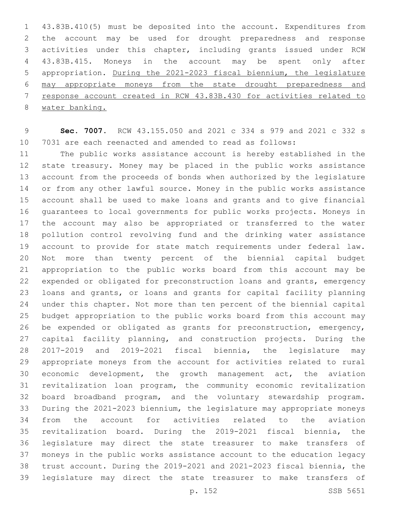43.83B.410(5) must be deposited into the account. Expenditures from the account may be used for drought preparedness and response activities under this chapter, including grants issued under RCW 43.83B.415. Moneys in the account may be spent only after appropriation. During the 2021-2023 fiscal biennium, the legislature may appropriate moneys from the state drought preparedness and response account created in RCW 43.83B.430 for activities related to water banking.

 **Sec. 7007.** RCW 43.155.050 and 2021 c 334 s 979 and 2021 c 332 s 7031 are each reenacted and amended to read as follows:

 The public works assistance account is hereby established in the state treasury. Money may be placed in the public works assistance account from the proceeds of bonds when authorized by the legislature or from any other lawful source. Money in the public works assistance account shall be used to make loans and grants and to give financial guarantees to local governments for public works projects. Moneys in the account may also be appropriated or transferred to the water pollution control revolving fund and the drinking water assistance account to provide for state match requirements under federal law. Not more than twenty percent of the biennial capital budget appropriation to the public works board from this account may be expended or obligated for preconstruction loans and grants, emergency loans and grants, or loans and grants for capital facility planning under this chapter. Not more than ten percent of the biennial capital budget appropriation to the public works board from this account may be expended or obligated as grants for preconstruction, emergency, capital facility planning, and construction projects. During the 2017-2019 and 2019-2021 fiscal biennia, the legislature may appropriate moneys from the account for activities related to rural economic development, the growth management act, the aviation revitalization loan program, the community economic revitalization board broadband program, and the voluntary stewardship program. During the 2021-2023 biennium, the legislature may appropriate moneys from the account for activities related to the aviation revitalization board. During the 2019-2021 fiscal biennia, the legislature may direct the state treasurer to make transfers of moneys in the public works assistance account to the education legacy trust account. During the 2019-2021 and 2021-2023 fiscal biennia, the legislature may direct the state treasurer to make transfers of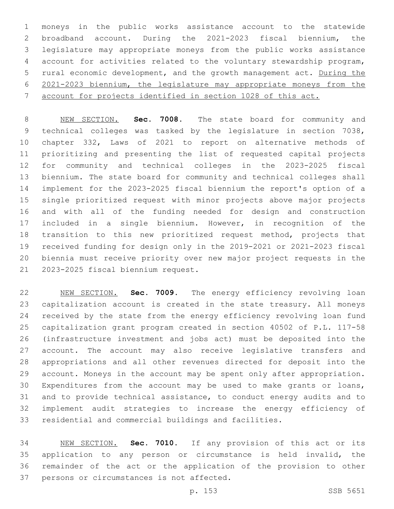moneys in the public works assistance account to the statewide broadband account. During the 2021-2023 fiscal biennium, the legislature may appropriate moneys from the public works assistance account for activities related to the voluntary stewardship program, rural economic development, and the growth management act. During the 2021-2023 biennium, the legislature may appropriate moneys from the account for projects identified in section 1028 of this act.

 NEW SECTION. **Sec. 7008.** The state board for community and technical colleges was tasked by the legislature in section 7038, chapter 332, Laws of 2021 to report on alternative methods of prioritizing and presenting the list of requested capital projects for community and technical colleges in the 2023-2025 fiscal biennium. The state board for community and technical colleges shall implement for the 2023-2025 fiscal biennium the report's option of a single prioritized request with minor projects above major projects and with all of the funding needed for design and construction included in a single biennium. However, in recognition of the transition to this new prioritized request method, projects that received funding for design only in the 2019-2021 or 2021-2023 fiscal biennia must receive priority over new major project requests in the 2023-2025 fiscal biennium request.

 NEW SECTION. **Sec. 7009.** The energy efficiency revolving loan capitalization account is created in the state treasury. All moneys received by the state from the energy efficiency revolving loan fund capitalization grant program created in section 40502 of P.L. 117-58 (infrastructure investment and jobs act) must be deposited into the account. The account may also receive legislative transfers and appropriations and all other revenues directed for deposit into the account. Moneys in the account may be spent only after appropriation. Expenditures from the account may be used to make grants or loans, and to provide technical assistance, to conduct energy audits and to implement audit strategies to increase the energy efficiency of residential and commercial buildings and facilities.

 NEW SECTION. **Sec. 7010.** If any provision of this act or its application to any person or circumstance is held invalid, the remainder of the act or the application of the provision to other persons or circumstances is not affected.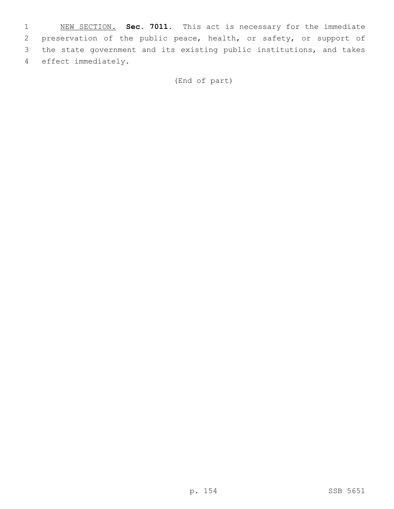NEW SECTION. **Sec. 7011.** This act is necessary for the immediate preservation of the public peace, health, or safety, or support of the state government and its existing public institutions, and takes effect immediately.

(End of part)